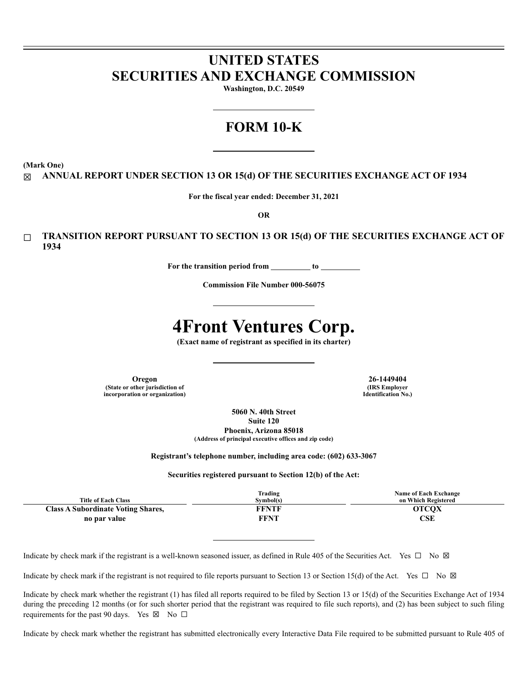# **UNITED STATES SECURITIES AND EXCHANGE COMMISSION**

**Washington, D.C. 20549**

## **FORM 10-K**

**(Mark One)**

#### ☒ **ANNUAL REPORT UNDER SECTION 13 OR 15(d) OF THE SECURITIES EXCHANGE ACT OF 1934**

**For the fiscal year ended: December 31, 2021**

**OR**

#### ☐ **TRANSITION REPORT PURSUANT TO SECTION 13 OR 15(d) OF THE SECURITIES EXCHANGE ACT OF 1934**

For the transition period from \_\_\_\_\_\_\_\_\_\_ to \_

**Commission File Number 000-56075**

# **4Front Ventures Corp.**

**(Exact name of registrant as specified in its charter)**

**Oregon 26-1449404 (State or other jurisdiction of incorporation or organization)**

**(IRS Employer Identification No.)**

**5060 N. 40th Street Suite 120 Phoenix, Arizona 85018 (Address of principal executive offices and zip code)**

**Registrant's telephone number, including area code: (602) 633-3067**

**Securities registered pursuant to Section 12(b) of the Act:**

| <b>Title of Each Class</b>                | Trading<br>Symbol(s) | Name of Each Exchange<br>on Which Registered |
|-------------------------------------------|----------------------|----------------------------------------------|
| <b>Class A Subordinate Voting Shares,</b> | <b>FFNTF</b>         | <b>OTCOX</b>                                 |
| no par value                              | FFNT                 | CSE                                          |

Indicate by check mark if the registrant is a well-known seasoned issuer, as defined in Rule 405 of the Securities Act. Yes  $\Box$  No  $\boxtimes$ 

Indicate by check mark if the registrant is not required to file reports pursuant to Section 13 or Section 15(d) of the Act. Yes  $\Box$  No  $\boxtimes$ 

Indicate by check mark whether the registrant (1) has filed all reports required to be filed by Section 13 or 15(d) of the Securities Exchange Act of 1934 during the preceding 12 months (or for such shorter period that the registrant was required to file such reports), and (2) has been subject to such filing requirements for the past 90 days. Yes  $\boxtimes$  No  $\Box$ 

Indicate by check mark whether the registrant has submitted electronically every Interactive Data File required to be submitted pursuant to Rule 405 of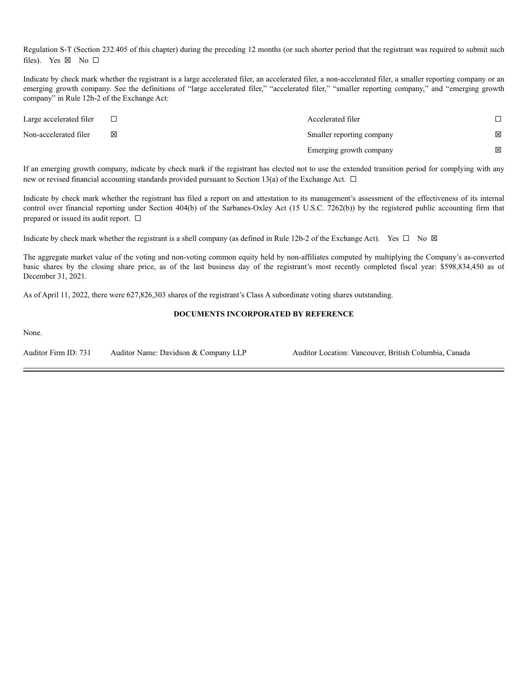Regulation S-T (Section 232.405 of this chapter) during the preceding 12 months (or such shorter period that the registrant was required to submit such files). Yes  $\boxtimes$  No  $\square$ 

Indicate by check mark whether the registrant is a large accelerated filer, an accelerated filer, a non-accelerated filer, a smaller reporting company or an emerging growth company. See the definitions of "large accelerated filer," "accelerated filer," "smaller reporting company," and "emerging growth company" in Rule 12b-2 of the Exchange Act:

| Large accelerated filer |   | Accelerated filer         |   |
|-------------------------|---|---------------------------|---|
| Non-accelerated filer   | × | Smaller reporting company | ⊠ |
|                         |   | Emerging growth company   | × |

If an emerging growth company, indicate by check mark if the registrant has elected not to use the extended transition period for complying with any new or revised financial accounting standards provided pursuant to Section 13(a) of the Exchange Act.  $\Box$ 

Indicate by check mark whether the registrant has filed a report on and attestation to its management's assessment of the effectiveness of its internal control over financial reporting under Section 404(b) of the Sarbanes-Oxley Act (15 U.S.C. 7262(b)) by the registered public accounting firm that prepared or issued its audit report.  $\Box$ 

Indicate by check mark whether the registrant is a shell company (as defined in Rule 12b-2 of the Exchange Act). Yes  $\Box$  No  $\boxtimes$ 

The aggregate market value of the voting and non-voting common equity held by non-affiliates computed by multiplying the Company's as-converted basic shares by the closing share price, as of the last business day of the registrant's most recently completed fiscal year: \$598,834,450 as of December 31, 2021.

As of April 11, 2022, there were 627,826,303 shares of the registrant's Class A subordinate voting shares outstanding.

#### **DOCUMENTS INCORPORATED BY REFERENCE**

None.

Auditor Firm ID: 731 Auditor Name: Davidson & Company LLP Auditor Location: Vancouver, British Columbia, Canada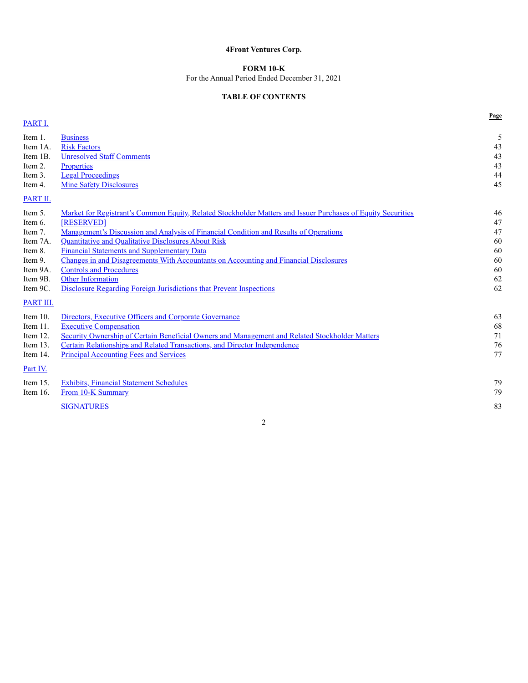#### **4Front Ventures Corp.**

#### **FORM 10-K**

For the Annual Period Ended December 31, 2021

#### **TABLE OF CONTENTS**

| PART I.   |                                                                                                              |    |
|-----------|--------------------------------------------------------------------------------------------------------------|----|
| Item 1.   | <b>Business</b>                                                                                              | 5  |
| Item 1A.  | <b>Risk Factors</b>                                                                                          | 43 |
| Item 1B.  | <b>Unresolved Staff Comments</b>                                                                             | 43 |
| Item 2.   | Properties                                                                                                   | 43 |
| Item 3.   | <b>Legal Proceedings</b>                                                                                     | 44 |
| Item 4.   | <b>Mine Safety Disclosures</b>                                                                               | 45 |
| PART II.  |                                                                                                              |    |
| Item 5.   | Market for Registrant's Common Equity, Related Stockholder Matters and Issuer Purchases of Equity Securities | 46 |
| Item 6.   | [RESERVED]                                                                                                   | 47 |
| Item 7.   | <u>Management's Discussion and Analysis of Financial Condition and Results of Operations</u>                 | 47 |
| Item 7A.  | Quantitative and Qualitative Disclosures About Risk                                                          | 60 |
| Item 8.   | <b>Financial Statements and Supplementary Data</b>                                                           | 60 |
| Item 9.   | <b>Changes in and Disagreements With Accountants on Accounting and Financial Disclosures</b>                 | 60 |
| Item 9A.  | <b>Controls and Procedures</b>                                                                               | 60 |
| Item 9B.  | Other Information                                                                                            | 62 |
| Item 9C.  | <b>Disclosure Regarding Foreign Jurisdictions that Prevent Inspections</b>                                   | 62 |
| PART III. |                                                                                                              |    |
| Item 10.  | Directors, Executive Officers and Corporate Governance                                                       | 63 |
| Item 11.  | <b>Executive Compensation</b>                                                                                | 68 |
| Item 12.  | Security Ownership of Certain Beneficial Owners and Management and Related Stockholder Matters               | 71 |
| Item 13.  | Certain Relationships and Related Transactions, and Director Independence                                    | 76 |
| Item 14.  | <b>Principal Accounting Fees and Services</b>                                                                | 77 |
| Part IV.  |                                                                                                              |    |
| Item 15.  | <b>Exhibits, Financial Statement Schedules</b>                                                               | 79 |
| Item 16.  | From 10-K Summary                                                                                            | 79 |
|           | <b>SIGNATURES</b>                                                                                            | 83 |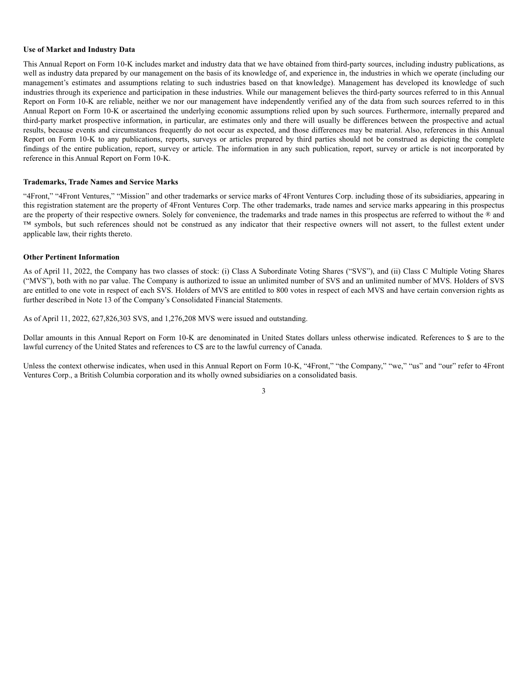#### **Use of Market and Industry Data**

This Annual Report on Form 10-K includes market and industry data that we have obtained from third-party sources, including industry publications, as well as industry data prepared by our management on the basis of its knowledge of, and experience in, the industries in which we operate (including our management's estimates and assumptions relating to such industries based on that knowledge). Management has developed its knowledge of such industries through its experience and participation in these industries. While our management believes the third-party sources referred to in this Annual Report on Form 10-K are reliable, neither we nor our management have independently verified any of the data from such sources referred to in this Annual Report on Form 10-K or ascertained the underlying economic assumptions relied upon by such sources. Furthermore, internally prepared and third-party market prospective information, in particular, are estimates only and there will usually be differences between the prospective and actual results, because events and circumstances frequently do not occur as expected, and those differences may be material. Also, references in this Annual Report on Form 10-K to any publications, reports, surveys or articles prepared by third parties should not be construed as depicting the complete findings of the entire publication, report, survey or article. The information in any such publication, report, survey or article is not incorporated by reference in this Annual Report on Form 10-K.

#### **Trademarks, Trade Names and Service Marks**

"4Front," "4Front Ventures," "Mission" and other trademarks or service marks of 4Front Ventures Corp. including those of its subsidiaries, appearing in this registration statement are the property of 4Front Ventures Corp. The other trademarks, trade names and service marks appearing in this prospectus are the property of their respective owners. Solely for convenience, the trademarks and trade names in this prospectus are referred to without the  $\mathcal{R}$  and ™ symbols, but such references should not be construed as any indicator that their respective owners will not assert, to the fullest extent under applicable law, their rights thereto.

#### **Other Pertinent Information**

As of April 11, 2022, the Company has two classes of stock: (i) Class A Subordinate Voting Shares ("SVS"), and (ii) Class C Multiple Voting Shares ("MVS"), both with no par value. The Company is authorized to issue an unlimited number of SVS and an unlimited number of MVS. Holders of SVS are entitled to one vote in respect of each SVS. Holders of MVS are entitled to 800 votes in respect of each MVS and have certain conversion rights as further described in Note 13 of the Company's Consolidated Financial Statements.

As of April 11, 2022, 627,826,303 SVS, and 1,276,208 MVS were issued and outstanding.

Dollar amounts in this Annual Report on Form 10-K are denominated in United States dollars unless otherwise indicated. References to \$ are to the lawful currency of the United States and references to C\$ are to the lawful currency of Canada.

Unless the context otherwise indicates, when used in this Annual Report on Form 10-K, "4Front," "the Company," "we," "us" and "our" refer to 4Front Ventures Corp., a British Columbia corporation and its wholly owned subsidiaries on a consolidated basis.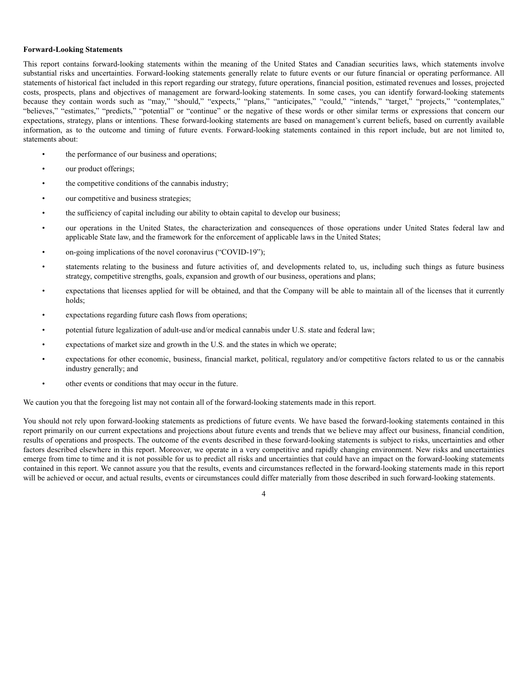#### **Forward-Looking Statements**

This report contains forward-looking statements within the meaning of the United States and Canadian securities laws, which statements involve substantial risks and uncertainties. Forward-looking statements generally relate to future events or our future financial or operating performance. All statements of historical fact included in this report regarding our strategy, future operations, financial position, estimated revenues and losses, projected costs, prospects, plans and objectives of management are forward-looking statements. In some cases, you can identify forward-looking statements because they contain words such as "may," "should," "expects," "plans," "anticipates," "could," "intends," "target," "projects," "contemplates," "believes," "estimates," "predicts," "potential" or "continue" or the negative of these words or other similar terms or expressions that concern our expectations, strategy, plans or intentions. These forward-looking statements are based on management's current beliefs, based on currently available information, as to the outcome and timing of future events. Forward-looking statements contained in this report include, but are not limited to, statements about:

- the performance of our business and operations;
- our product offerings;
- the competitive conditions of the cannabis industry;
- our competitive and business strategies;
- the sufficiency of capital including our ability to obtain capital to develop our business;
- our operations in the United States, the characterization and consequences of those operations under United States federal law and applicable State law, and the framework for the enforcement of applicable laws in the United States;
- on-going implications of the novel coronavirus ("COVID-19");
- statements relating to the business and future activities of, and developments related to, us, including such things as future business strategy, competitive strengths, goals, expansion and growth of our business, operations and plans;
- expectations that licenses applied for will be obtained, and that the Company will be able to maintain all of the licenses that it currently holds;
- expectations regarding future cash flows from operations;
- potential future legalization of adult-use and/or medical cannabis under U.S. state and federal law;
- expectations of market size and growth in the U.S. and the states in which we operate;
- expectations for other economic, business, financial market, political, regulatory and/or competitive factors related to us or the cannabis industry generally; and
- other events or conditions that may occur in the future.

We caution you that the foregoing list may not contain all of the forward-looking statements made in this report.

You should not rely upon forward-looking statements as predictions of future events. We have based the forward-looking statements contained in this report primarily on our current expectations and projections about future events and trends that we believe may affect our business, financial condition, results of operations and prospects. The outcome of the events described in these forward-looking statements is subject to risks, uncertainties and other factors described elsewhere in this report. Moreover, we operate in a very competitive and rapidly changing environment. New risks and uncertainties emerge from time to time and it is not possible for us to predict all risks and uncertainties that could have an impact on the forward-looking statements contained in this report. We cannot assure you that the results, events and circumstances reflected in the forward-looking statements made in this report will be achieved or occur, and actual results, events or circumstances could differ materially from those described in such forward-looking statements.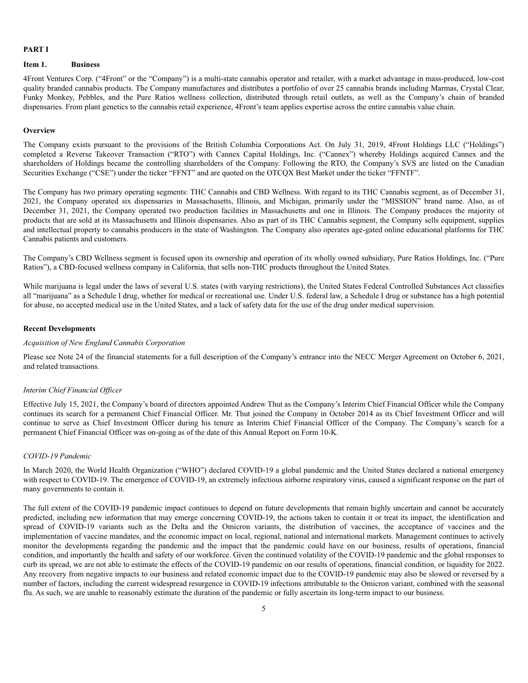#### **PART I**

#### **Item 1. Business**

4Front Ventures Corp. ("4Front" or the "Company") is a multi-state cannabis operator and retailer, with a market advantage in mass-produced, low-cost quality branded cannabis products. The Company manufactures and distributes a portfolio of over 25 cannabis brands including Marmas, Crystal Clear, Funky Monkey, Pebbles, and the Pure Ratios wellness collection, distributed through retail outlets, as well as the Company's chain of branded dispensaries. From plant genetics to the cannabis retail experience, 4Front's team applies expertise across the entire cannabis value chain.

#### **Overview**

The Company exists pursuant to the provisions of the British Columbia Corporations Act. On July 31, 2019, 4Front Holdings LLC ("Holdings") completed a Reverse Takeover Transaction ("RTO") with Cannex Capital Holdings, Inc. ("Cannex") whereby Holdings acquired Cannex and the shareholders of Holdings became the controlling shareholders of the Company. Following the RTO, the Company's SVS are listed on the Canadian Securities Exchange ("CSE") under the ticker "FFNT" and are quoted on the OTCQX Best Market under the ticker "FFNTF".

The Company has two primary operating segments: THC Cannabis and CBD Wellness. With regard to its THC Cannabis segment, as of December 31, 2021, the Company operated six dispensaries in Massachusetts, Illinois, and Michigan, primarily under the "MISSION" brand name. Also, as of December 31, 2021, the Company operated two production facilities in Massachusetts and one in Illinois. The Company produces the majority of products that are sold at its Massachusetts and Illinois dispensaries. Also as part of its THC Cannabis segment, the Company sells equipment, supplies and intellectual property to cannabis producers in the state of Washington. The Company also operates age-gated online educational platforms for THC Cannabis patients and customers.

The Company's CBD Wellness segment is focused upon its ownership and operation of its wholly owned subsidiary, Pure Ratios Holdings, Inc. ("Pure Ratios"), a CBD-focused wellness company in California, that sells non-THC products throughout the United States.

While marijuana is legal under the laws of several U.S. states (with varying restrictions), the United States Federal Controlled Substances Act classifies all "marijuana" as a Schedule I drug, whether for medical or recreational use. Under U.S. federal law, a Schedule I drug or substance has a high potential for abuse, no accepted medical use in the United States, and a lack of safety data for the use of the drug under medical supervision.

#### **Recent Developments**

#### *Acquisition of New England Cannabis Corporation*

Please see Note 24 of the financial statements for a full description of the Company's entrance into the NECC Merger Agreement on October 6, 2021, and related transactions.

#### *Interim Chief Financial Officer*

Effective July 15, 2021, the Company's board of directors appointed Andrew Thut as the Company's Interim Chief Financial Officer while the Company continues its search for a permanent Chief Financial Officer. Mr. Thut joined the Company in October 2014 as its Chief Investment Officer and will continue to serve as Chief Investment Officer during his tenure as Interim Chief Financial Officer of the Company. The Company's search for a permanent Chief Financial Officer was on-going as of the date of this Annual Report on Form 10-K.

#### *COVID-19 Pandemic*

In March 2020, the World Health Organization ("WHO") declared COVID-19 a global pandemic and the United States declared a national emergency with respect to COVID-19. The emergence of COVID-19, an extremely infectious airborne respiratory virus, caused a significant response on the part of many governments to contain it.

The full extent of the COVID-19 pandemic impact continues to depend on future developments that remain highly uncertain and cannot be accurately predicted, including new information that may emerge concerning COVID-19, the actions taken to contain it or treat its impact, the identification and spread of COVID-19 variants such as the Delta and the Omicron variants, the distribution of vaccines, the acceptance of vaccines and the implementation of vaccine mandates, and the economic impact on local, regional, national and international markets. Management continues to actively monitor the developments regarding the pandemic and the impact that the pandemic could have on our business, results of operations, financial condition, and importantly the health and safety of our workforce. Given the continued volatility of the COVID-19 pandemic and the global responses to curb its spread, we are not able to estimate the effects of the COVID-19 pandemic on our results of operations, financial condition, or liquidity for 2022. Any recovery from negative impacts to our business and related economic impact due to the COVID-19 pandemic may also be slowed or reversed by a number of factors, including the current widespread resurgence in COVID-19 infections attributable to the Omicron variant, combined with the seasonal flu. As such, we are unable to reasonably estimate the duration of the pandemic or fully ascertain its long-term impact to our business.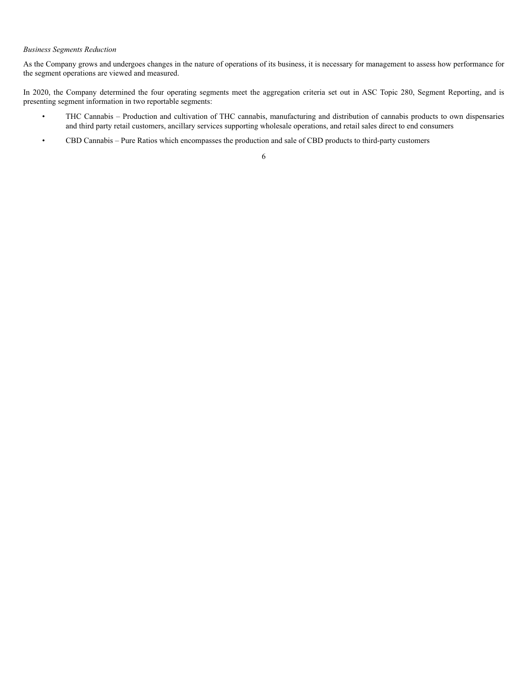#### *Business Segments Reduction*

As the Company grows and undergoes changes in the nature of operations of its business, it is necessary for management to assess how performance for the segment operations are viewed and measured.

In 2020, the Company determined the four operating segments meet the aggregation criteria set out in ASC Topic 280, Segment Reporting, and is presenting segment information in two reportable segments:

- THC Cannabis Production and cultivation of THC cannabis, manufacturing and distribution of cannabis products to own dispensaries and third party retail customers, ancillary services supporting wholesale operations, and retail sales direct to end consumers
- CBD Cannabis Pure Ratios which encompasses the production and sale of CBD products to third-party customers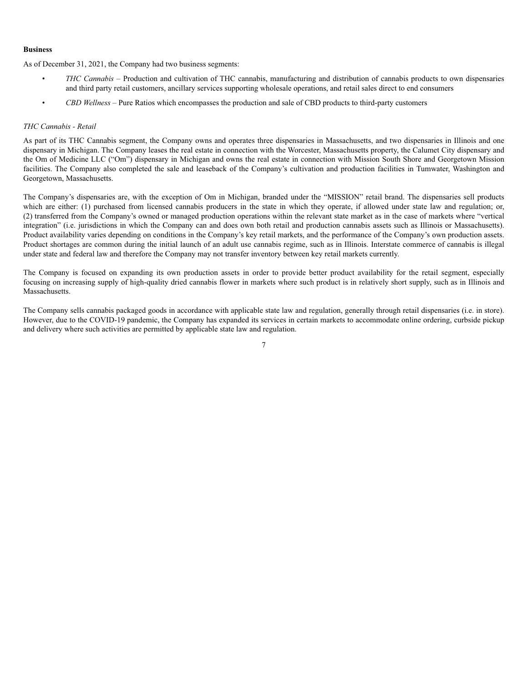#### **Business**

As of December 31, 2021, the Company had two business segments:

- *THC Cannabis* Production and cultivation of THC cannabis, manufacturing and distribution of cannabis products to own dispensaries and third party retail customers, ancillary services supporting wholesale operations, and retail sales direct to end consumers
- *CBD Wellness*  Pure Ratios which encompasses the production and sale of CBD products to third-party customers

#### *THC Cannabis - Retail*

As part of its THC Cannabis segment, the Company owns and operates three dispensaries in Massachusetts, and two dispensaries in Illinois and one dispensary in Michigan. The Company leases the real estate in connection with the Worcester, Massachusetts property, the Calumet City dispensary and the Om of Medicine LLC ("Om") dispensary in Michigan and owns the real estate in connection with Mission South Shore and Georgetown Mission facilities. The Company also completed the sale and leaseback of the Company's cultivation and production facilities in Tumwater, Washington and Georgetown, Massachusetts.

The Company's dispensaries are, with the exception of Om in Michigan, branded under the "MISSION" retail brand. The dispensaries sell products which are either: (1) purchased from licensed cannabis producers in the state in which they operate, if allowed under state law and regulation; or, (2) transferred from the Company's owned or managed production operations within the relevant state market as in the case of markets where "vertical integration" (i.e. jurisdictions in which the Company can and does own both retail and production cannabis assets such as Illinois or Massachusetts). Product availability varies depending on conditions in the Company's key retail markets, and the performance of the Company's own production assets. Product shortages are common during the initial launch of an adult use cannabis regime, such as in Illinois. Interstate commerce of cannabis is illegal under state and federal law and therefore the Company may not transfer inventory between key retail markets currently.

The Company is focused on expanding its own production assets in order to provide better product availability for the retail segment, especially focusing on increasing supply of high-quality dried cannabis flower in markets where such product is in relatively short supply, such as in Illinois and Massachusetts.

The Company sells cannabis packaged goods in accordance with applicable state law and regulation, generally through retail dispensaries (i.e. in store). However, due to the COVID-19 pandemic, the Company has expanded its services in certain markets to accommodate online ordering, curbside pickup and delivery where such activities are permitted by applicable state law and regulation.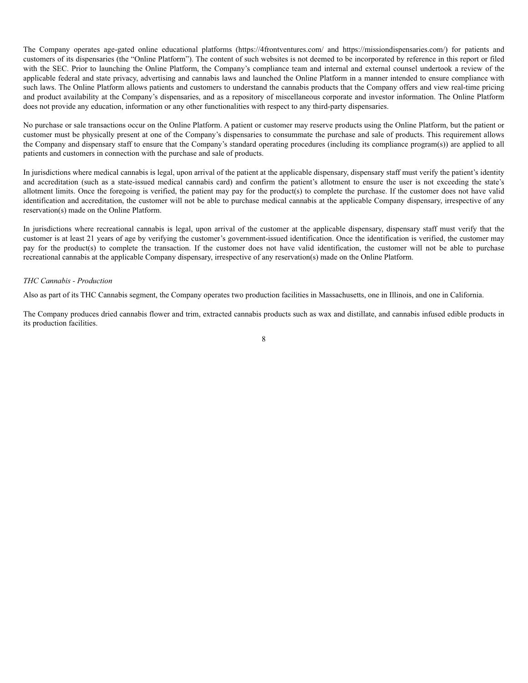The Company operates age-gated online educational platforms (https://4frontventures.com/ and https://missiondispensaries.com/) for patients and customers of its dispensaries (the "Online Platform"). The content of such websites is not deemed to be incorporated by reference in this report or filed with the SEC. Prior to launching the Online Platform, the Company's compliance team and internal and external counsel undertook a review of the applicable federal and state privacy, advertising and cannabis laws and launched the Online Platform in a manner intended to ensure compliance with such laws. The Online Platform allows patients and customers to understand the cannabis products that the Company offers and view real-time pricing and product availability at the Company's dispensaries, and as a repository of miscellaneous corporate and investor information. The Online Platform does not provide any education, information or any other functionalities with respect to any third-party dispensaries.

No purchase or sale transactions occur on the Online Platform. A patient or customer may reserve products using the Online Platform, but the patient or customer must be physically present at one of the Company's dispensaries to consummate the purchase and sale of products. This requirement allows the Company and dispensary staff to ensure that the Company's standard operating procedures (including its compliance program(s)) are applied to all patients and customers in connection with the purchase and sale of products.

In jurisdictions where medical cannabis is legal, upon arrival of the patient at the applicable dispensary, dispensary staff must verify the patient's identity and accreditation (such as a state-issued medical cannabis card) and confirm the patient's allotment to ensure the user is not exceeding the state's allotment limits. Once the foregoing is verified, the patient may pay for the product(s) to complete the purchase. If the customer does not have valid identification and accreditation, the customer will not be able to purchase medical cannabis at the applicable Company dispensary, irrespective of any reservation(s) made on the Online Platform.

In jurisdictions where recreational cannabis is legal, upon arrival of the customer at the applicable dispensary, dispensary staff must verify that the customer is at least 21 years of age by verifying the customer's government-issued identification. Once the identification is verified, the customer may pay for the product(s) to complete the transaction. If the customer does not have valid identification, the customer will not be able to purchase recreational cannabis at the applicable Company dispensary, irrespective of any reservation(s) made on the Online Platform.

#### *THC Cannabis - Production*

Also as part of its THC Cannabis segment, the Company operates two production facilities in Massachusetts, one in Illinois, and one in California.

The Company produces dried cannabis flower and trim, extracted cannabis products such as wax and distillate, and cannabis infused edible products in its production facilities.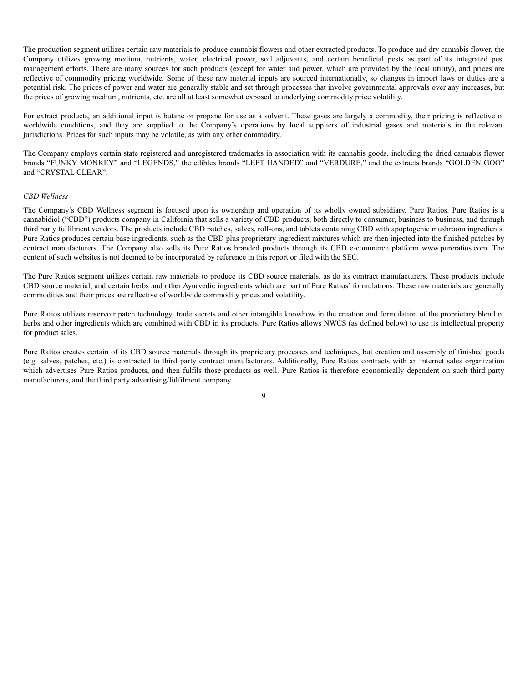The production segment utilizes certain raw materials to produce cannabis flowers and other extracted products. To produce and dry cannabis flower, the Company utilizes growing medium, nutrients, water, electrical power, soil adjuvants, and certain beneficial pests as part of its integrated pest management efforts. There are many sources for such products (except for water and power, which are provided by the local utility), and prices are reflective of commodity pricing worldwide. Some of these raw material inputs are sourced internationally, so changes in import laws or duties are a potential risk. The prices of power and water are generally stable and set through processes that involve governmental approvals over any increases, but the prices of growing medium, nutrients, etc. are all at least somewhat exposed to underlying commodity price volatility.

For extract products, an additional input is butane or propane for use as a solvent. These gases are largely a commodity, their pricing is reflective of worldwide conditions, and they are supplied to the Company's operations by local suppliers of industrial gases and materials in the relevant jurisdictions. Prices for such inputs may be volatile, as with any other commodity.

The Company employs certain state registered and unregistered trademarks in association with its cannabis goods, including the dried cannabis flower brands "FUNKY MONKEY" and "LEGENDS," the edibles brands "LEFT HANDED" and "VERDURE," and the extracts brands "GOLDEN GOO" and "CRYSTAL CLEAR".

#### *CBD Wellness*

The Company's CBD Wellness segment is focused upon its ownership and operation of its wholly owned subsidiary, Pure Ratios. Pure Ratios is a cannabidiol ("CBD") products company in California that sells a variety of CBD products, both directly to consumer, business to business, and through third party fulfilment vendors. The products include CBD patches, salves, roll-ons, and tablets containing CBD with apoptogenic mushroom ingredients. Pure Ratios produces certain base ingredients, such as the CBD plus proprietary ingredient mixtures which are then injected into the finished patches by contract manufacturers. The Company also sells its Pure Ratios branded products through its CBD e-commerce platform www.pureratios.com. The content of such websites is not deemed to be incorporated by reference in this report or filed with the SEC.

The Pure Ratios segment utilizes certain raw materials to produce its CBD source materials, as do its contract manufacturers. These products include CBD source material, and certain herbs and other Ayurvedic ingredients which are part of Pure Ratios' formulations. These raw materials are generally commodities and their prices are reflective of worldwide commodity prices and volatility.

Pure Ratios utilizes reservoir patch technology, trade secrets and other intangible knowhow in the creation and formulation of the proprietary blend of herbs and other ingredients which are combined with CBD in its products. Pure Ratios allows NWCS (as defined below) to use its intellectual property for product sales.

Pure Ratios creates certain of its CBD source materials through its proprietary processes and techniques, but creation and assembly of finished goods (e.g. salves, patches, etc.) is contracted to third party contract manufacturers. Additionally, Pure Ratios contracts with an internet sales organization which advertises Pure Ratios products, and then fulfils those products as well. Pure Ratios is therefore economically dependent on such third party manufacturers, and the third party advertising/fulfilment company.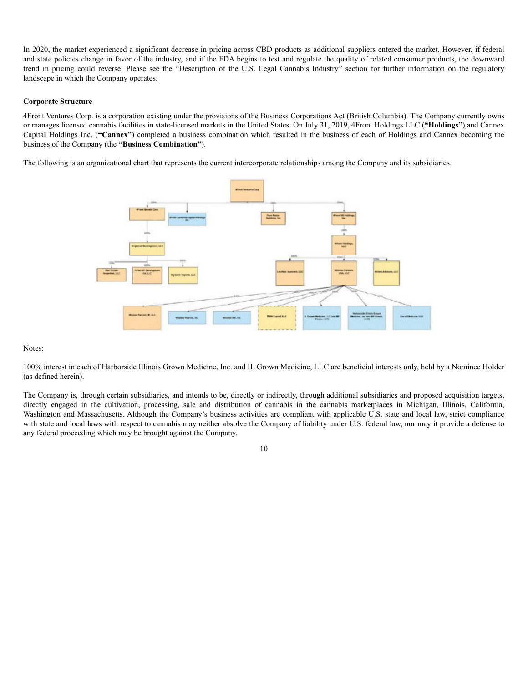In 2020, the market experienced a significant decrease in pricing across CBD products as additional suppliers entered the market. However, if federal and state policies change in favor of the industry, and if the FDA begins to test and regulate the quality of related consumer products, the downward trend in pricing could reverse. Please see the "Description of the U.S. Legal Cannabis Industry" section for further information on the regulatory landscape in which the Company operates.

#### **Corporate Structure**

4Front Ventures Corp. is a corporation existing under the provisions of the Business Corporations Act (British Columbia). The Company currently owns or manages licensed cannabis facilities in state-licensed markets in the United States. On July 31, 2019, 4Front Holdings LLC (**"Holdings"**) and Cannex Capital Holdings Inc. (**"Cannex"**) completed a business combination which resulted in the business of each of Holdings and Cannex becoming the business of the Company (the **"Business Combination"**).

The following is an organizational chart that represents the current intercorporate relationships among the Company and its subsidiaries.



#### Notes:

100% interest in each of Harborside Illinois Grown Medicine, Inc. and IL Grown Medicine, LLC are beneficial interests only, held by a Nominee Holder (as defined herein).

The Company is, through certain subsidiaries, and intends to be, directly or indirectly, through additional subsidiaries and proposed acquisition targets, directly engaged in the cultivation, processing, sale and distribution of cannabis in the cannabis marketplaces in Michigan, Illinois, California, Washington and Massachusetts. Although the Company's business activities are compliant with applicable U.S. state and local law, strict compliance with state and local laws with respect to cannabis may neither absolve the Company of liability under U.S. federal law, nor may it provide a defense to any federal proceeding which may be brought against the Company.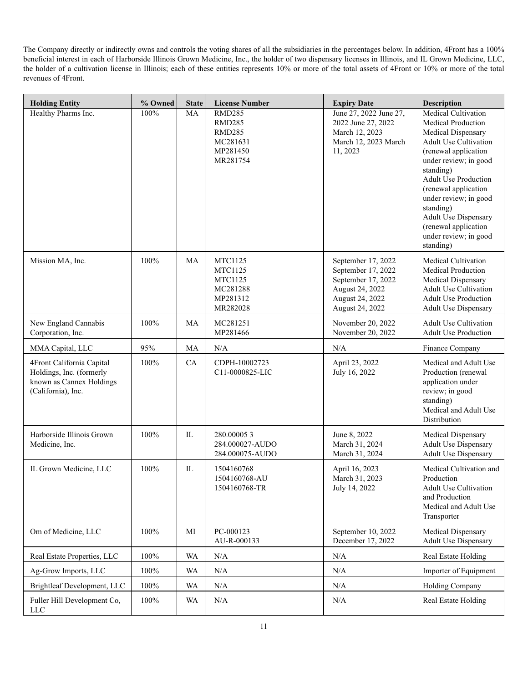The Company directly or indirectly owns and controls the voting shares of all the subsidiaries in the percentages below. In addition, 4Front has a 100% beneficial interest in each of Harborside Illinois Grown Medicine, Inc., the holder of two dispensary licenses in Illinois, and IL Grown Medicine, LLC, the holder of a cultivation license in Illinois; each of these entities represents 10% or more of the total assets of 4Front or 10% or more of the total revenues of 4Front.

| <b>Holding Entity</b>                                                                                   | % Owned | <b>State</b> | <b>License Number</b>                                                               | <b>Expiry Date</b>                                                                                                      | <b>Description</b>                                                                                                                                                                                                                                                                                                                                      |
|---------------------------------------------------------------------------------------------------------|---------|--------------|-------------------------------------------------------------------------------------|-------------------------------------------------------------------------------------------------------------------------|---------------------------------------------------------------------------------------------------------------------------------------------------------------------------------------------------------------------------------------------------------------------------------------------------------------------------------------------------------|
| Healthy Pharms Inc.                                                                                     | 100%    | <b>MA</b>    | <b>RMD285</b><br><b>RMD285</b><br><b>RMD285</b><br>MC281631<br>MP281450<br>MR281754 | June 27, 2022 June 27,<br>2022 June 27, 2022<br>March 12, 2023<br>March 12, 2023 March<br>11, 2023                      | Medical Cultivation<br>Medical Production<br>Medical Dispensary<br><b>Adult Use Cultivation</b><br>(renewal application<br>under review; in good<br>standing)<br><b>Adult Use Production</b><br>(renewal application<br>under review; in good<br>standing)<br><b>Adult Use Dispensary</b><br>(renewal application<br>under review; in good<br>standing) |
| Mission MA, Inc.                                                                                        | 100%    | MA           | MTC1125<br>MTC1125<br>MTC1125<br>MC281288<br>MP281312<br>MR282028                   | September 17, 2022<br>September 17, 2022<br>September 17, 2022<br>August 24, 2022<br>August 24, 2022<br>August 24, 2022 | Medical Cultivation<br>Medical Production<br>Medical Dispensary<br><b>Adult Use Cultivation</b><br><b>Adult Use Production</b><br><b>Adult Use Dispensary</b>                                                                                                                                                                                           |
| New England Cannabis<br>Corporation, Inc.                                                               | 100%    | MA           | MC281251<br>MP281466                                                                | November 20, 2022<br>November 20, 2022                                                                                  | <b>Adult Use Cultivation</b><br><b>Adult Use Production</b>                                                                                                                                                                                                                                                                                             |
| MMA Capital, LLC                                                                                        | 95%     | MA           | N/A                                                                                 | N/A                                                                                                                     | Finance Company                                                                                                                                                                                                                                                                                                                                         |
| 4Front California Capital<br>Holdings, Inc. (formerly<br>known as Cannex Holdings<br>(California), Inc. | 100%    | CA           | CDPH-10002723<br>C11-0000825-LIC                                                    | April 23, 2022<br>July 16, 2022                                                                                         | Medical and Adult Use<br>Production (renewal<br>application under<br>review; in good<br>standing)<br>Medical and Adult Use<br>Distribution                                                                                                                                                                                                              |
| Harborside Illinois Grown<br>Medicine, Inc.                                                             | 100%    | IL           | 280.000053<br>284.000027-AUDO<br>284.000075-AUDO                                    | June 8, 2022<br>March 31, 2024<br>March 31, 2024                                                                        | Medical Dispensary<br><b>Adult Use Dispensary</b><br><b>Adult Use Dispensary</b>                                                                                                                                                                                                                                                                        |
| IL Grown Medicine, LLC                                                                                  | 100%    | IL           | 1504160768<br>1504160768-AU<br>1504160768-TR                                        | April 16, 2023<br>March 31, 2023<br>July 14, 2022                                                                       | Medical Cultivation and<br>Production<br><b>Adult Use Cultivation</b><br>and Production<br>Medical and Adult Use<br>Transporter                                                                                                                                                                                                                         |
| Om of Medicine, LLC                                                                                     | 100%    | MI           | PC-000123<br>AU-R-000133                                                            | September 10, 2022<br>December 17, 2022                                                                                 | Medical Dispensary<br><b>Adult Use Dispensary</b>                                                                                                                                                                                                                                                                                                       |
| Real Estate Properties, LLC                                                                             | 100%    | WA           | $\rm N/A$                                                                           | N/A                                                                                                                     | Real Estate Holding                                                                                                                                                                                                                                                                                                                                     |
| Ag-Grow Imports, LLC                                                                                    | 100%    | WA           | $\rm N/A$                                                                           | $\rm N/A$                                                                                                               | Importer of Equipment                                                                                                                                                                                                                                                                                                                                   |
| Brightleaf Development, LLC                                                                             | 100%    | WA           | $\rm N/A$                                                                           | N/A                                                                                                                     | Holding Company                                                                                                                                                                                                                                                                                                                                         |
| Fuller Hill Development Co,<br>${\rm LLC}$                                                              | 100%    | WA           | $\rm N/A$                                                                           | N/A                                                                                                                     | Real Estate Holding                                                                                                                                                                                                                                                                                                                                     |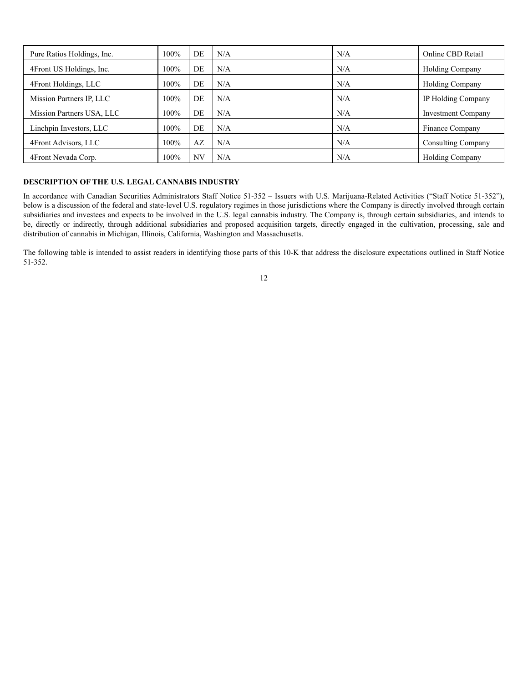| Pure Ratios Holdings, Inc. | 100%    | DE        | N/A | N/A | Online CBD Retail         |
|----------------------------|---------|-----------|-----|-----|---------------------------|
| 4Front US Holdings, Inc.   | $100\%$ | DE        | N/A | N/A | <b>Holding Company</b>    |
| 4Front Holdings, LLC       | 100%    | DE        | N/A | N/A | <b>Holding Company</b>    |
| Mission Partners IP, LLC   | 100%    | DE        | N/A | N/A | IP Holding Company        |
| Mission Partners USA, LLC  | 100%    | DE        | N/A | N/A | <b>Investment Company</b> |
| Linchpin Investors, LLC    | $100\%$ | DE        | N/A | N/A | Finance Company           |
| 4Front Advisors, LLC       | 100%    | AZ        | N/A | N/A | <b>Consulting Company</b> |
| 4Front Nevada Corp.        | 100%    | <b>NV</b> | N/A | N/A | <b>Holding Company</b>    |

#### **DESCRIPTION OF THE U.S. LEGAL CANNABIS INDUSTRY**

In accordance with Canadian Securities Administrators Staff Notice 51-352 – Issuers with U.S. Marijuana-Related Activities ("Staff Notice 51-352"), below is a discussion of the federal and state-level U.S. regulatory regimes in those jurisdictions where the Company is directly involved through certain subsidiaries and investees and expects to be involved in the U.S. legal cannabis industry. The Company is, through certain subsidiaries, and intends to be, directly or indirectly, through additional subsidiaries and proposed acquisition targets, directly engaged in the cultivation, processing, sale and distribution of cannabis in Michigan, Illinois, California, Washington and Massachusetts.

The following table is intended to assist readers in identifying those parts of this 10-K that address the disclosure expectations outlined in Staff Notice 51-352.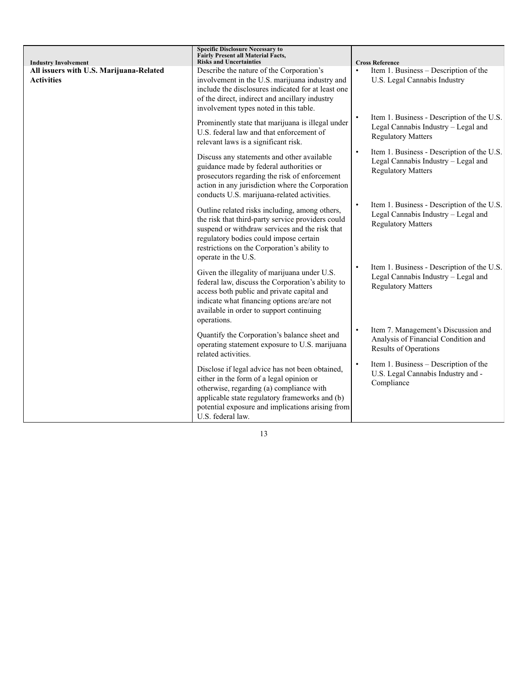|                                                              | <b>Specific Disclosure Necessary to</b><br><b>Fairly Present all Material Facts,</b><br><b>Risks and Uncertainties</b>                                                                                                                                                 | <b>Cross Reference</b>                                                                                                      |
|--------------------------------------------------------------|------------------------------------------------------------------------------------------------------------------------------------------------------------------------------------------------------------------------------------------------------------------------|-----------------------------------------------------------------------------------------------------------------------------|
| <b>Industry Involvement</b>                                  |                                                                                                                                                                                                                                                                        |                                                                                                                             |
| All issuers with U.S. Marijuana-Related<br><b>Activities</b> | Describe the nature of the Corporation's<br>involvement in the U.S. marijuana industry and<br>include the disclosures indicated for at least one<br>of the direct, indirect and ancillary industry<br>involvement types noted in this table.                           | Item 1. Business - Description of the<br>$\bullet$<br>U.S. Legal Cannabis Industry                                          |
|                                                              | Prominently state that marijuana is illegal under<br>U.S. federal law and that enforcement of<br>relevant laws is a significant risk.                                                                                                                                  | Item 1. Business - Description of the U.S.<br>Legal Cannabis Industry - Legal and<br><b>Regulatory Matters</b>              |
|                                                              | Discuss any statements and other available<br>guidance made by federal authorities or<br>prosecutors regarding the risk of enforcement<br>action in any jurisdiction where the Corporation<br>conducts U.S. marijuana-related activities.                              | Item 1. Business - Description of the U.S.<br>$\bullet$<br>Legal Cannabis Industry - Legal and<br><b>Regulatory Matters</b> |
|                                                              | Outline related risks including, among others,<br>the risk that third-party service providers could<br>suspend or withdraw services and the risk that<br>regulatory bodies could impose certain<br>restrictions on the Corporation's ability to<br>operate in the U.S. | Item 1. Business - Description of the U.S.<br>$\bullet$<br>Legal Cannabis Industry - Legal and<br><b>Regulatory Matters</b> |
|                                                              | Given the illegality of marijuana under U.S.<br>federal law, discuss the Corporation's ability to<br>access both public and private capital and<br>indicate what financing options are/are not<br>available in order to support continuing<br>operations.              | Item 1. Business - Description of the U.S.<br>Legal Cannabis Industry - Legal and<br><b>Regulatory Matters</b>              |
|                                                              | Quantify the Corporation's balance sheet and<br>operating statement exposure to U.S. marijuana<br>related activities.                                                                                                                                                  | Item 7. Management's Discussion and<br>$\bullet$<br>Analysis of Financial Condition and<br><b>Results of Operations</b>     |
|                                                              | Disclose if legal advice has not been obtained,<br>either in the form of a legal opinion or<br>otherwise, regarding (a) compliance with<br>applicable state regulatory frameworks and (b)<br>potential exposure and implications arising from<br>U.S. federal law.     | Item 1. Business - Description of the<br>$\bullet$<br>U.S. Legal Cannabis Industry and -<br>Compliance                      |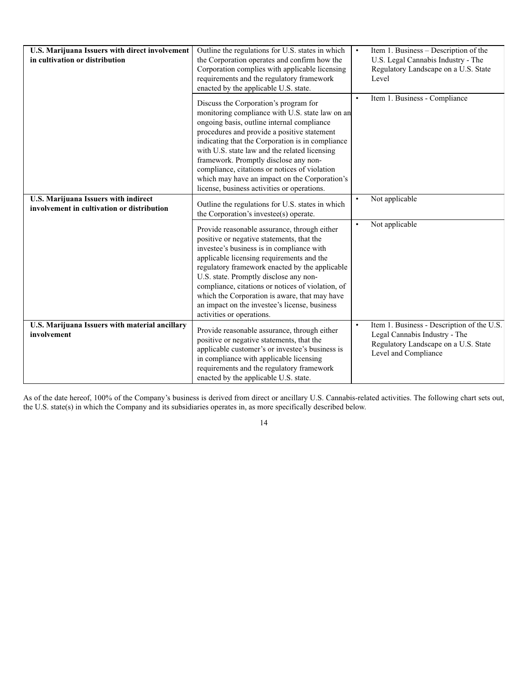| U.S. Marijuana Issuers with direct involvement                | Outline the regulations for U.S. states in which                                                                                                                                                                                                                                                                                                                                                                                                                    | Item 1. Business – Description of the<br>$\bullet$                                                                                                       |
|---------------------------------------------------------------|---------------------------------------------------------------------------------------------------------------------------------------------------------------------------------------------------------------------------------------------------------------------------------------------------------------------------------------------------------------------------------------------------------------------------------------------------------------------|----------------------------------------------------------------------------------------------------------------------------------------------------------|
| in cultivation or distribution                                | the Corporation operates and confirm how the                                                                                                                                                                                                                                                                                                                                                                                                                        | U.S. Legal Cannabis Industry - The                                                                                                                       |
|                                                               |                                                                                                                                                                                                                                                                                                                                                                                                                                                                     |                                                                                                                                                          |
|                                                               | Corporation complies with applicable licensing                                                                                                                                                                                                                                                                                                                                                                                                                      | Regulatory Landscape on a U.S. State                                                                                                                     |
|                                                               | requirements and the regulatory framework                                                                                                                                                                                                                                                                                                                                                                                                                           | Level                                                                                                                                                    |
|                                                               | enacted by the applicable U.S. state.                                                                                                                                                                                                                                                                                                                                                                                                                               |                                                                                                                                                          |
|                                                               | Discuss the Corporation's program for<br>monitoring compliance with U.S. state law on an<br>ongoing basis, outline internal compliance<br>procedures and provide a positive statement<br>indicating that the Corporation is in compliance<br>with U.S. state law and the related licensing                                                                                                                                                                          | Item 1. Business - Compliance                                                                                                                            |
|                                                               | framework. Promptly disclose any non-                                                                                                                                                                                                                                                                                                                                                                                                                               |                                                                                                                                                          |
|                                                               | compliance, citations or notices of violation                                                                                                                                                                                                                                                                                                                                                                                                                       |                                                                                                                                                          |
|                                                               | which may have an impact on the Corporation's                                                                                                                                                                                                                                                                                                                                                                                                                       |                                                                                                                                                          |
|                                                               | license, business activities or operations.                                                                                                                                                                                                                                                                                                                                                                                                                         |                                                                                                                                                          |
| U.S. Marijuana Issuers with indirect                          |                                                                                                                                                                                                                                                                                                                                                                                                                                                                     | Not applicable                                                                                                                                           |
| involvement in cultivation or distribution                    | Outline the regulations for U.S. states in which                                                                                                                                                                                                                                                                                                                                                                                                                    |                                                                                                                                                          |
|                                                               | the Corporation's investee(s) operate.                                                                                                                                                                                                                                                                                                                                                                                                                              |                                                                                                                                                          |
|                                                               | Provide reasonable assurance, through either<br>positive or negative statements, that the<br>investee's business is in compliance with<br>applicable licensing requirements and the<br>regulatory framework enacted by the applicable<br>U.S. state. Promptly disclose any non-<br>compliance, citations or notices of violation, of<br>which the Corporation is aware, that may have<br>an impact on the investee's license, business<br>activities or operations. | Not applicable                                                                                                                                           |
| U.S. Marijuana Issuers with material ancillary<br>involvement | Provide reasonable assurance, through either<br>positive or negative statements, that the<br>applicable customer's or investee's business is<br>in compliance with applicable licensing<br>requirements and the regulatory framework<br>enacted by the applicable U.S. state.                                                                                                                                                                                       | Item 1. Business - Description of the U.S.<br>$\bullet$<br>Legal Cannabis Industry - The<br>Regulatory Landscape on a U.S. State<br>Level and Compliance |

As of the date hereof, 100% of the Company's business is derived from direct or ancillary U.S. Cannabis-related activities. The following chart sets out, the U.S. state(s) in which the Company and its subsidiaries operates in, as more specifically described below.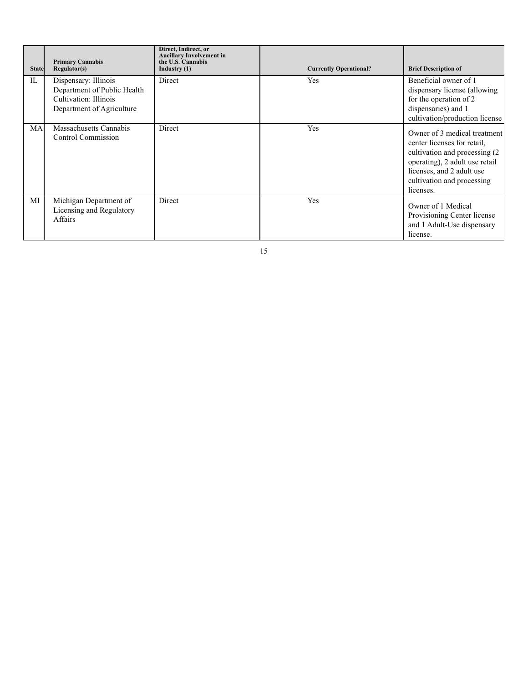| <b>State</b> | <b>Primary Cannabis</b><br><b>Regulator(s)</b>                                                            | Direct, Indirect, or<br><b>Ancillary Involvement in</b><br>the U.S. Cannabis<br>Industry $(1)$ | <b>Currently Operational?</b> | <b>Brief Description of</b>                                                                                                                                                                             |
|--------------|-----------------------------------------------------------------------------------------------------------|------------------------------------------------------------------------------------------------|-------------------------------|---------------------------------------------------------------------------------------------------------------------------------------------------------------------------------------------------------|
| IL           | Dispensary: Illinois<br>Department of Public Health<br>Cultivation: Illinois<br>Department of Agriculture | Direct                                                                                         | Yes                           | Beneficial owner of 1<br>dispensary license (allowing)<br>for the operation of 2<br>dispensaries) and 1<br>cultivation/production license                                                               |
| MA           | Massachusetts Cannabis<br><b>Control Commission</b>                                                       | Direct                                                                                         | Yes                           | Owner of 3 medical treatment<br>center licenses for retail.<br>cultivation and processing (2)<br>operating), 2 adult use retail<br>licenses, and 2 adult use<br>cultivation and processing<br>licenses. |
| МI           | Michigan Department of<br>Licensing and Regulatory<br>Affairs                                             | Direct                                                                                         | Yes                           | Owner of 1 Medical<br>Provisioning Center license<br>and 1 Adult-Use dispensary<br>license.                                                                                                             |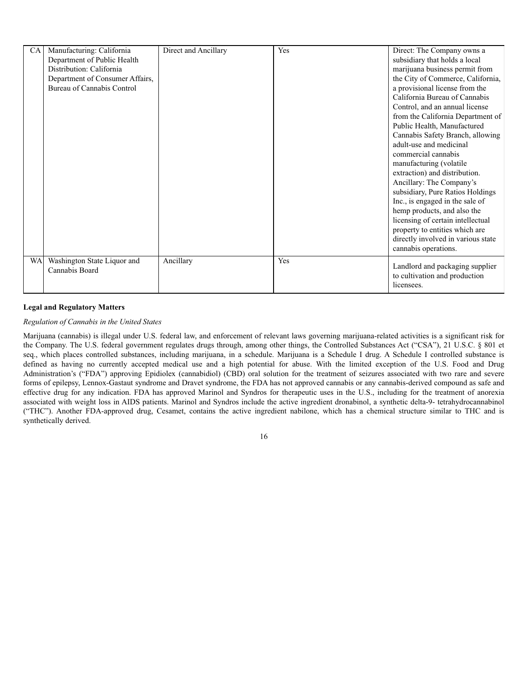| CA        | Manufacturing: California<br>Department of Public Health | Direct and Ancillary | Yes | Direct: The Company owns a<br>subsidiary that holds a local |
|-----------|----------------------------------------------------------|----------------------|-----|-------------------------------------------------------------|
|           | Distribution: California                                 |                      |     | marijuana business permit from                              |
|           | Department of Consumer Affairs,                          |                      |     | the City of Commerce, California,                           |
|           | Bureau of Cannabis Control                               |                      |     | a provisional license from the                              |
|           |                                                          |                      |     | California Bureau of Cannabis                               |
|           |                                                          |                      |     | Control, and an annual license                              |
|           |                                                          |                      |     | from the California Department of                           |
|           |                                                          |                      |     | Public Health, Manufactured                                 |
|           |                                                          |                      |     | Cannabis Safety Branch, allowing                            |
|           |                                                          |                      |     | adult-use and medicinal                                     |
|           |                                                          |                      |     | commercial cannabis                                         |
|           |                                                          |                      |     | manufacturing (volatile                                     |
|           |                                                          |                      |     | extraction) and distribution.                               |
|           |                                                          |                      |     | Ancillary: The Company's                                    |
|           |                                                          |                      |     | subsidiary, Pure Ratios Holdings                            |
|           |                                                          |                      |     | Inc., is engaged in the sale of                             |
|           |                                                          |                      |     | hemp products, and also the                                 |
|           |                                                          |                      |     | licensing of certain intellectual                           |
|           |                                                          |                      |     | property to entities which are                              |
|           |                                                          |                      |     | directly involved in various state                          |
|           |                                                          |                      |     | cannabis operations.                                        |
| <b>WA</b> | Washington State Liquor and                              | Ancillary            | Yes | Landlord and packaging supplier                             |
|           | Cannabis Board                                           |                      |     | to cultivation and production                               |
|           |                                                          |                      |     | licensees.                                                  |

#### **Legal and Regulatory Matters**

#### *Regulation of Cannabis in the United States*

Marijuana (cannabis) is illegal under U.S. federal law, and enforcement of relevant laws governing marijuana-related activities is a significant risk for the Company. The U.S. federal government regulates drugs through, among other things, the Controlled Substances Act ("CSA"), 21 U.S.C. § 801 et seq., which places controlled substances, including marijuana, in a schedule. Marijuana is a Schedule I drug. A Schedule I controlled substance is defined as having no currently accepted medical use and a high potential for abuse. With the limited exception of the U.S. Food and Drug Administration's ("FDA") approving Epidiolex (cannabidiol) (CBD) oral solution for the treatment of seizures associated with two rare and severe forms of epilepsy, Lennox-Gastaut syndrome and Dravet syndrome, the FDA has not approved cannabis or any cannabis-derived compound as safe and effective drug for any indication. FDA has approved Marinol and Syndros for therapeutic uses in the U.S., including for the treatment of anorexia associated with weight loss in AIDS patients. Marinol and Syndros include the active ingredient dronabinol, a synthetic delta-9- tetrahydrocannabinol ("THC"). Another FDA-approved drug, Cesamet, contains the active ingredient nabilone, which has a chemical structure similar to THC and is synthetically derived.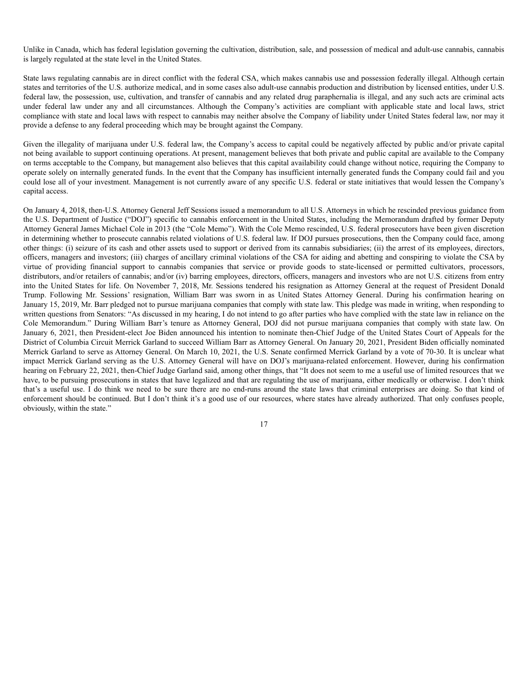Unlike in Canada, which has federal legislation governing the cultivation, distribution, sale, and possession of medical and adult-use cannabis, cannabis is largely regulated at the state level in the United States.

State laws regulating cannabis are in direct conflict with the federal CSA, which makes cannabis use and possession federally illegal. Although certain states and territories of the U.S. authorize medical, and in some cases also adult-use cannabis production and distribution by licensed entities, under U.S. federal law, the possession, use, cultivation, and transfer of cannabis and any related drug paraphernalia is illegal, and any such acts are criminal acts under federal law under any and all circumstances. Although the Company's activities are compliant with applicable state and local laws, strict compliance with state and local laws with respect to cannabis may neither absolve the Company of liability under United States federal law, nor may it provide a defense to any federal proceeding which may be brought against the Company.

Given the illegality of marijuana under U.S. federal law, the Company's access to capital could be negatively affected by public and/or private capital not being available to support continuing operations. At present, management believes that both private and public capital are available to the Company on terms acceptable to the Company, but management also believes that this capital availability could change without notice, requiring the Company to operate solely on internally generated funds. In the event that the Company has insufficient internally generated funds the Company could fail and you could lose all of your investment. Management is not currently aware of any specific U.S. federal or state initiatives that would lessen the Company's capital access.

On January 4, 2018, then-U.S. Attorney General Jeff Sessions issued a memorandum to all U.S. Attorneys in which he rescinded previous guidance from the U.S. Department of Justice ("DOJ") specific to cannabis enforcement in the United States, including the Memorandum drafted by former Deputy Attorney General James Michael Cole in 2013 (the "Cole Memo"). With the Cole Memo rescinded, U.S. federal prosecutors have been given discretion in determining whether to prosecute cannabis related violations of U.S. federal law. If DOJ pursues prosecutions, then the Company could face, among other things: (i) seizure of its cash and other assets used to support or derived from its cannabis subsidiaries; (ii) the arrest of its employees, directors, officers, managers and investors; (iii) charges of ancillary criminal violations of the CSA for aiding and abetting and conspiring to violate the CSA by virtue of providing financial support to cannabis companies that service or provide goods to state-licensed or permitted cultivators, processors, distributors, and/or retailers of cannabis; and/or (iv) barring employees, directors, officers, managers and investors who are not U.S. citizens from entry into the United States for life. On November 7, 2018, Mr. Sessions tendered his resignation as Attorney General at the request of President Donald Trump. Following Mr. Sessions' resignation, William Barr was sworn in as United States Attorney General. During his confirmation hearing on January 15, 2019, Mr. Barr pledged not to pursue marijuana companies that comply with state law. This pledge was made in writing, when responding to written questions from Senators: "As discussed in my hearing, I do not intend to go after parties who have complied with the state law in reliance on the Cole Memorandum." During William Barr's tenure as Attorney General, DOJ did not pursue marijuana companies that comply with state law. On January 6, 2021, then President-elect Joe Biden announced his intention to nominate then-Chief Judge of the United States Court of Appeals for the District of Columbia Circuit Merrick Garland to succeed William Barr as Attorney General. On January 20, 2021, President Biden officially nominated Merrick Garland to serve as Attorney General. On March 10, 2021, the U.S. Senate confirmed Merrick Garland by a vote of 70-30. It is unclear what impact Merrick Garland serving as the U.S. Attorney General will have on DOJ's marijuana-related enforcement. However, during his confirmation hearing on February 22, 2021, then-Chief Judge Garland said, among other things, that "It does not seem to me a useful use of limited resources that we have, to be pursuing prosecutions in states that have legalized and that are regulating the use of marijuana, either medically or otherwise. I don't think that's a useful use. I do think we need to be sure there are no end-runs around the state laws that criminal enterprises are doing. So that kind of enforcement should be continued. But I don't think it's a good use of our resources, where states have already authorized. That only confuses people, obviously, within the state."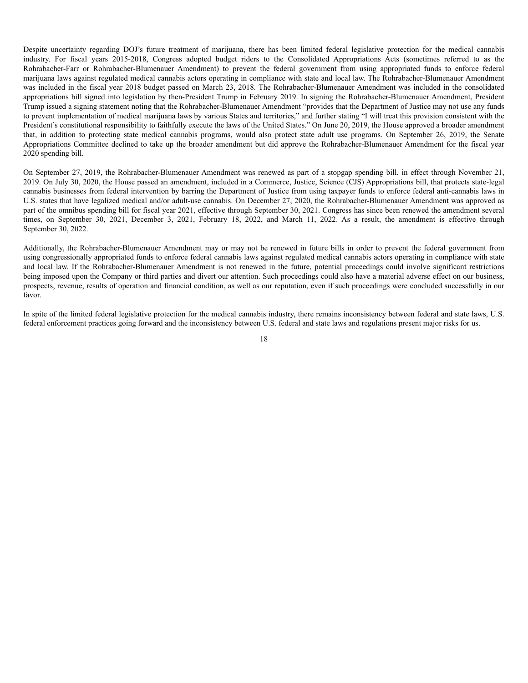Despite uncertainty regarding DOJ's future treatment of marijuana, there has been limited federal legislative protection for the medical cannabis industry. For fiscal years 2015-2018, Congress adopted budget riders to the Consolidated Appropriations Acts (sometimes referred to as the Rohrabacher-Farr or Rohrabacher-Blumenauer Amendment) to prevent the federal government from using appropriated funds to enforce federal marijuana laws against regulated medical cannabis actors operating in compliance with state and local law. The Rohrabacher-Blumenauer Amendment was included in the fiscal year 2018 budget passed on March 23, 2018. The Rohrabacher-Blumenauer Amendment was included in the consolidated appropriations bill signed into legislation by then-President Trump in February 2019. In signing the Rohrabacher-Blumenauer Amendment, President Trump issued a signing statement noting that the Rohrabacher-Blumenauer Amendment "provides that the Department of Justice may not use any funds to prevent implementation of medical marijuana laws by various States and territories," and further stating "I will treat this provision consistent with the President's constitutional responsibility to faithfully execute the laws of the United States." On June 20, 2019, the House approved a broader amendment that, in addition to protecting state medical cannabis programs, would also protect state adult use programs. On September 26, 2019, the Senate Appropriations Committee declined to take up the broader amendment but did approve the Rohrabacher-Blumenauer Amendment for the fiscal year 2020 spending bill.

On September 27, 2019, the Rohrabacher-Blumenauer Amendment was renewed as part of a stopgap spending bill, in effect through November 21, 2019. On July 30, 2020, the House passed an amendment, included in a Commerce, Justice, Science (CJS) Appropriations bill, that protects state-legal cannabis businesses from federal intervention by barring the Department of Justice from using taxpayer funds to enforce federal anti-cannabis laws in U.S. states that have legalized medical and/or adult-use cannabis. On December 27, 2020, the Rohrabacher-Blumenauer Amendment was approved as part of the omnibus spending bill for fiscal year 2021, effective through September 30, 2021. Congress has since been renewed the amendment several times, on September 30, 2021, December 3, 2021, February 18, 2022, and March 11, 2022. As a result, the amendment is effective through September 30, 2022.

Additionally, the Rohrabacher-Blumenauer Amendment may or may not be renewed in future bills in order to prevent the federal government from using congressionally appropriated funds to enforce federal cannabis laws against regulated medical cannabis actors operating in compliance with state and local law. If the Rohrabacher-Blumenauer Amendment is not renewed in the future, potential proceedings could involve significant restrictions being imposed upon the Company or third parties and divert our attention. Such proceedings could also have a material adverse effect on our business, prospects, revenue, results of operation and financial condition, as well as our reputation, even if such proceedings were concluded successfully in our favor.

In spite of the limited federal legislative protection for the medical cannabis industry, there remains inconsistency between federal and state laws, U.S. federal enforcement practices going forward and the inconsistency between U.S. federal and state laws and regulations present major risks for us.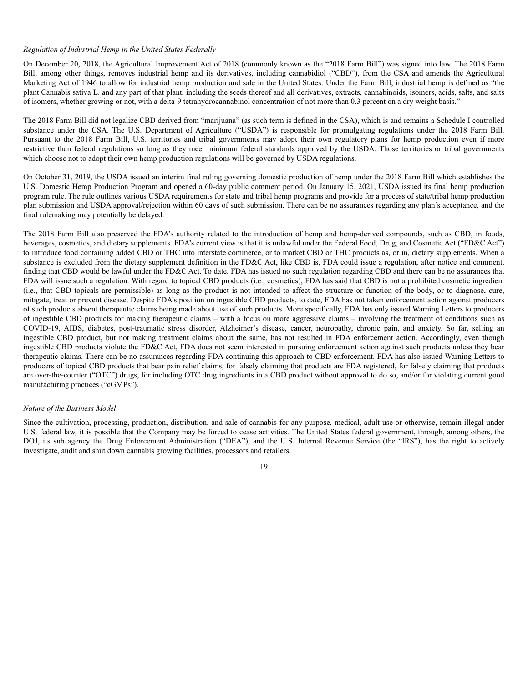#### *Regulation of Industrial Hemp in the United States Federally*

On December 20, 2018, the Agricultural Improvement Act of 2018 (commonly known as the "2018 Farm Bill") was signed into law. The 2018 Farm Bill, among other things, removes industrial hemp and its derivatives, including cannabidiol ("CBD"), from the CSA and amends the Agricultural Marketing Act of 1946 to allow for industrial hemp production and sale in the United States. Under the Farm Bill, industrial hemp is defined as "the plant Cannabis sativa L. and any part of that plant, including the seeds thereof and all derivatives, extracts, cannabinoids, isomers, acids, salts, and salts of isomers, whether growing or not, with a delta-9 tetrahydrocannabinol concentration of not more than 0.3 percent on a dry weight basis."

The 2018 Farm Bill did not legalize CBD derived from "marijuana" (as such term is defined in the CSA), which is and remains a Schedule I controlled substance under the CSA. The U.S. Department of Agriculture ("USDA") is responsible for promulgating regulations under the 2018 Farm Bill. Pursuant to the 2018 Farm Bill, U.S. territories and tribal governments may adopt their own regulatory plans for hemp production even if more restrictive than federal regulations so long as they meet minimum federal standards approved by the USDA. Those territories or tribal governments which choose not to adopt their own hemp production regulations will be governed by USDA regulations.

On October 31, 2019, the USDA issued an interim final ruling governing domestic production of hemp under the 2018 Farm Bill which establishes the U.S. Domestic Hemp Production Program and opened a 60-day public comment period. On January 15, 2021, USDA issued its final hemp production program rule. The rule outlines various USDA requirements for state and tribal hemp programs and provide for a process of state/tribal hemp production plan submission and USDA approval/rejection within 60 days of such submission. There can be no assurances regarding any plan's acceptance, and the final rulemaking may potentially be delayed.

The 2018 Farm Bill also preserved the FDA's authority related to the introduction of hemp and hemp-derived compounds, such as CBD, in foods, beverages, cosmetics, and dietary supplements. FDA's current view is that it is unlawful under the Federal Food, Drug, and Cosmetic Act ("FD&C Act") to introduce food containing added CBD or THC into interstate commerce, or to market CBD or THC products as, or in, dietary supplements. When a substance is excluded from the dietary supplement definition in the FD&C Act, like CBD is, FDA could issue a regulation, after notice and comment, finding that CBD would be lawful under the FD&C Act. To date, FDA has issued no such regulation regarding CBD and there can be no assurances that FDA will issue such a regulation. With regard to topical CBD products (i.e., cosmetics), FDA has said that CBD is not a prohibited cosmetic ingredient (i.e., that CBD topicals are permissible) as long as the product is not intended to affect the structure or function of the body, or to diagnose, cure, mitigate, treat or prevent disease. Despite FDA's position on ingestible CBD products, to date, FDA has not taken enforcement action against producers of such products absent therapeutic claims being made about use of such products. More specifically, FDA has only issued Warning Letters to producers of ingestible CBD products for making therapeutic claims – with a focus on more aggressive claims – involving the treatment of conditions such as COVID-19, AIDS, diabetes, post-traumatic stress disorder, Alzheimer's disease, cancer, neuropathy, chronic pain, and anxiety. So far, selling an ingestible CBD product, but not making treatment claims about the same, has not resulted in FDA enforcement action. Accordingly, even though ingestible CBD products violate the FD&C Act, FDA does not seem interested in pursuing enforcement action against such products unless they bear therapeutic claims. There can be no assurances regarding FDA continuing this approach to CBD enforcement. FDA has also issued Warning Letters to producers of topical CBD products that bear pain relief claims, for falsely claiming that products are FDA registered, for falsely claiming that products are over-the-counter ("OTC") drugs, for including OTC drug ingredients in a CBD product without approval to do so, and/or for violating current good manufacturing practices ("cGMPs").

#### *Nature of the Business Model*

Since the cultivation, processing, production, distribution, and sale of cannabis for any purpose, medical, adult use or otherwise, remain illegal under U.S. federal law, it is possible that the Company may be forced to cease activities. The United States federal government, through, among others, the DOJ, its sub agency the Drug Enforcement Administration ("DEA"), and the U.S. Internal Revenue Service (the "IRS"), has the right to actively investigate, audit and shut down cannabis growing facilities, processors and retailers.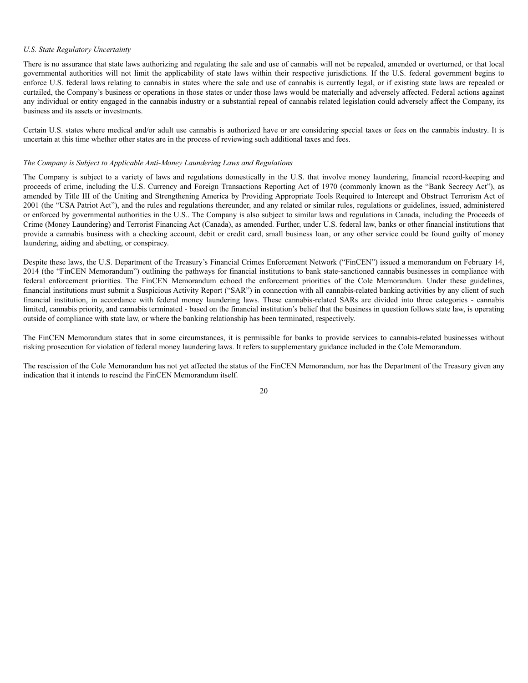#### *U.S. State Regulatory Uncertainty*

There is no assurance that state laws authorizing and regulating the sale and use of cannabis will not be repealed, amended or overturned, or that local governmental authorities will not limit the applicability of state laws within their respective jurisdictions. If the U.S. federal government begins to enforce U.S. federal laws relating to cannabis in states where the sale and use of cannabis is currently legal, or if existing state laws are repealed or curtailed, the Company's business or operations in those states or under those laws would be materially and adversely affected. Federal actions against any individual or entity engaged in the cannabis industry or a substantial repeal of cannabis related legislation could adversely affect the Company, its business and its assets or investments.

Certain U.S. states where medical and/or adult use cannabis is authorized have or are considering special taxes or fees on the cannabis industry. It is uncertain at this time whether other states are in the process of reviewing such additional taxes and fees.

#### *The Company is Subject to Applicable Anti-Money Laundering Laws and Regulations*

The Company is subject to a variety of laws and regulations domestically in the U.S. that involve money laundering, financial record-keeping and proceeds of crime, including the U.S. Currency and Foreign Transactions Reporting Act of 1970 (commonly known as the "Bank Secrecy Act"), as amended by Title III of the Uniting and Strengthening America by Providing Appropriate Tools Required to Intercept and Obstruct Terrorism Act of 2001 (the "USA Patriot Act"), and the rules and regulations thereunder, and any related or similar rules, regulations or guidelines, issued, administered or enforced by governmental authorities in the U.S.. The Company is also subject to similar laws and regulations in Canada, including the Proceeds of Crime (Money Laundering) and Terrorist Financing Act (Canada), as amended. Further, under U.S. federal law, banks or other financial institutions that provide a cannabis business with a checking account, debit or credit card, small business loan, or any other service could be found guilty of money laundering, aiding and abetting, or conspiracy.

Despite these laws, the U.S. Department of the Treasury's Financial Crimes Enforcement Network ("FinCEN") issued a memorandum on February 14, 2014 (the "FinCEN Memorandum") outlining the pathways for financial institutions to bank state-sanctioned cannabis businesses in compliance with federal enforcement priorities. The FinCEN Memorandum echoed the enforcement priorities of the Cole Memorandum. Under these guidelines, financial institutions must submit a Suspicious Activity Report ("SAR") in connection with all cannabis-related banking activities by any client of such financial institution, in accordance with federal money laundering laws. These cannabis-related SARs are divided into three categories - cannabis limited, cannabis priority, and cannabis terminated - based on the financial institution's belief that the business in question follows state law, is operating outside of compliance with state law, or where the banking relationship has been terminated, respectively.

The FinCEN Memorandum states that in some circumstances, it is permissible for banks to provide services to cannabis-related businesses without risking prosecution for violation of federal money laundering laws. It refers to supplementary guidance included in the Cole Memorandum.

The rescission of the Cole Memorandum has not yet affected the status of the FinCEN Memorandum, nor has the Department of the Treasury given any indication that it intends to rescind the FinCEN Memorandum itself.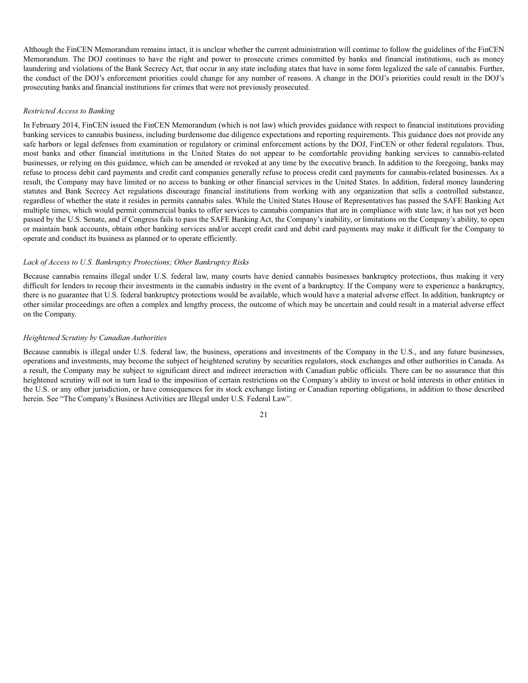Although the FinCEN Memorandum remains intact, it is unclear whether the current administration will continue to follow the guidelines of the FinCEN Memorandum. The DOJ continues to have the right and power to prosecute crimes committed by banks and financial institutions, such as money laundering and violations of the Bank Secrecy Act, that occur in any state including states that have in some form legalized the sale of cannabis. Further, the conduct of the DOJ's enforcement priorities could change for any number of reasons. A change in the DOJ's priorities could result in the DOJ's prosecuting banks and financial institutions for crimes that were not previously prosecuted.

#### *Restricted Access to Banking*

In February 2014, FinCEN issued the FinCEN Memorandum (which is not law) which provides guidance with respect to financial institutions providing banking services to cannabis business, including burdensome due diligence expectations and reporting requirements. This guidance does not provide any safe harbors or legal defenses from examination or regulatory or criminal enforcement actions by the DOJ, FinCEN or other federal regulators. Thus, most banks and other financial institutions in the United States do not appear to be comfortable providing banking services to cannabis-related businesses, or relying on this guidance, which can be amended or revoked at any time by the executive branch. In addition to the foregoing, banks may refuse to process debit card payments and credit card companies generally refuse to process credit card payments for cannabis-related businesses. As a result, the Company may have limited or no access to banking or other financial services in the United States. In addition, federal money laundering statutes and Bank Secrecy Act regulations discourage financial institutions from working with any organization that sells a controlled substance, regardless of whether the state it resides in permits cannabis sales. While the United States House of Representatives has passed the SAFE Banking Act multiple times, which would permit commercial banks to offer services to cannabis companies that are in compliance with state law, it has not yet been passed by the U.S. Senate, and if Congress fails to pass the SAFE Banking Act, the Company's inability, or limitations on the Company's ability, to open or maintain bank accounts, obtain other banking services and/or accept credit card and debit card payments may make it difficult for the Company to operate and conduct its business as planned or to operate efficiently.

#### *Lack of Access to U.S. Bankruptcy Protections; Other Bankruptcy Risks*

Because cannabis remains illegal under U.S. federal law, many courts have denied cannabis businesses bankruptcy protections, thus making it very difficult for lenders to recoup their investments in the cannabis industry in the event of a bankruptcy. If the Company were to experience a bankruptcy, there is no guarantee that U.S. federal bankruptcy protections would be available, which would have a material adverse effect. In addition, bankruptcy or other similar proceedings are often a complex and lengthy process, the outcome of which may be uncertain and could result in a material adverse effect on the Company.

#### *Heightened Scrutiny by Canadian Authorities*

Because cannabis is illegal under U.S. federal law, the business, operations and investments of the Company in the U.S., and any future businesses, operations and investments, may become the subject of heightened scrutiny by securities regulators, stock exchanges and other authorities in Canada. As a result, the Company may be subject to significant direct and indirect interaction with Canadian public officials. There can be no assurance that this heightened scrutiny will not in turn lead to the imposition of certain restrictions on the Company's ability to invest or hold interests in other entities in the U.S. or any other jurisdiction, or have consequences for its stock exchange listing or Canadian reporting obligations, in addition to those described herein. See "The Company's Business Activities are Illegal under U.S. Federal Law".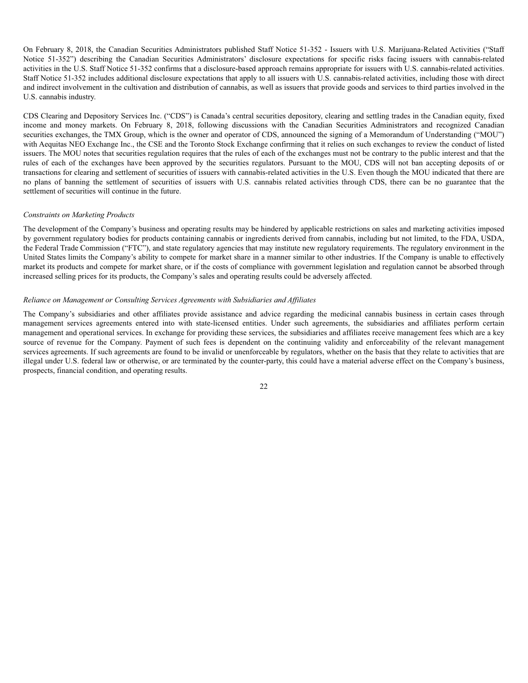On February 8, 2018, the Canadian Securities Administrators published Staff Notice 51-352 - Issuers with U.S. Marijuana-Related Activities ("Staff Notice 51-352") describing the Canadian Securities Administrators' disclosure expectations for specific risks facing issuers with cannabis-related activities in the U.S. Staff Notice 51-352 confirms that a disclosure-based approach remains appropriate for issuers with U.S. cannabis-related activities. Staff Notice 51-352 includes additional disclosure expectations that apply to all issuers with U.S. cannabis-related activities, including those with direct and indirect involvement in the cultivation and distribution of cannabis, as well as issuers that provide goods and services to third parties involved in the U.S. cannabis industry.

CDS Clearing and Depository Services Inc. ("CDS") is Canada's central securities depository, clearing and settling trades in the Canadian equity, fixed income and money markets. On February 8, 2018, following discussions with the Canadian Securities Administrators and recognized Canadian securities exchanges, the TMX Group, which is the owner and operator of CDS, announced the signing of a Memorandum of Understanding ("MOU") with Aequitas NEO Exchange Inc., the CSE and the Toronto Stock Exchange confirming that it relies on such exchanges to review the conduct of listed issuers. The MOU notes that securities regulation requires that the rules of each of the exchanges must not be contrary to the public interest and that the rules of each of the exchanges have been approved by the securities regulators. Pursuant to the MOU, CDS will not ban accepting deposits of or transactions for clearing and settlement of securities of issuers with cannabis-related activities in the U.S. Even though the MOU indicated that there are no plans of banning the settlement of securities of issuers with U.S. cannabis related activities through CDS, there can be no guarantee that the settlement of securities will continue in the future.

#### *Constraints on Marketing Products*

The development of the Company's business and operating results may be hindered by applicable restrictions on sales and marketing activities imposed by government regulatory bodies for products containing cannabis or ingredients derived from cannabis, including but not limited, to the FDA, USDA, the Federal Trade Commission ("FTC"), and state regulatory agencies that may institute new regulatory requirements. The regulatory environment in the United States limits the Company's ability to compete for market share in a manner similar to other industries. If the Company is unable to effectively market its products and compete for market share, or if the costs of compliance with government legislation and regulation cannot be absorbed through increased selling prices for its products, the Company's sales and operating results could be adversely affected.

#### *Reliance on Management or Consulting Services Agreements with Subsidiaries and Affiliates*

The Company's subsidiaries and other affiliates provide assistance and advice regarding the medicinal cannabis business in certain cases through management services agreements entered into with state-licensed entities. Under such agreements, the subsidiaries and affiliates perform certain management and operational services. In exchange for providing these services, the subsidiaries and affiliates receive management fees which are a key source of revenue for the Company. Payment of such fees is dependent on the continuing validity and enforceability of the relevant management services agreements. If such agreements are found to be invalid or unenforceable by regulators, whether on the basis that they relate to activities that are illegal under U.S. federal law or otherwise, or are terminated by the counter-party, this could have a material adverse effect on the Company's business, prospects, financial condition, and operating results.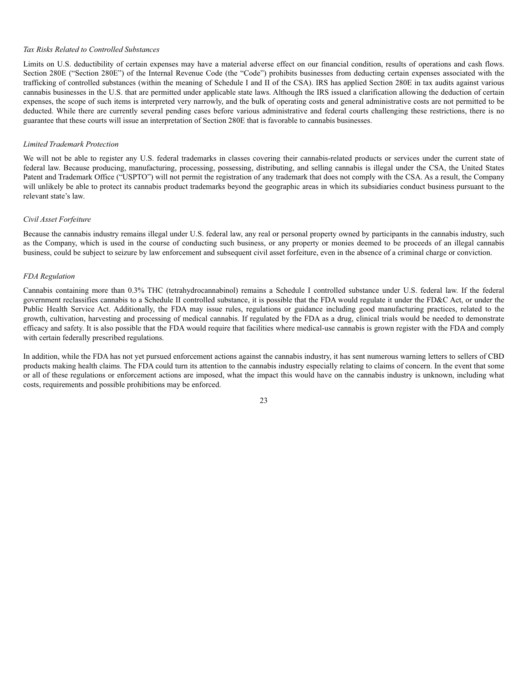#### *Tax Risks Related to Controlled Substances*

Limits on U.S. deductibility of certain expenses may have a material adverse effect on our financial condition, results of operations and cash flows. Section 280E ("Section 280E") of the Internal Revenue Code (the "Code") prohibits businesses from deducting certain expenses associated with the trafficking of controlled substances (within the meaning of Schedule I and II of the CSA). IRS has applied Section 280E in tax audits against various cannabis businesses in the U.S. that are permitted under applicable state laws. Although the IRS issued a clarification allowing the deduction of certain expenses, the scope of such items is interpreted very narrowly, and the bulk of operating costs and general administrative costs are not permitted to be deducted. While there are currently several pending cases before various administrative and federal courts challenging these restrictions, there is no guarantee that these courts will issue an interpretation of Section 280E that is favorable to cannabis businesses.

#### *Limited Trademark Protection*

We will not be able to register any U.S. federal trademarks in classes covering their cannabis-related products or services under the current state of federal law. Because producing, manufacturing, processing, possessing, distributing, and selling cannabis is illegal under the CSA, the United States Patent and Trademark Office ("USPTO") will not permit the registration of any trademark that does not comply with the CSA. As a result, the Company will unlikely be able to protect its cannabis product trademarks beyond the geographic areas in which its subsidiaries conduct business pursuant to the relevant state's law.

#### *Civil Asset Forfeiture*

Because the cannabis industry remains illegal under U.S. federal law, any real or personal property owned by participants in the cannabis industry, such as the Company, which is used in the course of conducting such business, or any property or monies deemed to be proceeds of an illegal cannabis business, could be subject to seizure by law enforcement and subsequent civil asset forfeiture, even in the absence of a criminal charge or conviction.

#### *FDA Regulation*

Cannabis containing more than 0.3% THC (tetrahydrocannabinol) remains a Schedule I controlled substance under U.S. federal law. If the federal government reclassifies cannabis to a Schedule II controlled substance, it is possible that the FDA would regulate it under the FD&C Act, or under the Public Health Service Act. Additionally, the FDA may issue rules, regulations or guidance including good manufacturing practices, related to the growth, cultivation, harvesting and processing of medical cannabis. If regulated by the FDA as a drug, clinical trials would be needed to demonstrate efficacy and safety. It is also possible that the FDA would require that facilities where medical-use cannabis is grown register with the FDA and comply with certain federally prescribed regulations.

In addition, while the FDA has not yet pursued enforcement actions against the cannabis industry, it has sent numerous warning letters to sellers of CBD products making health claims. The FDA could turn its attention to the cannabis industry especially relating to claims of concern. In the event that some or all of these regulations or enforcement actions are imposed, what the impact this would have on the cannabis industry is unknown, including what costs, requirements and possible prohibitions may be enforced.

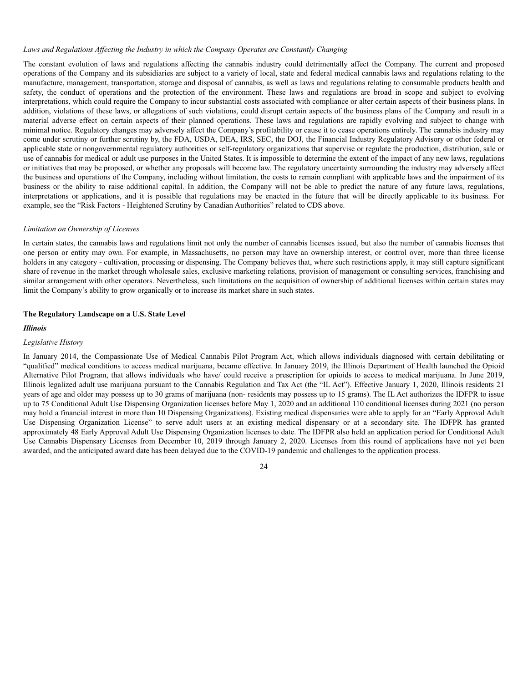#### *Laws and Regulations Affecting the Industry in which the Company Operates are Constantly Changing*

The constant evolution of laws and regulations affecting the cannabis industry could detrimentally affect the Company. The current and proposed operations of the Company and its subsidiaries are subject to a variety of local, state and federal medical cannabis laws and regulations relating to the manufacture, management, transportation, storage and disposal of cannabis, as well as laws and regulations relating to consumable products health and safety, the conduct of operations and the protection of the environment. These laws and regulations are broad in scope and subject to evolving interpretations, which could require the Company to incur substantial costs associated with compliance or alter certain aspects of their business plans. In addition, violations of these laws, or allegations of such violations, could disrupt certain aspects of the business plans of the Company and result in a material adverse effect on certain aspects of their planned operations. These laws and regulations are rapidly evolving and subject to change with minimal notice. Regulatory changes may adversely affect the Company's profitability or cause it to cease operations entirely. The cannabis industry may come under scrutiny or further scrutiny by, the FDA, USDA, DEA, IRS, SEC, the DOJ, the Financial Industry Regulatory Advisory or other federal or applicable state or nongovernmental regulatory authorities or self-regulatory organizations that supervise or regulate the production, distribution, sale or use of cannabis for medical or adult use purposes in the United States. It is impossible to determine the extent of the impact of any new laws, regulations or initiatives that may be proposed, or whether any proposals will become law. The regulatory uncertainty surrounding the industry may adversely affect the business and operations of the Company, including without limitation, the costs to remain compliant with applicable laws and the impairment of its business or the ability to raise additional capital. In addition, the Company will not be able to predict the nature of any future laws, regulations, interpretations or applications, and it is possible that regulations may be enacted in the future that will be directly applicable to its business. For example, see the "Risk Factors - Heightened Scrutiny by Canadian Authorities" related to CDS above.

#### *Limitation on Ownership of Licenses*

In certain states, the cannabis laws and regulations limit not only the number of cannabis licenses issued, but also the number of cannabis licenses that one person or entity may own. For example, in Massachusetts, no person may have an ownership interest, or control over, more than three license holders in any category - cultivation, processing or dispensing. The Company believes that, where such restrictions apply, it may still capture significant share of revenue in the market through wholesale sales, exclusive marketing relations, provision of management or consulting services, franchising and similar arrangement with other operators. Nevertheless, such limitations on the acquisition of ownership of additional licenses within certain states may limit the Company's ability to grow organically or to increase its market share in such states.

#### **The Regulatory Landscape on a U.S. State Level**

#### *Illinois*

#### *Legislative History*

In January 2014, the Compassionate Use of Medical Cannabis Pilot Program Act, which allows individuals diagnosed with certain debilitating or "qualified" medical conditions to access medical marijuana, became effective. In January 2019, the Illinois Department of Health launched the Opioid Alternative Pilot Program, that allows individuals who have/ could receive a prescription for opioids to access to medical marijuana. In June 2019, Illinois legalized adult use marijuana pursuant to the Cannabis Regulation and Tax Act (the "IL Act"). Effective January 1, 2020, Illinois residents 21 years of age and older may possess up to 30 grams of marijuana (non- residents may possess up to 15 grams). The IL Act authorizes the IDFPR to issue up to 75 Conditional Adult Use Dispensing Organization licenses before May 1, 2020 and an additional 110 conditional licenses during 2021 (no person may hold a financial interest in more than 10 Dispensing Organizations). Existing medical dispensaries were able to apply for an "Early Approval Adult Use Dispensing Organization License" to serve adult users at an existing medical dispensary or at a secondary site. The IDFPR has granted approximately 48 Early Approval Adult Use Dispensing Organization licenses to date. The IDFPR also held an application period for Conditional Adult Use Cannabis Dispensary Licenses from December 10, 2019 through January 2, 2020. Licenses from this round of applications have not yet been awarded, and the anticipated award date has been delayed due to the COVID-19 pandemic and challenges to the application process.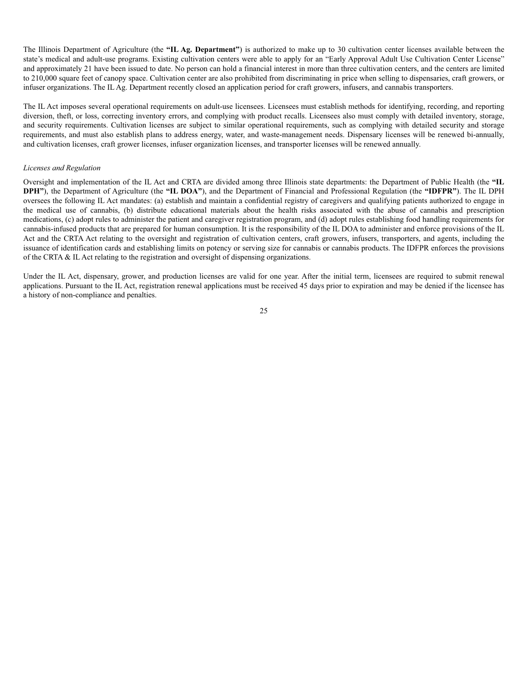The Illinois Department of Agriculture (the **"IL Ag. Department"**) is authorized to make up to 30 cultivation center licenses available between the state's medical and adult-use programs. Existing cultivation centers were able to apply for an "Early Approval Adult Use Cultivation Center License" and approximately 21 have been issued to date. No person can hold a financial interest in more than three cultivation centers, and the centers are limited to 210,000 square feet of canopy space. Cultivation center are also prohibited from discriminating in price when selling to dispensaries, craft growers, or infuser organizations. The IL Ag. Department recently closed an application period for craft growers, infusers, and cannabis transporters.

The IL Act imposes several operational requirements on adult-use licensees. Licensees must establish methods for identifying, recording, and reporting diversion, theft, or loss, correcting inventory errors, and complying with product recalls. Licensees also must comply with detailed inventory, storage, and security requirements. Cultivation licenses are subject to similar operational requirements, such as complying with detailed security and storage requirements, and must also establish plans to address energy, water, and waste-management needs. Dispensary licenses will be renewed bi-annually, and cultivation licenses, craft grower licenses, infuser organization licenses, and transporter licenses will be renewed annually.

#### *Licenses and Regulation*

Oversight and implementation of the IL Act and CRTA are divided among three Illinois state departments: the Department of Public Health (the **"IL DPH"**), the Department of Agriculture (the **"IL DOA"**), and the Department of Financial and Professional Regulation (the **"IDFPR"**). The IL DPH oversees the following IL Act mandates: (a) establish and maintain a confidential registry of caregivers and qualifying patients authorized to engage in the medical use of cannabis, (b) distribute educational materials about the health risks associated with the abuse of cannabis and prescription medications, (c) adopt rules to administer the patient and caregiver registration program, and (d) adopt rules establishing food handling requirements for cannabis-infused products that are prepared for human consumption. It is the responsibility of the IL DOA to administer and enforce provisions of the IL Act and the CRTA Act relating to the oversight and registration of cultivation centers, craft growers, infusers, transporters, and agents, including the issuance of identification cards and establishing limits on potency or serving size for cannabis or cannabis products. The IDFPR enforces the provisions of the CRTA & IL Act relating to the registration and oversight of dispensing organizations.

Under the IL Act, dispensary, grower, and production licenses are valid for one year. After the initial term, licensees are required to submit renewal applications. Pursuant to the IL Act, registration renewal applications must be received 45 days prior to expiration and may be denied if the licensee has a history of non-compliance and penalties.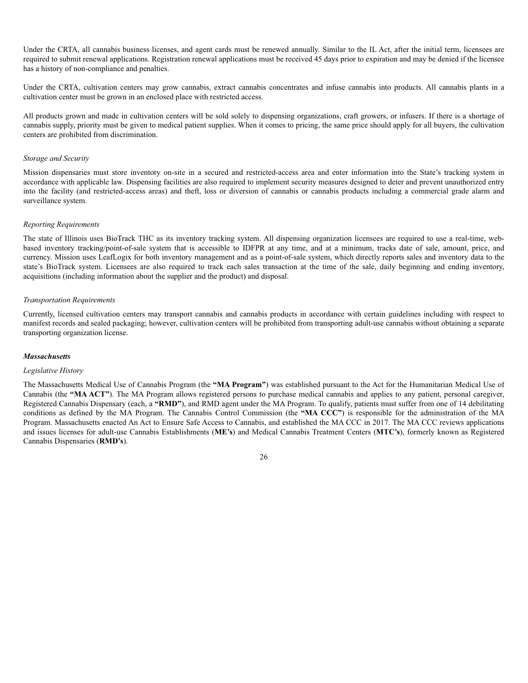Under the CRTA, all cannabis business licenses, and agent cards must be renewed annually. Similar to the IL Act, after the initial term, licensees are required to submit renewal applications. Registration renewal applications must be received 45 days prior to expiration and may be denied if the licensee has a history of non-compliance and penalties.

Under the CRTA, cultivation centers may grow cannabis, extract cannabis concentrates and infuse cannabis into products. All cannabis plants in a cultivation center must be grown in an enclosed place with restricted access.

All products grown and made in cultivation centers will be sold solely to dispensing organizations, craft growers, or infusers. If there is a shortage of cannabis supply, priority must be given to medical patient supplies. When it comes to pricing, the same price should apply for all buyers, the cultivation centers are prohibited from discrimination.

#### *Storage and Security*

Mission dispensaries must store inventory on-site in a secured and restricted-access area and enter information into the State's tracking system in accordance with applicable law. Dispensing facilities are also required to implement security measures designed to deter and prevent unauthorized entry into the facility (and restricted-access areas) and theft, loss or diversion of cannabis or cannabis products including a commercial grade alarm and surveillance system.

#### *Reporting Requirements*

The state of Illinois uses BioTrack THC as its inventory tracking system. All dispensing organization licensees are required to use a real-time, webbased inventory tracking/point-of-sale system that is accessible to IDFPR at any time, and at a minimum, tracks date of sale, amount, price, and currency. Mission uses LeafLogix for both inventory management and as a point-of-sale system, which directly reports sales and inventory data to the state's BioTrack system. Licensees are also required to track each sales transaction at the time of the sale, daily beginning and ending inventory, acquisitions (including information about the supplier and the product) and disposal.

#### *Transportation Requirements*

Currently, licensed cultivation centers may transport cannabis and cannabis products in accordance with certain guidelines including with respect to manifest records and sealed packaging; however, cultivation centers will be prohibited from transporting adult-use cannabis without obtaining a separate transporting organization license.

#### *Massachusetts*

#### *Legislative History*

The Massachusetts Medical Use of Cannabis Program (the **"MA Program"**) was established pursuant to the Act for the Humanitarian Medical Use of Cannabis (the **"MA ACT"**). The MA Program allows registered persons to purchase medical cannabis and applies to any patient, personal caregiver, Registered Cannabis Dispensary (each, a **"RMD"**), and RMD agent under the MA Program. To qualify, patients must suffer from one of 14 debilitating conditions as defined by the MA Program. The Cannabis Control Commission (the **"MA CCC"**) is responsible for the administration of the MA Program. Massachusetts enacted An Act to Ensure Safe Access to Cannabis, and established the MA CCC in 2017. The MA CCC reviews applications and issues licenses for adult-use Cannabis Establishments (**ME's**) and Medical Cannabis Treatment Centers (**MTC's**), formerly known as Registered Cannabis Dispensaries (**RMD's**).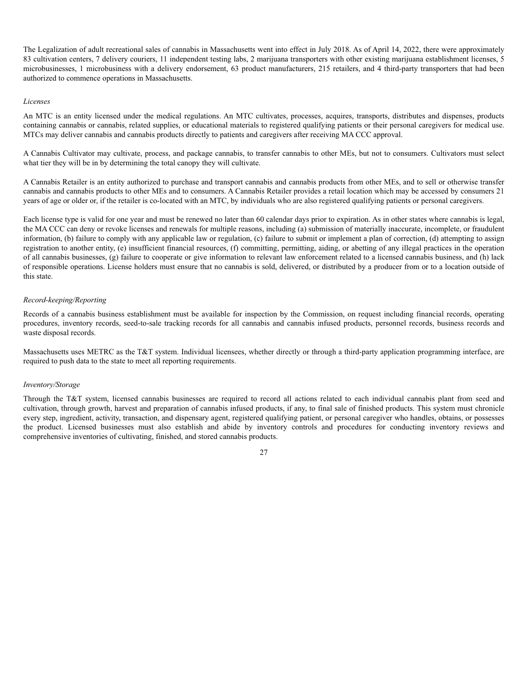The Legalization of adult recreational sales of cannabis in Massachusetts went into effect in July 2018. As of April 14, 2022, there were approximately 83 cultivation centers, 7 delivery couriers, 11 independent testing labs, 2 marijuana transporters with other existing marijuana establishment licenses, 5 microbusinesses, 1 microbusiness with a delivery endorsement, 63 product manufacturers, 215 retailers, and 4 third-party transporters that had been authorized to commence operations in Massachusetts.

#### *Licenses*

An MTC is an entity licensed under the medical regulations. An MTC cultivates, processes, acquires, transports, distributes and dispenses, products containing cannabis or cannabis, related supplies, or educational materials to registered qualifying patients or their personal caregivers for medical use. MTCs may deliver cannabis and cannabis products directly to patients and caregivers after receiving MA CCC approval.

A Cannabis Cultivator may cultivate, process, and package cannabis, to transfer cannabis to other MEs, but not to consumers. Cultivators must select what tier they will be in by determining the total canopy they will cultivate.

A Cannabis Retailer is an entity authorized to purchase and transport cannabis and cannabis products from other MEs, and to sell or otherwise transfer cannabis and cannabis products to other MEs and to consumers. A Cannabis Retailer provides a retail location which may be accessed by consumers 21 years of age or older or, if the retailer is co-located with an MTC, by individuals who are also registered qualifying patients or personal caregivers.

Each license type is valid for one year and must be renewed no later than 60 calendar days prior to expiration. As in other states where cannabis is legal, the MA CCC can deny or revoke licenses and renewals for multiple reasons, including (a) submission of materially inaccurate, incomplete, or fraudulent information, (b) failure to comply with any applicable law or regulation, (c) failure to submit or implement a plan of correction, (d) attempting to assign registration to another entity, (e) insufficient financial resources, (f) committing, permitting, aiding, or abetting of any illegal practices in the operation of all cannabis businesses, (g) failure to cooperate or give information to relevant law enforcement related to a licensed cannabis business, and (h) lack of responsible operations. License holders must ensure that no cannabis is sold, delivered, or distributed by a producer from or to a location outside of this state.

#### *Record-keeping/Reporting*

Records of a cannabis business establishment must be available for inspection by the Commission, on request including financial records, operating procedures, inventory records, seed-to-sale tracking records for all cannabis and cannabis infused products, personnel records, business records and waste disposal records.

Massachusetts uses METRC as the T&T system. Individual licensees, whether directly or through a third-party application programming interface, are required to push data to the state to meet all reporting requirements.

#### *Inventory/Storage*

Through the T&T system, licensed cannabis businesses are required to record all actions related to each individual cannabis plant from seed and cultivation, through growth, harvest and preparation of cannabis infused products, if any, to final sale of finished products. This system must chronicle every step, ingredient, activity, transaction, and dispensary agent, registered qualifying patient, or personal caregiver who handles, obtains, or possesses the product. Licensed businesses must also establish and abide by inventory controls and procedures for conducting inventory reviews and comprehensive inventories of cultivating, finished, and stored cannabis products.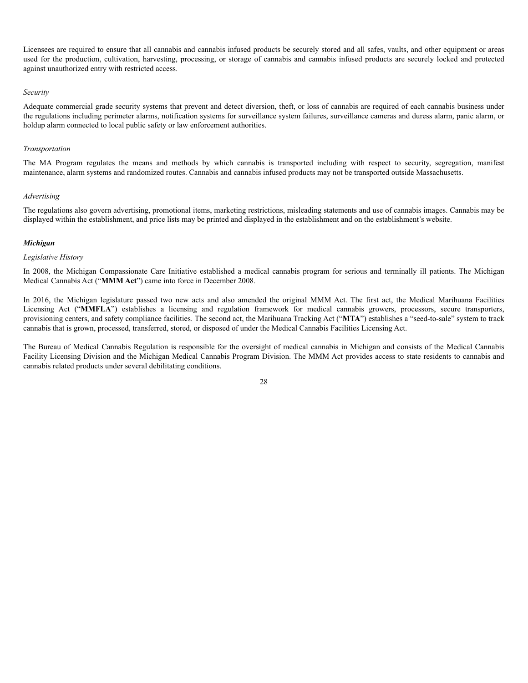Licensees are required to ensure that all cannabis and cannabis infused products be securely stored and all safes, vaults, and other equipment or areas used for the production, cultivation, harvesting, processing, or storage of cannabis and cannabis infused products are securely locked and protected against unauthorized entry with restricted access.

#### *Security*

Adequate commercial grade security systems that prevent and detect diversion, theft, or loss of cannabis are required of each cannabis business under the regulations including perimeter alarms, notification systems for surveillance system failures, surveillance cameras and duress alarm, panic alarm, or holdup alarm connected to local public safety or law enforcement authorities.

#### *Transportation*

The MA Program regulates the means and methods by which cannabis is transported including with respect to security, segregation, manifest maintenance, alarm systems and randomized routes. Cannabis and cannabis infused products may not be transported outside Massachusetts.

#### *Advertising*

The regulations also govern advertising, promotional items, marketing restrictions, misleading statements and use of cannabis images. Cannabis may be displayed within the establishment, and price lists may be printed and displayed in the establishment and on the establishment's website.

#### *Michigan*

#### *Legislative History*

In 2008, the Michigan Compassionate Care Initiative established a medical cannabis program for serious and terminally ill patients. The Michigan Medical Cannabis Act ("**MMM Act**") came into force in December 2008.

In 2016, the Michigan legislature passed two new acts and also amended the original MMM Act. The first act, the Medical Marihuana Facilities Licensing Act ("**MMFLA**") establishes a licensing and regulation framework for medical cannabis growers, processors, secure transporters, provisioning centers, and safety compliance facilities. The second act, the Marihuana Tracking Act ("**MTA**") establishes a "seed-to-sale" system to track cannabis that is grown, processed, transferred, stored, or disposed of under the Medical Cannabis Facilities Licensing Act.

The Bureau of Medical Cannabis Regulation is responsible for the oversight of medical cannabis in Michigan and consists of the Medical Cannabis Facility Licensing Division and the Michigan Medical Cannabis Program Division. The MMM Act provides access to state residents to cannabis and cannabis related products under several debilitating conditions.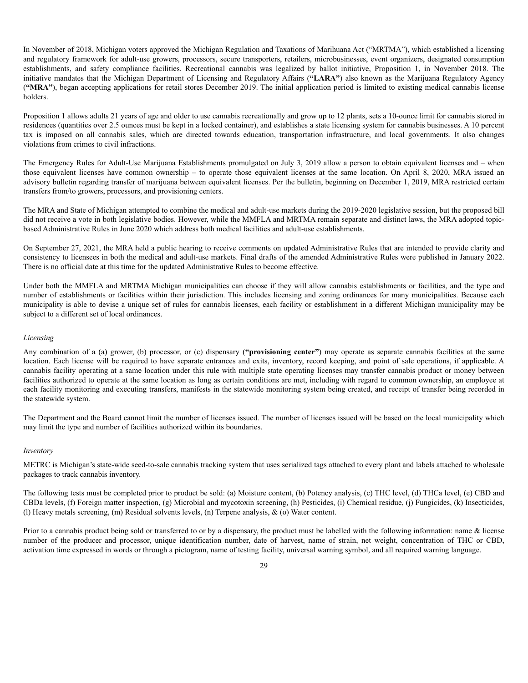In November of 2018, Michigan voters approved the Michigan Regulation and Taxations of Marihuana Act ("MRTMA"), which established a licensing and regulatory framework for adult-use growers, processors, secure transporters, retailers, microbusinesses, event organizers, designated consumption establishments, and safety compliance facilities. Recreational cannabis was legalized by ballot initiative, Proposition 1, in November 2018. The initiative mandates that the Michigan Department of Licensing and Regulatory Affairs (**"LARA"**) also known as the Marijuana Regulatory Agency (**"MRA"**), began accepting applications for retail stores December 2019. The initial application period is limited to existing medical cannabis license holders.

Proposition 1 allows adults 21 years of age and older to use cannabis recreationally and grow up to 12 plants, sets a 10-ounce limit for cannabis stored in residences (quantities over 2.5 ounces must be kept in a locked container), and establishes a state licensing system for cannabis businesses. A 10 percent tax is imposed on all cannabis sales, which are directed towards education, transportation infrastructure, and local governments. It also changes violations from crimes to civil infractions.

The Emergency Rules for Adult-Use Marijuana Establishments promulgated on July 3, 2019 allow a person to obtain equivalent licenses and – when those equivalent licenses have common ownership – to operate those equivalent licenses at the same location. On April 8, 2020, MRA issued an advisory bulletin regarding transfer of marijuana between equivalent licenses. Per the bulletin, beginning on December 1, 2019, MRA restricted certain transfers from/to growers, processors, and provisioning centers.

The MRA and State of Michigan attempted to combine the medical and adult-use markets during the 2019-2020 legislative session, but the proposed bill did not receive a vote in both legislative bodies. However, while the MMFLA and MRTMA remain separate and distinct laws, the MRA adopted topicbased Administrative Rules in June 2020 which address both medical facilities and adult-use establishments.

On September 27, 2021, the MRA held a public hearing to receive comments on updated Administrative Rules that are intended to provide clarity and consistency to licensees in both the medical and adult-use markets. Final drafts of the amended Administrative Rules were published in January 2022. There is no official date at this time for the updated Administrative Rules to become effective.

Under both the MMFLA and MRTMA Michigan municipalities can choose if they will allow cannabis establishments or facilities, and the type and number of establishments or facilities within their jurisdiction. This includes licensing and zoning ordinances for many municipalities. Because each municipality is able to devise a unique set of rules for cannabis licenses, each facility or establishment in a different Michigan municipality may be subject to a different set of local ordinances.

#### *Licensing*

Any combination of a (a) grower, (b) processor, or (c) dispensary (**"provisioning center"**) may operate as separate cannabis facilities at the same location. Each license will be required to have separate entrances and exits, inventory, record keeping, and point of sale operations, if applicable. A cannabis facility operating at a same location under this rule with multiple state operating licenses may transfer cannabis product or money between facilities authorized to operate at the same location as long as certain conditions are met, including with regard to common ownership, an employee at each facility monitoring and executing transfers, manifests in the statewide monitoring system being created, and receipt of transfer being recorded in the statewide system.

The Department and the Board cannot limit the number of licenses issued. The number of licenses issued will be based on the local municipality which may limit the type and number of facilities authorized within its boundaries.

#### *Inventory*

METRC is Michigan's state-wide seed-to-sale cannabis tracking system that uses serialized tags attached to every plant and labels attached to wholesale packages to track cannabis inventory.

The following tests must be completed prior to product be sold: (a) Moisture content, (b) Potency analysis, (c) THC level, (d) THCa level, (e) CBD and CBDa levels, (f) Foreign matter inspection, (g) Microbial and mycotoxin screening, (h) Pesticides, (i) Chemical residue, (j) Fungicides, (k) Insecticides, (l) Heavy metals screening, (m) Residual solvents levels, (n) Terpene analysis, & (o) Water content.

Prior to a cannabis product being sold or transferred to or by a dispensary, the product must be labelled with the following information: name & license number of the producer and processor, unique identification number, date of harvest, name of strain, net weight, concentration of THC or CBD, activation time expressed in words or through a pictogram, name of testing facility, universal warning symbol, and all required warning language.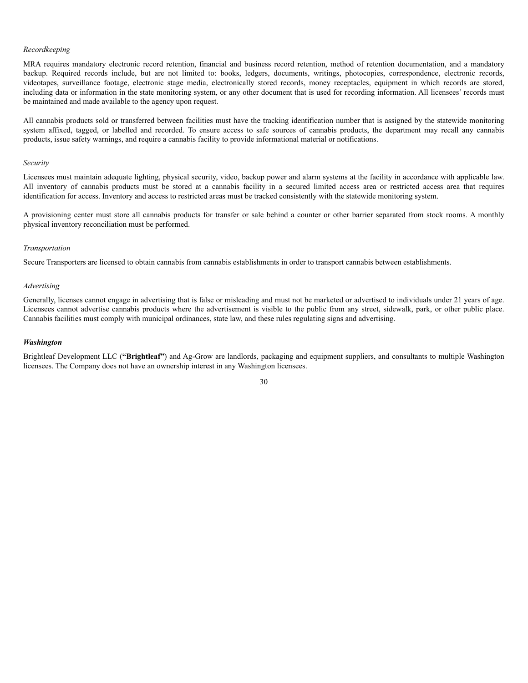#### *Recordkeeping*

MRA requires mandatory electronic record retention, financial and business record retention, method of retention documentation, and a mandatory backup. Required records include, but are not limited to: books, ledgers, documents, writings, photocopies, correspondence, electronic records, videotapes, surveillance footage, electronic stage media, electronically stored records, money receptacles, equipment in which records are stored, including data or information in the state monitoring system, or any other document that is used for recording information. All licensees' records must be maintained and made available to the agency upon request.

All cannabis products sold or transferred between facilities must have the tracking identification number that is assigned by the statewide monitoring system affixed, tagged, or labelled and recorded. To ensure access to safe sources of cannabis products, the department may recall any cannabis products, issue safety warnings, and require a cannabis facility to provide informational material or notifications.

#### *Security*

Licensees must maintain adequate lighting, physical security, video, backup power and alarm systems at the facility in accordance with applicable law. All inventory of cannabis products must be stored at a cannabis facility in a secured limited access area or restricted access area that requires identification for access. Inventory and access to restricted areas must be tracked consistently with the statewide monitoring system.

A provisioning center must store all cannabis products for transfer or sale behind a counter or other barrier separated from stock rooms. A monthly physical inventory reconciliation must be performed.

#### *Transportation*

Secure Transporters are licensed to obtain cannabis from cannabis establishments in order to transport cannabis between establishments.

#### *Advertising*

Generally, licenses cannot engage in advertising that is false or misleading and must not be marketed or advertised to individuals under 21 years of age. Licensees cannot advertise cannabis products where the advertisement is visible to the public from any street, sidewalk, park, or other public place. Cannabis facilities must comply with municipal ordinances, state law, and these rules regulating signs and advertising.

#### *Washington*

Brightleaf Development LLC (**"Brightleaf"**) and Ag-Grow are landlords, packaging and equipment suppliers, and consultants to multiple Washington licensees. The Company does not have an ownership interest in any Washington licensees.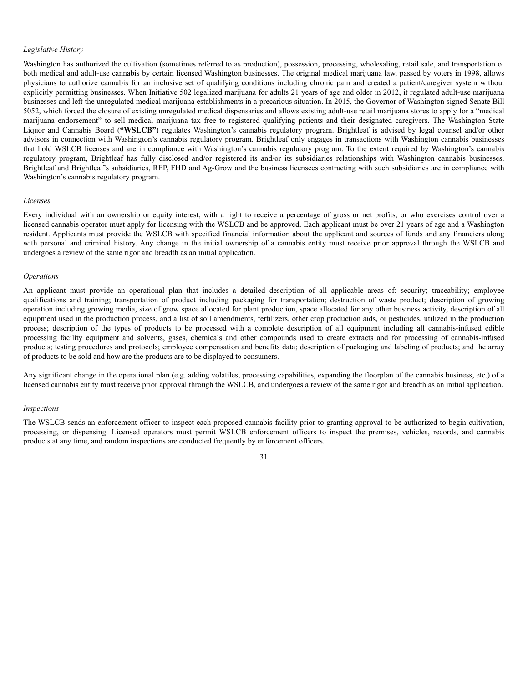#### *Legislative History*

Washington has authorized the cultivation (sometimes referred to as production), possession, processing, wholesaling, retail sale, and transportation of both medical and adult-use cannabis by certain licensed Washington businesses. The original medical marijuana law, passed by voters in 1998, allows physicians to authorize cannabis for an inclusive set of qualifying conditions including chronic pain and created a patient/caregiver system without explicitly permitting businesses. When Initiative 502 legalized marijuana for adults 21 years of age and older in 2012, it regulated adult-use marijuana businesses and left the unregulated medical marijuana establishments in a precarious situation. In 2015, the Governor of Washington signed Senate Bill 5052, which forced the closure of existing unregulated medical dispensaries and allows existing adult-use retail marijuana stores to apply for a "medical marijuana endorsement" to sell medical marijuana tax free to registered qualifying patients and their designated caregivers. The Washington State Liquor and Cannabis Board (**"WSLCB"**) regulates Washington's cannabis regulatory program. Brightleaf is advised by legal counsel and/or other advisors in connection with Washington's cannabis regulatory program. Brightleaf only engages in transactions with Washington cannabis businesses that hold WSLCB licenses and are in compliance with Washington's cannabis regulatory program. To the extent required by Washington's cannabis regulatory program, Brightleaf has fully disclosed and/or registered its and/or its subsidiaries relationships with Washington cannabis businesses. Brightleaf and Brightleaf's subsidiaries, REP, FHD and Ag-Grow and the business licensees contracting with such subsidiaries are in compliance with Washington's cannabis regulatory program.

#### *Licenses*

Every individual with an ownership or equity interest, with a right to receive a percentage of gross or net profits, or who exercises control over a licensed cannabis operator must apply for licensing with the WSLCB and be approved. Each applicant must be over 21 years of age and a Washington resident. Applicants must provide the WSLCB with specified financial information about the applicant and sources of funds and any financiers along with personal and criminal history. Any change in the initial ownership of a cannabis entity must receive prior approval through the WSLCB and undergoes a review of the same rigor and breadth as an initial application.

#### *Operations*

An applicant must provide an operational plan that includes a detailed description of all applicable areas of: security; traceability; employee qualifications and training; transportation of product including packaging for transportation; destruction of waste product; description of growing operation including growing media, size of grow space allocated for plant production, space allocated for any other business activity, description of all equipment used in the production process, and a list of soil amendments, fertilizers, other crop production aids, or pesticides, utilized in the production process; description of the types of products to be processed with a complete description of all equipment including all cannabis-infused edible processing facility equipment and solvents, gases, chemicals and other compounds used to create extracts and for processing of cannabis-infused products; testing procedures and protocols; employee compensation and benefits data; description of packaging and labeling of products; and the array of products to be sold and how are the products are to be displayed to consumers.

Any significant change in the operational plan (e.g. adding volatiles, processing capabilities, expanding the floorplan of the cannabis business, etc.) of a licensed cannabis entity must receive prior approval through the WSLCB, and undergoes a review of the same rigor and breadth as an initial application.

#### *Inspections*

The WSLCB sends an enforcement officer to inspect each proposed cannabis facility prior to granting approval to be authorized to begin cultivation, processing, or dispensing. Licensed operators must permit WSLCB enforcement officers to inspect the premises, vehicles, records, and cannabis products at any time, and random inspections are conducted frequently by enforcement officers.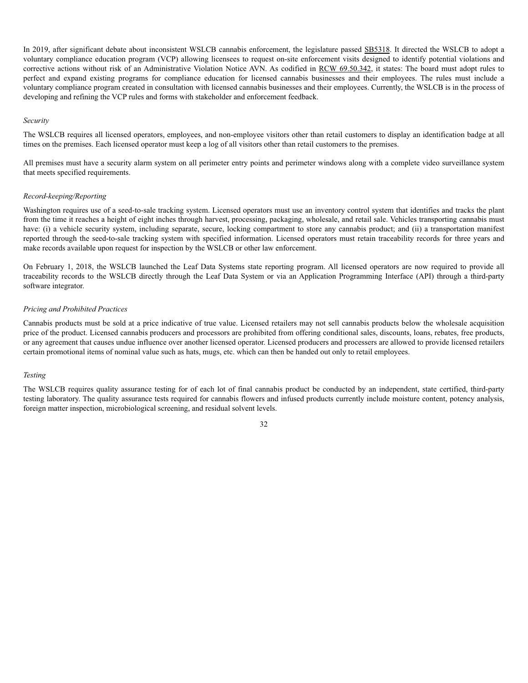In 2019, after significant debate about inconsistent WSLCB cannabis enforcement, the legislature passed SB5318. It directed the WSLCB to adopt a voluntary compliance education program (VCP) allowing licensees to request on-site enforcement visits designed to identify potential violations and corrective actions without risk of an Administrative Violation Notice AVN. As codified in RCW 69.50.342, it states: The board must adopt rules to perfect and expand existing programs for compliance education for licensed cannabis businesses and their employees. The rules must include a voluntary compliance program created in consultation with licensed cannabis businesses and their employees. Currently, the WSLCB is in the process of developing and refining the VCP rules and forms with stakeholder and enforcement feedback.

#### *Security*

The WSLCB requires all licensed operators, employees, and non-employee visitors other than retail customers to display an identification badge at all times on the premises. Each licensed operator must keep a log of all visitors other than retail customers to the premises.

All premises must have a security alarm system on all perimeter entry points and perimeter windows along with a complete video surveillance system that meets specified requirements.

#### *Record-keeping/Reporting*

Washington requires use of a seed-to-sale tracking system. Licensed operators must use an inventory control system that identifies and tracks the plant from the time it reaches a height of eight inches through harvest, processing, packaging, wholesale, and retail sale. Vehicles transporting cannabis must have: (i) a vehicle security system, including separate, secure, locking compartment to store any cannabis product; and (ii) a transportation manifest reported through the seed-to-sale tracking system with specified information. Licensed operators must retain traceability records for three years and make records available upon request for inspection by the WSLCB or other law enforcement.

On February 1, 2018, the WSLCB launched the Leaf Data Systems state reporting program. All licensed operators are now required to provide all traceability records to the WSLCB directly through the Leaf Data System or via an Application Programming Interface (API) through a third-party software integrator.

#### *Pricing and Prohibited Practices*

Cannabis products must be sold at a price indicative of true value. Licensed retailers may not sell cannabis products below the wholesale acquisition price of the product. Licensed cannabis producers and processors are prohibited from offering conditional sales, discounts, loans, rebates, free products, or any agreement that causes undue influence over another licensed operator. Licensed producers and processers are allowed to provide licensed retailers certain promotional items of nominal value such as hats, mugs, etc. which can then be handed out only to retail employees.

#### *Testing*

The WSLCB requires quality assurance testing for of each lot of final cannabis product be conducted by an independent, state certified, third-party testing laboratory. The quality assurance tests required for cannabis flowers and infused products currently include moisture content, potency analysis, foreign matter inspection, microbiological screening, and residual solvent levels.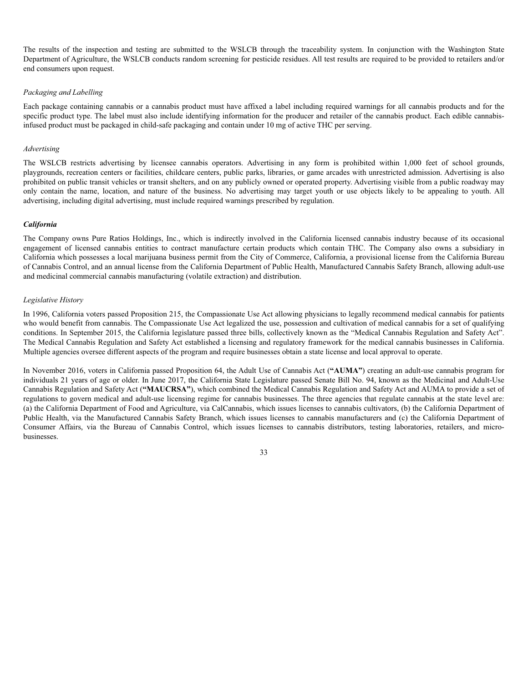The results of the inspection and testing are submitted to the WSLCB through the traceability system. In conjunction with the Washington State Department of Agriculture, the WSLCB conducts random screening for pesticide residues. All test results are required to be provided to retailers and/or end consumers upon request.

#### *Packaging and Labelling*

Each package containing cannabis or a cannabis product must have affixed a label including required warnings for all cannabis products and for the specific product type. The label must also include identifying information for the producer and retailer of the cannabis product. Each edible cannabisinfused product must be packaged in child-safe packaging and contain under 10 mg of active THC per serving.

#### *Advertising*

The WSLCB restricts advertising by licensee cannabis operators. Advertising in any form is prohibited within 1,000 feet of school grounds, playgrounds, recreation centers or facilities, childcare centers, public parks, libraries, or game arcades with unrestricted admission. Advertising is also prohibited on public transit vehicles or transit shelters, and on any publicly owned or operated property. Advertising visible from a public roadway may only contain the name, location, and nature of the business. No advertising may target youth or use objects likely to be appealing to youth. All advertising, including digital advertising, must include required warnings prescribed by regulation.

#### *California*

The Company owns Pure Ratios Holdings, Inc., which is indirectly involved in the California licensed cannabis industry because of its occasional engagement of licensed cannabis entities to contract manufacture certain products which contain THC. The Company also owns a subsidiary in California which possesses a local marijuana business permit from the City of Commerce, California, a provisional license from the California Bureau of Cannabis Control, and an annual license from the California Department of Public Health, Manufactured Cannabis Safety Branch, allowing adult-use and medicinal commercial cannabis manufacturing (volatile extraction) and distribution.

#### *Legislative History*

In 1996, California voters passed Proposition 215, the Compassionate Use Act allowing physicians to legally recommend medical cannabis for patients who would benefit from cannabis. The Compassionate Use Act legalized the use, possession and cultivation of medical cannabis for a set of qualifying conditions. In September 2015, the California legislature passed three bills, collectively known as the "Medical Cannabis Regulation and Safety Act". The Medical Cannabis Regulation and Safety Act established a licensing and regulatory framework for the medical cannabis businesses in California. Multiple agencies oversee different aspects of the program and require businesses obtain a state license and local approval to operate.

In November 2016, voters in California passed Proposition 64, the Adult Use of Cannabis Act (**"AUMA"**) creating an adult-use cannabis program for individuals 21 years of age or older. In June 2017, the California State Legislature passed Senate Bill No. 94, known as the Medicinal and Adult-Use Cannabis Regulation and Safety Act (**"MAUCRSA"**), which combined the Medical Cannabis Regulation and Safety Act and AUMA to provide a set of regulations to govern medical and adult-use licensing regime for cannabis businesses. The three agencies that regulate cannabis at the state level are: (a) the California Department of Food and Agriculture, via CalCannabis, which issues licenses to cannabis cultivators, (b) the California Department of Public Health, via the Manufactured Cannabis Safety Branch, which issues licenses to cannabis manufacturers and (c) the California Department of Consumer Affairs, via the Bureau of Cannabis Control, which issues licenses to cannabis distributors, testing laboratories, retailers, and microbusinesses.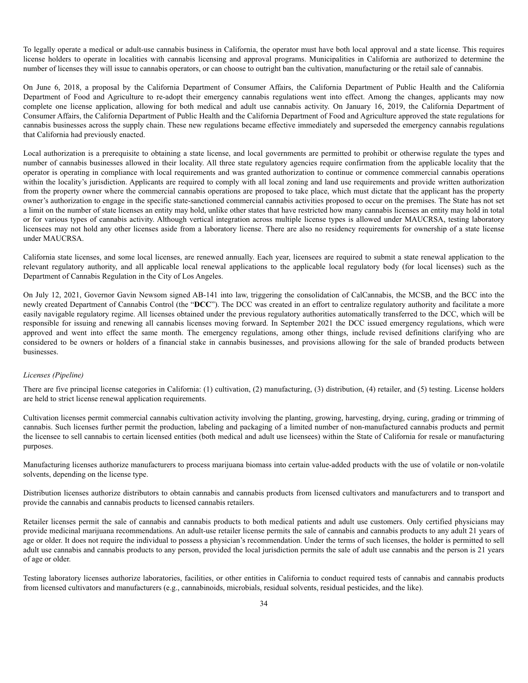To legally operate a medical or adult-use cannabis business in California, the operator must have both local approval and a state license. This requires license holders to operate in localities with cannabis licensing and approval programs. Municipalities in California are authorized to determine the number of licenses they will issue to cannabis operators, or can choose to outright ban the cultivation, manufacturing or the retail sale of cannabis.

On June 6, 2018, a proposal by the California Department of Consumer Affairs, the California Department of Public Health and the California Department of Food and Agriculture to re-adopt their emergency cannabis regulations went into effect. Among the changes, applicants may now complete one license application, allowing for both medical and adult use cannabis activity. On January 16, 2019, the California Department of Consumer Affairs, the California Department of Public Health and the California Department of Food and Agriculture approved the state regulations for cannabis businesses across the supply chain. These new regulations became effective immediately and superseded the emergency cannabis regulations that California had previously enacted.

Local authorization is a prerequisite to obtaining a state license, and local governments are permitted to prohibit or otherwise regulate the types and number of cannabis businesses allowed in their locality. All three state regulatory agencies require confirmation from the applicable locality that the operator is operating in compliance with local requirements and was granted authorization to continue or commence commercial cannabis operations within the locality's jurisdiction. Applicants are required to comply with all local zoning and land use requirements and provide written authorization from the property owner where the commercial cannabis operations are proposed to take place, which must dictate that the applicant has the property owner's authorization to engage in the specific state-sanctioned commercial cannabis activities proposed to occur on the premises. The State has not set a limit on the number of state licenses an entity may hold, unlike other states that have restricted how many cannabis licenses an entity may hold in total or for various types of cannabis activity. Although vertical integration across multiple license types is allowed under MAUCRSA, testing laboratory licensees may not hold any other licenses aside from a laboratory license. There are also no residency requirements for ownership of a state license under MAUCRSA.

California state licenses, and some local licenses, are renewed annually. Each year, licensees are required to submit a state renewal application to the relevant regulatory authority, and all applicable local renewal applications to the applicable local regulatory body (for local licenses) such as the Department of Cannabis Regulation in the City of Los Angeles.

On July 12, 2021, Governor Gavin Newsom signed AB-141 into law, triggering the consolidation of CalCannabis, the MCSB, and the BCC into the newly created Department of Cannabis Control (the "**DCC**"). The DCC was created in an effort to centralize regulatory authority and facilitate a more easily navigable regulatory regime. All licenses obtained under the previous regulatory authorities automatically transferred to the DCC, which will be responsible for issuing and renewing all cannabis licenses moving forward. In September 2021 the DCC issued emergency regulations, which were approved and went into effect the same month. The emergency regulations, among other things, include revised definitions clarifying who are considered to be owners or holders of a financial stake in cannabis businesses, and provisions allowing for the sale of branded products between businesses.

#### *Licenses (Pipeline)*

There are five principal license categories in California: (1) cultivation, (2) manufacturing, (3) distribution, (4) retailer, and (5) testing. License holders are held to strict license renewal application requirements.

Cultivation licenses permit commercial cannabis cultivation activity involving the planting, growing, harvesting, drying, curing, grading or trimming of cannabis. Such licenses further permit the production, labeling and packaging of a limited number of non-manufactured cannabis products and permit the licensee to sell cannabis to certain licensed entities (both medical and adult use licensees) within the State of California for resale or manufacturing purposes.

Manufacturing licenses authorize manufacturers to process marijuana biomass into certain value-added products with the use of volatile or non-volatile solvents, depending on the license type.

Distribution licenses authorize distributors to obtain cannabis and cannabis products from licensed cultivators and manufacturers and to transport and provide the cannabis and cannabis products to licensed cannabis retailers.

Retailer licenses permit the sale of cannabis and cannabis products to both medical patients and adult use customers. Only certified physicians may provide medicinal marijuana recommendations. An adult-use retailer license permits the sale of cannabis and cannabis products to any adult 21 years of age or older. It does not require the individual to possess a physician's recommendation. Under the terms of such licenses, the holder is permitted to sell adult use cannabis and cannabis products to any person, provided the local jurisdiction permits the sale of adult use cannabis and the person is 21 years of age or older.

Testing laboratory licenses authorize laboratories, facilities, or other entities in California to conduct required tests of cannabis and cannabis products from licensed cultivators and manufacturers (e.g., cannabinoids, microbials, residual solvents, residual pesticides, and the like).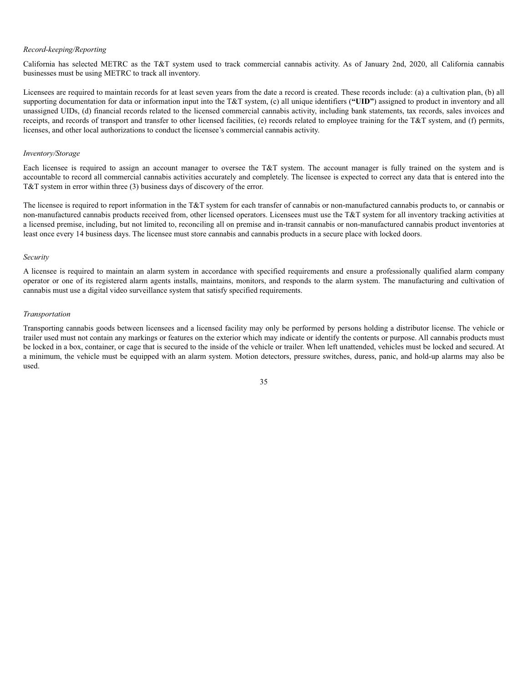#### *Record-keeping/Reporting*

California has selected METRC as the T&T system used to track commercial cannabis activity. As of January 2nd, 2020, all California cannabis businesses must be using METRC to track all inventory.

Licensees are required to maintain records for at least seven years from the date a record is created. These records include: (a) a cultivation plan, (b) all supporting documentation for data or information input into the T&T system, (c) all unique identifiers (**"UID"**) assigned to product in inventory and all unassigned UIDs, (d) financial records related to the licensed commercial cannabis activity, including bank statements, tax records, sales invoices and receipts, and records of transport and transfer to other licensed facilities, (e) records related to employee training for the  $T&T$  system, and (f) permits, licenses, and other local authorizations to conduct the licensee's commercial cannabis activity.

#### *Inventory/Storage*

Each licensee is required to assign an account manager to oversee the T&T system. The account manager is fully trained on the system and is accountable to record all commercial cannabis activities accurately and completely. The licensee is expected to correct any data that is entered into the T&T system in error within three (3) business days of discovery of the error.

The licensee is required to report information in the T&T system for each transfer of cannabis or non-manufactured cannabis products to, or cannabis or non-manufactured cannabis products received from, other licensed operators. Licensees must use the T&T system for all inventory tracking activities at a licensed premise, including, but not limited to, reconciling all on premise and in-transit cannabis or non-manufactured cannabis product inventories at least once every 14 business days. The licensee must store cannabis and cannabis products in a secure place with locked doors.

#### *Security*

A licensee is required to maintain an alarm system in accordance with specified requirements and ensure a professionally qualified alarm company operator or one of its registered alarm agents installs, maintains, monitors, and responds to the alarm system. The manufacturing and cultivation of cannabis must use a digital video surveillance system that satisfy specified requirements.

#### *Transportation*

Transporting cannabis goods between licensees and a licensed facility may only be performed by persons holding a distributor license. The vehicle or trailer used must not contain any markings or features on the exterior which may indicate or identify the contents or purpose. All cannabis products must be locked in a box, container, or cage that is secured to the inside of the vehicle or trailer. When left unattended, vehicles must be locked and secured. At a minimum, the vehicle must be equipped with an alarm system. Motion detectors, pressure switches, duress, panic, and hold-up alarms may also be used.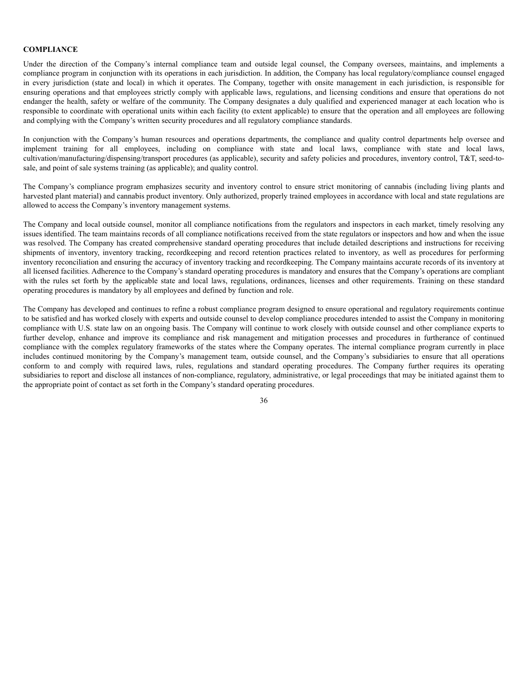### **COMPLIANCE**

Under the direction of the Company's internal compliance team and outside legal counsel, the Company oversees, maintains, and implements a compliance program in conjunction with its operations in each jurisdiction. In addition, the Company has local regulatory/compliance counsel engaged in every jurisdiction (state and local) in which it operates. The Company, together with onsite management in each jurisdiction, is responsible for ensuring operations and that employees strictly comply with applicable laws, regulations, and licensing conditions and ensure that operations do not endanger the health, safety or welfare of the community. The Company designates a duly qualified and experienced manager at each location who is responsible to coordinate with operational units within each facility (to extent applicable) to ensure that the operation and all employees are following and complying with the Company's written security procedures and all regulatory compliance standards.

In conjunction with the Company's human resources and operations departments, the compliance and quality control departments help oversee and implement training for all employees, including on compliance with state and local laws, compliance with state and local laws, cultivation/manufacturing/dispensing/transport procedures (as applicable), security and safety policies and procedures, inventory control, T&T, seed-tosale, and point of sale systems training (as applicable); and quality control.

The Company's compliance program emphasizes security and inventory control to ensure strict monitoring of cannabis (including living plants and harvested plant material) and cannabis product inventory. Only authorized, properly trained employees in accordance with local and state regulations are allowed to access the Company's inventory management systems.

The Company and local outside counsel, monitor all compliance notifications from the regulators and inspectors in each market, timely resolving any issues identified. The team maintains records of all compliance notifications received from the state regulators or inspectors and how and when the issue was resolved. The Company has created comprehensive standard operating procedures that include detailed descriptions and instructions for receiving shipments of inventory, inventory tracking, recordkeeping and record retention practices related to inventory, as well as procedures for performing inventory reconciliation and ensuring the accuracy of inventory tracking and recordkeeping. The Company maintains accurate records of its inventory at all licensed facilities. Adherence to the Company's standard operating procedures is mandatory and ensures that the Company's operations are compliant with the rules set forth by the applicable state and local laws, regulations, ordinances, licenses and other requirements. Training on these standard operating procedures is mandatory by all employees and defined by function and role.

The Company has developed and continues to refine a robust compliance program designed to ensure operational and regulatory requirements continue to be satisfied and has worked closely with experts and outside counsel to develop compliance procedures intended to assist the Company in monitoring compliance with U.S. state law on an ongoing basis. The Company will continue to work closely with outside counsel and other compliance experts to further develop, enhance and improve its compliance and risk management and mitigation processes and procedures in furtherance of continued compliance with the complex regulatory frameworks of the states where the Company operates. The internal compliance program currently in place includes continued monitoring by the Company's management team, outside counsel, and the Company's subsidiaries to ensure that all operations conform to and comply with required laws, rules, regulations and standard operating procedures. The Company further requires its operating subsidiaries to report and disclose all instances of non-compliance, regulatory, administrative, or legal proceedings that may be initiated against them to the appropriate point of contact as set forth in the Company's standard operating procedures.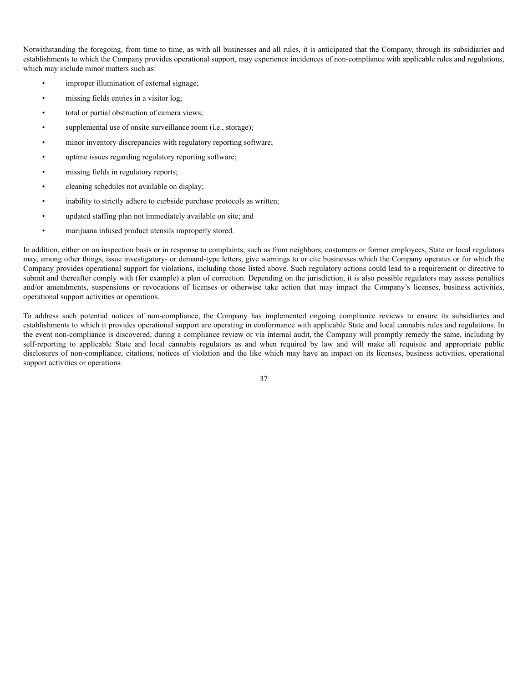Notwithstanding the foregoing, from time to time, as with all businesses and all rules, it is anticipated that the Company, through its subsidiaries and establishments to which the Company provides operational support, may experience incidences of non-compliance with applicable rules and regulations, which may include minor matters such as:

- improper illumination of external signage;
- missing fields entries in a visitor log;
- total or partial obstruction of camera views;
- supplemental use of onsite surveillance room (i.e., storage);
- minor inventory discrepancies with regulatory reporting software;
- uptime issues regarding regulatory reporting software;
- missing fields in regulatory reports;
- cleaning schedules not available on display;
- inability to strictly adhere to curbside purchase protocols as written;
- updated staffing plan not immediately available on site; and
- marijuana infused product utensils improperly stored.

In addition, either on an inspection basis or in response to complaints, such as from neighbors, customers or former employees, State or local regulators may, among other things, issue investigatory- or demand-type letters, give warnings to or cite businesses which the Company operates or for which the Company provides operational support for violations, including those listed above. Such regulatory actions could lead to a requirement or directive to submit and thereafter comply with (for example) a plan of correction. Depending on the jurisdiction, it is also possible regulators may assess penalties and/or amendments, suspensions or revocations of licenses or otherwise take action that may impact the Company's licenses, business activities, operational support activities or operations.

To address such potential notices of non-compliance, the Company has implemented ongoing compliance reviews to ensure its subsidiaries and establishments to which it provides operational support are operating in conformance with applicable State and local cannabis rules and regulations. In the event non-compliance is discovered, during a compliance review or via internal audit, the Company will promptly remedy the same, including by self-reporting to applicable State and local cannabis regulators as and when required by law and will make all requisite and appropriate public disclosures of non-compliance, citations, notices of violation and the like which may have an impact on its licenses, business activities, operational support activities or operations.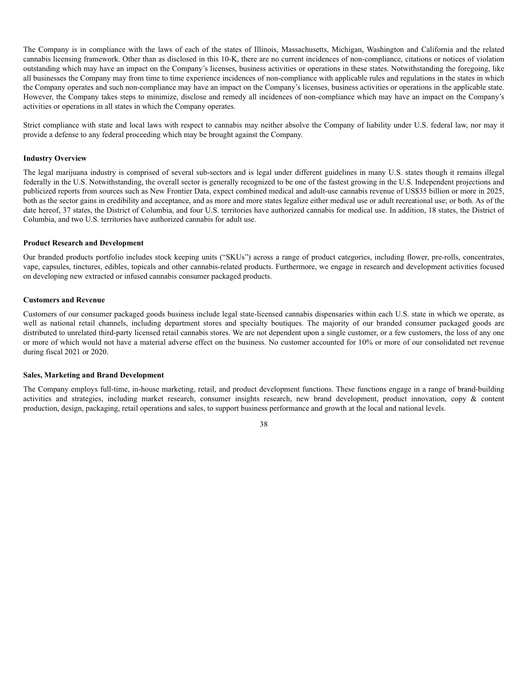The Company is in compliance with the laws of each of the states of Illinois, Massachusetts, Michigan, Washington and California and the related cannabis licensing framework. Other than as disclosed in this 10-K, there are no current incidences of non-compliance, citations or notices of violation outstanding which may have an impact on the Company's licenses, business activities or operations in these states. Notwithstanding the foregoing, like all businesses the Company may from time to time experience incidences of non-compliance with applicable rules and regulations in the states in which the Company operates and such non-compliance may have an impact on the Company's licenses, business activities or operations in the applicable state. However, the Company takes steps to minimize, disclose and remedy all incidences of non-compliance which may have an impact on the Company's activities or operations in all states in which the Company operates.

Strict compliance with state and local laws with respect to cannabis may neither absolve the Company of liability under U.S. federal law, nor may it provide a defense to any federal proceeding which may be brought against the Company.

#### **Industry Overview**

The legal marijuana industry is comprised of several sub-sectors and is legal under different guidelines in many U.S. states though it remains illegal federally in the U.S. Notwithstanding, the overall sector is generally recognized to be one of the fastest growing in the U.S. Independent projections and publicized reports from sources such as New Frontier Data, expect combined medical and adult-use cannabis revenue of US\$35 billion or more in 2025, both as the sector gains in credibility and acceptance, and as more and more states legalize either medical use or adult recreational use; or both. As of the date hereof, 37 states, the District of Columbia, and four U.S. territories have authorized cannabis for medical use. In addition, 18 states, the District of Columbia, and two U.S. territories have authorized cannabis for adult use.

### **Product Research and Development**

Our branded products portfolio includes stock keeping units ("SKUs") across a range of product categories, including flower, pre-rolls, concentrates, vape, capsules, tinctures, edibles, topicals and other cannabis-related products. Furthermore, we engage in research and development activities focused on developing new extracted or infused cannabis consumer packaged products.

### **Customers and Revenue**

Customers of our consumer packaged goods business include legal state-licensed cannabis dispensaries within each U.S. state in which we operate, as well as national retail channels, including department stores and specialty boutiques. The majority of our branded consumer packaged goods are distributed to unrelated third-party licensed retail cannabis stores. We are not dependent upon a single customer, or a few customers, the loss of any one or more of which would not have a material adverse effect on the business. No customer accounted for 10% or more of our consolidated net revenue during fiscal 2021 or 2020.

#### **Sales, Marketing and Brand Development**

The Company employs full-time, in-house marketing, retail, and product development functions. These functions engage in a range of brand-building activities and strategies, including market research, consumer insights research, new brand development, product innovation, copy & content production, design, packaging, retail operations and sales, to support business performance and growth at the local and national levels.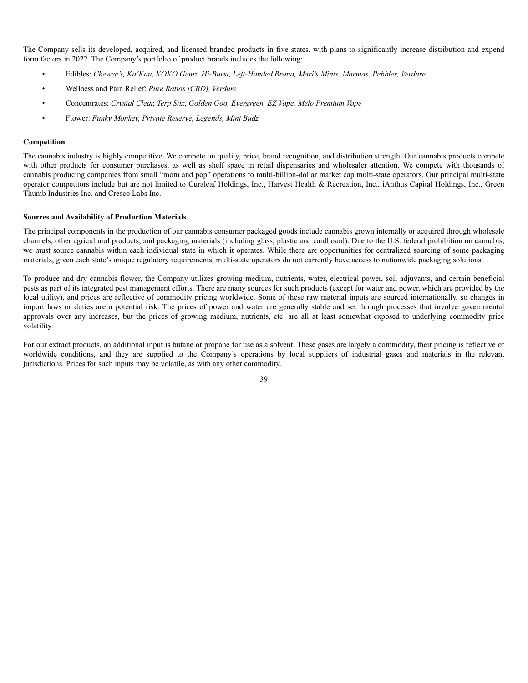The Company sells its developed, acquired, and licensed branded products in five states, with plans to significantly increase distribution and expend form factors in 2022. The Company's portfolio of product brands includes the following:

- Edibles: *Chewee's, Ka'Kau, KOKO Gemz, Hi-Burst, Left-Handed Brand, Mari's Mints, Marmas, Pebbles, Verdure*
- Wellness and Pain Relief: *Pure Ratios (CBD), Verdure*
- Concentrates: *Crystal Clear, Terp Stix, Golden Goo, Evergreen, EZ Vape, Melo Premium Vape*
- Flower: *Funky Monkey, Private Reserve, Legends, Mini Budz*

### **Competition**

The cannabis industry is highly competitive. We compete on quality, price, brand recognition, and distribution strength. Our cannabis products compete with other products for consumer purchases, as well as shelf space in retail dispensaries and wholesaler attention. We compete with thousands of cannabis producing companies from small "mom and pop" operations to multi-billion-dollar market cap multi-state operators. Our principal multi-state operator competitors include but are not limited to Curaleaf Holdings, Inc., Harvest Health & Recreation, Inc., iAnthus Capital Holdings, Inc., Green Thumb Industries Inc. and Cresco Labs Inc.

#### **Sources and Availability of Production Materials**

The principal components in the production of our cannabis consumer packaged goods include cannabis grown internally or acquired through wholesale channels, other agricultural products, and packaging materials (including glass, plastic and cardboard). Due to the U.S. federal prohibition on cannabis, we must source cannabis within each individual state in which it operates. While there are opportunities for centralized sourcing of some packaging materials, given each state's unique regulatory requirements, multi-state operators do not currently have access to nationwide packaging solutions.

To produce and dry cannabis flower, the Company utilizes growing medium, nutrients, water, electrical power, soil adjuvants, and certain beneficial pests as part of its integrated pest management efforts. There are many sources for such products (except for water and power, which are provided by the local utility), and prices are reflective of commodity pricing worldwide. Some of these raw material inputs are sourced internationally, so changes in import laws or duties are a potential risk. The prices of power and water are generally stable and set through processes that involve governmental approvals over any increases, but the prices of growing medium, nutrients, etc. are all at least somewhat exposed to underlying commodity price volatility.

For our extract products, an additional input is butane or propane for use as a solvent. These gases are largely a commodity, their pricing is reflective of worldwide conditions, and they are supplied to the Company's operations by local suppliers of industrial gases and materials in the relevant jurisdictions. Prices for such inputs may be volatile, as with any other commodity.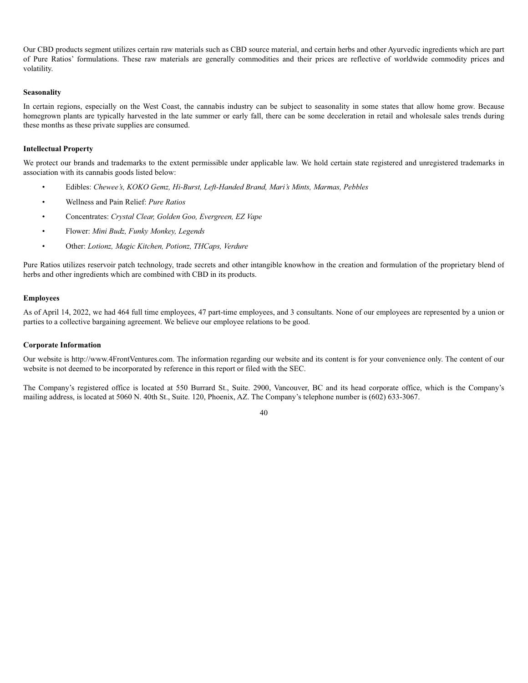Our CBD products segment utilizes certain raw materials such as CBD source material, and certain herbs and other Ayurvedic ingredients which are part of Pure Ratios' formulations. These raw materials are generally commodities and their prices are reflective of worldwide commodity prices and volatility.

#### **Seasonality**

In certain regions, especially on the West Coast, the cannabis industry can be subject to seasonality in some states that allow home grow. Because homegrown plants are typically harvested in the late summer or early fall, there can be some deceleration in retail and wholesale sales trends during these months as these private supplies are consumed.

### **Intellectual Property**

We protect our brands and trademarks to the extent permissible under applicable law. We hold certain state registered and unregistered trademarks in association with its cannabis goods listed below:

- Edibles: *Chewee's, KOKO Gemz, Hi-Burst, Left-Handed Brand, Mari's Mints, Marmas, Pebbles*
- Wellness and Pain Relief: *Pure Ratios*
- Concentrates: *Crystal Clear, Golden Goo, Evergreen, EZ Vape*
- Flower: *Mini Budz, Funky Monkey, Legends*
- Other: *Lotionz, Magic Kitchen, Potionz, THCaps, Verdure*

Pure Ratios utilizes reservoir patch technology, trade secrets and other intangible knowhow in the creation and formulation of the proprietary blend of herbs and other ingredients which are combined with CBD in its products.

### **Employees**

As of April 14, 2022, we had 464 full time employees, 47 part-time employees, and 3 consultants. None of our employees are represented by a union or parties to a collective bargaining agreement. We believe our employee relations to be good.

#### **Corporate Information**

Our website is http://www.4FrontVentures.com. The information regarding our website and its content is for your convenience only. The content of our website is not deemed to be incorporated by reference in this report or filed with the SEC.

The Company's registered office is located at 550 Burrard St., Suite. 2900, Vancouver, BC and its head corporate office, which is the Company's mailing address, is located at 5060 N. 40th St., Suite. 120, Phoenix, AZ. The Company's telephone number is (602) 633-3067.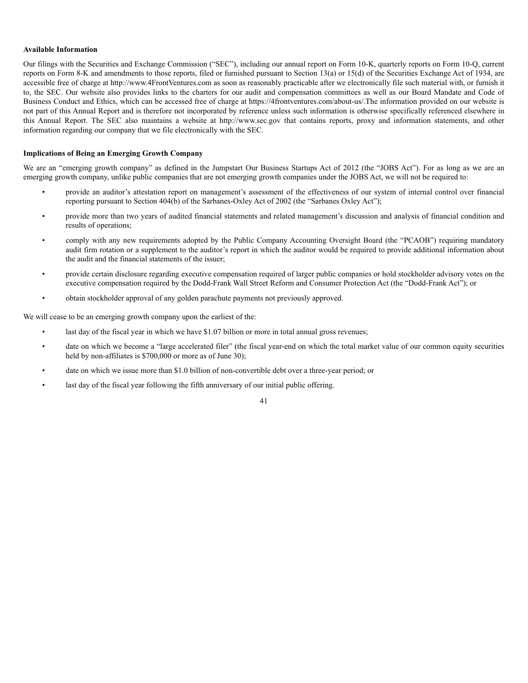#### **Available Information**

Our filings with the Securities and Exchange Commission ("SEC"), including our annual report on Form 10-K, quarterly reports on Form 10-Q, current reports on Form 8-K and amendments to those reports, filed or furnished pursuant to Section 13(a) or 15(d) of the Securities Exchange Act of 1934, are accessible free of charge at http://www.4FrontVentures.com as soon as reasonably practicable after we electronically file such material with, or furnish it to, the SEC. Our website also provides links to the charters for our audit and compensation committees as well as our Board Mandate and Code of Business Conduct and Ethics, which can be accessed free of charge at https://4frontventures.com/about-us/.The information provided on our website is not part of this Annual Report and is therefore not incorporated by reference unless such information is otherwise specifically referenced elsewhere in this Annual Report. The SEC also maintains a website at http://www.sec.gov that contains reports, proxy and information statements, and other information regarding our company that we file electronically with the SEC.

### **Implications of Being an Emerging Growth Company**

We are an "emerging growth company" as defined in the Jumpstart Our Business Startups Act of 2012 (the "JOBS Act"). For as long as we are an emerging growth company, unlike public companies that are not emerging growth companies under the JOBS Act, we will not be required to:

- provide an auditor's attestation report on management's assessment of the effectiveness of our system of internal control over financial reporting pursuant to Section 404(b) of the Sarbanes-Oxley Act of 2002 (the "Sarbanes Oxley Act");
- provide more than two years of audited financial statements and related management's discussion and analysis of financial condition and results of operations;
- comply with any new requirements adopted by the Public Company Accounting Oversight Board (the "PCAOB") requiring mandatory audit firm rotation or a supplement to the auditor's report in which the auditor would be required to provide additional information about the audit and the financial statements of the issuer;
- provide certain disclosure regarding executive compensation required of larger public companies or hold stockholder advisory votes on the executive compensation required by the Dodd-Frank Wall Street Reform and Consumer Protection Act (the "Dodd-Frank Act"); or
- obtain stockholder approval of any golden parachute payments not previously approved.

We will cease to be an emerging growth company upon the earliest of the:

- last day of the fiscal year in which we have \$1.07 billion or more in total annual gross revenues;
- date on which we become a "large accelerated filer" (the fiscal year-end on which the total market value of our common equity securities held by non-affiliates is \$700,000 or more as of June 30);
- date on which we issue more than \$1.0 billion of non-convertible debt over a three-year period; or
- last day of the fiscal year following the fifth anniversary of our initial public offering.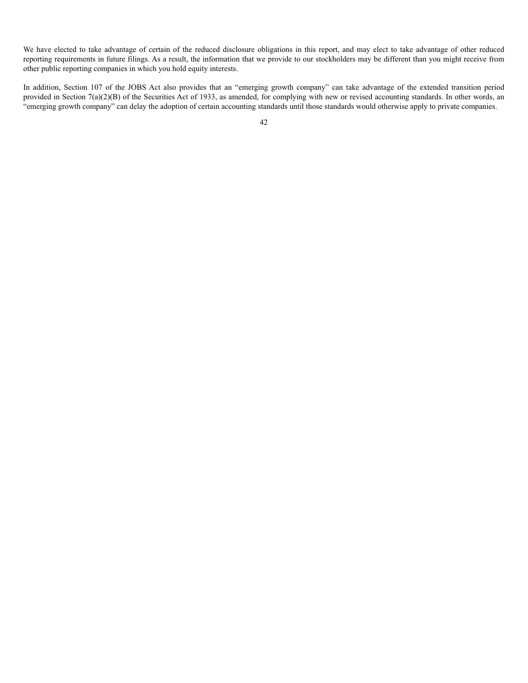We have elected to take advantage of certain of the reduced disclosure obligations in this report, and may elect to take advantage of other reduced reporting requirements in future filings. As a result, the information that we provide to our stockholders may be different than you might receive from other public reporting companies in which you hold equity interests.

In addition, Section 107 of the JOBS Act also provides that an "emerging growth company" can take advantage of the extended transition period provided in Section 7(a)(2)(B) of the Securities Act of 1933, as amended, for complying with new or revised accounting standards. In other words, an "emerging growth company" can delay the adoption of certain accounting standards until those standards would otherwise apply to private companies.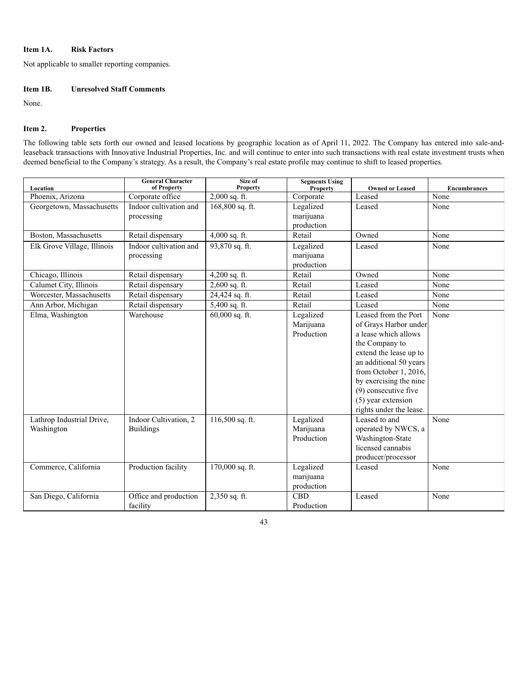## **Item 1A. Risk Factors**

Not applicable to smaller reporting companies.

# **Item 1B. Unresolved Staff Comments**

None.

# **Item 2. Properties**

The following table sets forth our owned and leased locations by geographic location as of April 11, 2022. The Company has entered into sale-andleaseback transactions with Innovative Industrial Properties, Inc. and will continue to enter into such transactions with real estate investment trusts when deemed beneficial to the Company's strategy. As a result, the Company's real estate profile may continue to shift to leased properties.

| Location                                                        | <b>General Character</b><br>of Property                          | Size of<br><b>Property</b>         | <b>Segments Using</b><br>Property                 | <b>Owned or Leased</b>                                                                                                                                                                                                                                                    | <b>Encumbrances</b> |
|-----------------------------------------------------------------|------------------------------------------------------------------|------------------------------------|---------------------------------------------------|---------------------------------------------------------------------------------------------------------------------------------------------------------------------------------------------------------------------------------------------------------------------------|---------------------|
| Phoenix, Arizona                                                | Corporate office                                                 | 2,000 sq. ft.                      | Corporate                                         | Leased                                                                                                                                                                                                                                                                    | None                |
| Georgetown, Massachusetts                                       | Indoor cultivation and<br>processing                             | 168,800 sq. ft.                    | Legalized<br>marijuana<br>production              | Leased                                                                                                                                                                                                                                                                    | None                |
| Boston, Massachusetts                                           | Retail dispensary                                                | 4,000 sq. ft.                      | Retail                                            | Owned                                                                                                                                                                                                                                                                     | None                |
| Elk Grove Village, Illinois                                     | Indoor cultivation and<br>processing                             | 93,870 sq. ft.                     | Legalized<br>marijuana<br>production              | Leased                                                                                                                                                                                                                                                                    | None                |
| Chicago, Illinois                                               | Retail dispensary                                                | 4,200 sq. ft.                      | Retail                                            | Owned                                                                                                                                                                                                                                                                     | None                |
| Calumet City, Illinois                                          | Retail dispensary                                                | $2,600$ sq. ft.                    | Retail                                            | Leased                                                                                                                                                                                                                                                                    | None                |
| Worcester, Massachusetts                                        | Retail dispensary                                                | 24,424 sq. ft.                     | Retail                                            | Leased                                                                                                                                                                                                                                                                    | None                |
| Ann Arbor, Michigan                                             | Retail dispensary                                                | 5,400 sq. ft.                      | Retail                                            | Leased                                                                                                                                                                                                                                                                    | None                |
| Elma, Washington                                                | Warehouse                                                        | $60,000$ sq. ft.                   | Legalized<br>Marijuana<br>Production              | Leased from the Port<br>of Grays Harbor under<br>a lease which allows<br>the Company to<br>extend the lease up to<br>an additional 50 years<br>from October 1, 2016,<br>by exercising the nine<br>$(9)$ consecutive five<br>(5) year extension<br>rights under the lease. | None                |
| Lathrop Industrial Drive,<br>Washington<br>Commerce, California | Indoor Cultivation, 2<br><b>Buildings</b><br>Production facility | 116,500 sq. ft.<br>170,000 sq. ft. | Legalized<br>Marijuana<br>Production<br>Legalized | Leased to and<br>operated by NWCS, a<br>Washington-State<br>licensed cannabis<br>producer/processor<br>Leased                                                                                                                                                             | None<br>None        |
|                                                                 |                                                                  |                                    | marijuana<br>production                           |                                                                                                                                                                                                                                                                           |                     |
| San Diego, California                                           | Office and production<br>facility                                | $2,350$ sq. ft.                    | <b>CBD</b><br>Production                          | Leased                                                                                                                                                                                                                                                                    | None                |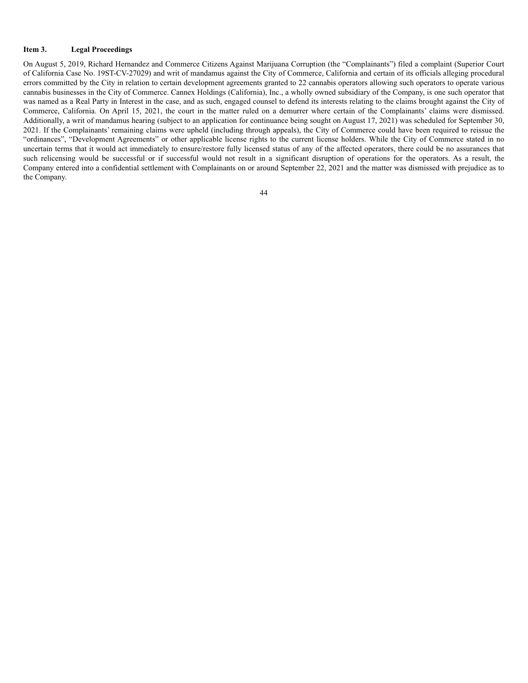#### **Item 3. Legal Proceedings**

On August 5, 2019, Richard Hernandez and Commerce Citizens Against Marijuana Corruption (the "Complainants") filed a complaint (Superior Court of California Case No. 19ST-CV-27029) and writ of mandamus against the City of Commerce, California and certain of its officials alleging procedural errors committed by the City in relation to certain development agreements granted to 22 cannabis operators allowing such operators to operate various cannabis businesses in the City of Commerce. Cannex Holdings (California), Inc., a wholly owned subsidiary of the Company, is one such operator that was named as a Real Party in Interest in the case, and as such, engaged counsel to defend its interests relating to the claims brought against the City of Commerce, California. On April 15, 2021, the court in the matter ruled on a demurrer where certain of the Complainants' claims were dismissed. Additionally, a writ of mandamus hearing (subject to an application for continuance being sought on August 17, 2021) was scheduled for September 30, 2021. If the Complainants' remaining claims were upheld (including through appeals), the City of Commerce could have been required to reissue the "ordinances", "Development Agreements" or other applicable license rights to the current license holders. While the City of Commerce stated in no uncertain terms that it would act immediately to ensure/restore fully licensed status of any of the affected operators, there could be no assurances that such relicensing would be successful or if successful would not result in a significant disruption of operations for the operators. As a result, the Company entered into a confidential settlement with Complainants on or around September 22, 2021 and the matter was dismissed with prejudice as to the Company.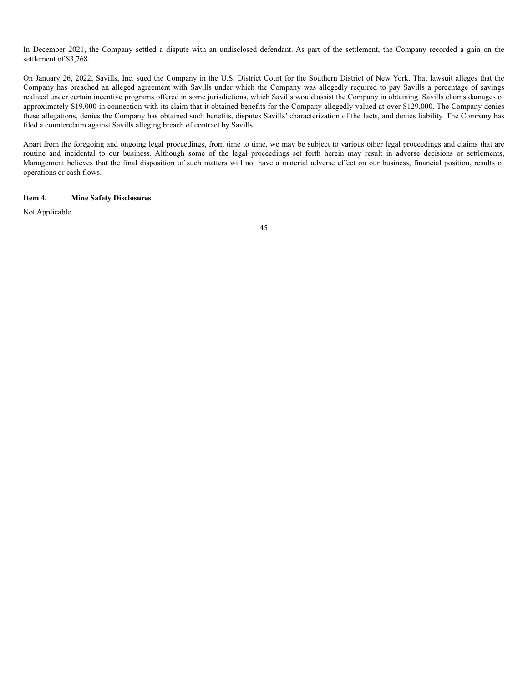In December 2021, the Company settled a dispute with an undisclosed defendant. As part of the settlement, the Company recorded a gain on the settlement of \$3,768.

On January 26, 2022, Savills, Inc. sued the Company in the U.S. District Court for the Southern District of New York. That lawsuit alleges that the Company has breached an alleged agreement with Savills under which the Company was allegedly required to pay Savills a percentage of savings realized under certain incentive programs offered in some jurisdictions, which Savills would assist the Company in obtaining. Savills claims damages of approximately \$19,000 in connection with its claim that it obtained benefits for the Company allegedly valued at over \$129,000. The Company denies these allegations, denies the Company has obtained such benefits, disputes Savills' characterization of the facts, and denies liability. The Company has filed a counterclaim against Savills alleging breach of contract by Savills.

Apart from the foregoing and ongoing legal proceedings, from time to time, we may be subject to various other legal proceedings and claims that are routine and incidental to our business. Although some of the legal proceedings set forth herein may result in adverse decisions or settlements, Management believes that the final disposition of such matters will not have a material adverse effect on our business, financial position, results of operations or cash flows.

# **Item 4. Mine Safety Disclosures**

Not Applicable.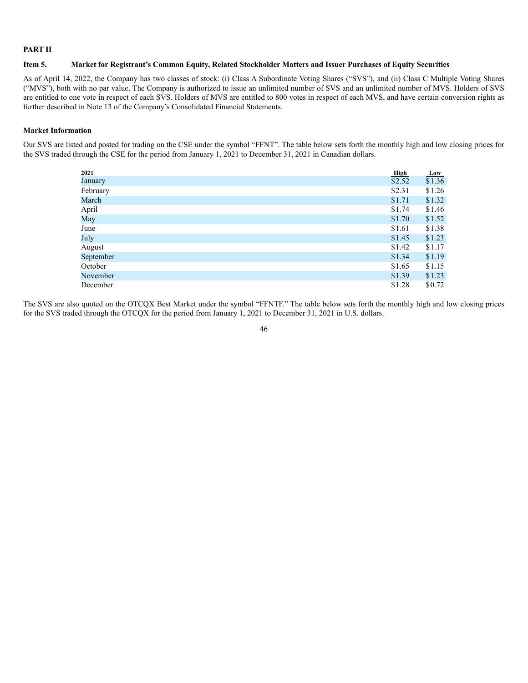### **PART II**

### **Item 5. Market for Registrant's Common Equity, Related Stockholder Matters and Issuer Purchases of Equity Securities**

As of April 14, 2022, the Company has two classes of stock: (i) Class A Subordinate Voting Shares ("SVS"), and (ii) Class C Multiple Voting Shares ("MVS"), both with no par value. The Company is authorized to issue an unlimited number of SVS and an unlimited number of MVS. Holders of SVS are entitled to one vote in respect of each SVS. Holders of MVS are entitled to 800 votes in respect of each MVS, and have certain conversion rights as further described in Note 13 of the Company's Consolidated Financial Statements.

#### **Market Information**

Our SVS are listed and posted for trading on the CSE under the symbol "FFNT". The table below sets forth the monthly high and low closing prices for the SVS traded through the CSE for the period from January 1, 2021 to December 31, 2021 in Canadian dollars.

| 2021      | <b>High</b> | Low    |
|-----------|-------------|--------|
| January   | \$2.52      | \$1.36 |
| February  | \$2.31      | \$1.26 |
| March     | \$1.71      | \$1.32 |
| April     | \$1.74      | \$1.46 |
| May       | \$1.70      | \$1.52 |
| June      | \$1.61      | \$1.38 |
| July      | \$1.45      | \$1.23 |
| August    | \$1.42      | \$1.17 |
| September | \$1.34      | \$1.19 |
| October   | \$1.65      | \$1.15 |
| November  | \$1.39      | \$1.23 |
| December  | \$1.28      | \$0.72 |

The SVS are also quoted on the OTCQX Best Market under the symbol "FFNTF." The table below sets forth the monthly high and low closing prices for the SVS traded through the OTCQX for the period from January 1, 2021 to December 31, 2021 in U.S. dollars.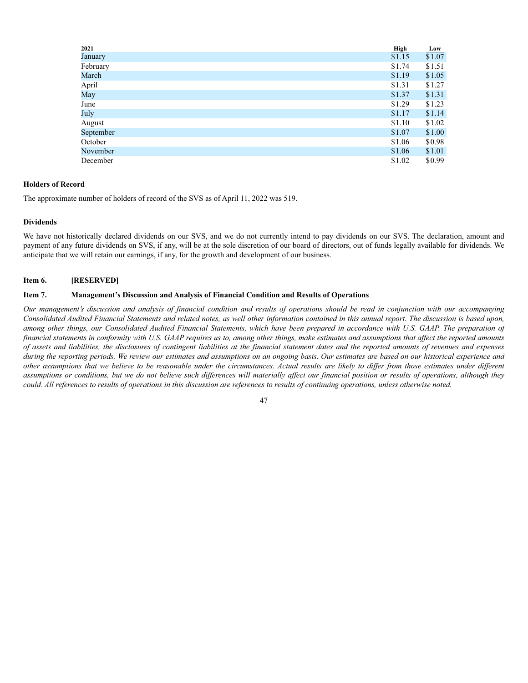| 2021      | <b>High</b> | Low    |
|-----------|-------------|--------|
| January   | \$1.15      | \$1.07 |
| February  | \$1.74      | \$1.51 |
| March     | \$1.19      | \$1.05 |
| April     | \$1.31      | \$1.27 |
| May       | \$1.37      | \$1.31 |
| June      | \$1.29      | \$1.23 |
| July      | \$1.17      | \$1.14 |
| August    | \$1.10      | \$1.02 |
| September | \$1.07      | \$1.00 |
| October   | \$1.06      | \$0.98 |
| November  | \$1.06      | \$1.01 |
| December  | \$1.02      | \$0.99 |

## **Holders of Record**

The approximate number of holders of record of the SVS as of April 11, 2022 was 519.

## **Dividends**

We have not historically declared dividends on our SVS, and we do not currently intend to pay dividends on our SVS. The declaration, amount and payment of any future dividends on SVS, if any, will be at the sole discretion of our board of directors, out of funds legally available for dividends. We anticipate that we will retain our earnings, if any, for the growth and development of our business.

# **Item 6. [RESERVED]**

#### **Item 7. Management's Discussion and Analysis of Financial Condition and Results of Operations**

*Our management's discussion and analysis of financial condition and results of operations should be read in conjunction with our accompanying Consolidated Audited Financial Statements and related notes, as well other information contained in this annual report. The discussion is based upon, among other things, our Consolidated Audited Financial Statements, which have been prepared in accordance with U.S. GAAP. The preparation of financial statements in conformity with U.S. GAAP requires us to, among other things, make estimates and assumptions that affect the reported amounts of assets and liabilities, the disclosures of contingent liabilities at the financial statement dates and the reported amounts of revenues and expenses during the reporting periods. We review our estimates and assumptions on an ongoing basis. Our estimates are based on our historical experience and other assumptions that we believe to be reasonable under the circumstances. Actual results are likely to differ from those estimates under different assumptions or conditions, but we do not believe such differences will materially affect our financial position or results of operations, although they could. All references to results of operations in this discussion are references to results of continuing operations, unless otherwise noted.*

<sup>47</sup>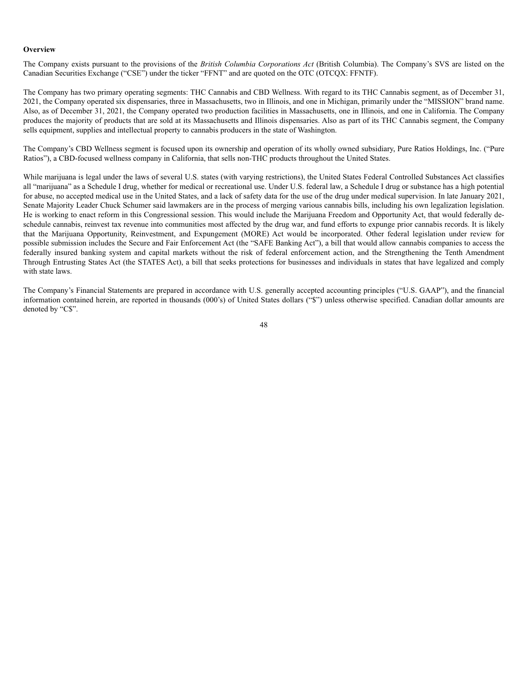#### **Overview**

The Company exists pursuant to the provisions of the *British Columbia Corporations Act* (British Columbia). The Company's SVS are listed on the Canadian Securities Exchange ("CSE") under the ticker "FFNT" and are quoted on the OTC (OTCQX: FFNTF).

The Company has two primary operating segments: THC Cannabis and CBD Wellness. With regard to its THC Cannabis segment, as of December 31, 2021, the Company operated six dispensaries, three in Massachusetts, two in Illinois, and one in Michigan, primarily under the "MISSION" brand name. Also, as of December 31, 2021, the Company operated two production facilities in Massachusetts, one in Illinois, and one in California. The Company produces the majority of products that are sold at its Massachusetts and Illinois dispensaries. Also as part of its THC Cannabis segment, the Company sells equipment, supplies and intellectual property to cannabis producers in the state of Washington.

The Company's CBD Wellness segment is focused upon its ownership and operation of its wholly owned subsidiary, Pure Ratios Holdings, Inc. ("Pure Ratios"), a CBD-focused wellness company in California, that sells non-THC products throughout the United States.

While marijuana is legal under the laws of several U.S. states (with varying restrictions), the United States Federal Controlled Substances Act classifies all "marijuana" as a Schedule I drug, whether for medical or recreational use. Under U.S. federal law, a Schedule I drug or substance has a high potential for abuse, no accepted medical use in the United States, and a lack of safety data for the use of the drug under medical supervision. In late January 2021, Senate Majority Leader Chuck Schumer said lawmakers are in the process of merging various cannabis bills, including his own legalization legislation. He is working to enact reform in this Congressional session. This would include the Marijuana Freedom and Opportunity Act, that would federally deschedule cannabis, reinvest tax revenue into communities most affected by the drug war, and fund efforts to expunge prior cannabis records. It is likely that the Marijuana Opportunity, Reinvestment, and Expungement (MORE) Act would be incorporated. Other federal legislation under review for possible submission includes the Secure and Fair Enforcement Act (the "SAFE Banking Act"), a bill that would allow cannabis companies to access the federally insured banking system and capital markets without the risk of federal enforcement action, and the Strengthening the Tenth Amendment Through Entrusting States Act (the STATES Act), a bill that seeks protections for businesses and individuals in states that have legalized and comply with state laws.

The Company's Financial Statements are prepared in accordance with U.S. generally accepted accounting principles ("U.S. GAAP"), and the financial information contained herein, are reported in thousands (000's) of United States dollars ("\$") unless otherwise specified. Canadian dollar amounts are denoted by "C\$".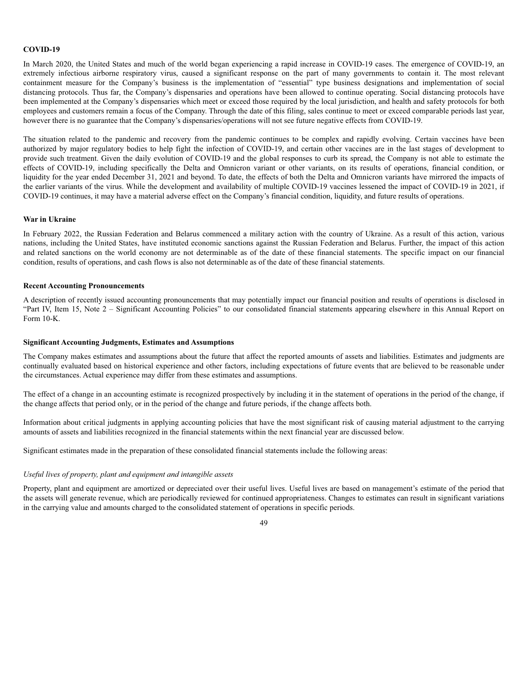#### **COVID-19**

In March 2020, the United States and much of the world began experiencing a rapid increase in COVID-19 cases. The emergence of COVID-19, an extremely infectious airborne respiratory virus, caused a significant response on the part of many governments to contain it. The most relevant containment measure for the Company's business is the implementation of "essential" type business designations and implementation of social distancing protocols. Thus far, the Company's dispensaries and operations have been allowed to continue operating. Social distancing protocols have been implemented at the Company's dispensaries which meet or exceed those required by the local jurisdiction, and health and safety protocols for both employees and customers remain a focus of the Company. Through the date of this filing, sales continue to meet or exceed comparable periods last year, however there is no guarantee that the Company's dispensaries/operations will not see future negative effects from COVID-19.

The situation related to the pandemic and recovery from the pandemic continues to be complex and rapidly evolving. Certain vaccines have been authorized by major regulatory bodies to help fight the infection of COVID-19, and certain other vaccines are in the last stages of development to provide such treatment. Given the daily evolution of COVID-19 and the global responses to curb its spread, the Company is not able to estimate the effects of COVID-19, including specifically the Delta and Omnicron variant or other variants, on its results of operations, financial condition, or liquidity for the year ended December 31, 2021 and beyond. To date, the effects of both the Delta and Omnicron variants have mirrored the impacts of the earlier variants of the virus. While the development and availability of multiple COVID-19 vaccines lessened the impact of COVID-19 in 2021, if COVID-19 continues, it may have a material adverse effect on the Company's financial condition, liquidity, and future results of operations.

#### **War in Ukraine**

In February 2022, the Russian Federation and Belarus commenced a military action with the country of Ukraine. As a result of this action, various nations, including the United States, have instituted economic sanctions against the Russian Federation and Belarus. Further, the impact of this action and related sanctions on the world economy are not determinable as of the date of these financial statements. The specific impact on our financial condition, results of operations, and cash flows is also not determinable as of the date of these financial statements.

### **Recent Accounting Pronouncements**

A description of recently issued accounting pronouncements that may potentially impact our financial position and results of operations is disclosed in "Part IV, Item 15, Note 2 – Significant Accounting Policies" to our consolidated financial statements appearing elsewhere in this Annual Report on Form 10-K.

# **Significant Accounting Judgments, Estimates and Assumptions**

The Company makes estimates and assumptions about the future that affect the reported amounts of assets and liabilities. Estimates and judgments are continually evaluated based on historical experience and other factors, including expectations of future events that are believed to be reasonable under the circumstances. Actual experience may differ from these estimates and assumptions.

The effect of a change in an accounting estimate is recognized prospectively by including it in the statement of operations in the period of the change, if the change affects that period only, or in the period of the change and future periods, if the change affects both.

Information about critical judgments in applying accounting policies that have the most significant risk of causing material adjustment to the carrying amounts of assets and liabilities recognized in the financial statements within the next financial year are discussed below.

Significant estimates made in the preparation of these consolidated financial statements include the following areas:

## *Useful lives of property, plant and equipment and intangible assets*

Property, plant and equipment are amortized or depreciated over their useful lives. Useful lives are based on management's estimate of the period that the assets will generate revenue, which are periodically reviewed for continued appropriateness. Changes to estimates can result in significant variations in the carrying value and amounts charged to the consolidated statement of operations in specific periods.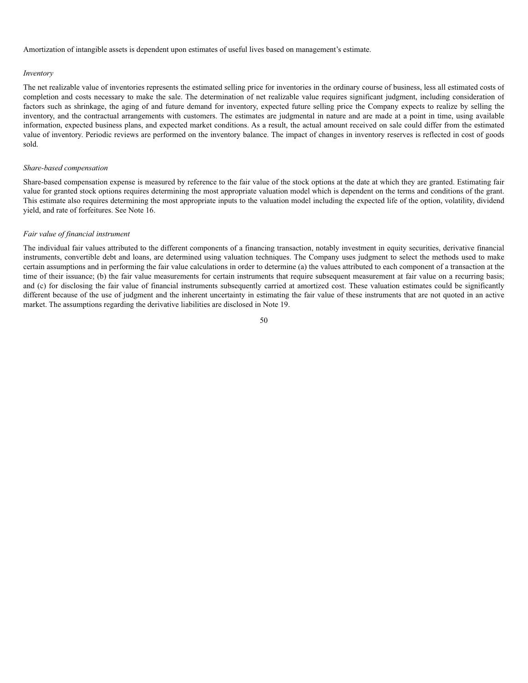Amortization of intangible assets is dependent upon estimates of useful lives based on management's estimate.

#### *Inventory*

The net realizable value of inventories represents the estimated selling price for inventories in the ordinary course of business, less all estimated costs of completion and costs necessary to make the sale. The determination of net realizable value requires significant judgment, including consideration of factors such as shrinkage, the aging of and future demand for inventory, expected future selling price the Company expects to realize by selling the inventory, and the contractual arrangements with customers. The estimates are judgmental in nature and are made at a point in time, using available information, expected business plans, and expected market conditions. As a result, the actual amount received on sale could differ from the estimated value of inventory. Periodic reviews are performed on the inventory balance. The impact of changes in inventory reserves is reflected in cost of goods sold.

#### *Share-based compensation*

Share-based compensation expense is measured by reference to the fair value of the stock options at the date at which they are granted. Estimating fair value for granted stock options requires determining the most appropriate valuation model which is dependent on the terms and conditions of the grant. This estimate also requires determining the most appropriate inputs to the valuation model including the expected life of the option, volatility, dividend yield, and rate of forfeitures. See Note 16.

#### *Fair value of financial instrument*

The individual fair values attributed to the different components of a financing transaction, notably investment in equity securities, derivative financial instruments, convertible debt and loans, are determined using valuation techniques. The Company uses judgment to select the methods used to make certain assumptions and in performing the fair value calculations in order to determine (a) the values attributed to each component of a transaction at the time of their issuance; (b) the fair value measurements for certain instruments that require subsequent measurement at fair value on a recurring basis; and (c) for disclosing the fair value of financial instruments subsequently carried at amortized cost. These valuation estimates could be significantly different because of the use of judgment and the inherent uncertainty in estimating the fair value of these instruments that are not quoted in an active market. The assumptions regarding the derivative liabilities are disclosed in Note 19.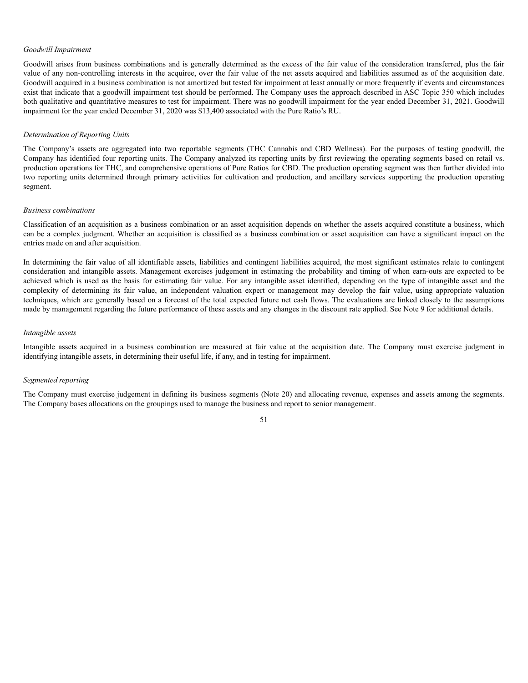#### *Goodwill Impairment*

Goodwill arises from business combinations and is generally determined as the excess of the fair value of the consideration transferred, plus the fair value of any non-controlling interests in the acquiree, over the fair value of the net assets acquired and liabilities assumed as of the acquisition date. Goodwill acquired in a business combination is not amortized but tested for impairment at least annually or more frequently if events and circumstances exist that indicate that a goodwill impairment test should be performed. The Company uses the approach described in ASC Topic 350 which includes both qualitative and quantitative measures to test for impairment. There was no goodwill impairment for the year ended December 31, 2021. Goodwill impairment for the year ended December 31, 2020 was \$13,400 associated with the Pure Ratio's RU.

#### *Determination of Reporting Units*

The Company's assets are aggregated into two reportable segments (THC Cannabis and CBD Wellness). For the purposes of testing goodwill, the Company has identified four reporting units. The Company analyzed its reporting units by first reviewing the operating segments based on retail vs. production operations for THC, and comprehensive operations of Pure Ratios for CBD. The production operating segment was then further divided into two reporting units determined through primary activities for cultivation and production, and ancillary services supporting the production operating segment.

#### *Business combinations*

Classification of an acquisition as a business combination or an asset acquisition depends on whether the assets acquired constitute a business, which can be a complex judgment. Whether an acquisition is classified as a business combination or asset acquisition can have a significant impact on the entries made on and after acquisition.

In determining the fair value of all identifiable assets, liabilities and contingent liabilities acquired, the most significant estimates relate to contingent consideration and intangible assets. Management exercises judgement in estimating the probability and timing of when earn-outs are expected to be achieved which is used as the basis for estimating fair value. For any intangible asset identified, depending on the type of intangible asset and the complexity of determining its fair value, an independent valuation expert or management may develop the fair value, using appropriate valuation techniques, which are generally based on a forecast of the total expected future net cash flows. The evaluations are linked closely to the assumptions made by management regarding the future performance of these assets and any changes in the discount rate applied. See Note 9 for additional details.

#### *Intangible assets*

Intangible assets acquired in a business combination are measured at fair value at the acquisition date. The Company must exercise judgment in identifying intangible assets, in determining their useful life, if any, and in testing for impairment.

### *Segmented reporting*

The Company must exercise judgement in defining its business segments (Note 20) and allocating revenue, expenses and assets among the segments. The Company bases allocations on the groupings used to manage the business and report to senior management.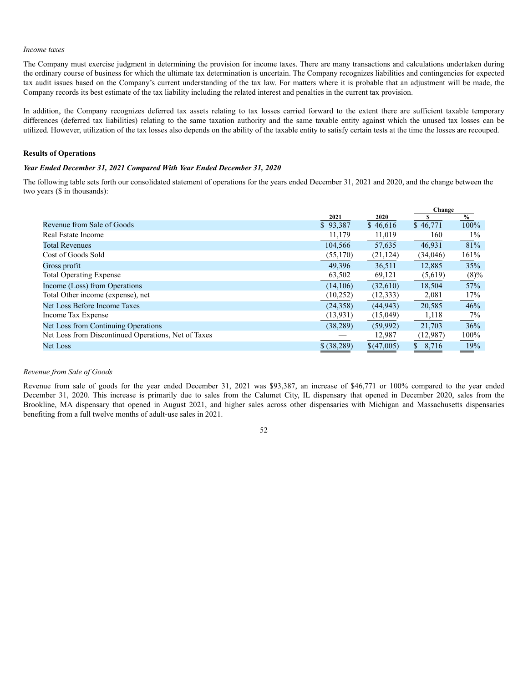#### *Income taxes*

The Company must exercise judgment in determining the provision for income taxes. There are many transactions and calculations undertaken during the ordinary course of business for which the ultimate tax determination is uncertain. The Company recognizes liabilities and contingencies for expected tax audit issues based on the Company's current understanding of the tax law. For matters where it is probable that an adjustment will be made, the Company records its best estimate of the tax liability including the related interest and penalties in the current tax provision.

In addition, the Company recognizes deferred tax assets relating to tax losses carried forward to the extent there are sufficient taxable temporary differences (deferred tax liabilities) relating to the same taxation authority and the same taxable entity against which the unused tax losses can be utilized. However, utilization of the tax losses also depends on the ability of the taxable entity to satisfy certain tests at the time the losses are recouped.

### **Results of Operations**

#### *Year Ended December 31, 2021 Compared With Year Ended December 31, 2020*

The following table sets forth our consolidated statement of operations for the years ended December 31, 2021 and 2020, and the change between the two years (\$ in thousands):

|                                                     |              |             | Change       |         |
|-----------------------------------------------------|--------------|-------------|--------------|---------|
|                                                     | 2021         | <b>2020</b> |              | $\%$    |
| Revenue from Sale of Goods                          | \$93,387     | \$46,616    | \$46,771     | 100%    |
| Real Estate Income                                  | 11,179       | 11,019      | 160          | $1\%$   |
| <b>Total Revenues</b>                               | 104,566      | 57,635      | 46,931       | 81%     |
| Cost of Goods Sold                                  | (55,170)     | (21, 124)   | (34, 046)    | 161%    |
| Gross profit                                        | 49,396       | 36,511      | 12,885       | 35%     |
| <b>Total Operating Expense</b>                      | 63,502       | 69,121      | (5,619)      | $(8)\%$ |
| Income (Loss) from Operations                       | (14,106)     | (32,610)    | 18,504       | 57%     |
| Total Other income (expense), net                   | (10, 252)    | (12, 333)   | 2,081        | 17%     |
| Net Loss Before Income Taxes                        | (24, 358)    | (44, 943)   | 20,585       | 46%     |
| Income Tax Expense                                  | (13,931)     | (15,049)    | 1,118        | $7\%$   |
| Net Loss from Continuing Operations                 | (38, 289)    | (59,992)    | 21,703       | 36%     |
| Net Loss from Discontinued Operations, Net of Taxes |              | 12,987      | (12,987)     | $100\%$ |
| <b>Net Loss</b>                                     | \$ (38, 289) | \$(47,005)  | 8,716<br>\$. | 19%     |
|                                                     |              |             |              |         |

#### *Revenue from Sale of Goods*

Revenue from sale of goods for the year ended December 31, 2021 was \$93,387, an increase of \$46,771 or 100% compared to the year ended December 31, 2020. This increase is primarily due to sales from the Calumet City, IL dispensary that opened in December 2020, sales from the Brookline, MA dispensary that opened in August 2021, and higher sales across other dispensaries with Michigan and Massachusetts dispensaries benefiting from a full twelve months of adult-use sales in 2021.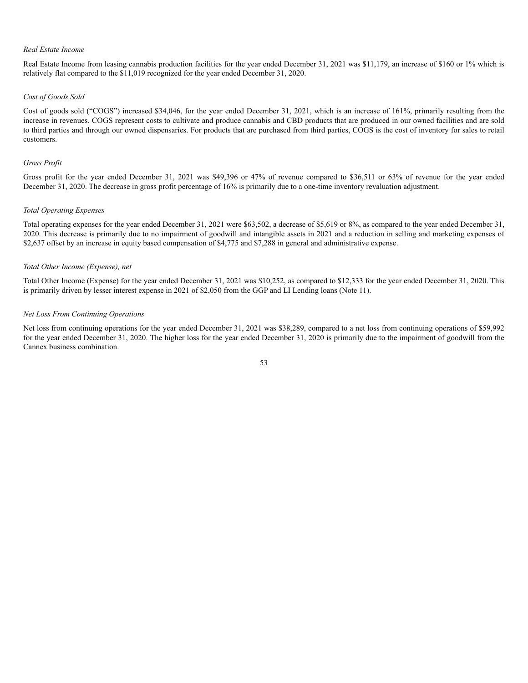#### *Real Estate Income*

Real Estate Income from leasing cannabis production facilities for the year ended December 31, 2021 was \$11,179, an increase of \$160 or 1% which is relatively flat compared to the \$11,019 recognized for the year ended December 31, 2020.

#### *Cost of Goods Sold*

Cost of goods sold ("COGS") increased \$34,046, for the year ended December 31, 2021, which is an increase of 161%, primarily resulting from the increase in revenues. COGS represent costs to cultivate and produce cannabis and CBD products that are produced in our owned facilities and are sold to third parties and through our owned dispensaries. For products that are purchased from third parties, COGS is the cost of inventory for sales to retail customers.

#### *Gross Profit*

Gross profit for the year ended December 31, 2021 was \$49,396 or 47% of revenue compared to \$36,511 or 63% of revenue for the year ended December 31, 2020. The decrease in gross profit percentage of 16% is primarily due to a one-time inventory revaluation adjustment.

### *Total Operating Expenses*

Total operating expenses for the year ended December 31, 2021 were \$63,502, a decrease of \$5,619 or 8%, as compared to the year ended December 31, 2020. This decrease is primarily due to no impairment of goodwill and intangible assets in 2021 and a reduction in selling and marketing expenses of \$2,637 offset by an increase in equity based compensation of \$4,775 and \$7,288 in general and administrative expense.

#### *Total Other Income (Expense), net*

Total Other Income (Expense) for the year ended December 31, 2021 was \$10,252, as compared to \$12,333 for the year ended December 31, 2020. This is primarily driven by lesser interest expense in 2021 of \$2,050 from the GGP and LI Lending loans (Note 11).

#### *Net Loss From Continuing Operations*

Net loss from continuing operations for the year ended December 31, 2021 was \$38,289, compared to a net loss from continuing operations of \$59,992 for the year ended December 31, 2020. The higher loss for the year ended December 31, 2020 is primarily due to the impairment of goodwill from the Cannex business combination.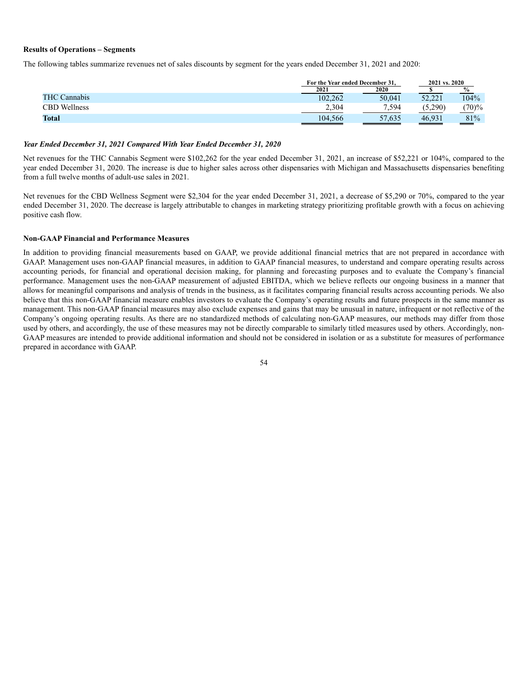#### **Results of Operations – Segments**

The following tables summarize revenues net of sales discounts by segment for the years ended December 31, 2021 and 2020:

| 2020<br>2021<br><b>THC Cannabis</b><br>102.262<br>50.041<br>52.221<br>المصدق | 2021 vs. 2020 |
|------------------------------------------------------------------------------|---------------|
|                                                                              | $\%$          |
|                                                                              | 104%          |
| (5.290)<br><b>CBD</b> Wellness<br>2.304<br>7.594                             | $(70)\%$      |
| 46.931<br>104.566<br>57.635<br><b>Total</b>                                  | 81%           |

### *Year Ended December 31, 2021 Compared With Year Ended December 31, 2020*

Net revenues for the THC Cannabis Segment were \$102,262 for the year ended December 31, 2021, an increase of \$52,221 or 104%, compared to the year ended December 31, 2020. The increase is due to higher sales across other dispensaries with Michigan and Massachusetts dispensaries benefiting from a full twelve months of adult-use sales in 2021.

Net revenues for the CBD Wellness Segment were \$2,304 for the year ended December 31, 2021, a decrease of \$5,290 or 70%, compared to the year ended December 31, 2020. The decrease is largely attributable to changes in marketing strategy prioritizing profitable growth with a focus on achieving positive cash flow.

#### **Non-GAAP Financial and Performance Measures**

In addition to providing financial measurements based on GAAP, we provide additional financial metrics that are not prepared in accordance with GAAP. Management uses non-GAAP financial measures, in addition to GAAP financial measures, to understand and compare operating results across accounting periods, for financial and operational decision making, for planning and forecasting purposes and to evaluate the Company's financial performance. Management uses the non-GAAP measurement of adjusted EBITDA, which we believe reflects our ongoing business in a manner that allows for meaningful comparisons and analysis of trends in the business, as it facilitates comparing financial results across accounting periods. We also believe that this non-GAAP financial measure enables investors to evaluate the Company's operating results and future prospects in the same manner as management. This non-GAAP financial measures may also exclude expenses and gains that may be unusual in nature, infrequent or not reflective of the Company's ongoing operating results. As there are no standardized methods of calculating non-GAAP measures, our methods may differ from those used by others, and accordingly, the use of these measures may not be directly comparable to similarly titled measures used by others. Accordingly, non-GAAP measures are intended to provide additional information and should not be considered in isolation or as a substitute for measures of performance prepared in accordance with GAAP.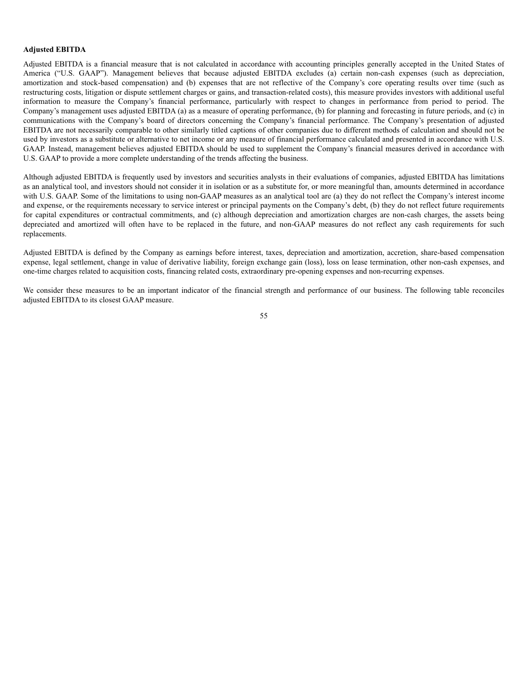### **Adjusted EBITDA**

Adjusted EBITDA is a financial measure that is not calculated in accordance with accounting principles generally accepted in the United States of America ("U.S. GAAP"). Management believes that because adjusted EBITDA excludes (a) certain non-cash expenses (such as depreciation, amortization and stock-based compensation) and (b) expenses that are not reflective of the Company's core operating results over time (such as restructuring costs, litigation or dispute settlement charges or gains, and transaction-related costs), this measure provides investors with additional useful information to measure the Company's financial performance, particularly with respect to changes in performance from period to period. The Company's management uses adjusted EBITDA (a) as a measure of operating performance, (b) for planning and forecasting in future periods, and (c) in communications with the Company's board of directors concerning the Company's financial performance. The Company's presentation of adjusted EBITDA are not necessarily comparable to other similarly titled captions of other companies due to different methods of calculation and should not be used by investors as a substitute or alternative to net income or any measure of financial performance calculated and presented in accordance with U.S. GAAP. Instead, management believes adjusted EBITDA should be used to supplement the Company's financial measures derived in accordance with U.S. GAAP to provide a more complete understanding of the trends affecting the business.

Although adjusted EBITDA is frequently used by investors and securities analysts in their evaluations of companies, adjusted EBITDA has limitations as an analytical tool, and investors should not consider it in isolation or as a substitute for, or more meaningful than, amounts determined in accordance with U.S. GAAP. Some of the limitations to using non-GAAP measures as an analytical tool are (a) they do not reflect the Company's interest income and expense, or the requirements necessary to service interest or principal payments on the Company's debt, (b) they do not reflect future requirements for capital expenditures or contractual commitments, and (c) although depreciation and amortization charges are non-cash charges, the assets being depreciated and amortized will often have to be replaced in the future, and non-GAAP measures do not reflect any cash requirements for such replacements.

Adjusted EBITDA is defined by the Company as earnings before interest, taxes, depreciation and amortization, accretion, share-based compensation expense, legal settlement, change in value of derivative liability, foreign exchange gain (loss), loss on lease termination, other non-cash expenses, and one-time charges related to acquisition costs, financing related costs, extraordinary pre-opening expenses and non-recurring expenses.

We consider these measures to be an important indicator of the financial strength and performance of our business. The following table reconciles adjusted EBITDA to its closest GAAP measure.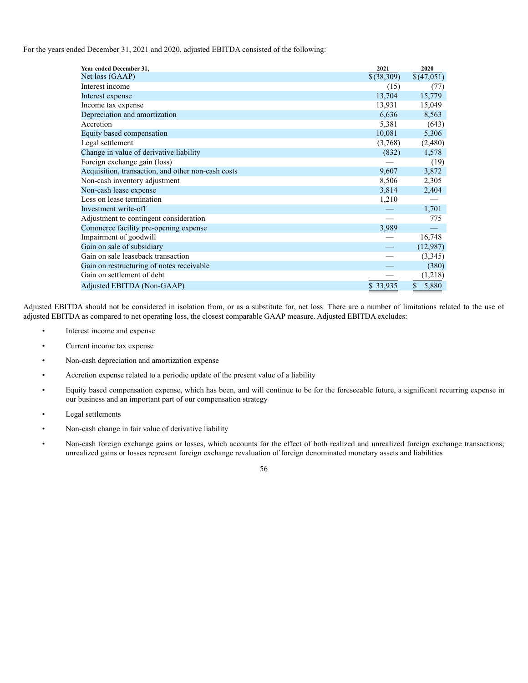For the years ended December 31, 2021 and 2020, adjusted EBITDA consisted of the following:

| Year ended December 31,                            | 2021       | 2020        |
|----------------------------------------------------|------------|-------------|
| Net loss (GAAP)                                    | \$(38,309) | \$(47,051)  |
| Interest income                                    | (15)       | (77)        |
| Interest expense                                   | 13,704     | 15,779      |
| Income tax expense                                 | 13,931     | 15,049      |
| Depreciation and amortization                      | 6,636      | 8,563       |
| Accretion                                          | 5,381      | (643)       |
| Equity based compensation                          | 10,081     | 5,306       |
| Legal settlement                                   | (3,768)    | (2,480)     |
| Change in value of derivative liability            | (832)      | 1,578       |
| Foreign exchange gain (loss)                       |            | (19)        |
| Acquisition, transaction, and other non-cash costs | 9,607      | 3,872       |
| Non-cash inventory adjustment                      | 8,506      | 2,305       |
| Non-cash lease expense                             | 3,814      | 2,404       |
| Loss on lease termination                          | 1,210      |             |
| Investment write-off                               |            | 1,701       |
| Adjustment to contingent consideration             |            | 775         |
| Commerce facility pre-opening expense              | 3,989      |             |
| Impairment of goodwill                             |            | 16,748      |
| Gain on sale of subsidiary                         |            | (12,987)    |
| Gain on sale leaseback transaction                 |            | (3,345)     |
| Gain on restructuring of notes receivable          |            | (380)       |
| Gain on settlement of debt                         |            | (1,218)     |
| Adjusted EBITDA (Non-GAAP)                         | \$33,935   | \$<br>5,880 |

Adjusted EBITDA should not be considered in isolation from, or as a substitute for, net loss. There are a number of limitations related to the use of adjusted EBITDA as compared to net operating loss, the closest comparable GAAP measure. Adjusted EBITDA excludes:

- Interest income and expense
- Current income tax expense
- Non-cash depreciation and amortization expense
- Accretion expense related to a periodic update of the present value of a liability
- Equity based compensation expense, which has been, and will continue to be for the foreseeable future, a significant recurring expense in our business and an important part of our compensation strategy
- Legal settlements
- Non-cash change in fair value of derivative liability
- Non-cash foreign exchange gains or losses, which accounts for the effect of both realized and unrealized foreign exchange transactions; unrealized gains or losses represent foreign exchange revaluation of foreign denominated monetary assets and liabilities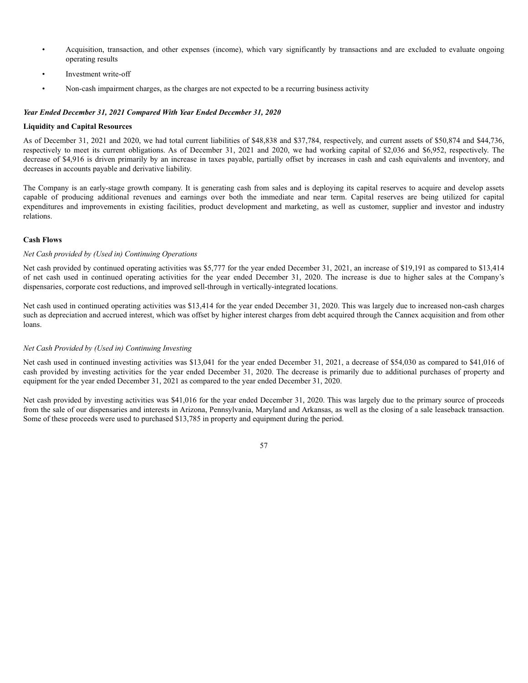- Acquisition, transaction, and other expenses (income), which vary significantly by transactions and are excluded to evaluate ongoing operating results
- Investment write-off
- Non-cash impairment charges, as the charges are not expected to be a recurring business activity

# *Year Ended December 31, 2021 Compared With Year Ended December 31, 2020*

# **Liquidity and Capital Resources**

As of December 31, 2021 and 2020, we had total current liabilities of \$48,838 and \$37,784, respectively, and current assets of \$50,874 and \$44,736, respectively to meet its current obligations. As of December 31, 2021 and 2020, we had working capital of \$2,036 and \$6,952, respectively. The decrease of \$4,916 is driven primarily by an increase in taxes payable, partially offset by increases in cash and cash equivalents and inventory, and decreases in accounts payable and derivative liability.

The Company is an early-stage growth company. It is generating cash from sales and is deploying its capital reserves to acquire and develop assets capable of producing additional revenues and earnings over both the immediate and near term. Capital reserves are being utilized for capital expenditures and improvements in existing facilities, product development and marketing, as well as customer, supplier and investor and industry relations.

## **Cash Flows**

#### *Net Cash provided by (Used in) Continuing Operations*

Net cash provided by continued operating activities was \$5,777 for the year ended December 31, 2021, an increase of \$19,191 as compared to \$13,414 of net cash used in continued operating activities for the year ended December 31, 2020. The increase is due to higher sales at the Company's dispensaries, corporate cost reductions, and improved sell-through in vertically-integrated locations.

Net cash used in continued operating activities was \$13,414 for the year ended December 31, 2020. This was largely due to increased non-cash charges such as depreciation and accrued interest, which was offset by higher interest charges from debt acquired through the Cannex acquisition and from other loans.

#### *Net Cash Provided by (Used in) Continuing Investing*

Net cash used in continued investing activities was \$13,041 for the year ended December 31, 2021, a decrease of \$54,030 as compared to \$41,016 of cash provided by investing activities for the year ended December 31, 2020. The decrease is primarily due to additional purchases of property and equipment for the year ended December 31, 2021 as compared to the year ended December 31, 2020.

Net cash provided by investing activities was \$41,016 for the year ended December 31, 2020. This was largely due to the primary source of proceeds from the sale of our dispensaries and interests in Arizona, Pennsylvania, Maryland and Arkansas, as well as the closing of a sale leaseback transaction. Some of these proceeds were used to purchased \$13,785 in property and equipment during the period.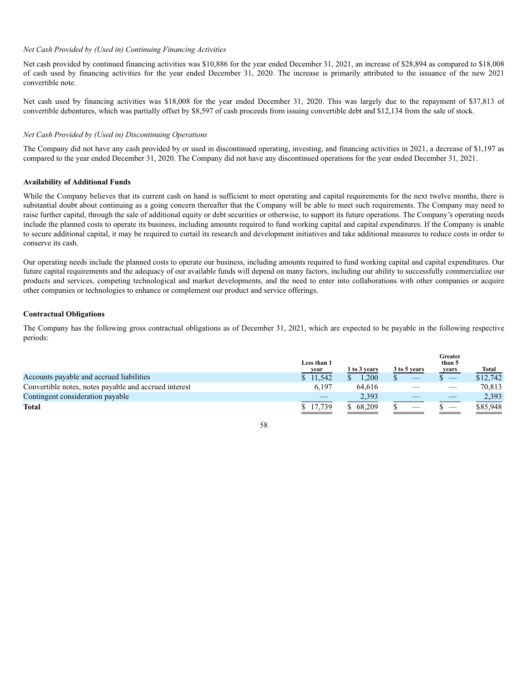# *Net Cash Provided by (Used in) Continuing Financing Activities*

Net cash provided by continued financing activities was \$10,886 for the year ended December 31, 2021, an increase of \$28,894 as compared to \$18,008 of cash used by financing activities for the year ended December 31, 2020. The increase is primarily attributed to the issuance of the new 2021 convertible note.

Net cash used by financing activities was \$18,008 for the year ended December 31, 2020. This was largely due to the repayment of \$37,813 of convertible debentures, which was partially offset by \$8,597 of cash proceeds from issuing convertible debt and \$12,134 from the sale of stock.

### *Net Cash Provided by (Used in) Discontinuing Operations*

The Company did not have any cash provided by or used in discontinued operating, investing, and financing activities in 2021, a decrease of \$1,197 as compared to the year ended December 31, 2020. The Company did not have any discontinued operations for the year ended December 31, 2021.

## **Availability of Additional Funds**

While the Company believes that its current cash on hand is sufficient to meet operating and capital requirements for the next twelve months, there is substantial doubt about continuing as a going concern thereafter that the Company will be able to meet such requirements. The Company may need to raise further capital, through the sale of additional equity or debt securities or otherwise, to support its future operations. The Company's operating needs include the planned costs to operate its business, including amounts required to fund working capital and capital expenditures. If the Company is unable to secure additional capital, it may be required to curtail its research and development initiatives and take additional measures to reduce costs in order to conserve its cash.

Our operating needs include the planned costs to operate our business, including amounts required to fund working capital and capital expenditures. Our future capital requirements and the adequacy of our available funds will depend on many factors, including our ability to successfully commercialize our products and services, competing technological and market developments, and the need to enter into collaborations with other companies or acquire other companies or technologies to enhance or complement our product and service offerings.

## **Contractual Obligations**

The Company has the following gross contractual obligations as of December 31, 2021, which are expected to be payable in the following respective periods:

|                                                       | Less than 1                                                                                                                      |              |              | Greater<br>than 5        |          |
|-------------------------------------------------------|----------------------------------------------------------------------------------------------------------------------------------|--------------|--------------|--------------------------|----------|
|                                                       | year                                                                                                                             | 1 to 3 years | 3 to 5 years | years                    | Total    |
| Accounts payable and accrued liabilities              | \$11.542                                                                                                                         | ,200         |              | $\overline{\phantom{a}}$ | \$12,742 |
| Convertible notes, notes payable and accrued interest | 6.197                                                                                                                            | 64.616       |              |                          | 70,813   |
| Contingent consideration payable                      |                                                                                                                                  | 2.393        |              |                          | 2.393    |
| <b>Total</b>                                          | \$17.739<br><u> Termin de la provincia de la provincia de la provincia de la provincia de la provincia de la provincia de la</u> | \$68,209     |              |                          | \$85,948 |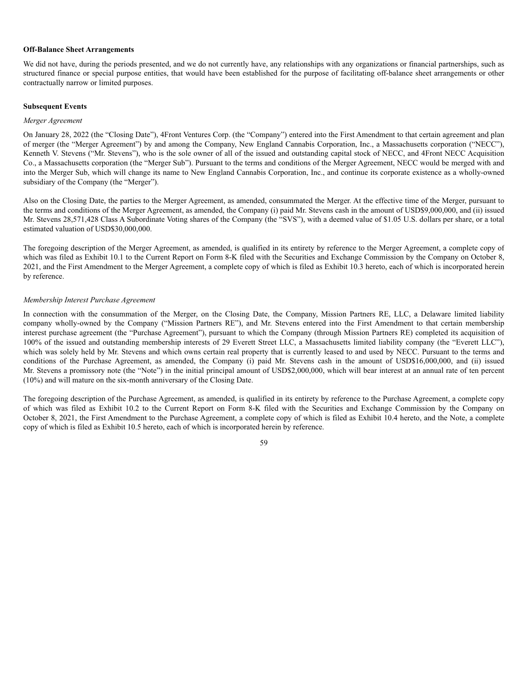### **Off-Balance Sheet Arrangements**

We did not have, during the periods presented, and we do not currently have, any relationships with any organizations or financial partnerships, such as structured finance or special purpose entities, that would have been established for the purpose of facilitating off-balance sheet arrangements or other contractually narrow or limited purposes.

#### **Subsequent Events**

#### *Merger Agreement*

On January 28, 2022 (the "Closing Date"), 4Front Ventures Corp. (the "Company") entered into the First Amendment to that certain agreement and plan of merger (the "Merger Agreement") by and among the Company, New England Cannabis Corporation, Inc., a Massachusetts corporation ("NECC"), Kenneth V. Stevens ("Mr. Stevens"), who is the sole owner of all of the issued and outstanding capital stock of NECC, and 4Front NECC Acquisition Co., a Massachusetts corporation (the "Merger Sub"). Pursuant to the terms and conditions of the Merger Agreement, NECC would be merged with and into the Merger Sub, which will change its name to New England Cannabis Corporation, Inc., and continue its corporate existence as a wholly-owned subsidiary of the Company (the "Merger").

Also on the Closing Date, the parties to the Merger Agreement, as amended, consummated the Merger. At the effective time of the Merger, pursuant to the terms and conditions of the Merger Agreement, as amended, the Company (i) paid Mr. Stevens cash in the amount of USD\$9,000,000, and (ii) issued Mr. Stevens 28,571,428 Class A Subordinate Voting shares of the Company (the "SVS"), with a deemed value of \$1.05 U.S. dollars per share, or a total estimated valuation of USD\$30,000,000.

The foregoing description of the Merger Agreement, as amended, is qualified in its entirety by reference to the Merger Agreement, a complete copy of which was filed as Exhibit 10.1 to the Current Report on Form 8-K filed with the Securities and Exchange Commission by the Company on October 8, 2021, and the First Amendment to the Merger Agreement, a complete copy of which is filed as Exhibit 10.3 hereto, each of which is incorporated herein by reference.

#### *Membership Interest Purchase Agreement*

In connection with the consummation of the Merger, on the Closing Date, the Company, Mission Partners RE, LLC, a Delaware limited liability company wholly-owned by the Company ("Mission Partners RE"), and Mr. Stevens entered into the First Amendment to that certain membership interest purchase agreement (the "Purchase Agreement"), pursuant to which the Company (through Mission Partners RE) completed its acquisition of 100% of the issued and outstanding membership interests of 29 Everett Street LLC, a Massachusetts limited liability company (the "Everett LLC"), which was solely held by Mr. Stevens and which owns certain real property that is currently leased to and used by NECC. Pursuant to the terms and conditions of the Purchase Agreement, as amended, the Company (i) paid Mr. Stevens cash in the amount of USD\$16,000,000, and (ii) issued Mr. Stevens a promissory note (the "Note") in the initial principal amount of USD\$2,000,000, which will bear interest at an annual rate of ten percent (10%) and will mature on the six-month anniversary of the Closing Date.

The foregoing description of the Purchase Agreement, as amended, is qualified in its entirety by reference to the Purchase Agreement, a complete copy of which was filed as Exhibit 10.2 to the Current Report on Form 8-K filed with the Securities and Exchange Commission by the Company on October 8, 2021, the First Amendment to the Purchase Agreement, a complete copy of which is filed as Exhibit 10.4 hereto, and the Note, a complete copy of which is filed as Exhibit 10.5 hereto, each of which is incorporated herein by reference.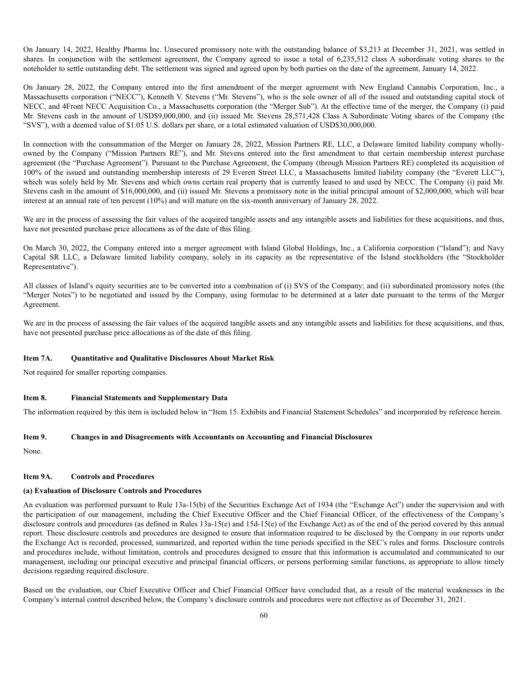On January 14, 2022, Healthy Pharms Inc. Unsecured promissory note with the outstanding balance of \$3,213 at December 31, 2021, was settled in shares. In conjunction with the settlement agreement, the Company agreed to issue a total of 6,235,512 class A subordinate voting shares to the noteholder to settle outstanding debt. The settlement was signed and agreed upon by both parties on the date of the agreement, January 14, 2022.

On January 28, 2022, the Company entered into the first amendment of the merger agreement with New England Cannabis Corporation, Inc., a Massachusetts corporation ("NECC"), Kenneth V. Stevens ("Mr. Stevens"), who is the sole owner of all of the issued and outstanding capital stock of NECC, and 4Front NECC Acquisition Co., a Massachusetts corporation (the "Merger Sub"). At the effective time of the merger, the Company (i) paid Mr. Stevens cash in the amount of USD\$9,000,000, and (ii) issued Mr. Stevens 28,571,428 Class A Subordinate Voting shares of the Company (the "SVS"), with a deemed value of \$1.05 U.S. dollars per share, or a total estimated valuation of USD\$30,000,000.

In connection with the consummation of the Merger on January 28, 2022, Mission Partners RE, LLC, a Delaware limited liability company whollyowned by the Company ("Mission Partners RE"), and Mr. Stevens entered into the first amendment to that certain membership interest purchase agreement (the "Purchase Agreement"). Pursuant to the Purchase Agreement, the Company (through Mission Partners RE) completed its acquisition of 100% of the issued and outstanding membership interests of 29 Everett Street LLC, a Massachusetts limited liability company (the "Everett LLC"), which was solely held by Mr. Stevens and which owns certain real property that is currently leased to and used by NECC. The Company (i) paid Mr. Stevens cash in the amount of \$16,000,000, and (ii) issued Mr. Stevens a promissory note in the initial principal amount of \$2,000,000, which will bear interest at an annual rate of ten percent (10%) and will mature on the six-month anniversary of January 28, 2022.

We are in the process of assessing the fair values of the acquired tangible assets and any intangible assets and liabilities for these acquisitions, and thus, have not presented purchase price allocations as of the date of this filing.

On March 30, 2022, the Company entered into a merger agreement with Island Global Holdings, Inc., a California corporation ("Island"); and Navy Capital SR LLC, a Delaware limited liability company, solely in its capacity as the representative of the Island stockholders (the "Stockholder Representative").

All classes of Island's equity securities are to be converted into a combination of (i) SVS of the Company; and (ii) subordinated promissory notes (the "Merger Notes") to be negotiated and issued by the Company, using formulae to be determined at a later date pursuant to the terms of the Merger Agreement.

We are in the process of assessing the fair values of the acquired tangible assets and any intangible assets and liabilities for these acquisitions, and thus, have not presented purchase price allocations as of the date of this filing.

# **Item 7A. Quantitative and Qualitative Disclosures About Market Risk**

Not required for smaller reporting companies.

#### **Item 8. Financial Statements and Supplementary Data**

The information required by this item is included below in "Item 15. Exhibits and Financial Statement Schedules" and incorporated by reference herein.

### **Item 9. Changes in and Disagreements with Accountants on Accounting and Financial Disclosures**

None.

### **Item 9A. Controls and Procedures**

#### **(a) Evaluation of Disclosure Controls and Procedures**

An evaluation was performed pursuant to Rule 13a-15(b) of the Securities Exchange Act of 1934 (the "Exchange Act") under the supervision and with the participation of our management, including the Chief Executive Officer and the Chief Financial Officer, of the effectiveness of the Company's disclosure controls and procedures (as defined in Rules 13a-15(e) and 15d-15(e) of the Exchange Act) as of the end of the period covered by this annual report. These disclosure controls and procedures are designed to ensure that information required to be disclosed by the Company in our reports under the Exchange Act is recorded, processed, summarized, and reported within the time periods specified in the SEC's rules and forms. Disclosure controls and procedures include, without limitation, controls and procedures designed to ensure that this information is accumulated and communicated to our management, including our principal executive and principal financial officers, or persons performing similar functions, as appropriate to allow timely decisions regarding required disclosure.

Based on the evaluation, our Chief Executive Officer and Chief Financial Officer have concluded that, as a result of the material weaknesses in the Company's internal control described below, the Company's disclosure controls and procedures were not effective as of December 31, 2021.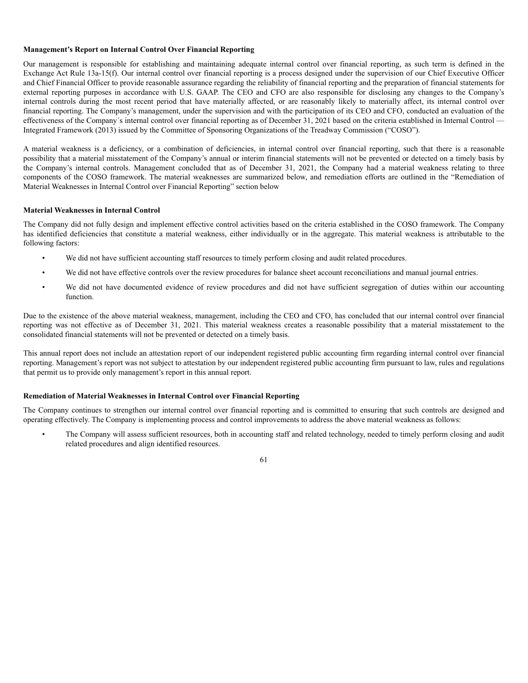## **Management's Report on Internal Control Over Financial Reporting**

Our management is responsible for establishing and maintaining adequate internal control over financial reporting, as such term is defined in the Exchange Act Rule 13a-15(f). Our internal control over financial reporting is a process designed under the supervision of our Chief Executive Officer and Chief Financial Officer to provide reasonable assurance regarding the reliability of financial reporting and the preparation of financial statements for external reporting purposes in accordance with U.S. GAAP. The CEO and CFO are also responsible for disclosing any changes to the Company's internal controls during the most recent period that have materially affected, or are reasonably likely to materially affect, its internal control over financial reporting. The Company's management, under the supervision and with the participation of its CEO and CFO, conducted an evaluation of the effectiveness of the Company´s internal control over financial reporting as of December 31, 2021 based on the criteria established in Internal Control — Integrated Framework (2013) issued by the Committee of Sponsoring Organizations of the Treadway Commission ("COSO").

A material weakness is a deficiency, or a combination of deficiencies, in internal control over financial reporting, such that there is a reasonable possibility that a material misstatement of the Company's annual or interim financial statements will not be prevented or detected on a timely basis by the Company's internal controls. Management concluded that as of December 31, 2021, the Company had a material weakness relating to three components of the COSO framework. The material weaknesses are summarized below, and remediation efforts are outlined in the "Remediation of Material Weaknesses in Internal Control over Financial Reporting" section below

# **Material Weaknesses in Internal Control**

The Company did not fully design and implement effective control activities based on the criteria established in the COSO framework. The Company has identified deficiencies that constitute a material weakness, either individually or in the aggregate. This material weakness is attributable to the following factors:

- We did not have sufficient accounting staff resources to timely perform closing and audit related procedures.
- We did not have effective controls over the review procedures for balance sheet account reconciliations and manual journal entries.
- We did not have documented evidence of review procedures and did not have sufficient segregation of duties within our accounting function.

Due to the existence of the above material weakness, management, including the CEO and CFO, has concluded that our internal control over financial reporting was not effective as of December 31, 2021. This material weakness creates a reasonable possibility that a material misstatement to the consolidated financial statements will not be prevented or detected on a timely basis.

This annual report does not include an attestation report of our independent registered public accounting firm regarding internal control over financial reporting. Management's report was not subject to attestation by our independent registered public accounting firm pursuant to law, rules and regulations that permit us to provide only management's report in this annual report.

#### **Remediation of Material Weaknesses in Internal Control over Financial Reporting**

The Company continues to strengthen our internal control over financial reporting and is committed to ensuring that such controls are designed and operating effectively. The Company is implementing process and control improvements to address the above material weakness as follows:

• The Company will assess sufficient resources, both in accounting staff and related technology, needed to timely perform closing and audit related procedures and align identified resources.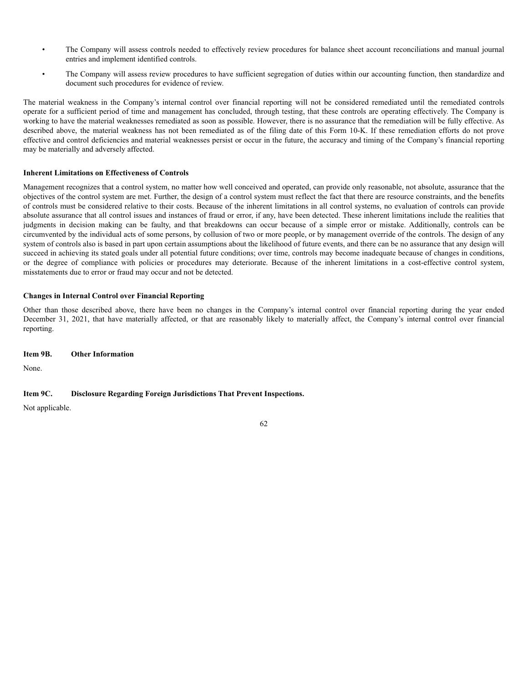- The Company will assess controls needed to effectively review procedures for balance sheet account reconciliations and manual journal entries and implement identified controls.
- The Company will assess review procedures to have sufficient segregation of duties within our accounting function, then standardize and document such procedures for evidence of review.

The material weakness in the Company's internal control over financial reporting will not be considered remediated until the remediated controls operate for a sufficient period of time and management has concluded, through testing, that these controls are operating effectively. The Company is working to have the material weaknesses remediated as soon as possible. However, there is no assurance that the remediation will be fully effective. As described above, the material weakness has not been remediated as of the filing date of this Form 10-K. If these remediation efforts do not prove effective and control deficiencies and material weaknesses persist or occur in the future, the accuracy and timing of the Company's financial reporting may be materially and adversely affected.

## **Inherent Limitations on Effectiveness of Controls**

Management recognizes that a control system, no matter how well conceived and operated, can provide only reasonable, not absolute, assurance that the objectives of the control system are met. Further, the design of a control system must reflect the fact that there are resource constraints, and the benefits of controls must be considered relative to their costs. Because of the inherent limitations in all control systems, no evaluation of controls can provide absolute assurance that all control issues and instances of fraud or error, if any, have been detected. These inherent limitations include the realities that judgments in decision making can be faulty, and that breakdowns can occur because of a simple error or mistake. Additionally, controls can be circumvented by the individual acts of some persons, by collusion of two or more people, or by management override of the controls. The design of any system of controls also is based in part upon certain assumptions about the likelihood of future events, and there can be no assurance that any design will succeed in achieving its stated goals under all potential future conditions; over time, controls may become inadequate because of changes in conditions, or the degree of compliance with policies or procedures may deteriorate. Because of the inherent limitations in a cost-effective control system, misstatements due to error or fraud may occur and not be detected.

## **Changes in Internal Control over Financial Reporting**

Other than those described above, there have been no changes in the Company's internal control over financial reporting during the year ended December 31, 2021, that have materially affected, or that are reasonably likely to materially affect, the Company's internal control over financial reporting.

**Item 9B. Other Information**

None.

# **Item 9C. Disclosure Regarding Foreign Jurisdictions That Prevent Inspections.**

Not applicable.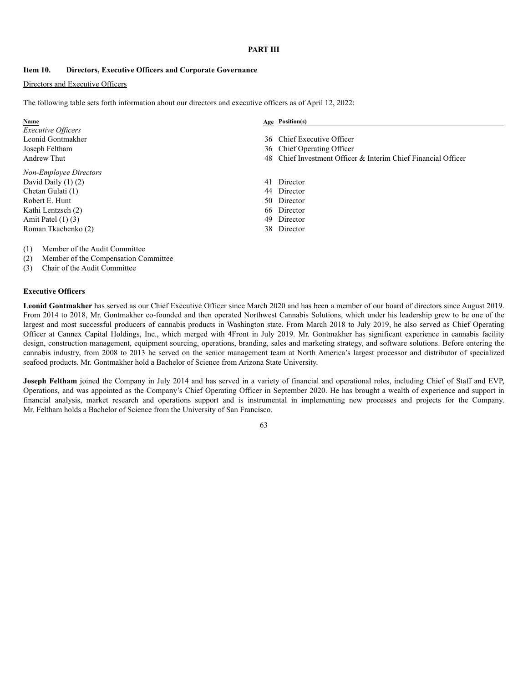### **PART III**

# **Item 10. Directors, Executive Officers and Corporate Governance**

# Directors and Executive Officers

The following table sets forth information about our directors and executive officers as of April 12, 2022:

| <b>Name</b>               |     | Age Position(s)                                            |
|---------------------------|-----|------------------------------------------------------------|
| <i>Executive Officers</i> |     |                                                            |
| Leonid Gontmakher         | 36  | Chief Executive Officer                                    |
| Joseph Feltham            |     | 36 Chief Operating Officer                                 |
| Andrew Thut               | 48  | Chief Investment Officer & Interim Chief Financial Officer |
| Non-Employee Directors    |     |                                                            |
| David Daily $(1)$ $(2)$   | 41  | Director                                                   |
| Chetan Gulati (1)         | 44  | Director                                                   |
| Robert E. Hunt            | 50. | Director                                                   |
| Kathi Lentzsch (2)        | 66  | Director                                                   |
| Amit Patel $(1)$ $(3)$    | 49  | Director                                                   |
| Roman Tkachenko (2)       | 38  | Director                                                   |
|                           |     |                                                            |

(1) Member of the Audit Committee

- (2) Member of the Compensation Committee
- (3) Chair of the Audit Committee

### **Executive Officers**

**Leonid Gontmakher** has served as our Chief Executive Officer since March 2020 and has been a member of our board of directors since August 2019. From 2014 to 2018, Mr. Gontmakher co-founded and then operated Northwest Cannabis Solutions, which under his leadership grew to be one of the largest and most successful producers of cannabis products in Washington state. From March 2018 to July 2019, he also served as Chief Operating Officer at Cannex Capital Holdings, Inc., which merged with 4Front in July 2019. Mr. Gontmakher has significant experience in cannabis facility design, construction management, equipment sourcing, operations, branding, sales and marketing strategy, and software solutions. Before entering the cannabis industry, from 2008 to 2013 he served on the senior management team at North America's largest processor and distributor of specialized seafood products. Mr. Gontmakher hold a Bachelor of Science from Arizona State University.

**Joseph Feltham** joined the Company in July 2014 and has served in a variety of financial and operational roles, including Chief of Staff and EVP, Operations, and was appointed as the Company's Chief Operating Officer in September 2020. He has brought a wealth of experience and support in financial analysis, market research and operations support and is instrumental in implementing new processes and projects for the Company. Mr. Feltham holds a Bachelor of Science from the University of San Francisco.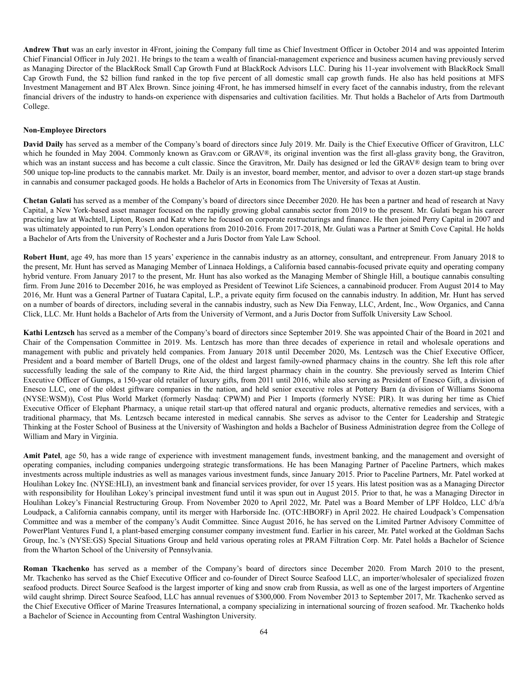**Andrew Thut** was an early investor in 4Front, joining the Company full time as Chief Investment Officer in October 2014 and was appointed Interim Chief Financial Officer in July 2021. He brings to the team a wealth of financial-management experience and business acumen having previously served as Managing Director of the BlackRock Small Cap Growth Fund at BlackRock Advisors LLC. During his 11-year involvement with BlackRock Small Cap Growth Fund, the \$2 billion fund ranked in the top five percent of all domestic small cap growth funds. He also has held positions at MFS Investment Management and BT Alex Brown. Since joining 4Front, he has immersed himself in every facet of the cannabis industry, from the relevant financial drivers of the industry to hands-on experience with dispensaries and cultivation facilities. Mr. Thut holds a Bachelor of Arts from Dartmouth College.

#### **Non-Employee Directors**

**David Daily** has served as a member of the Company's board of directors since July 2019. Mr. Daily is the Chief Executive Officer of Gravitron, LLC which he founded in May 2004. Commonly known as Grav.com or GRAV®, its original invention was the first all-glass gravity bong, the Gravitron, which was an instant success and has become a cult classic. Since the Gravitron, Mr. Daily has designed or led the GRAV® design team to bring over 500 unique top-line products to the cannabis market. Mr. Daily is an investor, board member, mentor, and advisor to over a dozen start-up stage brands in cannabis and consumer packaged goods. He holds a Bachelor of Arts in Economics from The University of Texas at Austin.

**Chetan Gulati** has served as a member of the Company's board of directors since December 2020. He has been a partner and head of research at Navy Capital, a New York-based asset manager focused on the rapidly growing global cannabis sector from 2019 to the present. Mr. Gulati began his career practicing law at Wachtell, Lipton, Rosen and Katz where he focused on corporate restructurings and finance. He then joined Perry Capital in 2007 and was ultimately appointed to run Perry's London operations from 2010-2016. From 2017-2018, Mr. Gulati was a Partner at Smith Cove Capital. He holds a Bachelor of Arts from the University of Rochester and a Juris Doctor from Yale Law School.

**Robert Hunt**, age 49, has more than 15 years' experience in the cannabis industry as an attorney, consultant, and entrepreneur. From January 2018 to the present, Mr. Hunt has served as Managing Member of Linnaea Holdings, a California based cannabis-focused private equity and operating company hybrid venture. From January 2017 to the present, Mr. Hunt has also worked as the Managing Member of Shingle Hill, a boutique cannabis consulting firm. From June 2016 to December 2016, he was employed as President of Teewinot Life Sciences, a cannabinoid producer. From August 2014 to May 2016, Mr. Hunt was a General Partner of Tuatara Capital, L.P., a private equity firm focused on the cannabis industry. In addition, Mr. Hunt has served on a number of boards of directors, including several in the cannabis industry, such as New Dia Fenway, LLC, Ardent, Inc., Wow Organics, and Canna Click, LLC. Mr. Hunt holds a Bachelor of Arts from the University of Vermont, and a Juris Doctor from Suffolk University Law School.

**Kathi Lentzsch** has served as a member of the Company's board of directors since September 2019. She was appointed Chair of the Board in 2021 and Chair of the Compensation Committee in 2019. Ms. Lentzsch has more than three decades of experience in retail and wholesale operations and management with public and privately held companies. From January 2018 until December 2020, Ms. Lentzsch was the Chief Executive Officer, President and a board member of Bartell Drugs, one of the oldest and largest family-owned pharmacy chains in the country. She left this role after successfully leading the sale of the company to Rite Aid, the third largest pharmacy chain in the country. She previously served as Interim Chief Executive Officer of Gumps, a 150-year old retailer of luxury gifts, from 2011 until 2016, while also serving as President of Enesco Gift, a division of Enesco LLC, one of the oldest giftware companies in the nation, and held senior executive roles at Pottery Barn (a division of Williams Sonoma (NYSE:WSM)), Cost Plus World Market (formerly Nasdaq: CPWM) and Pier 1 Imports (formerly NYSE: PIR). It was during her time as Chief Executive Officer of Elephant Pharmacy, a unique retail start-up that offered natural and organic products, alternative remedies and services, with a traditional pharmacy, that Ms. Lentzsch became interested in medical cannabis. She serves as advisor to the Center for Leadership and Strategic Thinking at the Foster School of Business at the University of Washington and holds a Bachelor of Business Administration degree from the College of William and Mary in Virginia.

**Amit Patel**, age 50, has a wide range of experience with investment management funds, investment banking, and the management and oversight of operating companies, including companies undergoing strategic transformations. He has been Managing Partner of Paceline Partners, which makes investments across multiple industries as well as manages various investment funds, since January 2015. Prior to Paceline Partners, Mr. Patel worked at Houlihan Lokey Inc. (NYSE:HLI), an investment bank and financial services provider, for over 15 years. His latest position was as a Managing Director with responsibility for Houlihan Lokey's principal investment fund until it was spun out in August 2015. Prior to that, he was a Managing Director in Houlihan Lokey's Financial Restructuring Group. From November 2020 to April 2022, Mr. Patel was a Board Member of LPF Holdco, LLC d/b/a Loudpack, a California cannabis company, until its merger with Harborside Inc. (OTC:HBORF) in April 2022. He chaired Loudpack's Compensation Committee and was a member of the company's Audit Committee. Since August 2016, he has served on the Limited Partner Advisory Committee of PowerPlant Ventures Fund I, a plant-based emerging consumer company investment fund. Earlier in his career, Mr. Patel worked at the Goldman Sachs Group, Inc.'s (NYSE:GS) Special Situations Group and held various operating roles at PRAM Filtration Corp. Mr. Patel holds a Bachelor of Science from the Wharton School of the University of Pennsylvania.

**Roman Tkachenko** has served as a member of the Company's board of directors since December 2020. From March 2010 to the present, Mr. Tkachenko has served as the Chief Executive Officer and co-founder of Direct Source Seafood LLC, an importer/wholesaler of specialized frozen seafood products. Direct Source Seafood is the largest importer of king and snow crab from Russia, as well as one of the largest importers of Argentine wild caught shrimp. Direct Source Seafood, LLC has annual revenues of \$300,000. From November 2013 to September 2017, Mr. Tkachenko served as the Chief Executive Officer of Marine Treasures International, a company specializing in international sourcing of frozen seafood. Mr. Tkachenko holds a Bachelor of Science in Accounting from Central Washington University.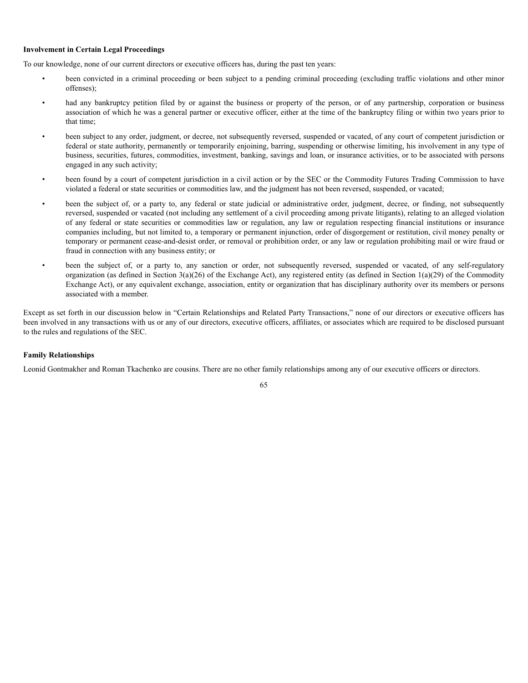#### **Involvement in Certain Legal Proceedings**

To our knowledge, none of our current directors or executive officers has, during the past ten years:

- been convicted in a criminal proceeding or been subject to a pending criminal proceeding (excluding traffic violations and other minor offenses);
- had any bankruptcy petition filed by or against the business or property of the person, or of any partnership, corporation or business association of which he was a general partner or executive officer, either at the time of the bankruptcy filing or within two years prior to that time;
- been subject to any order, judgment, or decree, not subsequently reversed, suspended or vacated, of any court of competent jurisdiction or federal or state authority, permanently or temporarily enjoining, barring, suspending or otherwise limiting, his involvement in any type of business, securities, futures, commodities, investment, banking, savings and loan, or insurance activities, or to be associated with persons engaged in any such activity;
- been found by a court of competent jurisdiction in a civil action or by the SEC or the Commodity Futures Trading Commission to have violated a federal or state securities or commodities law, and the judgment has not been reversed, suspended, or vacated;
- been the subject of, or a party to, any federal or state judicial or administrative order, judgment, decree, or finding, not subsequently reversed, suspended or vacated (not including any settlement of a civil proceeding among private litigants), relating to an alleged violation of any federal or state securities or commodities law or regulation, any law or regulation respecting financial institutions or insurance companies including, but not limited to, a temporary or permanent injunction, order of disgorgement or restitution, civil money penalty or temporary or permanent cease-and-desist order, or removal or prohibition order, or any law or regulation prohibiting mail or wire fraud or fraud in connection with any business entity; or
- been the subject of, or a party to, any sanction or order, not subsequently reversed, suspended or vacated, of any self-regulatory organization (as defined in Section 3(a)(26) of the Exchange Act), any registered entity (as defined in Section 1(a)(29) of the Commodity Exchange Act), or any equivalent exchange, association, entity or organization that has disciplinary authority over its members or persons associated with a member.

Except as set forth in our discussion below in "Certain Relationships and Related Party Transactions," none of our directors or executive officers has been involved in any transactions with us or any of our directors, executive officers, affiliates, or associates which are required to be disclosed pursuant to the rules and regulations of the SEC.

# **Family Relationships**

Leonid Gontmakher and Roman Tkachenko are cousins. There are no other family relationships among any of our executive officers or directors.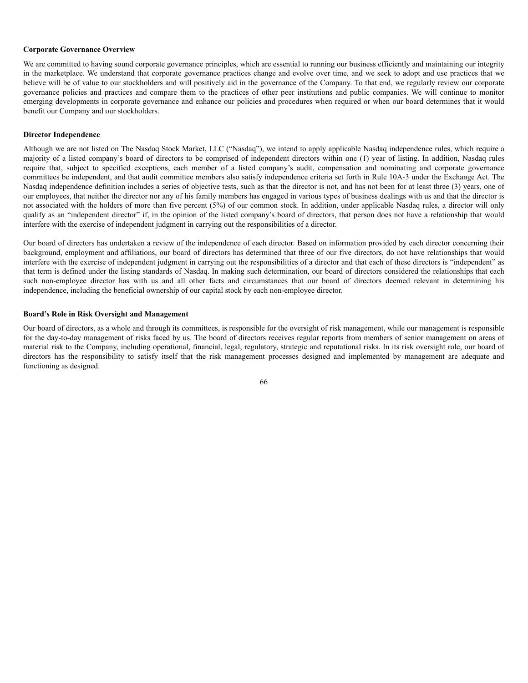#### **Corporate Governance Overview**

We are committed to having sound corporate governance principles, which are essential to running our business efficiently and maintaining our integrity in the marketplace. We understand that corporate governance practices change and evolve over time, and we seek to adopt and use practices that we believe will be of value to our stockholders and will positively aid in the governance of the Company. To that end, we regularly review our corporate governance policies and practices and compare them to the practices of other peer institutions and public companies. We will continue to monitor emerging developments in corporate governance and enhance our policies and procedures when required or when our board determines that it would benefit our Company and our stockholders.

### **Director Independence**

Although we are not listed on The Nasdaq Stock Market, LLC ("Nasdaq"), we intend to apply applicable Nasdaq independence rules, which require a majority of a listed company's board of directors to be comprised of independent directors within one (1) year of listing. In addition, Nasdaq rules require that, subject to specified exceptions, each member of a listed company's audit, compensation and nominating and corporate governance committees be independent, and that audit committee members also satisfy independence criteria set forth in Rule 10A-3 under the Exchange Act. The Nasdaq independence definition includes a series of objective tests, such as that the director is not, and has not been for at least three (3) years, one of our employees, that neither the director nor any of his family members has engaged in various types of business dealings with us and that the director is not associated with the holders of more than five percent (5%) of our common stock. In addition, under applicable Nasdaq rules, a director will only qualify as an "independent director" if, in the opinion of the listed company's board of directors, that person does not have a relationship that would interfere with the exercise of independent judgment in carrying out the responsibilities of a director.

Our board of directors has undertaken a review of the independence of each director. Based on information provided by each director concerning their background, employment and affiliations, our board of directors has determined that three of our five directors, do not have relationships that would interfere with the exercise of independent judgment in carrying out the responsibilities of a director and that each of these directors is "independent" as that term is defined under the listing standards of Nasdaq. In making such determination, our board of directors considered the relationships that each such non-employee director has with us and all other facts and circumstances that our board of directors deemed relevant in determining his independence, including the beneficial ownership of our capital stock by each non-employee director.

#### **Board's Role in Risk Oversight and Management**

Our board of directors, as a whole and through its committees, is responsible for the oversight of risk management, while our management is responsible for the day-to-day management of risks faced by us. The board of directors receives regular reports from members of senior management on areas of material risk to the Company, including operational, financial, legal, regulatory, strategic and reputational risks. In its risk oversight role, our board of directors has the responsibility to satisfy itself that the risk management processes designed and implemented by management are adequate and functioning as designed.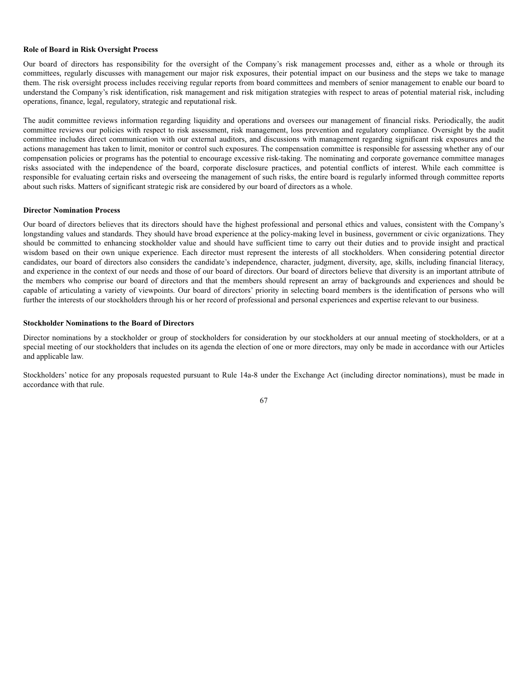#### **Role of Board in Risk Oversight Process**

Our board of directors has responsibility for the oversight of the Company's risk management processes and, either as a whole or through its committees, regularly discusses with management our major risk exposures, their potential impact on our business and the steps we take to manage them. The risk oversight process includes receiving regular reports from board committees and members of senior management to enable our board to understand the Company's risk identification, risk management and risk mitigation strategies with respect to areas of potential material risk, including operations, finance, legal, regulatory, strategic and reputational risk.

The audit committee reviews information regarding liquidity and operations and oversees our management of financial risks. Periodically, the audit committee reviews our policies with respect to risk assessment, risk management, loss prevention and regulatory compliance. Oversight by the audit committee includes direct communication with our external auditors, and discussions with management regarding significant risk exposures and the actions management has taken to limit, monitor or control such exposures. The compensation committee is responsible for assessing whether any of our compensation policies or programs has the potential to encourage excessive risk-taking. The nominating and corporate governance committee manages risks associated with the independence of the board, corporate disclosure practices, and potential conflicts of interest. While each committee is responsible for evaluating certain risks and overseeing the management of such risks, the entire board is regularly informed through committee reports about such risks. Matters of significant strategic risk are considered by our board of directors as a whole.

# **Director Nomination Process**

Our board of directors believes that its directors should have the highest professional and personal ethics and values, consistent with the Company's longstanding values and standards. They should have broad experience at the policy-making level in business, government or civic organizations. They should be committed to enhancing stockholder value and should have sufficient time to carry out their duties and to provide insight and practical wisdom based on their own unique experience. Each director must represent the interests of all stockholders. When considering potential director candidates, our board of directors also considers the candidate's independence, character, judgment, diversity, age, skills, including financial literacy, and experience in the context of our needs and those of our board of directors. Our board of directors believe that diversity is an important attribute of the members who comprise our board of directors and that the members should represent an array of backgrounds and experiences and should be capable of articulating a variety of viewpoints. Our board of directors' priority in selecting board members is the identification of persons who will further the interests of our stockholders through his or her record of professional and personal experiences and expertise relevant to our business.

#### **Stockholder Nominations to the Board of Directors**

Director nominations by a stockholder or group of stockholders for consideration by our stockholders at our annual meeting of stockholders, or at a special meeting of our stockholders that includes on its agenda the election of one or more directors, may only be made in accordance with our Articles and applicable law.

Stockholders' notice for any proposals requested pursuant to Rule 14a-8 under the Exchange Act (including director nominations), must be made in accordance with that rule.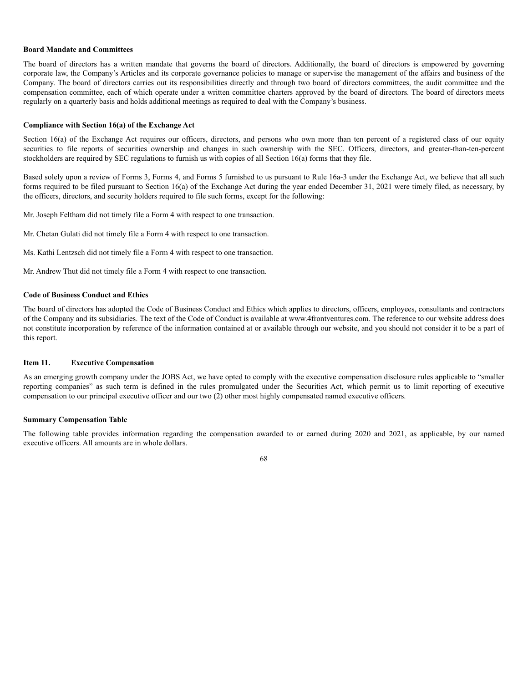#### **Board Mandate and Committees**

The board of directors has a written mandate that governs the board of directors. Additionally, the board of directors is empowered by governing corporate law, the Company's Articles and its corporate governance policies to manage or supervise the management of the affairs and business of the Company. The board of directors carries out its responsibilities directly and through two board of directors committees, the audit committee and the compensation committee, each of which operate under a written committee charters approved by the board of directors. The board of directors meets regularly on a quarterly basis and holds additional meetings as required to deal with the Company's business.

#### **Compliance with Section 16(a) of the Exchange Act**

Section 16(a) of the Exchange Act requires our officers, directors, and persons who own more than ten percent of a registered class of our equity securities to file reports of securities ownership and changes in such ownership with the SEC. Officers, directors, and greater-than-ten-percent stockholders are required by SEC regulations to furnish us with copies of all Section 16(a) forms that they file.

Based solely upon a review of Forms 3, Forms 4, and Forms 5 furnished to us pursuant to Rule 16a-3 under the Exchange Act, we believe that all such forms required to be filed pursuant to Section 16(a) of the Exchange Act during the year ended December 31, 2021 were timely filed, as necessary, by the officers, directors, and security holders required to file such forms, except for the following:

Mr. Joseph Feltham did not timely file a Form 4 with respect to one transaction.

Mr. Chetan Gulati did not timely file a Form 4 with respect to one transaction.

Ms. Kathi Lentzsch did not timely file a Form 4 with respect to one transaction.

Mr. Andrew Thut did not timely file a Form 4 with respect to one transaction.

#### **Code of Business Conduct and Ethics**

The board of directors has adopted the Code of Business Conduct and Ethics which applies to directors, officers, employees, consultants and contractors of the Company and its subsidiaries. The text of the Code of Conduct is available at www.4frontventures.com. The reference to our website address does not constitute incorporation by reference of the information contained at or available through our website, and you should not consider it to be a part of this report.

#### **Item 11. Executive Compensation**

As an emerging growth company under the JOBS Act, we have opted to comply with the executive compensation disclosure rules applicable to "smaller reporting companies" as such term is defined in the rules promulgated under the Securities Act, which permit us to limit reporting of executive compensation to our principal executive officer and our two (2) other most highly compensated named executive officers.

# **Summary Compensation Table**

The following table provides information regarding the compensation awarded to or earned during 2020 and 2021, as applicable, by our named executive officers. All amounts are in whole dollars.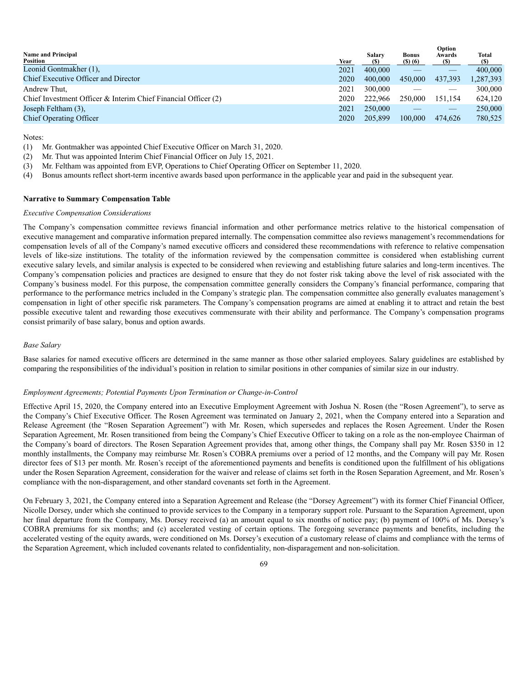|                                                                   |      |               |           | Option                   |              |
|-------------------------------------------------------------------|------|---------------|-----------|--------------------------|--------------|
| <b>Name and Principal</b>                                         |      | <b>Salary</b> | Bonus     | Awards                   | <b>Total</b> |
| Position                                                          | Year |               | $(S)$ (6) | (S)                      | (S)          |
| Leonid Gontmakher (1),                                            | 2021 | 400,000       |           |                          | 400,000      |
| Chief Executive Officer and Director                              | 2020 | 400,000       | 450,000   | 437.393                  | 1,287,393    |
| Andrew Thut.                                                      | 2021 | 300,000       |           |                          | 300,000      |
| Chief Investment Officer $\&$ Interim Chief Financial Officer (2) | 2020 | 222,966       | 250,000   | 151.154                  | 624,120      |
| Joseph Feltham (3),                                               | 2021 | 250,000       |           | $\qquad \qquad - \qquad$ | 250,000      |
| <b>Chief Operating Officer</b>                                    | 2020 | 205,899       | 100,000   | 474.626                  | 780,525      |
|                                                                   |      |               |           |                          |              |

Notes:

(1) Mr. Gontmakher was appointed Chief Executive Officer on March 31, 2020.

- (2) Mr. Thut was appointed Interim Chief Financial Officer on July 15, 2021.
- (3) Mr. Feltham was appointed from EVP, Operations to Chief Operating Officer on September 11, 2020.
- (4) Bonus amounts reflect short-term incentive awards based upon performance in the applicable year and paid in the subsequent year.

### **Narrative to Summary Compensation Table**

#### *Executive Compensation Considerations*

The Company's compensation committee reviews financial information and other performance metrics relative to the historical compensation of executive management and comparative information prepared internally. The compensation committee also reviews management's recommendations for compensation levels of all of the Company's named executive officers and considered these recommendations with reference to relative compensation levels of like-size institutions. The totality of the information reviewed by the compensation committee is considered when establishing current executive salary levels, and similar analysis is expected to be considered when reviewing and establishing future salaries and long-term incentives. The Company's compensation policies and practices are designed to ensure that they do not foster risk taking above the level of risk associated with the Company's business model. For this purpose, the compensation committee generally considers the Company's financial performance, comparing that performance to the performance metrics included in the Company's strategic plan. The compensation committee also generally evaluates management's compensation in light of other specific risk parameters. The Company's compensation programs are aimed at enabling it to attract and retain the best possible executive talent and rewarding those executives commensurate with their ability and performance. The Company's compensation programs consist primarily of base salary, bonus and option awards.

#### *Base Salary*

Base salaries for named executive officers are determined in the same manner as those other salaried employees. Salary guidelines are established by comparing the responsibilities of the individual's position in relation to similar positions in other companies of similar size in our industry.

#### *Employment Agreements; Potential Payments Upon Termination or Change-in-Control*

Effective April 15, 2020, the Company entered into an Executive Employment Agreement with Joshua N. Rosen (the "Rosen Agreement"), to serve as the Company's Chief Executive Officer. The Rosen Agreement was terminated on January 2, 2021, when the Company entered into a Separation and Release Agreement (the "Rosen Separation Agreement") with Mr. Rosen, which supersedes and replaces the Rosen Agreement. Under the Rosen Separation Agreement, Mr. Rosen transitioned from being the Company's Chief Executive Officer to taking on a role as the non-employee Chairman of the Company's board of directors. The Rosen Separation Agreement provides that, among other things, the Company shall pay Mr. Rosen \$350 in 12 monthly installments, the Company may reimburse Mr. Rosen's COBRA premiums over a period of 12 months, and the Company will pay Mr. Rosen director fees of \$13 per month. Mr. Rosen's receipt of the aforementioned payments and benefits is conditioned upon the fulfillment of his obligations under the Rosen Separation Agreement, consideration for the waiver and release of claims set forth in the Rosen Separation Agreement, and Mr. Rosen's compliance with the non-disparagement, and other standard covenants set forth in the Agreement.

On February 3, 2021, the Company entered into a Separation Agreement and Release (the "Dorsey Agreement") with its former Chief Financial Officer, Nicolle Dorsey, under which she continued to provide services to the Company in a temporary support role. Pursuant to the Separation Agreement, upon her final departure from the Company, Ms. Dorsey received (a) an amount equal to six months of notice pay; (b) payment of 100% of Ms. Dorsey's COBRA premiums for six months; and (c) accelerated vesting of certain options. The foregoing severance payments and benefits, including the accelerated vesting of the equity awards, were conditioned on Ms. Dorsey's execution of a customary release of claims and compliance with the terms of the Separation Agreement, which included covenants related to confidentiality, non-disparagement and non-solicitation.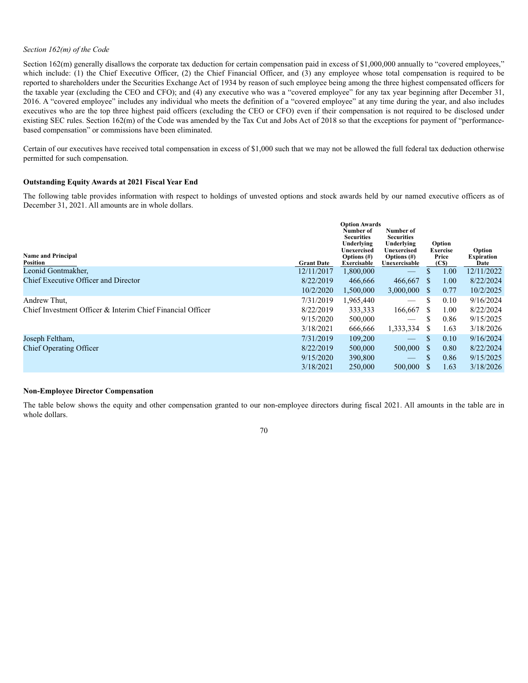### *Section 162(m) of the Code*

Section 162(m) generally disallows the corporate tax deduction for certain compensation paid in excess of \$1,000,000 annually to "covered employees," which include: (1) the Chief Executive Officer, (2) the Chief Financial Officer, and (3) any employee whose total compensation is required to be reported to shareholders under the Securities Exchange Act of 1934 by reason of such employee being among the three highest compensated officers for the taxable year (excluding the CEO and CFO); and (4) any executive who was a "covered employee" for any tax year beginning after December 31, 2016. A "covered employee" includes any individual who meets the definition of a "covered employee" at any time during the year, and also includes executives who are the top three highest paid officers (excluding the CEO or CFO) even if their compensation is not required to be disclosed under existing SEC rules. Section 162(m) of the Code was amended by the Tax Cut and Jobs Act of 2018 so that the exceptions for payment of "performancebased compensation" or commissions have been eliminated.

Certain of our executives have received total compensation in excess of \$1,000 such that we may not be allowed the full federal tax deduction otherwise permitted for such compensation.

## **Outstanding Equity Awards at 2021 Fiscal Year End**

The following table provides information with respect to holdings of unvested options and stock awards held by our named executive officers as of December 31, 2021. All amounts are in whole dollars.

| <b>Name and Principal</b><br>Position                      | <b>Grant Date</b> | <b>Option Awards</b><br>Number of<br><b>Securities</b><br>Underlying<br>Unexercised<br>Options $(\#)$<br>Exercisable | Number of<br><b>Securities</b><br>Underlying<br>Unexercised<br>Options $(\#)$<br>Unexercisable |               | Option<br>Exercise<br>Price<br>(C <sub>s</sub> ) | Option<br><b>Expiration</b><br>Date |
|------------------------------------------------------------|-------------------|----------------------------------------------------------------------------------------------------------------------|------------------------------------------------------------------------------------------------|---------------|--------------------------------------------------|-------------------------------------|
| Leonid Gontmakher,                                         | 12/11/2017        | 1,800,000                                                                                                            |                                                                                                |               | 1.00                                             | 12/11/2022                          |
| Chief Executive Officer and Director                       | 8/22/2019         | 466,666                                                                                                              | 466,667                                                                                        | -S            | 1.00                                             | 8/22/2024                           |
|                                                            | 10/2/2020         | 1,500,000                                                                                                            | 3,000,000                                                                                      | S.            | 0.77                                             | 10/2/2025                           |
| Andrew Thut.                                               | 7/31/2019         | 1,965,440                                                                                                            |                                                                                                | S             | 0.10                                             | 9/16/2024                           |
| Chief Investment Officer & Interim Chief Financial Officer | 8/22/2019         | 333,333                                                                                                              | 166,667                                                                                        | S.            | 1.00                                             | 8/22/2024                           |
|                                                            | 9/15/2020         | 500,000                                                                                                              |                                                                                                | \$            | 0.86                                             | 9/15/2025                           |
|                                                            | 3/18/2021         | 666,666                                                                                                              | 1,333,334                                                                                      | S             | 1.63                                             | 3/18/2026                           |
| Joseph Feltham,                                            | 7/31/2019         | 109,200                                                                                                              |                                                                                                | \$            | 0.10                                             | 9/16/2024                           |
| <b>Chief Operating Officer</b>                             | 8/22/2019         | 500,000                                                                                                              | 500,000                                                                                        | <sup>\$</sup> | 0.80                                             | 8/22/2024                           |
|                                                            | 9/15/2020         | 390,800                                                                                                              |                                                                                                | S             | 0.86                                             | 9/15/2025                           |
|                                                            | 3/18/2021         | 250,000                                                                                                              | 500,000                                                                                        | \$.           | 1.63                                             | 3/18/2026                           |

#### **Non-Employee Director Compensation**

The table below shows the equity and other compensation granted to our non-employee directors during fiscal 2021. All amounts in the table are in whole dollars.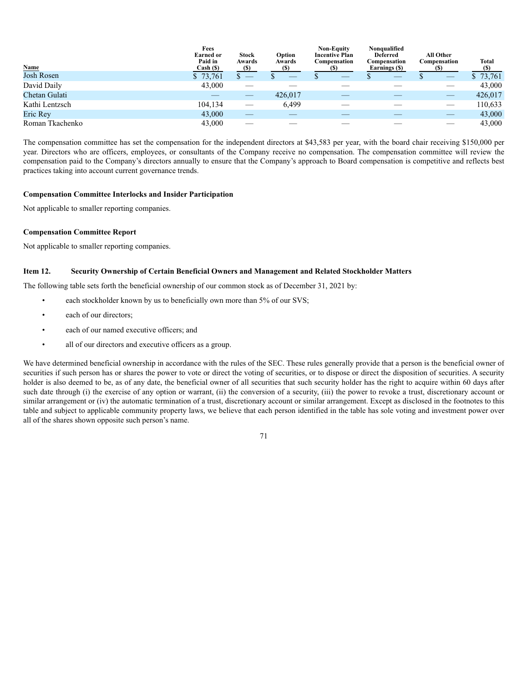| <b>Name</b>     | Fees<br><b>Earned or</b><br>Paid in<br>$\text{Cash}(\$)$ | <b>Stock</b><br>Awards<br>(S)  | Option<br>Awards<br>(S) | <b>Non-Equity</b><br><b>Incentive Plan</b><br>Compensation<br>(S) | Nonqualified<br><b>Deferred</b><br>Compensation<br>Earnings (\$) | All Other<br>Compensation      | <b>Total</b><br>(S) |
|-----------------|----------------------------------------------------------|--------------------------------|-------------------------|-------------------------------------------------------------------|------------------------------------------------------------------|--------------------------------|---------------------|
| Josh Rosen      | \$73,761                                                 |                                |                         |                                                                   |                                                                  |                                | \$73,761            |
|                 |                                                          | $\overbrace{\hspace{25mm}}^{}$ |                         |                                                                   | $\qquad \qquad - \qquad$                                         | $\overbrace{\hspace{25mm}}^{}$ |                     |
| David Daily     | 43,000                                                   |                                |                         |                                                                   |                                                                  | $\overbrace{\hspace{25mm}}^{}$ | 43,000              |
| Chetan Gulati   |                                                          |                                | 426,017                 |                                                                   |                                                                  | $\overbrace{\hspace{25mm}}^{}$ | 426,017             |
| Kathi Lentzsch  | 104,134                                                  |                                | 6,499                   | __                                                                |                                                                  | $\overbrace{\phantom{13333}}$  | 110,633             |
| Eric Rev        | 43,000                                                   |                                |                         |                                                                   |                                                                  | $\overbrace{\hspace{25mm}}^{}$ | 43,000              |
| Roman Tkachenko | 43,000                                                   |                                |                         |                                                                   |                                                                  |                                | 43,000              |

The compensation committee has set the compensation for the independent directors at \$43,583 per year, with the board chair receiving \$150,000 per year. Directors who are officers, employees, or consultants of the Company receive no compensation. The compensation committee will review the compensation paid to the Company's directors annually to ensure that the Company's approach to Board compensation is competitive and reflects best practices taking into account current governance trends.

# **Compensation Committee Interlocks and Insider Participation**

Not applicable to smaller reporting companies.

## **Compensation Committee Report**

Not applicable to smaller reporting companies.

### **Item 12. Security Ownership of Certain Beneficial Owners and Management and Related Stockholder Matters**

The following table sets forth the beneficial ownership of our common stock as of December 31, 2021 by:

- each stockholder known by us to beneficially own more than 5% of our SVS;
- each of our directors:
- each of our named executive officers; and
- all of our directors and executive officers as a group.

We have determined beneficial ownership in accordance with the rules of the SEC. These rules generally provide that a person is the beneficial owner of securities if such person has or shares the power to vote or direct the voting of securities, or to dispose or direct the disposition of securities. A security holder is also deemed to be, as of any date, the beneficial owner of all securities that such security holder has the right to acquire within 60 days after such date through (i) the exercise of any option or warrant, (ii) the conversion of a security, (iii) the power to revoke a trust, discretionary account or similar arrangement or (iv) the automatic termination of a trust, discretionary account or similar arrangement. Except as disclosed in the footnotes to this table and subject to applicable community property laws, we believe that each person identified in the table has sole voting and investment power over all of the shares shown opposite such person's name.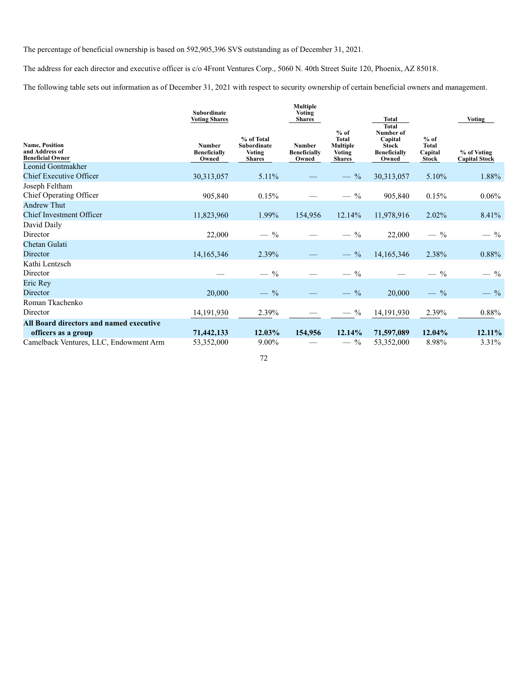The percentage of beneficial ownership is based on 592,905,396 SVS outstanding as of December 31, 2021.

The address for each director and executive officer is c/o 4Front Ventures Corp., 5060 N. 40th Street Suite 120, Phoenix, AZ 85018.

The following table sets out information as of December 31, 2021 with respect to security ownership of certain beneficial owners and management.

|                                                                    | <b>Subordinate</b><br><b>Voting Shares</b>    |                                                                    | <b>Multiple</b><br><b>Voting</b><br><b>Shares</b> |                                                                             | <b>Total</b><br><b>Total</b>                                         |                                                   | <b>Voting</b>                       |
|--------------------------------------------------------------------|-----------------------------------------------|--------------------------------------------------------------------|---------------------------------------------------|-----------------------------------------------------------------------------|----------------------------------------------------------------------|---------------------------------------------------|-------------------------------------|
| <b>Name, Position</b><br>and Address of<br><b>Beneficial Owner</b> | <b>Number</b><br><b>Beneficially</b><br>Owned | % of Total<br><b>Subordinate</b><br><b>Voting</b><br><b>Shares</b> | <b>Number</b><br><b>Beneficially</b><br>Owned     | $%$ of<br><b>Total</b><br><b>Multiple</b><br><b>Voting</b><br><b>Shares</b> | Number of<br>Capital<br><b>Stock</b><br><b>Beneficially</b><br>Owned | $%$ of<br><b>Total</b><br>Capital<br><b>Stock</b> | % of Voting<br><b>Capital Stock</b> |
| Leonid Gontmakher                                                  |                                               |                                                                    |                                                   |                                                                             |                                                                      |                                                   |                                     |
| <b>Chief Executive Officer</b>                                     | 30,313,057                                    | 5.11%                                                              |                                                   | $\frac{0}{0}$                                                               | 30,313,057                                                           | 5.10%                                             | 1.88%                               |
| Joseph Feltham                                                     |                                               |                                                                    |                                                   |                                                                             |                                                                      |                                                   |                                     |
| Chief Operating Officer                                            | 905,840                                       | 0.15%                                                              |                                                   | $- \frac{9}{6}$                                                             | 905,840                                                              | 0.15%                                             | $0.06\%$                            |
| <b>Andrew Thut</b>                                                 |                                               |                                                                    |                                                   |                                                                             |                                                                      |                                                   |                                     |
| <b>Chief Investment Officer</b>                                    | 11,823,960                                    | 1.99%                                                              | 154,956                                           | 12.14%                                                                      | 11,978,916                                                           | 2.02%                                             | 8.41%                               |
| David Daily                                                        |                                               |                                                                    |                                                   |                                                                             |                                                                      |                                                   |                                     |
| Director                                                           | 22,000                                        | $-$ %                                                              |                                                   | $\frac{0}{0}$                                                               | 22,000                                                               | $-$ %                                             | $-$ %                               |
| Chetan Gulati                                                      |                                               |                                                                    |                                                   |                                                                             |                                                                      |                                                   |                                     |
| Director                                                           | 14,165,346                                    | 2.39%                                                              |                                                   | $\frac{0}{0}$                                                               | 14, 165, 346                                                         | 2.38%                                             | 0.88%                               |
| Kathi Lentzsch                                                     |                                               |                                                                    |                                                   |                                                                             |                                                                      |                                                   |                                     |
| Director                                                           |                                               | $-$ %                                                              |                                                   | $-$ %                                                                       |                                                                      | $-$ %                                             | $-$ %                               |
| Eric Rey                                                           |                                               |                                                                    |                                                   |                                                                             |                                                                      |                                                   |                                     |
| Director                                                           | 20,000                                        | $-$ %                                                              |                                                   | $-$ %                                                                       | 20,000                                                               | $-$ %                                             | $- \frac{9}{6}$                     |
| Roman Tkachenko                                                    |                                               |                                                                    |                                                   |                                                                             |                                                                      |                                                   |                                     |
| Director                                                           | 14, 191, 930                                  | 2.39%                                                              |                                                   | $\frac{0}{0}$                                                               | 14,191,930                                                           | 2.39%                                             | $0.88\%$                            |
| All Board directors and named executive                            |                                               |                                                                    |                                                   |                                                                             |                                                                      |                                                   |                                     |
| officers as a group                                                | 71,442,133                                    | 12.03%                                                             | 154,956                                           | 12.14%                                                                      | 71,597,089                                                           | 12.04%                                            | 12.11%                              |
| Camelback Ventures, LLC, Endowment Arm                             | 53,352,000                                    | 9.00%                                                              |                                                   | $-$ %                                                                       | 53,352,000                                                           | 8.98%                                             | 3.31%                               |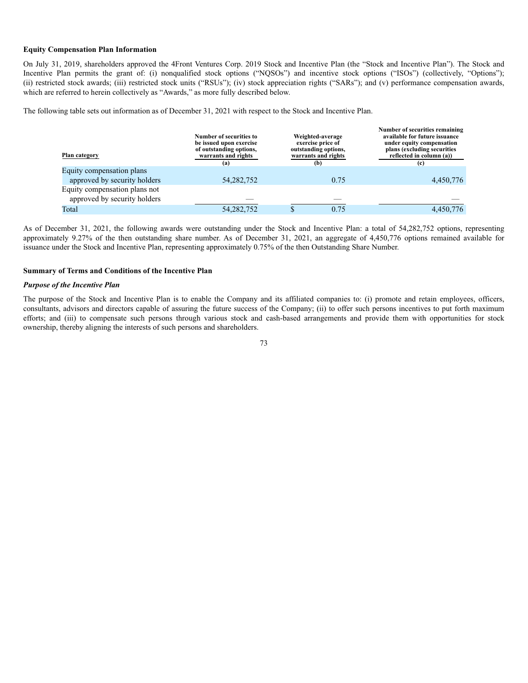#### **Equity Compensation Plan Information**

On July 31, 2019, shareholders approved the 4Front Ventures Corp. 2019 Stock and Incentive Plan (the "Stock and Incentive Plan"). The Stock and Incentive Plan permits the grant of: (i) nonqualified stock options ("NQSOs") and incentive stock options ("ISOs") (collectively, "Options"); (ii) restricted stock awards; (iii) restricted stock units ("RSUs"); (iv) stock appreciation rights ("SARs"); and (v) performance compensation awards, which are referred to herein collectively as "Awards," as more fully described below.

The following table sets out information as of December 31, 2021 with respect to the Stock and Incentive Plan.

| Plan category                 | <b>Number of securities to</b><br>be issued upon exercise<br>of outstanding options,<br>warrants and rights<br>(a) | Weighted-average<br>exercise price of<br>outstanding options,<br>warrants and rights<br>(b) |      | Number of securities remaining<br>available for future issuance<br>under equity compensation<br>plans (excluding securities<br>reflected in column (a))<br>(c) |
|-------------------------------|--------------------------------------------------------------------------------------------------------------------|---------------------------------------------------------------------------------------------|------|----------------------------------------------------------------------------------------------------------------------------------------------------------------|
| Equity compensation plans     |                                                                                                                    |                                                                                             |      |                                                                                                                                                                |
| approved by security holders  | 54, 282, 752                                                                                                       |                                                                                             | 0.75 | 4,450,776                                                                                                                                                      |
| Equity compensation plans not |                                                                                                                    |                                                                                             |      |                                                                                                                                                                |
| approved by security holders  |                                                                                                                    |                                                                                             |      |                                                                                                                                                                |
| Total                         | 54, 282, 752                                                                                                       |                                                                                             | 0.75 | 4,450,776                                                                                                                                                      |

As of December 31, 2021, the following awards were outstanding under the Stock and Incentive Plan: a total of 54,282,752 options, representing approximately 9.27% of the then outstanding share number. As of December 31, 2021, an aggregate of 4,450,776 options remained available for issuance under the Stock and Incentive Plan, representing approximately 0.75% of the then Outstanding Share Number.

### **Summary of Terms and Conditions of the Incentive Plan**

### *Purpose of the Incentive Plan*

The purpose of the Stock and Incentive Plan is to enable the Company and its affiliated companies to: (i) promote and retain employees, officers, consultants, advisors and directors capable of assuring the future success of the Company; (ii) to offer such persons incentives to put forth maximum efforts; and (iii) to compensate such persons through various stock and cash-based arrangements and provide them with opportunities for stock ownership, thereby aligning the interests of such persons and shareholders.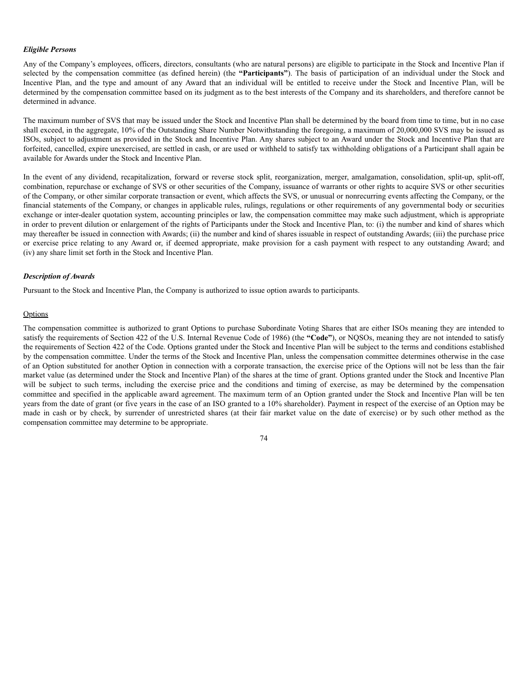### *Eligible Persons*

Any of the Company's employees, officers, directors, consultants (who are natural persons) are eligible to participate in the Stock and Incentive Plan if selected by the compensation committee (as defined herein) (the **"Participants"**). The basis of participation of an individual under the Stock and Incentive Plan, and the type and amount of any Award that an individual will be entitled to receive under the Stock and Incentive Plan, will be determined by the compensation committee based on its judgment as to the best interests of the Company and its shareholders, and therefore cannot be determined in advance.

The maximum number of SVS that may be issued under the Stock and Incentive Plan shall be determined by the board from time to time, but in no case shall exceed, in the aggregate, 10% of the Outstanding Share Number Notwithstanding the foregoing, a maximum of 20,000,000 SVS may be issued as ISOs, subject to adjustment as provided in the Stock and Incentive Plan. Any shares subject to an Award under the Stock and Incentive Plan that are forfeited, cancelled, expire unexercised, are settled in cash, or are used or withheld to satisfy tax withholding obligations of a Participant shall again be available for Awards under the Stock and Incentive Plan.

In the event of any dividend, recapitalization, forward or reverse stock split, reorganization, merger, amalgamation, consolidation, split-up, split-off, combination, repurchase or exchange of SVS or other securities of the Company, issuance of warrants or other rights to acquire SVS or other securities of the Company, or other similar corporate transaction or event, which affects the SVS, or unusual or nonrecurring events affecting the Company, or the financial statements of the Company, or changes in applicable rules, rulings, regulations or other requirements of any governmental body or securities exchange or inter-dealer quotation system, accounting principles or law, the compensation committee may make such adjustment, which is appropriate in order to prevent dilution or enlargement of the rights of Participants under the Stock and Incentive Plan, to: (i) the number and kind of shares which may thereafter be issued in connection with Awards; (ii) the number and kind of shares issuable in respect of outstanding Awards; (iii) the purchase price or exercise price relating to any Award or, if deemed appropriate, make provision for a cash payment with respect to any outstanding Award; and (iv) any share limit set forth in the Stock and Incentive Plan.

# *Description of Awards*

Pursuant to the Stock and Incentive Plan, the Company is authorized to issue option awards to participants.

### **Options**

The compensation committee is authorized to grant Options to purchase Subordinate Voting Shares that are either ISOs meaning they are intended to satisfy the requirements of Section 422 of the U.S. Internal Revenue Code of 1986) (the **"Code"**), or NQSOs, meaning they are not intended to satisfy the requirements of Section 422 of the Code. Options granted under the Stock and Incentive Plan will be subject to the terms and conditions established by the compensation committee. Under the terms of the Stock and Incentive Plan, unless the compensation committee determines otherwise in the case of an Option substituted for another Option in connection with a corporate transaction, the exercise price of the Options will not be less than the fair market value (as determined under the Stock and Incentive Plan) of the shares at the time of grant. Options granted under the Stock and Incentive Plan will be subject to such terms, including the exercise price and the conditions and timing of exercise, as may be determined by the compensation committee and specified in the applicable award agreement. The maximum term of an Option granted under the Stock and Incentive Plan will be ten years from the date of grant (or five years in the case of an ISO granted to a 10% shareholder). Payment in respect of the exercise of an Option may be made in cash or by check, by surrender of unrestricted shares (at their fair market value on the date of exercise) or by such other method as the compensation committee may determine to be appropriate.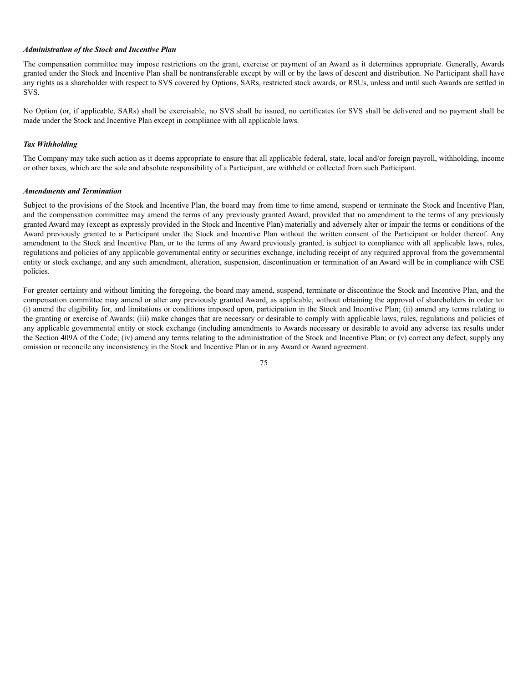#### *Administration of the Stock and Incentive Plan*

The compensation committee may impose restrictions on the grant, exercise or payment of an Award as it determines appropriate. Generally, Awards granted under the Stock and Incentive Plan shall be nontransferable except by will or by the laws of descent and distribution. No Participant shall have any rights as a shareholder with respect to SVS covered by Options, SARs, restricted stock awards, or RSUs, unless and until such Awards are settled in SVS.

No Option (or, if applicable, SARs) shall be exercisable, no SVS shall be issued, no certificates for SVS shall be delivered and no payment shall be made under the Stock and Incentive Plan except in compliance with all applicable laws.

#### *Tax Withholding*

The Company may take such action as it deems appropriate to ensure that all applicable federal, state, local and/or foreign payroll, withholding, income or other taxes, which are the sole and absolute responsibility of a Participant, are withheld or collected from such Participant.

### *Amendments and Termination*

Subject to the provisions of the Stock and Incentive Plan, the board may from time to time amend, suspend or terminate the Stock and Incentive Plan, and the compensation committee may amend the terms of any previously granted Award, provided that no amendment to the terms of any previously granted Award may (except as expressly provided in the Stock and Incentive Plan) materially and adversely alter or impair the terms or conditions of the Award previously granted to a Participant under the Stock and Incentive Plan without the written consent of the Participant or holder thereof. Any amendment to the Stock and Incentive Plan, or to the terms of any Award previously granted, is subject to compliance with all applicable laws, rules, regulations and policies of any applicable governmental entity or securities exchange, including receipt of any required approval from the governmental entity or stock exchange, and any such amendment, alteration, suspension, discontinuation or termination of an Award will be in compliance with CSE policies.

For greater certainty and without limiting the foregoing, the board may amend, suspend, terminate or discontinue the Stock and Incentive Plan, and the compensation committee may amend or alter any previously granted Award, as applicable, without obtaining the approval of shareholders in order to: (i) amend the eligibility for, and limitations or conditions imposed upon, participation in the Stock and Incentive Plan; (ii) amend any terms relating to the granting or exercise of Awards; (iii) make changes that are necessary or desirable to comply with applicable laws, rules, regulations and policies of any applicable governmental entity or stock exchange (including amendments to Awards necessary or desirable to avoid any adverse tax results under the Section 409A of the Code; (iv) amend any terms relating to the administration of the Stock and Incentive Plan; or (v) correct any defect, supply any omission or reconcile any inconsistency in the Stock and Incentive Plan or in any Award or Award agreement.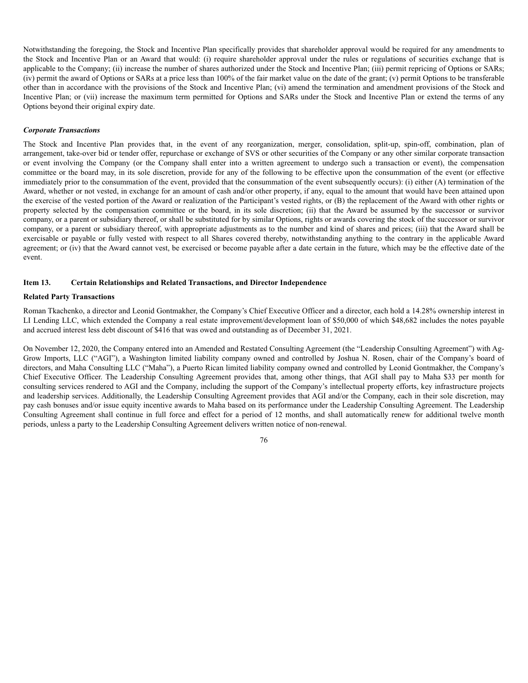Notwithstanding the foregoing, the Stock and Incentive Plan specifically provides that shareholder approval would be required for any amendments to the Stock and Incentive Plan or an Award that would: (i) require shareholder approval under the rules or regulations of securities exchange that is applicable to the Company; (ii) increase the number of shares authorized under the Stock and Incentive Plan; (iii) permit repricing of Options or SARs; (iv) permit the award of Options or SARs at a price less than 100% of the fair market value on the date of the grant; (v) permit Options to be transferable other than in accordance with the provisions of the Stock and Incentive Plan; (vi) amend the termination and amendment provisions of the Stock and Incentive Plan; or (vii) increase the maximum term permitted for Options and SARs under the Stock and Incentive Plan or extend the terms of any Options beyond their original expiry date.

### *Corporate Transactions*

The Stock and Incentive Plan provides that, in the event of any reorganization, merger, consolidation, split-up, spin-off, combination, plan of arrangement, take-over bid or tender offer, repurchase or exchange of SVS or other securities of the Company or any other similar corporate transaction or event involving the Company (or the Company shall enter into a written agreement to undergo such a transaction or event), the compensation committee or the board may, in its sole discretion, provide for any of the following to be effective upon the consummation of the event (or effective immediately prior to the consummation of the event, provided that the consummation of the event subsequently occurs): (i) either (A) termination of the Award, whether or not vested, in exchange for an amount of cash and/or other property, if any, equal to the amount that would have been attained upon the exercise of the vested portion of the Award or realization of the Participant's vested rights, or (B) the replacement of the Award with other rights or property selected by the compensation committee or the board, in its sole discretion; (ii) that the Award be assumed by the successor or survivor company, or a parent or subsidiary thereof, or shall be substituted for by similar Options, rights or awards covering the stock of the successor or survivor company, or a parent or subsidiary thereof, with appropriate adjustments as to the number and kind of shares and prices; (iii) that the Award shall be exercisable or payable or fully vested with respect to all Shares covered thereby, notwithstanding anything to the contrary in the applicable Award agreement; or (iv) that the Award cannot vest, be exercised or become payable after a date certain in the future, which may be the effective date of the event.

### **Item 13. Certain Relationships and Related Transactions, and Director Independence**

# **Related Party Transactions**

Roman Tkachenko, a director and Leonid Gontmakher, the Company's Chief Executive Officer and a director, each hold a 14.28% ownership interest in LI Lending LLC, which extended the Company a real estate improvement/development loan of \$50,000 of which \$48,682 includes the notes payable and accrued interest less debt discount of \$416 that was owed and outstanding as of December 31, 2021.

On November 12, 2020, the Company entered into an Amended and Restated Consulting Agreement (the "Leadership Consulting Agreement") with Ag-Grow Imports, LLC ("AGI"), a Washington limited liability company owned and controlled by Joshua N. Rosen, chair of the Company's board of directors, and Maha Consulting LLC ("Maha"), a Puerto Rican limited liability company owned and controlled by Leonid Gontmakher, the Company's Chief Executive Officer. The Leadership Consulting Agreement provides that, among other things, that AGI shall pay to Maha \$33 per month for consulting services rendered to AGI and the Company, including the support of the Company's intellectual property efforts, key infrastructure projects and leadership services. Additionally, the Leadership Consulting Agreement provides that AGI and/or the Company, each in their sole discretion, may pay cash bonuses and/or issue equity incentive awards to Maha based on its performance under the Leadership Consulting Agreement. The Leadership Consulting Agreement shall continue in full force and effect for a period of 12 months, and shall automatically renew for additional twelve month periods, unless a party to the Leadership Consulting Agreement delivers written notice of non-renewal.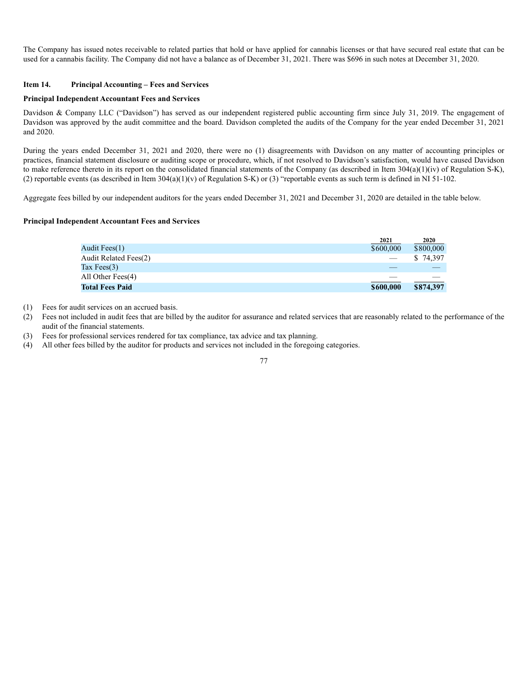The Company has issued notes receivable to related parties that hold or have applied for cannabis licenses or that have secured real estate that can be used for a cannabis facility. The Company did not have a balance as of December 31, 2021. There was \$696 in such notes at December 31, 2020.

# **Item 14. Principal Accounting – Fees and Services**

### **Principal Independent Accountant Fees and Services**

Davidson & Company LLC ("Davidson") has served as our independent registered public accounting firm since July 31, 2019. The engagement of Davidson was approved by the audit committee and the board. Davidson completed the audits of the Company for the year ended December 31, 2021 and 2020.

During the years ended December 31, 2021 and 2020, there were no (1) disagreements with Davidson on any matter of accounting principles or practices, financial statement disclosure or auditing scope or procedure, which, if not resolved to Davidson's satisfaction, would have caused Davidson to make reference thereto in its report on the consolidated financial statements of the Company (as described in Item  $304(a)(1)(iv)$  of Regulation S-K), (2) reportable events (as described in Item 304(a)(1)(v) of Regulation S-K) or (3) "reportable events as such term is defined in NI 51-102.

Aggregate fees billed by our independent auditors for the years ended December 31, 2021 and December 31, 2020 are detailed in the table below.

### **Principal Independent Accountant Fees and Services**

|                        | 2021      | 2020      |
|------------------------|-----------|-----------|
| Audit Fees $(1)$       | \$600,000 | \$800,000 |
| Audit Related Fees(2)  |           | \$74.397  |
| Tax Fees $(3)$         |           |           |
| All Other Fees(4)      |           |           |
| <b>Total Fees Paid</b> | \$600,000 | \$874,397 |

(1) Fees for audit services on an accrued basis.

(2) Fees not included in audit fees that are billed by the auditor for assurance and related services that are reasonably related to the performance of the audit of the financial statements.

- (3) Fees for professional services rendered for tax compliance, tax advice and tax planning.
- (4) All other fees billed by the auditor for products and services not included in the foregoing categories.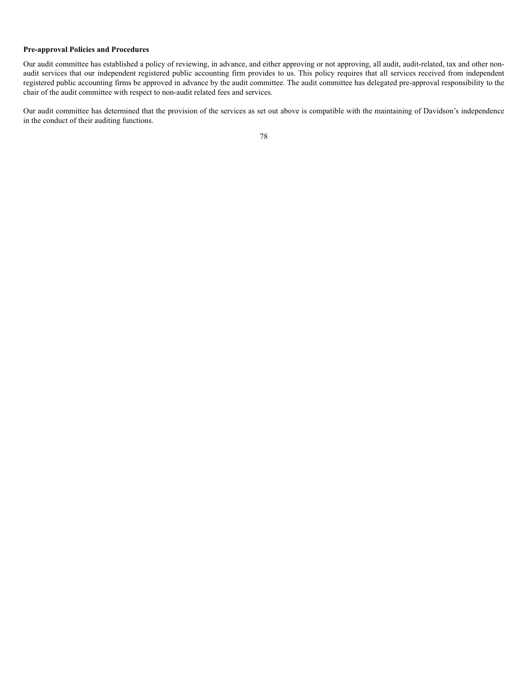### **Pre-approval Policies and Procedures**

Our audit committee has established a policy of reviewing, in advance, and either approving or not approving, all audit, audit-related, tax and other nonaudit services that our independent registered public accounting firm provides to us. This policy requires that all services received from independent registered public accounting firms be approved in advance by the audit committee. The audit committee has delegated pre-approval responsibility to the chair of the audit committee with respect to non-audit related fees and services.

Our audit committee has determined that the provision of the services as set out above is compatible with the maintaining of Davidson's independence in the conduct of their auditing functions.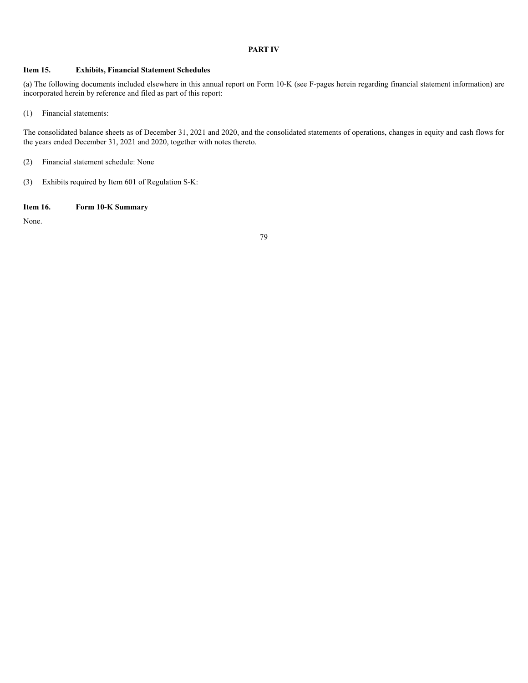### **PART IV**

### **Item 15. Exhibits, Financial Statement Schedules**

(a) The following documents included elsewhere in this annual report on Form 10-K (see F-pages herein regarding financial statement information) are incorporated herein by reference and filed as part of this report:

(1) Financial statements:

The consolidated balance sheets as of December 31, 2021 and 2020, and the consolidated statements of operations, changes in equity and cash flows for the years ended December 31, 2021 and 2020, together with notes thereto.

(2) Financial statement schedule: None

(3) Exhibits required by Item 601 of Regulation S-K:

# **Item 16. Form 10-K Summary**

None.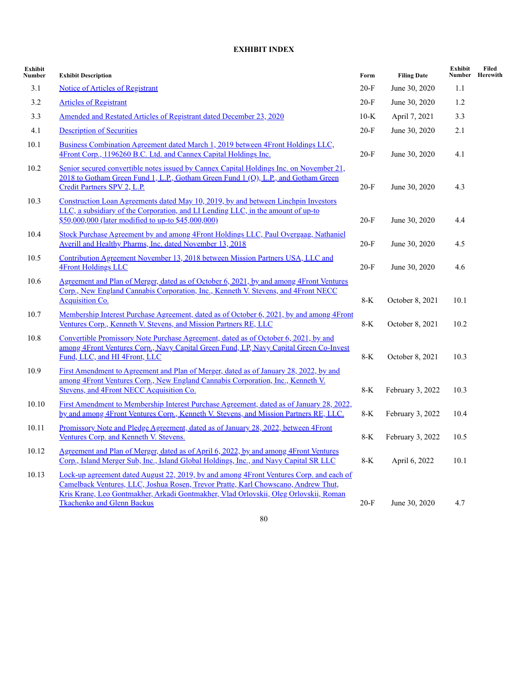# **EXHIBIT INDEX**

| <b>Exhibit</b><br>Number | <b>Exhibit Description</b>                                                                                                                                                                                                                                            | Form    | <b>Filing Date</b> | <b>Exhibit</b><br>Number | Filed<br>Herewith |
|--------------------------|-----------------------------------------------------------------------------------------------------------------------------------------------------------------------------------------------------------------------------------------------------------------------|---------|--------------------|--------------------------|-------------------|
| 3.1                      | <b>Notice of Articles of Registrant</b>                                                                                                                                                                                                                               | $20-F$  | June 30, 2020      | 1.1                      |                   |
| 3.2                      | <b>Articles of Registrant</b>                                                                                                                                                                                                                                         | $20-F$  | June 30, 2020      | 1.2                      |                   |
| 3.3                      | Amended and Restated Articles of Registrant dated December 23, 2020                                                                                                                                                                                                   | $10-K$  | April 7, 2021      | 3.3                      |                   |
| 4.1                      | <b>Description of Securities</b>                                                                                                                                                                                                                                      | $20-F$  | June 30, 2020      | 2.1                      |                   |
| 10.1                     | Business Combination Agreement dated March 1, 2019 between 4Front Holdings LLC.<br>4Front Corp., 1196260 B.C. Ltd. and Cannex Capital Holdings Inc.                                                                                                                   | $20-F$  | June 30, 2020      | 4.1                      |                   |
| 10.2                     | Senior secured convertible notes issued by Cannex Capital Holdings Inc. on November 21,<br>2018 to Gotham Green Fund 1, L.P., Gotham Green Fund 1 (Q), L.P., and Gotham Green<br>Credit Partners SPV 2, L.P.                                                          | $20-F$  | June 30, 2020      | 4.3                      |                   |
| 10.3                     | Construction Loan Agreements dated May 10, 2019, by and between Linchpin Investors<br>LLC, a subsidiary of the Corporation, and LI Lending LLC, in the amount of up-to<br>\$50,000,000 (later modified to up-to \$45,000,000)                                         | $20-F$  | June 30, 2020      | 4.4                      |                   |
| 10.4                     | Stock Purchase Agreement by and among 4Front Holdings LLC, Paul Overgaag, Nathaniel<br>Averill and Healthy Pharms, Inc. dated November 13, 2018                                                                                                                       | $20-F$  | June 30, 2020      | 4.5                      |                   |
| 10.5                     | <u>Contribution Agreement November 13, 2018 between Mission Partners USA, LLC and</u><br><b>4Front Holdings LLC</b>                                                                                                                                                   | $20-F$  | June 30, 2020      | 4.6                      |                   |
| 10.6                     | <u>Agreement and Plan of Merger, dated as of October 6, 2021, by and among 4Front Ventures</u><br>Corp., New England Cannabis Corporation, Inc., Kenneth V. Stevens, and 4Front NECC<br><b>Acquisition Co.</b>                                                        | $8-K$   | October 8, 2021    | 10.1                     |                   |
| 10.7                     | <u>Membership Interest Purchase Agreement, dated as of October 6, 2021, by and among 4Front</u><br>Ventures Corp., Kenneth V. Stevens, and Mission Partners RE, LLC                                                                                                   | $8 - K$ | October 8, 2021    | 10.2                     |                   |
| 10.8                     | Convertible Promissory Note Purchase Agreement, dated as of October 6, 2021, by and<br>among 4Front Ventures Corp., Navy Capital Green Fund, LP, Navy Capital Green Co-Invest<br>Fund, LLC, and HI 4Front, LLC                                                        | $8 - K$ | October 8, 2021    | 10.3                     |                   |
| 10.9                     | <u>First Amendment to Agreement and Plan of Merger, dated as of January 28, 2022, by and</u><br>among 4Front Ventures Corp., New England Cannabis Corporation, Inc., Kenneth V.<br>Stevens, and 4Front NECC Acquisition Co.                                           | $8-K$   | February 3, 2022   | 10.3                     |                   |
| 10.10                    | First Amendment to Membership Interest Purchase Agreement, dated as of January 28, 2022,<br>by and among 4Front Ventures Corp., Kenneth V. Stevens, and Mission Partners RE, LLC.                                                                                     | $8-K$   | February 3, 2022   | 10.4                     |                   |
| 10.11                    | Promissory Note and Pledge Agreement, dated as of January 28, 2022, between 4Front<br>Ventures Corp. and Kenneth V. Stevens.                                                                                                                                          | $8-K$   | February 3, 2022   | 10.5                     |                   |
| 10.12                    | Agreement and Plan of Merger, dated as of April 6, 2022, by and among 4Front Ventures<br>Corp., Island Merger Sub, Inc., Island Global Holdings, Inc., and Navy Capital SR LLC                                                                                        | $8-K$   | April 6, 2022      | 10.1                     |                   |
| 10.13                    | Lock-up agreement dated August 22, 2019, by and among 4Front Ventures Corp. and each of<br>Camelback Ventures, LLC, Joshua Rosen, Trevor Pratte, Karl Chowscano, Andrew Thut,<br>Kris Krane, Leo Gontmakher, Arkadi Gontmakher, Vlad Orlovskii, Oleg Orlovskii, Roman |         |                    |                          |                   |
|                          | <b>Tkachenko and Glenn Backus</b>                                                                                                                                                                                                                                     | $20-F$  | June 30, 2020      | 4.7                      |                   |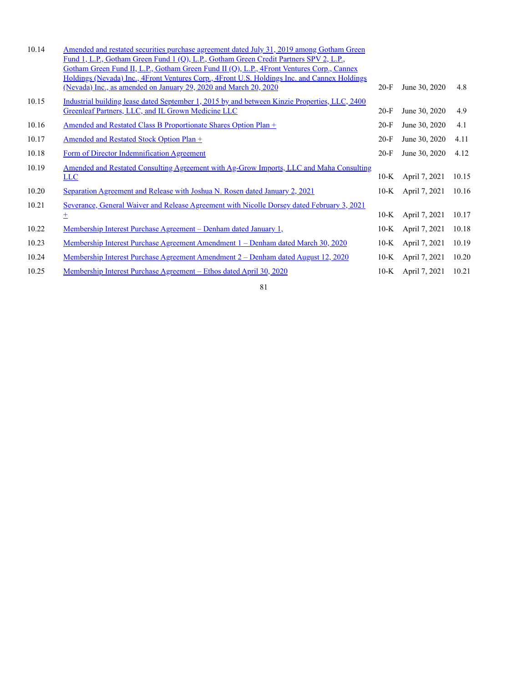| 10.14 | Amended and restated securities purchase agreement dated July 31, 2019 among Gotham Green<br>Fund 1, L.P., Gotham Green Fund 1 (Q), L.P., Gotham Green Credit Partners SPV 2, L.P.,<br>Gotham Green Fund II, L.P., Gotham Green Fund II (Q), L.P., 4Front Ventures Corp., Cannex |        |               |       |
|-------|----------------------------------------------------------------------------------------------------------------------------------------------------------------------------------------------------------------------------------------------------------------------------------|--------|---------------|-------|
|       | Holdings (Nevada) Inc., 4Front Ventures Corp., 4Front U.S. Holdings Inc. and Cannex Holdings<br>(Nevada) Inc., as amended on January 29, 2020 and March 20, 2020                                                                                                                 | $20-F$ | June 30, 2020 | 4.8   |
| 10.15 | Industrial building lease dated September 1, 2015 by and between Kinzie Properties, LLC, 2400<br>Greenleaf Partners, LLC, and IL Grown Medicine LLC                                                                                                                              | $20-F$ | June 30, 2020 | 4.9   |
| 10.16 | Amended and Restated Class B Proportionate Shares Option Plan +                                                                                                                                                                                                                  | $20-F$ | June 30, 2020 | 4.1   |
| 10.17 | <u>Amended and Restated Stock Option Plan +</u>                                                                                                                                                                                                                                  | $20-F$ | June 30, 2020 | 4.11  |
| 10.18 | Form of Director Indemnification Agreement                                                                                                                                                                                                                                       | $20-F$ | June 30, 2020 | 4.12  |
| 10.19 | Amended and Restated Consulting Agreement with Ag-Grow Imports, LLC and Maha Consulting<br>LLC                                                                                                                                                                                   | $10-K$ | April 7, 2021 | 10.15 |
| 10.20 | Separation Agreement and Release with Joshua N. Rosen dated January 2, 2021                                                                                                                                                                                                      | $10-K$ | April 7, 2021 | 10.16 |
| 10.21 | Severance, General Waiver and Release Agreement with Nicolle Dorsey dated February 3, 2021<br>$\pm$                                                                                                                                                                              | $10-K$ | April 7, 2021 | 10.17 |
| 10.22 | Membership Interest Purchase Agreement - Denham dated January 1,                                                                                                                                                                                                                 | $10-K$ | April 7, 2021 | 10.18 |
| 10.23 | <u> Membership Interest Purchase Agreement Amendment 1 – Denham dated March 30, 2020</u>                                                                                                                                                                                         | $10-K$ | April 7, 2021 | 10.19 |
| 10.24 | <u>Membership Interest Purchase Agreement Amendment 2 – Denham dated August 12, 2020</u>                                                                                                                                                                                         | $10-K$ | April 7, 2021 | 10.20 |
| 10.25 | Membership Interest Purchase Agreement - Ethos dated April 30, 2020                                                                                                                                                                                                              | $10-K$ | April 7, 2021 | 10.21 |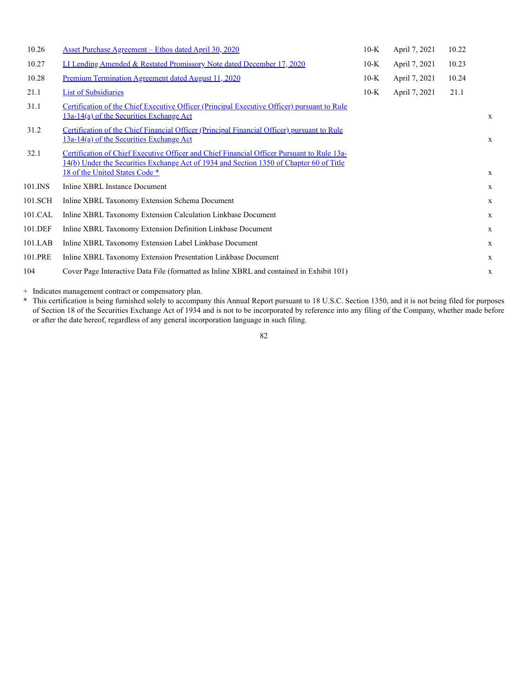| 10.26   | <u> Asset Purchase Agreement – Ethos dated April 30, 2020</u>                                                                                                                                                                  | $10-K$ | April 7, 2021 | 10.22 |              |
|---------|--------------------------------------------------------------------------------------------------------------------------------------------------------------------------------------------------------------------------------|--------|---------------|-------|--------------|
| 10.27   | LI Lending Amended & Restated Promissory Note dated December 17, 2020                                                                                                                                                          | $10-K$ | April 7, 2021 | 10.23 |              |
| 10.28   | Premium Termination Agreement dated August 11, 2020                                                                                                                                                                            | $10-K$ | April 7, 2021 | 10.24 |              |
| 21.1    | <b>List of Subsidiaries</b>                                                                                                                                                                                                    | $10-K$ | April 7, 2021 | 21.1  |              |
| 31.1    | Certification of the Chief Executive Officer (Principal Executive Officer) pursuant to Rule<br>13a-14(a) of the Securities Exchange Act                                                                                        |        |               |       | X            |
| 31.2    | <b>Certification of the Chief Financial Officer (Principal Financial Officer) pursuant to Rule</b><br>13a-14(a) of the Securities Exchange Act                                                                                 |        |               |       | $\mathbf X$  |
| 32.1    | Certification of Chief Executive Officer and Chief Financial Officer Pursuant to Rule 13a-<br><u>14(b) Under the Securities Exchange Act of 1934 and Section 1350 of Chapter 60 of Title</u><br>18 of the United States Code * |        |               |       | $\mathbf{X}$ |
| 101.INS | Inline XBRL Instance Document                                                                                                                                                                                                  |        |               |       | X            |
| 101.SCH | Inline XBRL Taxonomy Extension Schema Document                                                                                                                                                                                 |        |               |       | X            |
| 101.CAL | Inline XBRL Taxonomy Extension Calculation Linkbase Document                                                                                                                                                                   |        |               |       | X            |
| 101.DEF | Inline XBRL Taxonomy Extension Definition Linkbase Document                                                                                                                                                                    |        |               |       | $\mathbf X$  |
| 101.LAB | Inline XBRL Taxonomy Extension Label Linkbase Document                                                                                                                                                                         |        |               |       | $\mathbf{X}$ |
| 101.PRE | Inline XBRL Taxonomy Extension Presentation Linkbase Document                                                                                                                                                                  |        |               |       | $\mathbf X$  |
| 104     | Cover Page Interactive Data File (formatted as Inline XBRL and contained in Exhibit 101)                                                                                                                                       |        |               |       | $\mathbf X$  |
|         |                                                                                                                                                                                                                                |        |               |       |              |

+ Indicates management contract or compensatory plan.<br>\* This certification is being furnished solely to accompa

This certification is being furnished solely to accompany this Annual Report pursuant to 18 U.S.C. Section 1350, and it is not being filed for purposes of Section 18 of the Securities Exchange Act of 1934 and is not to be incorporated by reference into any filing of the Company, whether made before or after the date hereof, regardless of any general incorporation language in such filing.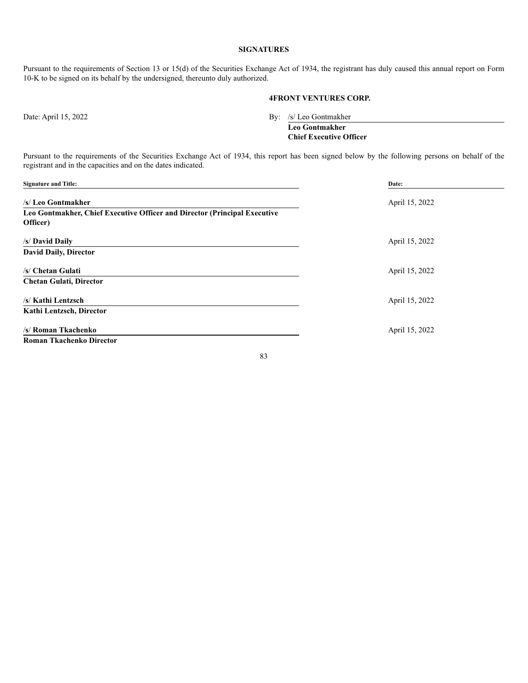### **SIGNATURES**

Pursuant to the requirements of Section 13 or 15(d) of the Securities Exchange Act of 1934, the registrant has duly caused this annual report on Form 10-K to be signed on its behalf by the undersigned, thereunto duly authorized.

### **4FRONT VENTURES CORP.**

Date: April 15, 2022 By: /s/ Leo Gontmakher

 **Leo Gontmakher Chief Executive Officer**

Pursuant to the requirements of the Securities Exchange Act of 1934, this report has been signed below by the following persons on behalf of the registrant and in the capacities and on the dates indicated.

| <b>Signature and Title:</b>                                                                                 | Date:          |
|-------------------------------------------------------------------------------------------------------------|----------------|
| /s/ Leo Gontmakher<br>Leo Gontmakher, Chief Executive Officer and Director (Principal Executive<br>Officer) | April 15, 2022 |
| /s/ David Daily<br><b>David Daily, Director</b>                                                             | April 15, 2022 |
| /s/ Chetan Gulati<br><b>Chetan Gulati, Director</b>                                                         | April 15, 2022 |
| /s/ Kathi Lentzsch<br>Kathi Lentzsch, Director                                                              | April 15, 2022 |
| /s/ Roman Tkachenko<br><b>Roman Tkachenko Director</b>                                                      | April 15, 2022 |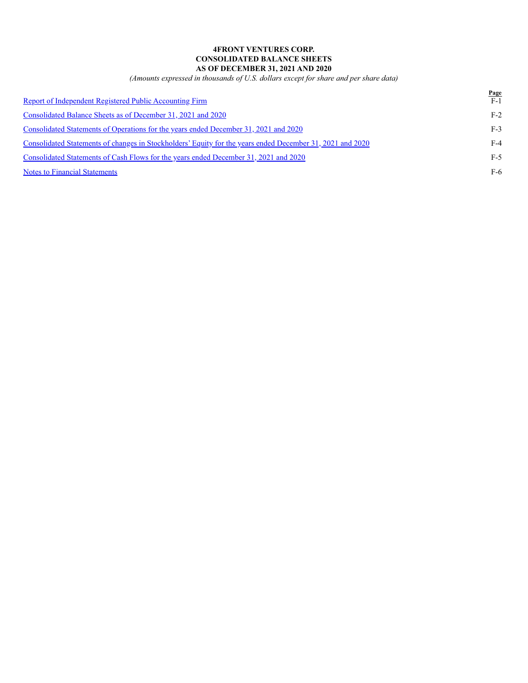# **4FRONT VENTURES CORP. CONSOLIDATED BALANCE SHEETS AS OF DECEMBER 31, 2021 AND 2020**

*(Amounts expressed in thousands of U.S. dollars except for share and per share data)*

|                                                                                                           | Page  |
|-----------------------------------------------------------------------------------------------------------|-------|
| <b>Report of Independent Registered Public Accounting Firm</b>                                            | $F-1$ |
| Consolidated Balance Sheets as of December 31, 2021 and 2020                                              | $F-2$ |
| Consolidated Statements of Operations for the years ended December 31, 2021 and 2020                      | $F-3$ |
| Consolidated Statements of changes in Stockholders' Equity for the years ended December 31, 2021 and 2020 | $F-4$ |
| Consolidated Statements of Cash Flows for the years ended December 31, 2021 and 2020                      | $F-5$ |
| <b>Notes to Financial Statements</b>                                                                      | $F-6$ |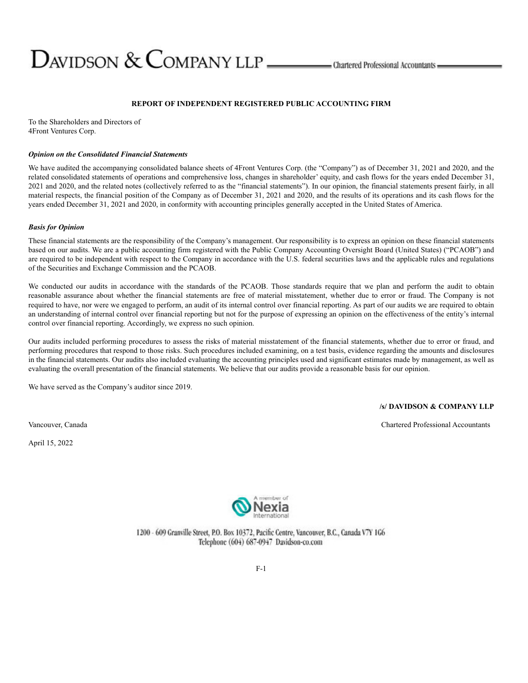### **REPORT OF INDEPENDENT REGISTERED PUBLIC ACCOUNTING FIRM**

To the Shareholders and Directors of 4Front Ventures Corp.

#### *Opinion on the Consolidated Financial Statements*

We have audited the accompanying consolidated balance sheets of 4Front Ventures Corp. (the "Company") as of December 31, 2021 and 2020, and the related consolidated statements of operations and comprehensive loss, changes in shareholder' equity, and cash flows for the years ended December 31, 2021 and 2020, and the related notes (collectively referred to as the "financial statements"). In our opinion, the financial statements present fairly, in all material respects, the financial position of the Company as of December 31, 2021 and 2020, and the results of its operations and its cash flows for the years ended December 31, 2021 and 2020, in conformity with accounting principles generally accepted in the United States of America.

#### *Basis for Opinion*

These financial statements are the responsibility of the Company's management. Our responsibility is to express an opinion on these financial statements based on our audits. We are a public accounting firm registered with the Public Company Accounting Oversight Board (United States) ("PCAOB") and are required to be independent with respect to the Company in accordance with the U.S. federal securities laws and the applicable rules and regulations of the Securities and Exchange Commission and the PCAOB.

We conducted our audits in accordance with the standards of the PCAOB. Those standards require that we plan and perform the audit to obtain reasonable assurance about whether the financial statements are free of material misstatement, whether due to error or fraud. The Company is not required to have, nor were we engaged to perform, an audit of its internal control over financial reporting. As part of our audits we are required to obtain an understanding of internal control over financial reporting but not for the purpose of expressing an opinion on the effectiveness of the entity's internal control over financial reporting. Accordingly, we express no such opinion.

Our audits included performing procedures to assess the risks of material misstatement of the financial statements, whether due to error or fraud, and performing procedures that respond to those risks. Such procedures included examining, on a test basis, evidence regarding the amounts and disclosures in the financial statements. Our audits also included evaluating the accounting principles used and significant estimates made by management, as well as evaluating the overall presentation of the financial statements. We believe that our audits provide a reasonable basis for our opinion.

We have served as the Company's auditor since 2019.

### **/s/ DAVIDSON & COMPANY LLP**

Vancouver, Canada Chartered Professional Accountants

April 15, 2022



1200 - 609 Granville Street, P.O. Box 10372, Pacific Centre, Vancouver, B.C., Canada V7Y 1G6 Telephone (604) 687-0947 Davidson-co.com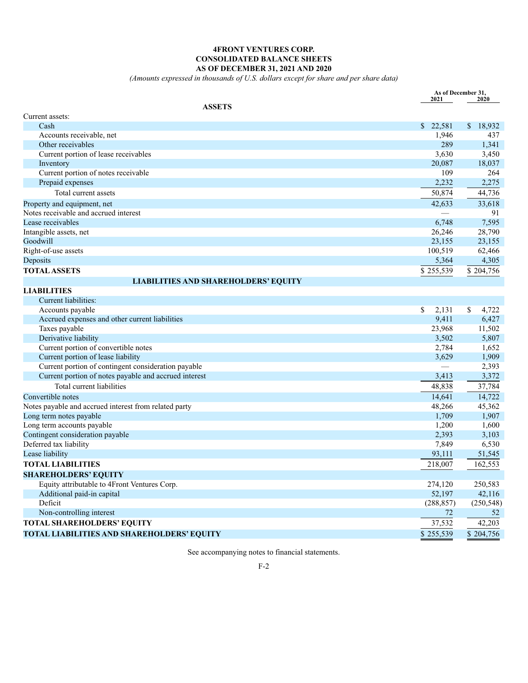# **4FRONT VENTURES CORP. CONSOLIDATED BALANCE SHEETS AS OF DECEMBER 31, 2021 AND 2020**

*(Amounts expressed in thousands of U.S. dollars except for share and per share data)*

|                                                       |                          | As of December 31, |
|-------------------------------------------------------|--------------------------|--------------------|
| <b>ASSETS</b>                                         | 2021                     | 2020               |
| Current assets:                                       |                          |                    |
| Cash                                                  | \$22,581                 | \$18,932           |
| Accounts receivable, net                              | 1,946                    | 437                |
| Other receivables                                     | 289                      | 1,341              |
| Current portion of lease receivables                  | 3,630                    | 3,450              |
| Inventory                                             | 20,087                   | 18,037             |
| Current portion of notes receivable                   | 109                      | 264                |
| Prepaid expenses                                      | 2,232                    | 2,275              |
| Total current assets                                  | 50,874                   | 44,736             |
| Property and equipment, net                           | 42,633                   | 33,618             |
| Notes receivable and accrued interest                 |                          | 91                 |
| Lease receivables                                     | 6,748                    | 7,595              |
| Intangible assets, net                                | 26,246                   | 28,790             |
| Goodwill                                              | 23,155                   | 23,155             |
| Right-of-use assets                                   | 100,519                  | 62,466             |
| Deposits                                              | 5,364                    | 4,305              |
| <b>TOTAL ASSETS</b>                                   | \$255,539                | \$204,756          |
| <b>LIABILITIES AND SHAREHOLDERS' EQUITY</b>           |                          |                    |
| <b>LIABILITIES</b>                                    |                          |                    |
| Current liabilities:                                  |                          |                    |
| Accounts payable                                      | \$<br>2,131              | \$<br>4,722        |
| Accrued expenses and other current liabilities        | 9,411                    | 6,427              |
| Taxes payable                                         | 23,968                   | 11,502             |
| Derivative liability                                  | 3,502                    | 5,807              |
| Current portion of convertible notes                  | 2,784                    | 1,652              |
| Current portion of lease liability                    | 3,629                    | 1,909              |
| Current portion of contingent consideration payable   | $\overline{\phantom{0}}$ | 2,393              |
| Current portion of notes payable and accrued interest | 3,413                    | 3,372              |
| Total current liabilities                             | 48,838                   | 37,784             |
| Convertible notes                                     | 14,641                   | 14,722             |
| Notes payable and accrued interest from related party | 48,266                   | 45,362             |
| Long term notes payable                               | 1,709                    | 1,907              |
| Long term accounts payable                            | 1,200                    | 1,600              |
| Contingent consideration payable                      | 2,393                    | 3,103              |
| Deferred tax liability                                | 7,849                    | 6,530              |
| Lease liability                                       | 93,111                   | 51,545             |
| <b>TOTAL LIABILITIES</b>                              | 218,007                  | 162,553            |
| <b>SHAREHOLDERS' EQUITY</b>                           |                          |                    |
| Equity attributable to 4Front Ventures Corp.          | 274,120                  | 250,583            |
| Additional paid-in capital                            | 52,197                   | 42,116             |
| Deficit                                               | (288, 857)               | (250, 548)         |
| Non-controlling interest                              | 72                       | 52                 |
| <b>TOTAL SHAREHOLDERS' EQUITY</b>                     | 37,532                   | 42,203             |
| TOTAL LIABILITIES AND SHAREHOLDERS' EQUITY            | \$255,539                | \$204,756          |

See accompanying notes to financial statements.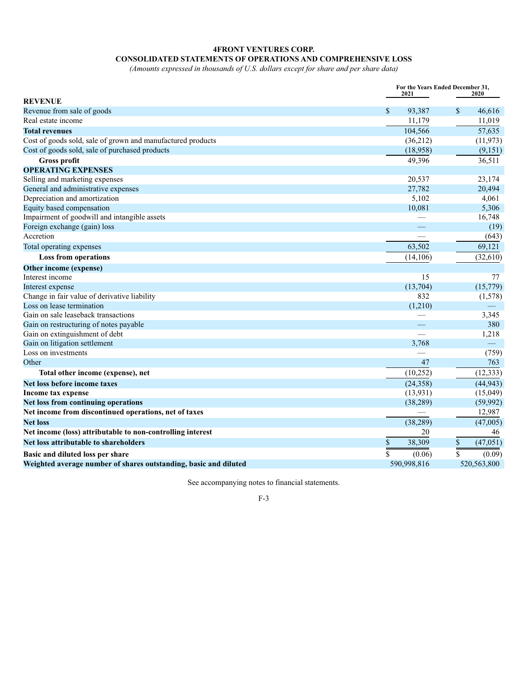# **4FRONT VENTURES CORP.**

# **CONSOLIDATED STATEMENTS OF OPERATIONS AND COMPREHENSIVE LOSS**

*(Amounts expressed in thousands of U.S. dollars except for share and per share data)*

|                                                                  | 2021                  | For the Years Ended December 31,<br>2020 |
|------------------------------------------------------------------|-----------------------|------------------------------------------|
| <b>REVENUE</b>                                                   |                       |                                          |
| Revenue from sale of goods                                       | $\mathbf S$<br>93,387 | S<br>46,616                              |
| Real estate income                                               | 11,179                | 11,019                                   |
| <b>Total revenues</b>                                            | 104,566               | 57,635                                   |
| Cost of goods sold, sale of grown and manufactured products      | (36,212)              | (11, 973)                                |
| Cost of goods sold, sale of purchased products                   | (18,958)              | (9,151)                                  |
| <b>Gross profit</b>                                              | 49,396                | 36,511                                   |
| <b>OPERATING EXPENSES</b>                                        |                       |                                          |
| Selling and marketing expenses                                   | 20,537                | 23,174                                   |
| General and administrative expenses                              | 27,782                | 20,494                                   |
| Depreciation and amortization                                    | 5,102                 | 4,061                                    |
| Equity based compensation                                        | 10,081                | 5,306                                    |
| Impairment of goodwill and intangible assets                     |                       | 16,748                                   |
| Foreign exchange (gain) loss                                     |                       | (19)                                     |
| Accretion                                                        |                       | (643)                                    |
| Total operating expenses                                         | 63,502                | 69,121                                   |
| <b>Loss from operations</b>                                      | (14,106)              | (32,610)                                 |
| Other income (expense)                                           |                       |                                          |
| Interest income                                                  | 15                    | 77                                       |
| Interest expense                                                 | (13,704)              | (15,779)                                 |
| Change in fair value of derivative liability                     | 832                   | (1,578)                                  |
| Loss on lease termination                                        | (1,210)               |                                          |
| Gain on sale leaseback transactions                              |                       | 3,345                                    |
| Gain on restructuring of notes payable                           |                       | 380                                      |
| Gain on extinguishment of debt                                   |                       | 1,218                                    |
| Gain on litigation settlement                                    | 3,768                 | $\qquad \qquad -$                        |
| Loss on investments                                              |                       | (759)                                    |
| Other                                                            | 47                    | 763                                      |
| Total other income (expense), net                                | (10,252)              | (12, 333)                                |
| Net loss before income taxes                                     | (24, 358)             | (44,943)                                 |
| Income tax expense                                               | (13, 931)             | (15,049)                                 |
| Net loss from continuing operations                              | (38, 289)             | (59,992)                                 |
| Net income from discontinued operations, net of taxes            |                       | 12,987                                   |
| <b>Net loss</b>                                                  | (38, 289)             | (47,005)                                 |
| Net income (loss) attributable to non-controlling interest       | 20                    | 46                                       |
| Net loss attributable to shareholders                            | \$<br>38,309          | \$<br>(47, 051)                          |
| Basic and diluted loss per share                                 | \$<br>(0.06)          | \$<br>(0.09)                             |
| Weighted average number of shares outstanding, basic and diluted | 590,998,816           | 520,563,800                              |

See accompanying notes to financial statements.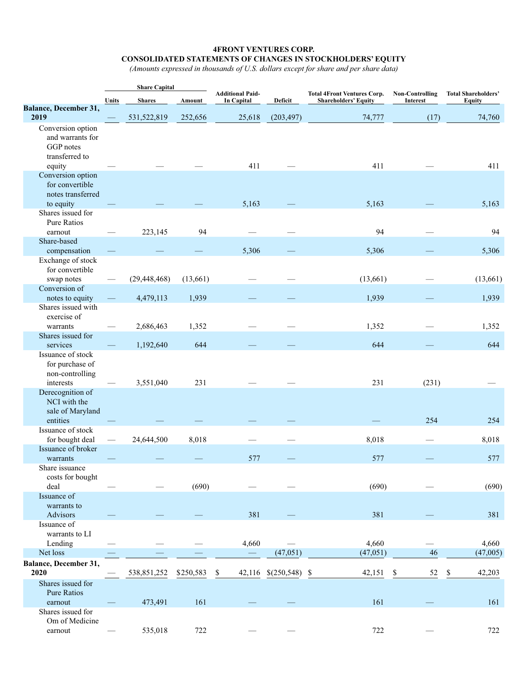# **4FRONT VENTURES CORP. CONSOLIDATED STATEMENTS OF CHANGES IN STOCKHOLDERS' EQUITY**

*(Amounts expressed in thousands of U.S. dollars except for share and per share data)*

|  |                                                                        |                                 | <b>Share Capital</b> |           |                                       |                  |                                                                   |                                    |                                      |
|--|------------------------------------------------------------------------|---------------------------------|----------------------|-----------|---------------------------------------|------------------|-------------------------------------------------------------------|------------------------------------|--------------------------------------|
|  |                                                                        | Units                           | <b>Shares</b>        | Amount    | <b>Additional Paid-</b><br>In Capital | Deficit          | <b>Total 4Front Ventures Corp.</b><br><b>Shareholders' Equity</b> | <b>Non-Controlling</b><br>Interest | <b>Total Shareholders'</b><br>Equity |
|  | <b>Balance, December 31,</b><br>2019                                   |                                 | 531,522,819          | 252,656   | 25,618                                | (203, 497)       | 74,777                                                            | (17)                               | 74,760                               |
|  | Conversion option                                                      |                                 |                      |           |                                       |                  |                                                                   |                                    |                                      |
|  | and warrants for<br>GGP notes<br>transferred to                        |                                 |                      |           |                                       |                  |                                                                   |                                    |                                      |
|  | equity                                                                 |                                 |                      |           | 411                                   |                  | 411                                                               |                                    | 411                                  |
|  | Conversion option<br>for convertible<br>notes transferred<br>to equity |                                 |                      |           | 5,163                                 |                  | 5,163                                                             |                                    | 5,163                                |
|  | Shares issued for<br><b>Pure Ratios</b>                                |                                 |                      |           |                                       |                  |                                                                   |                                    |                                      |
|  | earnout                                                                |                                 | 223,145              | 94        |                                       |                  | 94                                                                |                                    | 94                                   |
|  | Share-based                                                            |                                 |                      |           |                                       |                  |                                                                   |                                    |                                      |
|  | compensation                                                           |                                 |                      |           | 5,306                                 |                  | 5,306                                                             |                                    | 5,306                                |
|  | Exchange of stock<br>for convertible                                   |                                 |                      |           |                                       |                  |                                                                   |                                    |                                      |
|  | swap notes                                                             |                                 | (29, 448, 468)       | (13,661)  |                                       |                  | (13,661)                                                          |                                    | (13,661)                             |
|  | Conversion of                                                          |                                 |                      |           |                                       |                  |                                                                   |                                    |                                      |
|  | notes to equity                                                        |                                 | 4,479,113            | 1,939     |                                       |                  | 1,939                                                             |                                    | 1,939                                |
|  | Shares issued with<br>exercise of<br>warrants                          |                                 | 2,686,463            | 1,352     |                                       |                  | 1,352                                                             |                                    | 1,352                                |
|  | Shares issued for                                                      |                                 |                      |           |                                       |                  |                                                                   |                                    |                                      |
|  | services                                                               | $\overline{\phantom{0}}$        | 1,192,640            | 644       |                                       |                  | 644                                                               |                                    | 644                                  |
|  | Issuance of stock<br>for purchase of<br>non-controlling<br>interests   |                                 | 3,551,040            | 231       |                                       |                  | 231                                                               | (231)                              |                                      |
|  | Derecognition of<br>NCI with the<br>sale of Maryland<br>entities       |                                 |                      |           |                                       |                  |                                                                   | 254                                | 254                                  |
|  | Issuance of stock                                                      |                                 |                      |           |                                       |                  |                                                                   |                                    |                                      |
|  | for bought deal                                                        | $\overbrace{\qquad \qquad }^{}$ | 24,644,500           | 8,018     |                                       |                  | 8,018                                                             |                                    | 8,018                                |
|  | Issuance of broker                                                     |                                 |                      |           |                                       |                  |                                                                   |                                    |                                      |
|  | warrants                                                               |                                 |                      |           | 577                                   |                  | 577                                                               |                                    | 577                                  |
|  | Share issuance<br>costs for bought<br>deal                             |                                 |                      | (690)     |                                       |                  | (690)                                                             |                                    | (690)                                |
|  | Issuance of<br>warrants to                                             |                                 |                      |           |                                       |                  |                                                                   |                                    |                                      |
|  | Advisors                                                               |                                 |                      |           | 381                                   |                  | 381                                                               |                                    | 381                                  |
|  | Issuance of<br>warrants to LI<br>Lending                               |                                 |                      |           | 4,660                                 |                  | 4,660                                                             |                                    | 4,660                                |
|  | Net loss                                                               |                                 |                      |           |                                       | (47, 051)        | (47, 051)                                                         | 46                                 | (47,005)                             |
|  |                                                                        |                                 |                      |           | $\overline{\phantom{m}}$              |                  |                                                                   |                                    |                                      |
|  | <b>Balance, December 31,</b><br>2020                                   |                                 | 538,851,252          | \$250,583 | \$<br>42,116                          | $$(250,548)$ \\$ | 42,151                                                            | 52<br>\$                           | 42,203<br>\$                         |
|  | Shares issued for<br><b>Pure Ratios</b>                                |                                 |                      |           |                                       |                  |                                                                   |                                    |                                      |
|  | earnout                                                                |                                 | 473,491              | 161       |                                       |                  | 161                                                               |                                    | 161                                  |
|  | Shares issued for<br>Om of Medicine<br>earnout                         |                                 | 535,018              | 722       |                                       |                  | 722                                                               |                                    | 722                                  |
|  |                                                                        |                                 |                      |           |                                       |                  |                                                                   |                                    |                                      |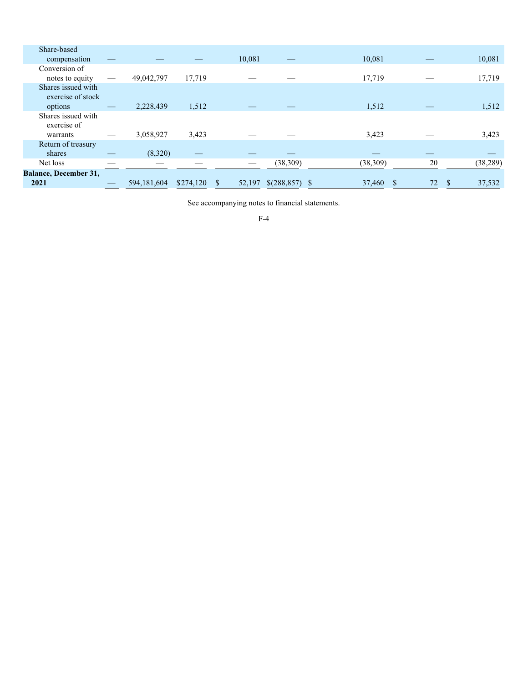| Share-based<br>compensation                        |                                   |             |           | 10,081      |                     | 10,081    |          | 10,081      |
|----------------------------------------------------|-----------------------------------|-------------|-----------|-------------|---------------------|-----------|----------|-------------|
| Conversion of<br>notes to equity                   | $\overbrace{\phantom{aaaaa}}^{x}$ | 49,042,797  | 17,719    |             |                     | 17,719    |          | 17,719      |
| Shares issued with<br>exercise of stock<br>options |                                   | 2,228,439   | 1,512     |             |                     | 1,512     |          | 1,512       |
| Shares issued with<br>exercise of<br>warrants      |                                   | 3,058,927   | 3,423     |             |                     | 3,423     |          | 3,423       |
| Return of treasury<br>shares                       |                                   | (8,320)     |           |             |                     |           |          |             |
| Net loss                                           |                                   |             |           |             | (38, 309)           | (38, 309) | 20       | (38, 289)   |
| <b>Balance, December 31,</b><br>2021               |                                   | 594,181,604 | \$274,120 | 52,197<br>S | $$$ (288,857) \, \$ | 37,460    | 72<br>S. | 37,532<br>S |

See accompanying notes to financial statements.

F-4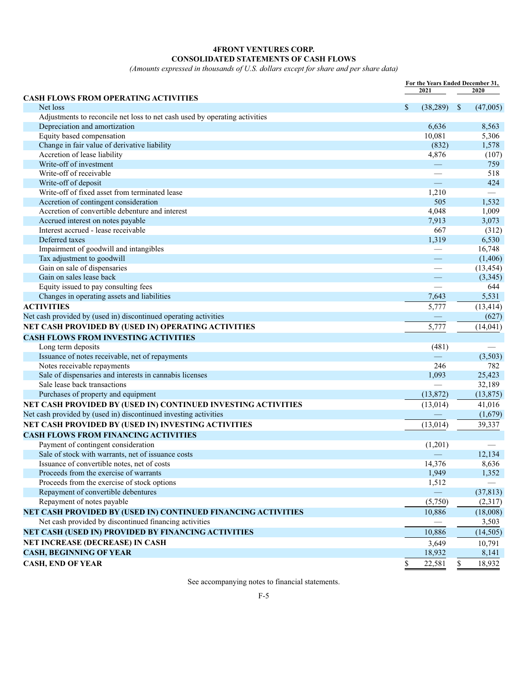# **4FRONT VENTURES CORP. CONSOLIDATED STATEMENTS OF CASH FLOWS**

*(Amounts expressed in thousands of U.S. dollars except for share and per share data)*

|                                                                            | For the Years Ended December 31,<br>2021<br>2020 |       |              |           |
|----------------------------------------------------------------------------|--------------------------------------------------|-------|--------------|-----------|
| <b>CASH FLOWS FROM OPERATING ACTIVITIES</b>                                |                                                  |       |              |           |
| Net loss                                                                   | $\mathbb{S}$<br>(38, 289)                        |       | $\mathbf{s}$ | (47,005)  |
| Adjustments to reconcile net loss to net cash used by operating activities |                                                  |       |              |           |
| Depreciation and amortization                                              | 6,636                                            |       |              | 8,563     |
| Equity based compensation                                                  | 10,081                                           |       |              | 5,306     |
| Change in fair value of derivative liability                               |                                                  | (832) |              | 1,578     |
| Accretion of lease liability                                               | 4,876                                            |       |              | (107)     |
| Write-off of investment                                                    |                                                  |       |              | 759       |
| Write-off of receivable                                                    |                                                  |       |              | 518       |
| Write-off of deposit                                                       |                                                  |       |              | 424       |
| Write-off of fixed asset from terminated lease                             | 1,210                                            |       |              |           |
| Accretion of contingent consideration                                      | 505                                              |       |              | 1,532     |
| Accretion of convertible debenture and interest                            | 4,048                                            |       |              | 1,009     |
| Accrued interest on notes payable                                          | 7,913                                            |       |              | 3,073     |
| Interest accrued - lease receivable                                        | 667                                              |       |              | (312)     |
| Deferred taxes                                                             | 1,319                                            |       |              | 6,530     |
| Impairment of goodwill and intangibles                                     |                                                  |       |              | 16,748    |
| Tax adjustment to goodwill                                                 |                                                  |       |              | (1,406)   |
| Gain on sale of dispensaries                                               |                                                  |       |              | (13, 454) |
| Gain on sales lease back                                                   |                                                  |       |              | (3,345)   |
| Equity issued to pay consulting fees                                       |                                                  |       |              | 644       |
| Changes in operating assets and liabilities                                | 7,643                                            |       |              | 5,531     |
| <b>ACTIVITIES</b>                                                          | 5,777                                            |       |              | (13, 414) |
| Net cash provided by (used in) discontinued operating activities           |                                                  |       |              | (627)     |
| NET CASH PROVIDED BY (USED IN) OPERATING ACTIVITIES                        | 5,777                                            |       |              | (14, 041) |
| <b>CASH FLOWS FROM INVESTING ACTIVITIES</b>                                |                                                  |       |              |           |
| Long term deposits                                                         | (481)                                            |       |              |           |
| Issuance of notes receivable, net of repayments                            |                                                  |       |              | (3,503)   |
| Notes receivable repayments                                                | 246                                              |       |              | 782       |
| Sale of dispensaries and interests in cannabis licenses                    | 1,093                                            |       |              | 25,423    |
| Sale lease back transactions                                               |                                                  |       |              | 32,189    |
| Purchases of property and equipment                                        | (13, 872)                                        |       |              | (13, 875) |
| NET CASH PROVIDED BY (USED IN) CONTINUED INVESTING ACTIVITIES              | (13,014)                                         |       |              | 41,016    |
| Net cash provided by (used in) discontinued investing activities           |                                                  |       |              | (1,679)   |
| NET CASH PROVIDED BY (USED IN) INVESTING ACTIVITIES                        | (13, 014)                                        |       |              | 39,337    |
|                                                                            |                                                  |       |              |           |
| <b>CASH FLOWS FROM FINANCING ACTIVITIES</b>                                |                                                  |       |              |           |
| Payment of contingent consideration                                        | (1,201)                                          |       |              | 12,134    |
| Sale of stock with warrants, net of issuance costs                         |                                                  |       |              |           |
| Issuance of convertible notes, net of costs                                | 14.376<br>1,949                                  |       |              | 8,636     |
| Proceeds from the exercise of warrants                                     | 1,512                                            |       |              | 1,352     |
| Proceeds from the exercise of stock options                                |                                                  |       |              |           |
| Repayment of convertible debentures                                        |                                                  |       |              | (37, 813) |
| Repayment of notes payable                                                 | (5,750)                                          |       |              | (2,317)   |
| NET CASH PROVIDED BY (USED IN) CONTINUED FINANCING ACTIVITIES              | 10,886                                           |       |              | (18,008)  |
| Net cash provided by discontinued financing activities                     |                                                  |       |              | 3,503     |
| NET CASH (USED IN) PROVIDED BY FINANCING ACTIVITIES                        | 10,886                                           |       |              | (14,505)  |
| NET INCREASE (DECREASE) IN CASH                                            | 3,649                                            |       |              | 10,791    |
| <b>CASH, BEGINNING OF YEAR</b>                                             | 18,932                                           |       |              | 8,141     |
| <b>CASH, END OF YEAR</b>                                                   | 22,581<br>S.                                     |       | \$           | 18,932    |

See accompanying notes to financial statements.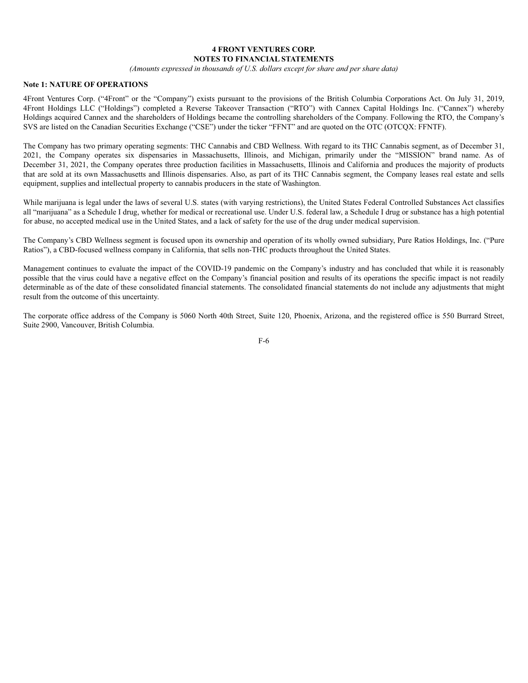*(Amounts expressed in thousands of U.S. dollars except for share and per share data)*

# **Note 1: NATURE OF OPERATIONS**

4Front Ventures Corp. ("4Front" or the "Company") exists pursuant to the provisions of the British Columbia Corporations Act. On July 31, 2019, 4Front Holdings LLC ("Holdings") completed a Reverse Takeover Transaction ("RTO") with Cannex Capital Holdings Inc. ("Cannex") whereby Holdings acquired Cannex and the shareholders of Holdings became the controlling shareholders of the Company. Following the RTO, the Company's SVS are listed on the Canadian Securities Exchange ("CSE") under the ticker "FFNT" and are quoted on the OTC (OTCQX: FFNTF).

The Company has two primary operating segments: THC Cannabis and CBD Wellness. With regard to its THC Cannabis segment, as of December 31, 2021, the Company operates six dispensaries in Massachusetts, Illinois, and Michigan, primarily under the "MISSION" brand name. As of December 31, 2021, the Company operates three production facilities in Massachusetts, Illinois and California and produces the majority of products that are sold at its own Massachusetts and Illinois dispensaries. Also, as part of its THC Cannabis segment, the Company leases real estate and sells equipment, supplies and intellectual property to cannabis producers in the state of Washington.

While marijuana is legal under the laws of several U.S. states (with varying restrictions), the United States Federal Controlled Substances Act classifies all "marijuana" as a Schedule I drug, whether for medical or recreational use. Under U.S. federal law, a Schedule I drug or substance has a high potential for abuse, no accepted medical use in the United States, and a lack of safety for the use of the drug under medical supervision.

The Company's CBD Wellness segment is focused upon its ownership and operation of its wholly owned subsidiary, Pure Ratios Holdings, Inc. ("Pure Ratios"), a CBD-focused wellness company in California, that sells non-THC products throughout the United States.

Management continues to evaluate the impact of the COVID-19 pandemic on the Company's industry and has concluded that while it is reasonably possible that the virus could have a negative effect on the Company's financial position and results of its operations the specific impact is not readily determinable as of the date of these consolidated financial statements. The consolidated financial statements do not include any adjustments that might result from the outcome of this uncertainty.

The corporate office address of the Company is 5060 North 40th Street, Suite 120, Phoenix, Arizona, and the registered office is 550 Burrard Street, Suite 2900, Vancouver, British Columbia.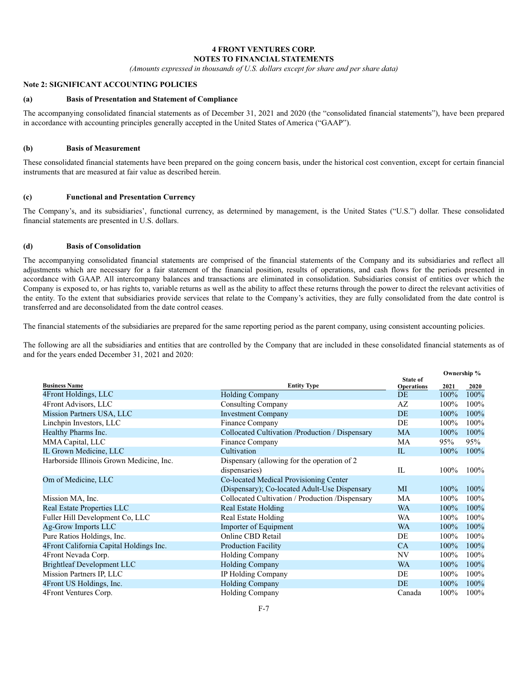*(Amounts expressed in thousands of U.S. dollars except for share and per share data)*

### **Note 2: SIGNIFICANT ACCOUNTING POLICIES**

### **(a) Basis of Presentation and Statement of Compliance**

The accompanying consolidated financial statements as of December 31, 2021 and 2020 (the "consolidated financial statements"), have been prepared in accordance with accounting principles generally accepted in the United States of America ("GAAP").

### **(b) Basis of Measurement**

These consolidated financial statements have been prepared on the going concern basis, under the historical cost convention, except for certain financial instruments that are measured at fair value as described herein.

### **(c) Functional and Presentation Currency**

The Company's, and its subsidiaries', functional currency, as determined by management, is the United States ("U.S.") dollar. These consolidated financial statements are presented in U.S. dollars.

# **(d) Basis of Consolidation**

The accompanying consolidated financial statements are comprised of the financial statements of the Company and its subsidiaries and reflect all adjustments which are necessary for a fair statement of the financial position, results of operations, and cash flows for the periods presented in accordance with GAAP. All intercompany balances and transactions are eliminated in consolidation. Subsidiaries consist of entities over which the Company is exposed to, or has rights to, variable returns as well as the ability to affect these returns through the power to direct the relevant activities of the entity. To the extent that subsidiaries provide services that relate to the Company's activities, they are fully consolidated from the date control is transferred and are deconsolidated from the date control ceases.

The financial statements of the subsidiaries are prepared for the same reporting period as the parent company, using consistent accounting policies.

The following are all the subsidiaries and entities that are controlled by the Company that are included in these consolidated financial statements as of and for the years ended December 31, 2021 and 2020:

|                                          |                                                  |                               | Ownership % |         |
|------------------------------------------|--------------------------------------------------|-------------------------------|-------------|---------|
| <b>Business Name</b>                     | <b>Entity Type</b>                               | State of<br><b>Operations</b> | 2021        | 2020    |
| 4Front Holdings, LLC                     | <b>Holding Company</b>                           | <b>DE</b>                     | 100%        | 100%    |
| 4Front Advisors, LLC                     | <b>Consulting Company</b>                        | AZ                            | 100%        | 100%    |
| Mission Partners USA, LLC                | <b>Investment Company</b>                        | <b>DE</b>                     | $100\%$     | 100%    |
| Linchpin Investors, LLC                  | Finance Company                                  | DE                            | 100%        | 100%    |
| Healthy Pharms Inc.                      | Collocated Cultivation / Production / Dispensary | <b>MA</b>                     | 100%        | 100%    |
| MMA Capital, LLC                         | Finance Company                                  | MA                            | 95%         | 95%     |
| IL Grown Medicine, LLC                   | Cultivation                                      | IL                            | $100\%$     | 100%    |
| Harborside Illinois Grown Medicine, Inc. | Dispensary (allowing for the operation of 2      |                               |             |         |
|                                          | dispensaries)                                    | IL                            | 100%        | 100%    |
| Om of Medicine, LLC                      | Co-located Medical Provisioning Center           |                               |             |         |
|                                          | (Dispensary); Co-located Adult-Use Dispensary    | MI                            | $100\%$     | $100\%$ |
| Mission MA, Inc.                         | Collocated Cultivation / Production /Dispensary  | MA                            | 100%        | 100%    |
| Real Estate Properties LLC               | Real Estate Holding                              | <b>WA</b>                     | 100%        | 100%    |
| Fuller Hill Development Co, LLC          | Real Estate Holding                              | <b>WA</b>                     | 100%        | 100%    |
| Ag-Grow Imports LLC                      | Importer of Equipment                            | <b>WA</b>                     | 100%        | 100%    |
| Pure Ratios Holdings, Inc.               | Online CBD Retail                                | DE                            | 100%        | 100%    |
| 4Front California Capital Holdings Inc.  | <b>Production Facility</b>                       | CA                            | 100%        | 100%    |
| 4Front Nevada Corp.                      | <b>Holding Company</b>                           | NV                            | 100%        | 100%    |
| Brightleaf Development LLC               | <b>Holding Company</b>                           | <b>WA</b>                     | $100\%$     | 100%    |
| Mission Partners IP, LLC                 | IP Holding Company                               | DE                            | $100\%$     | 100%    |
| 4Front US Holdings, Inc.                 | <b>Holding Company</b>                           | DE                            | 100%        | 100%    |
| 4Front Ventures Corp.                    | <b>Holding Company</b>                           | Canada                        | 100%        | 100%    |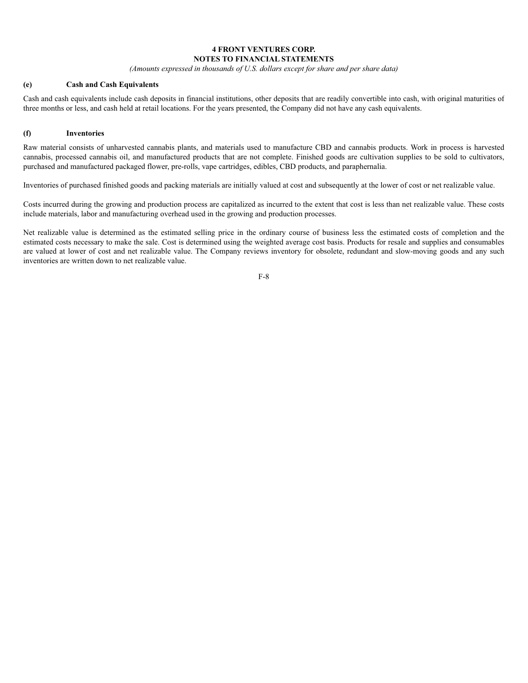*(Amounts expressed in thousands of U.S. dollars except for share and per share data)*

# **(e) Cash and Cash Equivalents**

Cash and cash equivalents include cash deposits in financial institutions, other deposits that are readily convertible into cash, with original maturities of three months or less, and cash held at retail locations. For the years presented, the Company did not have any cash equivalents.

# **(f) Inventories**

Raw material consists of unharvested cannabis plants, and materials used to manufacture CBD and cannabis products. Work in process is harvested cannabis, processed cannabis oil, and manufactured products that are not complete. Finished goods are cultivation supplies to be sold to cultivators, purchased and manufactured packaged flower, pre-rolls, vape cartridges, edibles, CBD products, and paraphernalia.

Inventories of purchased finished goods and packing materials are initially valued at cost and subsequently at the lower of cost or net realizable value.

Costs incurred during the growing and production process are capitalized as incurred to the extent that cost is less than net realizable value. These costs include materials, labor and manufacturing overhead used in the growing and production processes.

Net realizable value is determined as the estimated selling price in the ordinary course of business less the estimated costs of completion and the estimated costs necessary to make the sale. Cost is determined using the weighted average cost basis. Products for resale and supplies and consumables are valued at lower of cost and net realizable value. The Company reviews inventory for obsolete, redundant and slow-moving goods and any such inventories are written down to net realizable value.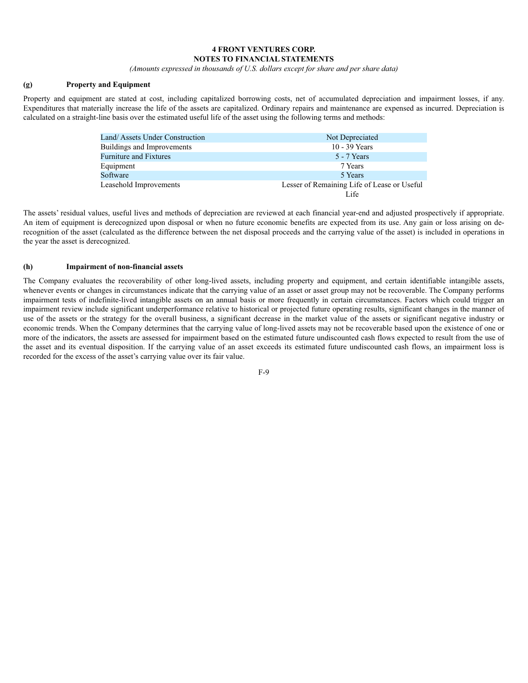*(Amounts expressed in thousands of U.S. dollars except for share and per share data)*

# **(g) Property and Equipment**

Property and equipment are stated at cost, including capitalized borrowing costs, net of accumulated depreciation and impairment losses, if any. Expenditures that materially increase the life of the assets are capitalized. Ordinary repairs and maintenance are expensed as incurred. Depreciation is calculated on a straight-line basis over the estimated useful life of the asset using the following terms and methods:

| Land/Assets Under Construction | Not Depreciated                             |
|--------------------------------|---------------------------------------------|
| Buildings and Improvements     | 10 - 39 Years                               |
| <b>Furniture and Fixtures</b>  | $5 - 7$ Years                               |
| Equipment                      | 7 Years                                     |
| Software                       | 5 Years                                     |
| Leasehold Improvements         | Lesser of Remaining Life of Lease or Useful |
|                                | Life                                        |

The assets' residual values, useful lives and methods of depreciation are reviewed at each financial year-end and adjusted prospectively if appropriate. An item of equipment is derecognized upon disposal or when no future economic benefits are expected from its use. Any gain or loss arising on derecognition of the asset (calculated as the difference between the net disposal proceeds and the carrying value of the asset) is included in operations in the year the asset is derecognized.

### **(h) Impairment of non-financial assets**

The Company evaluates the recoverability of other long-lived assets, including property and equipment, and certain identifiable intangible assets, whenever events or changes in circumstances indicate that the carrying value of an asset or asset group may not be recoverable. The Company performs impairment tests of indefinite-lived intangible assets on an annual basis or more frequently in certain circumstances. Factors which could trigger an impairment review include significant underperformance relative to historical or projected future operating results, significant changes in the manner of use of the assets or the strategy for the overall business, a significant decrease in the market value of the assets or significant negative industry or economic trends. When the Company determines that the carrying value of long-lived assets may not be recoverable based upon the existence of one or more of the indicators, the assets are assessed for impairment based on the estimated future undiscounted cash flows expected to result from the use of the asset and its eventual disposition. If the carrying value of an asset exceeds its estimated future undiscounted cash flows, an impairment loss is recorded for the excess of the asset's carrying value over its fair value.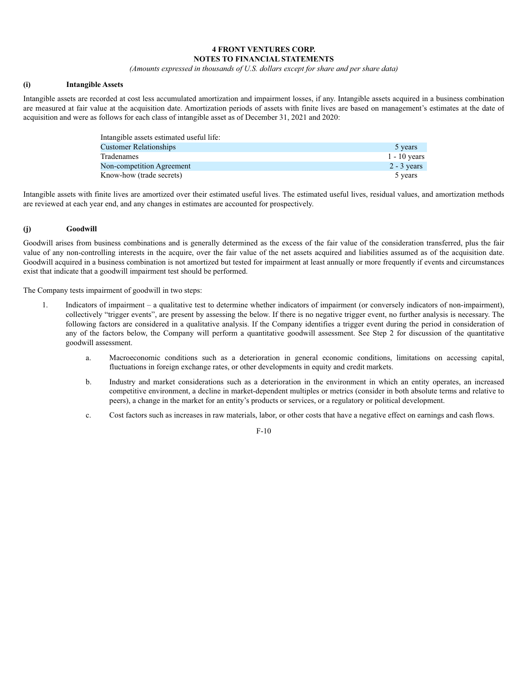*(Amounts expressed in thousands of U.S. dollars except for share and per share data)*

# **(i) Intangible Assets**

Intangible assets are recorded at cost less accumulated amortization and impairment losses, if any. Intangible assets acquired in a business combination are measured at fair value at the acquisition date. Amortization periods of assets with finite lives are based on management's estimates at the date of acquisition and were as follows for each class of intangible asset as of December 31, 2021 and 2020:

| Intangible assets estimated useful life: |                |
|------------------------------------------|----------------|
| <b>Customer Relationships</b>            | 5 years        |
| Tradenames                               | $1 - 10$ years |
| Non-competition Agreement                | $2 - 3$ years  |
| Know-how (trade secrets)                 | 5 years        |

Intangible assets with finite lives are amortized over their estimated useful lives. The estimated useful lives, residual values, and amortization methods are reviewed at each year end, and any changes in estimates are accounted for prospectively.

### **(j) Goodwill**

Goodwill arises from business combinations and is generally determined as the excess of the fair value of the consideration transferred, plus the fair value of any non-controlling interests in the acquire, over the fair value of the net assets acquired and liabilities assumed as of the acquisition date. Goodwill acquired in a business combination is not amortized but tested for impairment at least annually or more frequently if events and circumstances exist that indicate that a goodwill impairment test should be performed.

The Company tests impairment of goodwill in two steps:

- 1. Indicators of impairment a qualitative test to determine whether indicators of impairment (or conversely indicators of non-impairment), collectively "trigger events", are present by assessing the below. If there is no negative trigger event, no further analysis is necessary. The following factors are considered in a qualitative analysis. If the Company identifies a trigger event during the period in consideration of any of the factors below, the Company will perform a quantitative goodwill assessment. See Step 2 for discussion of the quantitative goodwill assessment.
	- a. Macroeconomic conditions such as a deterioration in general economic conditions, limitations on accessing capital, fluctuations in foreign exchange rates, or other developments in equity and credit markets.
	- b. Industry and market considerations such as a deterioration in the environment in which an entity operates, an increased competitive environment, a decline in market-dependent multiples or metrics (consider in both absolute terms and relative to peers), a change in the market for an entity's products or services, or a regulatory or political development.
	- c. Cost factors such as increases in raw materials, labor, or other costs that have a negative effect on earnings and cash flows.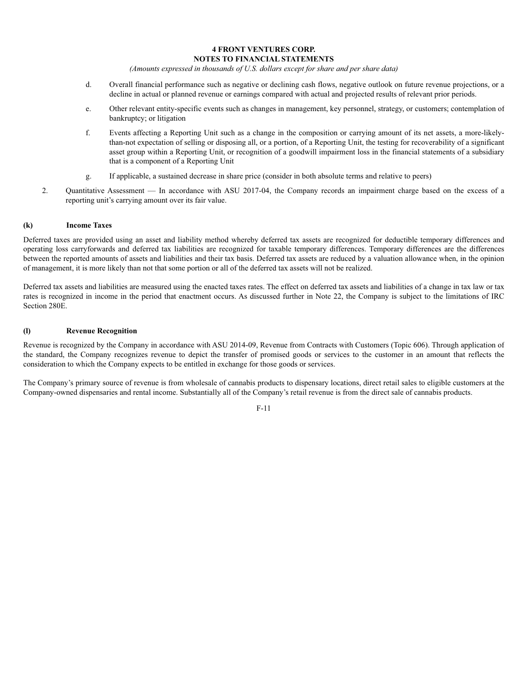*(Amounts expressed in thousands of U.S. dollars except for share and per share data)*

- d. Overall financial performance such as negative or declining cash flows, negative outlook on future revenue projections, or a decline in actual or planned revenue or earnings compared with actual and projected results of relevant prior periods.
- e. Other relevant entity-specific events such as changes in management, key personnel, strategy, or customers; contemplation of bankruptcy; or litigation
- f. Events affecting a Reporting Unit such as a change in the composition or carrying amount of its net assets, a more-likelythan-not expectation of selling or disposing all, or a portion, of a Reporting Unit, the testing for recoverability of a significant asset group within a Reporting Unit, or recognition of a goodwill impairment loss in the financial statements of a subsidiary that is a component of a Reporting Unit
- g. If applicable, a sustained decrease in share price (consider in both absolute terms and relative to peers)
- 2. Quantitative Assessment In accordance with ASU 2017-04, the Company records an impairment charge based on the excess of a reporting unit's carrying amount over its fair value.

# **(k) Income Taxes**

Deferred taxes are provided using an asset and liability method whereby deferred tax assets are recognized for deductible temporary differences and operating loss carryforwards and deferred tax liabilities are recognized for taxable temporary differences. Temporary differences are the differences between the reported amounts of assets and liabilities and their tax basis. Deferred tax assets are reduced by a valuation allowance when, in the opinion of management, it is more likely than not that some portion or all of the deferred tax assets will not be realized.

Deferred tax assets and liabilities are measured using the enacted taxes rates. The effect on deferred tax assets and liabilities of a change in tax law or tax rates is recognized in income in the period that enactment occurs. As discussed further in Note 22, the Company is subject to the limitations of IRC Section 280E.

### **(l) Revenue Recognition**

Revenue is recognized by the Company in accordance with ASU 2014-09, Revenue from Contracts with Customers (Topic 606). Through application of the standard, the Company recognizes revenue to depict the transfer of promised goods or services to the customer in an amount that reflects the consideration to which the Company expects to be entitled in exchange for those goods or services.

The Company's primary source of revenue is from wholesale of cannabis products to dispensary locations, direct retail sales to eligible customers at the Company-owned dispensaries and rental income. Substantially all of the Company's retail revenue is from the direct sale of cannabis products.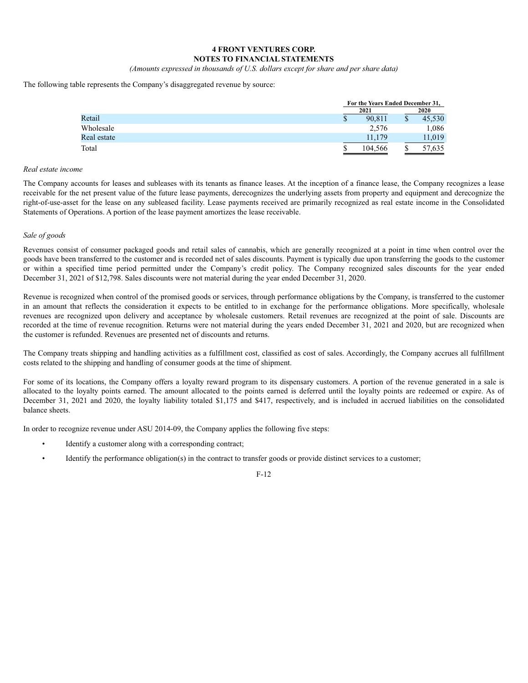*(Amounts expressed in thousands of U.S. dollars except for share and per share data)*

The following table represents the Company's disaggregated revenue by source:

|             |             | For the Years Ended December 31, |        |  |  |
|-------------|-------------|----------------------------------|--------|--|--|
|             | 2021        | 2020                             |        |  |  |
| Retail      | 90.811<br>Ф |                                  | 45.530 |  |  |
| Wholesale   | 2.576       |                                  | 1,086  |  |  |
| Real estate | 11,179      |                                  | 1.019  |  |  |
| Total       | 104.566     |                                  | 57,635 |  |  |

### *Real estate income*

The Company accounts for leases and subleases with its tenants as finance leases. At the inception of a finance lease, the Company recognizes a lease receivable for the net present value of the future lease payments, derecognizes the underlying assets from property and equipment and derecognize the right-of-use-asset for the lease on any subleased facility. Lease payments received are primarily recognized as real estate income in the Consolidated Statements of Operations. A portion of the lease payment amortizes the lease receivable.

### *Sale of goods*

Revenues consist of consumer packaged goods and retail sales of cannabis, which are generally recognized at a point in time when control over the goods have been transferred to the customer and is recorded net of sales discounts. Payment is typically due upon transferring the goods to the customer or within a specified time period permitted under the Company's credit policy. The Company recognized sales discounts for the year ended December 31, 2021 of \$12,798. Sales discounts were not material during the year ended December 31, 2020.

Revenue is recognized when control of the promised goods or services, through performance obligations by the Company, is transferred to the customer in an amount that reflects the consideration it expects to be entitled to in exchange for the performance obligations. More specifically, wholesale revenues are recognized upon delivery and acceptance by wholesale customers. Retail revenues are recognized at the point of sale. Discounts are recorded at the time of revenue recognition. Returns were not material during the years ended December 31, 2021 and 2020, but are recognized when the customer is refunded. Revenues are presented net of discounts and returns.

The Company treats shipping and handling activities as a fulfillment cost, classified as cost of sales. Accordingly, the Company accrues all fulfillment costs related to the shipping and handling of consumer goods at the time of shipment.

For some of its locations, the Company offers a loyalty reward program to its dispensary customers. A portion of the revenue generated in a sale is allocated to the loyalty points earned. The amount allocated to the points earned is deferred until the loyalty points are redeemed or expire. As of December 31, 2021 and 2020, the loyalty liability totaled \$1,175 and \$417, respectively, and is included in accrued liabilities on the consolidated balance sheets.

In order to recognize revenue under ASU 2014-09, the Company applies the following five steps:

- Identify a customer along with a corresponding contract;
- Identify the performance obligation(s) in the contract to transfer goods or provide distinct services to a customer;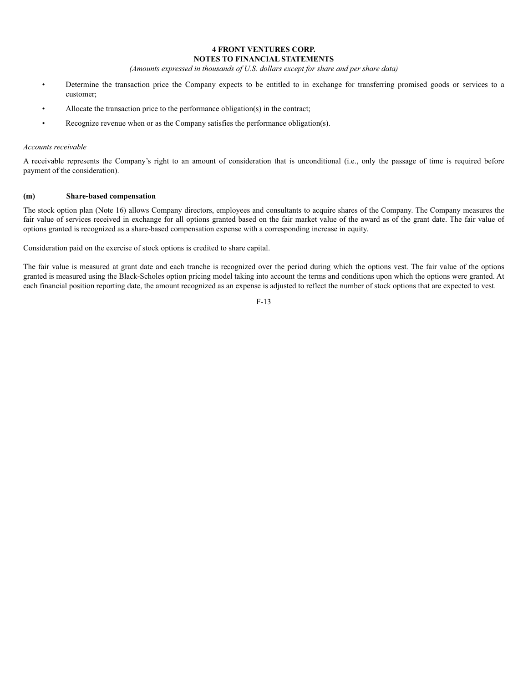# **4 FRONT VENTURES CORP.**

# **NOTES TO FINANCIAL STATEMENTS**

*(Amounts expressed in thousands of U.S. dollars except for share and per share data)*

- Determine the transaction price the Company expects to be entitled to in exchange for transferring promised goods or services to a customer;
- Allocate the transaction price to the performance obligation(s) in the contract;
- Recognize revenue when or as the Company satisfies the performance obligation(s).

### *Accounts receivable*

A receivable represents the Company's right to an amount of consideration that is unconditional (i.e., only the passage of time is required before payment of the consideration).

### **(m) Share-based compensation**

The stock option plan (Note 16) allows Company directors, employees and consultants to acquire shares of the Company. The Company measures the fair value of services received in exchange for all options granted based on the fair market value of the award as of the grant date. The fair value of options granted is recognized as a share-based compensation expense with a corresponding increase in equity.

Consideration paid on the exercise of stock options is credited to share capital.

The fair value is measured at grant date and each tranche is recognized over the period during which the options vest. The fair value of the options granted is measured using the Black-Scholes option pricing model taking into account the terms and conditions upon which the options were granted. At each financial position reporting date, the amount recognized as an expense is adjusted to reflect the number of stock options that are expected to vest.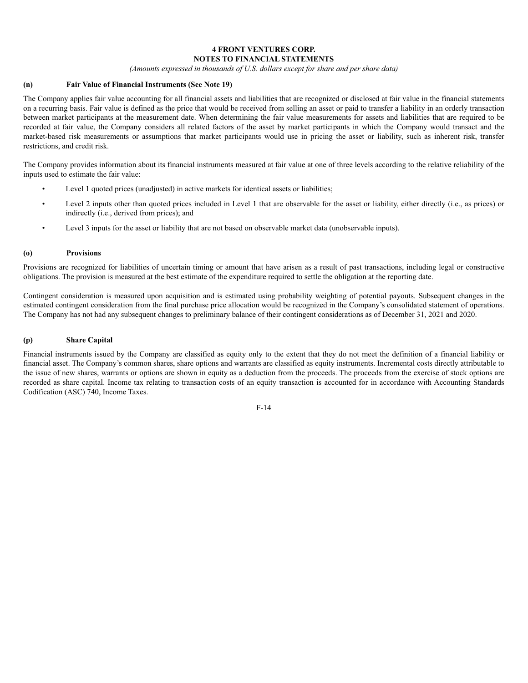*(Amounts expressed in thousands of U.S. dollars except for share and per share data)*

# **(n) Fair Value of Financial Instruments (See Note 19)**

The Company applies fair value accounting for all financial assets and liabilities that are recognized or disclosed at fair value in the financial statements on a recurring basis. Fair value is defined as the price that would be received from selling an asset or paid to transfer a liability in an orderly transaction between market participants at the measurement date. When determining the fair value measurements for assets and liabilities that are required to be recorded at fair value, the Company considers all related factors of the asset by market participants in which the Company would transact and the market-based risk measurements or assumptions that market participants would use in pricing the asset or liability, such as inherent risk, transfer restrictions, and credit risk.

The Company provides information about its financial instruments measured at fair value at one of three levels according to the relative reliability of the inputs used to estimate the fair value:

- Level 1 quoted prices (unadjusted) in active markets for identical assets or liabilities;
- Level 2 inputs other than quoted prices included in Level 1 that are observable for the asset or liability, either directly (i.e., as prices) or indirectly (i.e., derived from prices); and
- Level 3 inputs for the asset or liability that are not based on observable market data (unobservable inputs).

### **(o) Provisions**

Provisions are recognized for liabilities of uncertain timing or amount that have arisen as a result of past transactions, including legal or constructive obligations. The provision is measured at the best estimate of the expenditure required to settle the obligation at the reporting date.

Contingent consideration is measured upon acquisition and is estimated using probability weighting of potential payouts. Subsequent changes in the estimated contingent consideration from the final purchase price allocation would be recognized in the Company's consolidated statement of operations. The Company has not had any subsequent changes to preliminary balance of their contingent considerations as of December 31, 2021 and 2020.

### **(p) Share Capital**

Financial instruments issued by the Company are classified as equity only to the extent that they do not meet the definition of a financial liability or financial asset. The Company's common shares, share options and warrants are classified as equity instruments. Incremental costs directly attributable to the issue of new shares, warrants or options are shown in equity as a deduction from the proceeds. The proceeds from the exercise of stock options are recorded as share capital. Income tax relating to transaction costs of an equity transaction is accounted for in accordance with Accounting Standards Codification (ASC) 740, Income Taxes.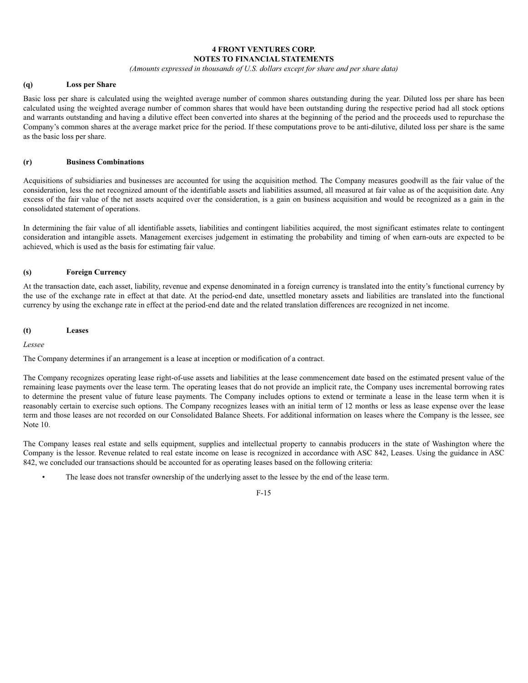*(Amounts expressed in thousands of U.S. dollars except for share and per share data)*

# **(q) Loss per Share**

Basic loss per share is calculated using the weighted average number of common shares outstanding during the year. Diluted loss per share has been calculated using the weighted average number of common shares that would have been outstanding during the respective period had all stock options and warrants outstanding and having a dilutive effect been converted into shares at the beginning of the period and the proceeds used to repurchase the Company's common shares at the average market price for the period. If these computations prove to be anti-dilutive, diluted loss per share is the same as the basic loss per share.

# **(r) Business Combinations**

Acquisitions of subsidiaries and businesses are accounted for using the acquisition method. The Company measures goodwill as the fair value of the consideration, less the net recognized amount of the identifiable assets and liabilities assumed, all measured at fair value as of the acquisition date. Any excess of the fair value of the net assets acquired over the consideration, is a gain on business acquisition and would be recognized as a gain in the consolidated statement of operations.

In determining the fair value of all identifiable assets, liabilities and contingent liabilities acquired, the most significant estimates relate to contingent consideration and intangible assets. Management exercises judgement in estimating the probability and timing of when earn-outs are expected to be achieved, which is used as the basis for estimating fair value.

### **(s) Foreign Currency**

At the transaction date, each asset, liability, revenue and expense denominated in a foreign currency is translated into the entity's functional currency by the use of the exchange rate in effect at that date. At the period-end date, unsettled monetary assets and liabilities are translated into the functional currency by using the exchange rate in effect at the period-end date and the related translation differences are recognized in net income.

### **(t) Leases**

### *Lessee*

The Company determines if an arrangement is a lease at inception or modification of a contract.

The Company recognizes operating lease right-of-use assets and liabilities at the lease commencement date based on the estimated present value of the remaining lease payments over the lease term. The operating leases that do not provide an implicit rate, the Company uses incremental borrowing rates to determine the present value of future lease payments. The Company includes options to extend or terminate a lease in the lease term when it is reasonably certain to exercise such options. The Company recognizes leases with an initial term of 12 months or less as lease expense over the lease term and those leases are not recorded on our Consolidated Balance Sheets. For additional information on leases where the Company is the lessee, see Note 10.

The Company leases real estate and sells equipment, supplies and intellectual property to cannabis producers in the state of Washington where the Company is the lessor. Revenue related to real estate income on lease is recognized in accordance with ASC 842, Leases. Using the guidance in ASC 842, we concluded our transactions should be accounted for as operating leases based on the following criteria:

The lease does not transfer ownership of the underlying asset to the lessee by the end of the lease term.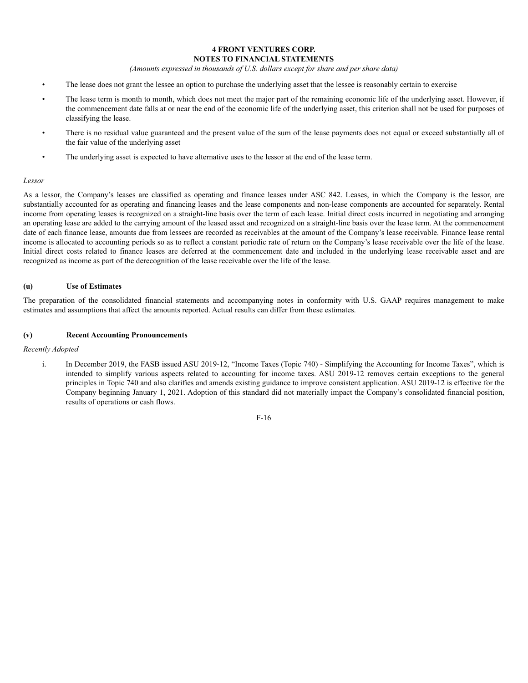# **4 FRONT VENTURES CORP.**

# **NOTES TO FINANCIAL STATEMENTS**

*(Amounts expressed in thousands of U.S. dollars except for share and per share data)*

- The lease does not grant the lessee an option to purchase the underlying asset that the lessee is reasonably certain to exercise
- The lease term is month to month, which does not meet the major part of the remaining economic life of the underlying asset. However, if the commencement date falls at or near the end of the economic life of the underlying asset, this criterion shall not be used for purposes of classifying the lease.
- There is no residual value guaranteed and the present value of the sum of the lease payments does not equal or exceed substantially all of the fair value of the underlying asset
- The underlying asset is expected to have alternative uses to the lessor at the end of the lease term.

### *Lessor*

As a lessor, the Company's leases are classified as operating and finance leases under ASC 842. Leases, in which the Company is the lessor, are substantially accounted for as operating and financing leases and the lease components and non-lease components are accounted for separately. Rental income from operating leases is recognized on a straight-line basis over the term of each lease. Initial direct costs incurred in negotiating and arranging an operating lease are added to the carrying amount of the leased asset and recognized on a straight-line basis over the lease term. At the commencement date of each finance lease, amounts due from lessees are recorded as receivables at the amount of the Company's lease receivable. Finance lease rental income is allocated to accounting periods so as to reflect a constant periodic rate of return on the Company's lease receivable over the life of the lease. Initial direct costs related to finance leases are deferred at the commencement date and included in the underlying lease receivable asset and are recognized as income as part of the derecognition of the lease receivable over the life of the lease.

### **(u) Use of Estimates**

The preparation of the consolidated financial statements and accompanying notes in conformity with U.S. GAAP requires management to make estimates and assumptions that affect the amounts reported. Actual results can differ from these estimates.

#### **(v) Recent Accounting Pronouncements**

#### *Recently Adopted*

i. In December 2019, the FASB issued ASU 2019-12, "Income Taxes (Topic 740) - Simplifying the Accounting for Income Taxes", which is intended to simplify various aspects related to accounting for income taxes. ASU 2019-12 removes certain exceptions to the general principles in Topic 740 and also clarifies and amends existing guidance to improve consistent application. ASU 2019-12 is effective for the Company beginning January 1, 2021. Adoption of this standard did not materially impact the Company's consolidated financial position, results of operations or cash flows.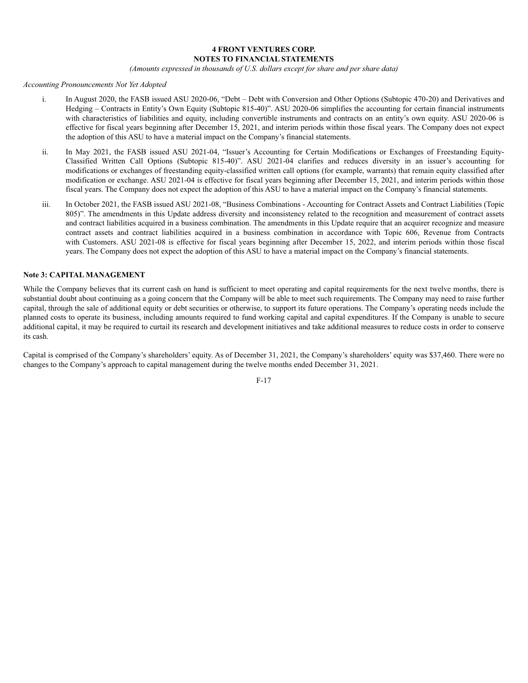*(Amounts expressed in thousands of U.S. dollars except for share and per share data)*

### *Accounting Pronouncements Not Yet Adopted*

- i. In August 2020, the FASB issued ASU 2020-06, "Debt Debt with Conversion and Other Options (Subtopic 470-20) and Derivatives and Hedging – Contracts in Entity's Own Equity (Subtopic 815-40)". ASU 2020-06 simplifies the accounting for certain financial instruments with characteristics of liabilities and equity, including convertible instruments and contracts on an entity's own equity. ASU 2020-06 is effective for fiscal years beginning after December 15, 2021, and interim periods within those fiscal years. The Company does not expect the adoption of this ASU to have a material impact on the Company's financial statements.
- ii. In May 2021, the FASB issued ASU 2021-04, "Issuer's Accounting for Certain Modifications or Exchanges of Freestanding Equity-Classified Written Call Options (Subtopic 815-40)". ASU 2021-04 clarifies and reduces diversity in an issuer's accounting for modifications or exchanges of freestanding equity-classified written call options (for example, warrants) that remain equity classified after modification or exchange. ASU 2021-04 is effective for fiscal years beginning after December 15, 2021, and interim periods within those fiscal years. The Company does not expect the adoption of this ASU to have a material impact on the Company's financial statements.
- iii. In October 2021, the FASB issued ASU 2021-08, "Business Combinations Accounting for Contract Assets and Contract Liabilities (Topic 805)". The amendments in this Update address diversity and inconsistency related to the recognition and measurement of contract assets and contract liabilities acquired in a business combination. The amendments in this Update require that an acquirer recognize and measure contract assets and contract liabilities acquired in a business combination in accordance with Topic 606, Revenue from Contracts with Customers. ASU 2021-08 is effective for fiscal years beginning after December 15, 2022, and interim periods within those fiscal years. The Company does not expect the adoption of this ASU to have a material impact on the Company's financial statements.

# **Note 3: CAPITAL MANAGEMENT**

While the Company believes that its current cash on hand is sufficient to meet operating and capital requirements for the next twelve months, there is substantial doubt about continuing as a going concern that the Company will be able to meet such requirements. The Company may need to raise further capital, through the sale of additional equity or debt securities or otherwise, to support its future operations. The Company's operating needs include the planned costs to operate its business, including amounts required to fund working capital and capital expenditures. If the Company is unable to secure additional capital, it may be required to curtail its research and development initiatives and take additional measures to reduce costs in order to conserve its cash.

Capital is comprised of the Company's shareholders' equity. As of December 31, 2021, the Company's shareholders' equity was \$37,460. There were no changes to the Company's approach to capital management during the twelve months ended December 31, 2021.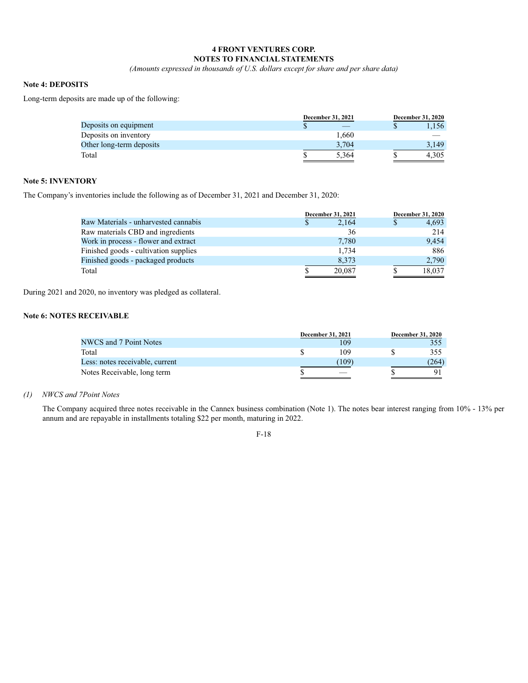*(Amounts expressed in thousands of U.S. dollars except for share and per share data)*

# **Note 4: DEPOSITS**

Long-term deposits are made up of the following:

|                          | December 31, 2021 |       |
|--------------------------|-------------------|-------|
| Deposits on equipment    |                   | 1.156 |
| Deposits on inventory    | 1.660             |       |
| Other long-term deposits | 3.704             | 3.149 |
| Total                    | 5.364             | 4.305 |

# **Note 5: INVENTORY**

The Company's inventories include the following as of December 31, 2021 and December 31, 2020:

|                                       | December 31, 2021 |   | <b>December 31, 2020</b> |
|---------------------------------------|-------------------|---|--------------------------|
| Raw Materials - unharvested cannabis  | \$<br>2.164       | Φ | 4,693                    |
| Raw materials CBD and ingredients     | 36                |   | 214                      |
| Work in process - flower and extract  | 7.780             |   | 9.454                    |
| Finished goods - cultivation supplies | 1.734             |   | 886                      |
| Finished goods - packaged products    | 8,373             |   | 2,790                    |
| Total                                 | 20,087            |   | 18,037                   |

During 2021 and 2020, no inventory was pledged as collateral.

# **Note 6: NOTES RECEIVABLE**

|                                 | <b>December 31, 2021</b> | <b>December 31, 2020</b> |
|---------------------------------|--------------------------|--------------------------|
| NWCS and 7 Point Notes          | 109                      | 355                      |
| Total                           | 109                      | 355                      |
| Less: notes receivable, current | (109)                    | (264)                    |
| Notes Receivable, long term     |                          |                          |

# *(1) NWCS and 7Point Notes*

The Company acquired three notes receivable in the Cannex business combination (Note 1). The notes bear interest ranging from 10% - 13% per annum and are repayable in installments totaling \$22 per month, maturing in 2022.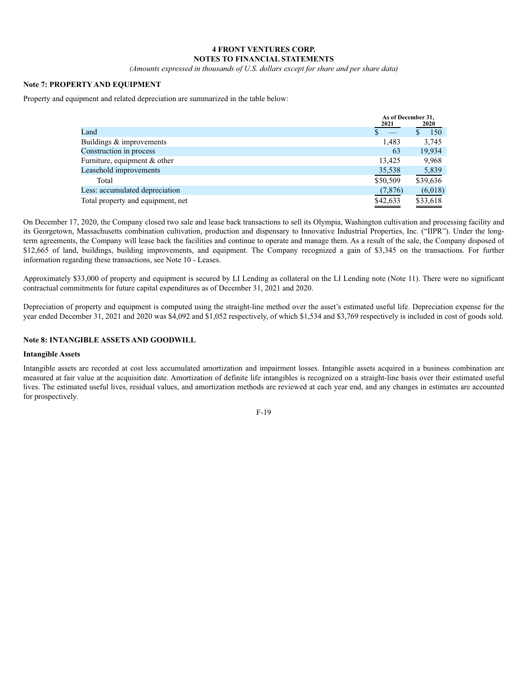*(Amounts expressed in thousands of U.S. dollars except for share and per share data)*

# **Note 7: PROPERTY AND EQUIPMENT**

Property and equipment and related depreciation are summarized in the table below:

|                                   | As of December 31, |          |
|-----------------------------------|--------------------|----------|
|                                   | 2021               | 2020     |
| Land                              |                    | 150      |
| Buildings & improvements          | 1,483              | 3,745    |
| Construction in process           | 63                 | 19,934   |
| Furniture, equipment & other      | 13.425             | 9,968    |
| Leasehold improvements            | 35,538             | 5,839    |
| Total                             | \$50,509           | \$39,636 |
| Less: accumulated depreciation    | (7,876)            | (6,018)  |
| Total property and equipment, net | \$42,633           | \$33,618 |

On December 17, 2020, the Company closed two sale and lease back transactions to sell its Olympia, Washington cultivation and processing facility and its Georgetown, Massachusetts combination cultivation, production and dispensary to Innovative Industrial Properties, Inc. ("IIPR"). Under the longterm agreements, the Company will lease back the facilities and continue to operate and manage them. As a result of the sale, the Company disposed of \$12,665 of land, buildings, building improvements, and equipment. The Company recognized a gain of \$3,345 on the transactions. For further information regarding these transactions, see Note 10 - Leases.

Approximately \$33,000 of property and equipment is secured by LI Lending as collateral on the LI Lending note (Note 11). There were no significant contractual commitments for future capital expenditures as of December 31, 2021 and 2020.

Depreciation of property and equipment is computed using the straight-line method over the asset's estimated useful life. Depreciation expense for the year ended December 31, 2021 and 2020 was \$4,092 and \$1,052 respectively, of which \$1,534 and \$3,769 respectively is included in cost of goods sold.

# **Note 8: INTANGIBLE ASSETS AND GOODWILL**

### **Intangible Assets**

Intangible assets are recorded at cost less accumulated amortization and impairment losses. Intangible assets acquired in a business combination are measured at fair value at the acquisition date. Amortization of definite life intangibles is recognized on a straight-line basis over their estimated useful lives. The estimated useful lives, residual values, and amortization methods are reviewed at each year end, and any changes in estimates are accounted for prospectively.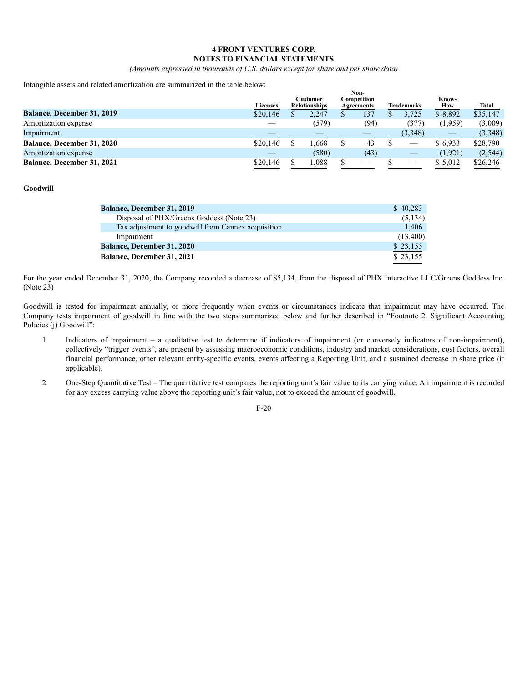*(Amounts expressed in thousands of U.S. dollars except for share and per share data)*

Intangible assets and related amortization are summarized in the table below:

| Licenses |       |                                  |      |                                   |                                | How               | Total    |
|----------|-------|----------------------------------|------|-----------------------------------|--------------------------------|-------------------|----------|
| \$20,146 | 2.247 |                                  | 137  |                                   | 3.725                          | \$8,892           | \$35,147 |
|          | (579) |                                  | (94) |                                   | (377)                          | (1,959)           | (3,009)  |
|          |       |                                  |      |                                   | (3,348)                        |                   | (3,348)  |
| \$20,146 | .668  |                                  | 43   |                                   |                                | \$6,933           | \$28,790 |
|          | (580) |                                  | (43) |                                   |                                | (1,921)           | (2, 544) |
| \$20,146 | .088  |                                  |      |                                   | $\overbrace{\hspace{25mm}}^{}$ | \$5.012           | \$26,246 |
|          |       | Customer<br><b>Relationships</b> |      | Non-<br>Competition<br>Agreements |                                | <b>Trademarks</b> | Know-    |

### **Goodwill**

| <b>Balance, December 31, 2019</b>                  | \$40,283 |
|----------------------------------------------------|----------|
| Disposal of PHX/Greens Goddess (Note 23)           | (5, 134) |
| Tax adjustment to goodwill from Cannex acquisition | 1.406    |
| Impairment                                         | (13,400) |
| <b>Balance, December 31, 2020</b>                  | \$23,155 |
| Balance, December 31, 2021                         | \$23,155 |

For the year ended December 31, 2020, the Company recorded a decrease of \$5,134, from the disposal of PHX Interactive LLC/Greens Goddess Inc. (Note 23)

Goodwill is tested for impairment annually, or more frequently when events or circumstances indicate that impairment may have occurred. The Company tests impairment of goodwill in line with the two steps summarized below and further described in "Footnote 2. Significant Accounting Policies (j) Goodwill":

- 1. Indicators of impairment a qualitative test to determine if indicators of impairment (or conversely indicators of non-impairment), collectively "trigger events", are present by assessing macroeconomic conditions, industry and market considerations, cost factors, overall financial performance, other relevant entity-specific events, events affecting a Reporting Unit, and a sustained decrease in share price (if applicable).
- 2. One-Step Quantitative Test The quantitative test compares the reporting unit's fair value to its carrying value. An impairment is recorded for any excess carrying value above the reporting unit's fair value, not to exceed the amount of goodwill.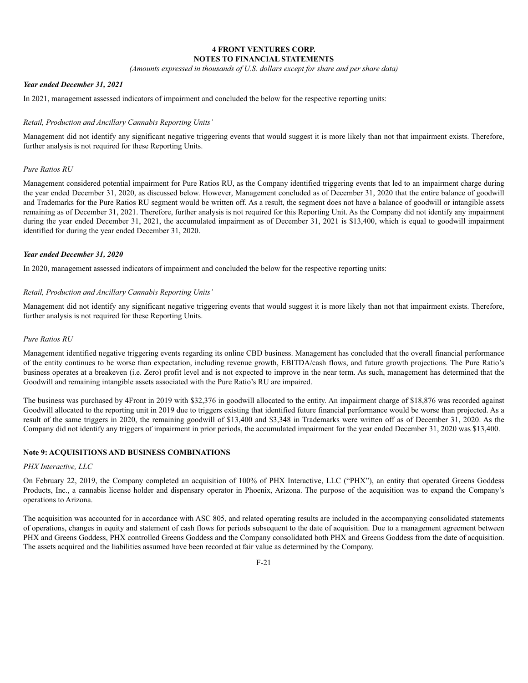*(Amounts expressed in thousands of U.S. dollars except for share and per share data)*

### *Year ended December 31, 2021*

In 2021, management assessed indicators of impairment and concluded the below for the respective reporting units:

### *Retail, Production and Ancillary Cannabis Reporting Units'*

Management did not identify any significant negative triggering events that would suggest it is more likely than not that impairment exists. Therefore, further analysis is not required for these Reporting Units.

### *Pure Ratios RU*

Management considered potential impairment for Pure Ratios RU, as the Company identified triggering events that led to an impairment charge during the year ended December 31, 2020, as discussed below. However, Management concluded as of December 31, 2020 that the entire balance of goodwill and Trademarks for the Pure Ratios RU segment would be written off. As a result, the segment does not have a balance of goodwill or intangible assets remaining as of December 31, 2021. Therefore, further analysis is not required for this Reporting Unit. As the Company did not identify any impairment during the year ended December 31, 2021, the accumulated impairment as of December 31, 2021 is \$13,400, which is equal to goodwill impairment identified for during the year ended December 31, 2020.

### *Year ended December 31, 2020*

In 2020, management assessed indicators of impairment and concluded the below for the respective reporting units:

### *Retail, Production and Ancillary Cannabis Reporting Units'*

Management did not identify any significant negative triggering events that would suggest it is more likely than not that impairment exists. Therefore, further analysis is not required for these Reporting Units.

# *Pure Ratios RU*

Management identified negative triggering events regarding its online CBD business. Management has concluded that the overall financial performance of the entity continues to be worse than expectation, including revenue growth, EBITDA/cash flows, and future growth projections. The Pure Ratio's business operates at a breakeven (i.e. Zero) profit level and is not expected to improve in the near term. As such, management has determined that the Goodwill and remaining intangible assets associated with the Pure Ratio's RU are impaired.

The business was purchased by 4Front in 2019 with \$32,376 in goodwill allocated to the entity. An impairment charge of \$18,876 was recorded against Goodwill allocated to the reporting unit in 2019 due to triggers existing that identified future financial performance would be worse than projected. As a result of the same triggers in 2020, the remaining goodwill of \$13,400 and \$3,348 in Trademarks were written off as of December 31, 2020. As the Company did not identify any triggers of impairment in prior periods, the accumulated impairment for the year ended December 31, 2020 was \$13,400.

### **Note 9: ACQUISITIONS AND BUSINESS COMBINATIONS**

#### *PHX Interactive, LLC*

On February 22, 2019, the Company completed an acquisition of 100% of PHX Interactive, LLC ("PHX"), an entity that operated Greens Goddess Products, Inc., a cannabis license holder and dispensary operator in Phoenix, Arizona. The purpose of the acquisition was to expand the Company's operations to Arizona.

The acquisition was accounted for in accordance with ASC 805, and related operating results are included in the accompanying consolidated statements of operations, changes in equity and statement of cash flows for periods subsequent to the date of acquisition. Due to a management agreement between PHX and Greens Goddess, PHX controlled Greens Goddess and the Company consolidated both PHX and Greens Goddess from the date of acquisition. The assets acquired and the liabilities assumed have been recorded at fair value as determined by the Company.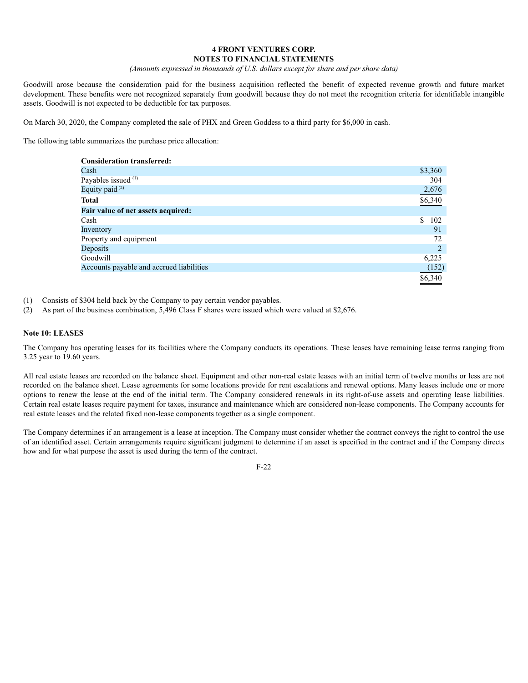*(Amounts expressed in thousands of U.S. dollars except for share and per share data)*

Goodwill arose because the consideration paid for the business acquisition reflected the benefit of expected revenue growth and future market development. These benefits were not recognized separately from goodwill because they do not meet the recognition criteria for identifiable intangible assets. Goodwill is not expected to be deductible for tax purposes.

On March 30, 2020, the Company completed the sale of PHX and Green Goddess to a third party for \$6,000 in cash.

The following table summarizes the purchase price allocation:

| <b>Consideration transferred:</b>        |                |
|------------------------------------------|----------------|
| Cash                                     | \$3,360        |
| Payables issued (1)                      | 304            |
| Equity paid <sup>(2)</sup>               | 2,676          |
| <b>Total</b>                             | \$6,340        |
| Fair value of net assets acquired:       |                |
| Cash                                     | S.<br>102      |
| Inventory                                | 91             |
| Property and equipment                   | 72             |
| Deposits                                 | $\overline{c}$ |
| Goodwill                                 | 6,225          |
| Accounts payable and accrued liabilities | (152)          |
|                                          | \$6,340        |

(1) Consists of \$304 held back by the Company to pay certain vendor payables.

(2) As part of the business combination, 5,496 Class F shares were issued which were valued at \$2,676.

# **Note 10: LEASES**

The Company has operating leases for its facilities where the Company conducts its operations. These leases have remaining lease terms ranging from 3.25 year to 19.60 years.

All real estate leases are recorded on the balance sheet. Equipment and other non-real estate leases with an initial term of twelve months or less are not recorded on the balance sheet. Lease agreements for some locations provide for rent escalations and renewal options. Many leases include one or more options to renew the lease at the end of the initial term. The Company considered renewals in its right-of-use assets and operating lease liabilities. Certain real estate leases require payment for taxes, insurance and maintenance which are considered non-lease components. The Company accounts for real estate leases and the related fixed non-lease components together as a single component.

The Company determines if an arrangement is a lease at inception. The Company must consider whether the contract conveys the right to control the use of an identified asset. Certain arrangements require significant judgment to determine if an asset is specified in the contract and if the Company directs how and for what purpose the asset is used during the term of the contract.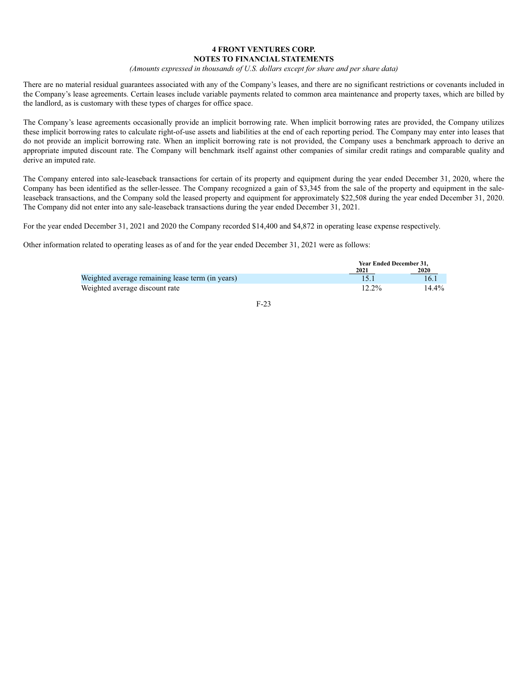*(Amounts expressed in thousands of U.S. dollars except for share and per share data)*

There are no material residual guarantees associated with any of the Company's leases, and there are no significant restrictions or covenants included in the Company's lease agreements. Certain leases include variable payments related to common area maintenance and property taxes, which are billed by the landlord, as is customary with these types of charges for office space.

The Company's lease agreements occasionally provide an implicit borrowing rate. When implicit borrowing rates are provided, the Company utilizes these implicit borrowing rates to calculate right-of-use assets and liabilities at the end of each reporting period. The Company may enter into leases that do not provide an implicit borrowing rate. When an implicit borrowing rate is not provided, the Company uses a benchmark approach to derive an appropriate imputed discount rate. The Company will benchmark itself against other companies of similar credit ratings and comparable quality and derive an imputed rate.

The Company entered into sale-leaseback transactions for certain of its property and equipment during the year ended December 31, 2020, where the Company has been identified as the seller-lessee. The Company recognized a gain of \$3,345 from the sale of the property and equipment in the saleleaseback transactions, and the Company sold the leased property and equipment for approximately \$22,508 during the year ended December 31, 2020. The Company did not enter into any sale-leaseback transactions during the year ended December 31, 2021.

For the year ended December 31, 2021 and 2020 the Company recorded \$14,400 and \$4,872 in operating lease expense respectively.

Other information related to operating leases as of and for the year ended December 31, 2021 were as follows:

|                                                  | <b>Year Ended December 31.</b> |          |
|--------------------------------------------------|--------------------------------|----------|
|                                                  | 2021                           | 2020     |
| Weighted average remaining lease term (in years) |                                | 16.1     |
| Weighted average discount rate                   | $12.2\%$                       | $14.4\%$ |

F-23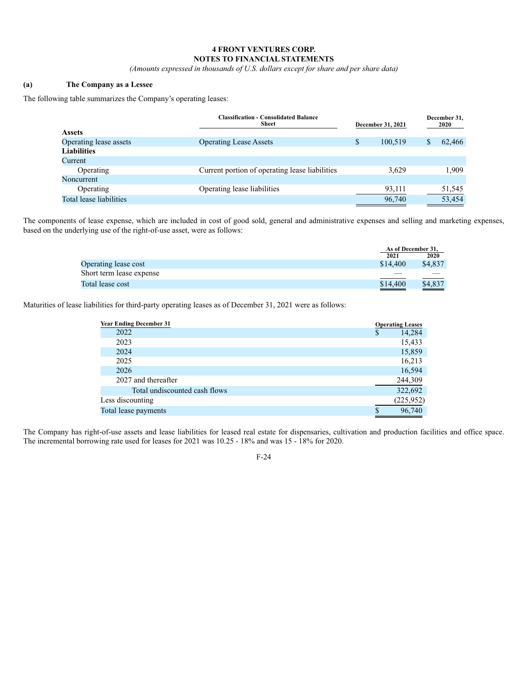*(Amounts expressed in thousands of U.S. dollars except for share and per share data)*

## **(a) The Company as a Lessee**

The following table summarizes the Company's operating leases:

|                         | <b>Classification - Consolidated Balance</b><br><b>Sheet</b> |   | December 31, 2021 | December 31,<br>2020 |
|-------------------------|--------------------------------------------------------------|---|-------------------|----------------------|
| <b>Assets</b>           |                                                              |   |                   |                      |
| Operating lease assets  | <b>Operating Lease Assets</b>                                | S | 100.519           | \$<br>62.466         |
| <b>Liabilities</b>      |                                                              |   |                   |                      |
| Current                 |                                                              |   |                   |                      |
| Operating               | Current portion of operating lease liabilities               |   | 3.629             | 1.909                |
| Noncurrent              |                                                              |   |                   |                      |
| Operating               | Operating lease liabilities                                  |   | 93,111            | 51,545               |
| Total lease liabilities |                                                              |   | 96,740            | 53,454               |

The components of lease expense, which are included in cost of good sold, general and administrative expenses and selling and marketing expenses, based on the underlying use of the right-of-use asset, were as follows:

|                          | As of December 31,                   |                              |
|--------------------------|--------------------------------------|------------------------------|
|                          | 2021                                 | 2020                         |
| Operating lease cost     | \$14,400                             | \$4,837                      |
| Short term lease expense |                                      |                              |
| Total lease cost         | \$14,400<br>$\overline{\phantom{a}}$ | \$4,837<br><u>expertises</u> |

Maturities of lease liabilities for third-party operating leases as of December 31, 2021 were as follows:

| <b>Year Ending December 31</b> |   | <b>Operating Leases</b> |
|--------------------------------|---|-------------------------|
| 2022                           | S | 14,284                  |
| 2023                           |   | 15,433                  |
| 2024                           |   | 15,859                  |
| 2025                           |   | 16,213                  |
| 2026                           |   | 16,594                  |
| 2027 and thereafter            |   | 244,309                 |
| Total undiscounted cash flows  |   | 322,692                 |
| Less discounting               |   | (225, 952)              |
| Total lease payments           |   | 96,740                  |

The Company has right-of-use assets and lease liabilities for leased real estate for dispensaries, cultivation and production facilities and office space. The incremental borrowing rate used for leases for 2021 was 10.25 - 18% and was 15 - 18% for 2020.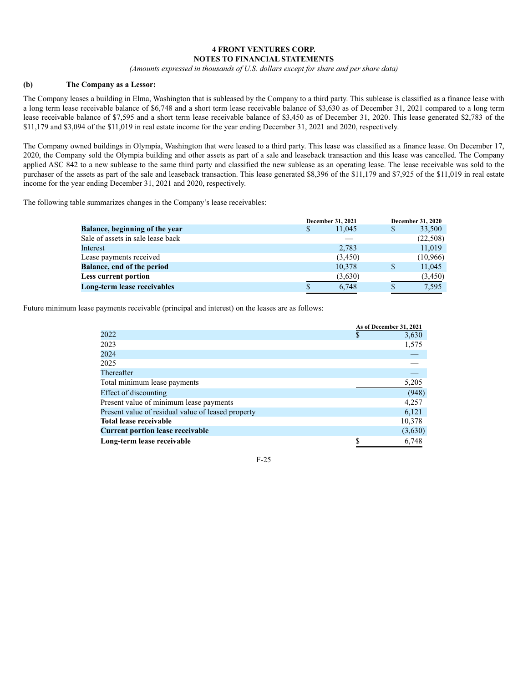*(Amounts expressed in thousands of U.S. dollars except for share and per share data)*

## **(b) The Company as a Lessor:**

The Company leases a building in Elma, Washington that is subleased by the Company to a third party. This sublease is classified as a finance lease with a long term lease receivable balance of \$6,748 and a short term lease receivable balance of \$3,630 as of December 31, 2021 compared to a long term lease receivable balance of \$7,595 and a short term lease receivable balance of \$3,450 as of December 31, 2020. This lease generated \$2,783 of the \$11,179 and \$3,094 of the \$11,019 in real estate income for the year ending December 31, 2021 and 2020, respectively.

The Company owned buildings in Olympia, Washington that were leased to a third party. This lease was classified as a finance lease. On December 17, 2020, the Company sold the Olympia building and other assets as part of a sale and leaseback transaction and this lease was cancelled. The Company applied ASC 842 to a new sublease to the same third party and classified the new sublease as an operating lease. The lease receivable was sold to the purchaser of the assets as part of the sale and leaseback transaction. This lease generated \$8,396 of the \$11,179 and \$7,925 of the \$11,019 in real estate income for the year ending December 31, 2021 and 2020, respectively.

The following table summarizes changes in the Company's lease receivables:

|                                   | December 31, 2021 | December 31, 2020 |
|-----------------------------------|-------------------|-------------------|
| Balance, beginning of the year    | \$<br>11.045      | 33,500            |
| Sale of assets in sale lease back |                   | (22,508)          |
| Interest                          | 2,783             | 11,019            |
| Lease payments received           | (3,450)           | (10,966)          |
| Balance, end of the period        | 10,378            | 11,045            |
| Less current portion              | (3,630)           | (3,450)           |
| Long-term lease receivables       | 6.748             | 7.595             |

Future minimum lease payments receivable (principal and interest) on the leases are as follows:

|                                                    | As of December 31, 2021 |         |
|----------------------------------------------------|-------------------------|---------|
| 2022                                               |                         | 3,630   |
| 2023                                               |                         | 1,575   |
| 2024                                               |                         |         |
| 2025                                               |                         |         |
| Thereafter                                         |                         |         |
| Total minimum lease payments                       |                         | 5,205   |
| <b>Effect of discounting</b>                       |                         | (948)   |
| Present value of minimum lease payments            |                         | 4,257   |
| Present value of residual value of leased property |                         | 6,121   |
| Total lease receivable                             |                         | 10,378  |
| <b>Current portion lease receivable</b>            |                         | (3,630) |
| Long-term lease receivable                         |                         | 6,748   |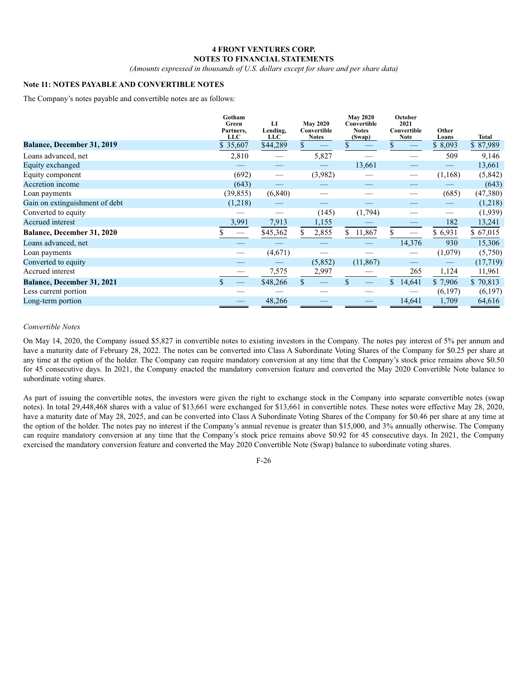*(Amounts expressed in thousands of U.S. dollars except for share and per share data)*

## **Note 11: NOTES PAYABLE AND CONVERTIBLE NOTES**

The Company's notes payable and convertible notes are as follows:

|                                   | Gotham<br>Green<br>Partners,<br><b>LLC</b> | LI<br>Lending,<br><b>LLC</b> | <b>May 2020</b><br>Convertible<br><b>Notes</b> | <b>May 2020</b><br>Convertible<br><b>Notes</b><br>(Swap) | October<br>2021<br>Convertible<br><b>Note</b> | Other<br>Loans | Total    |
|-----------------------------------|--------------------------------------------|------------------------------|------------------------------------------------|----------------------------------------------------------|-----------------------------------------------|----------------|----------|
| <b>Balance, December 31, 2019</b> | \$35,607                                   | \$44,289                     | \$                                             | S                                                        |                                               | \$ 8,093       | \$87,989 |
| Loans advanced, net               | 2,810                                      |                              | 5,827                                          |                                                          |                                               | 509            | 9,146    |
| Equity exchanged                  |                                            |                              |                                                | 13,661                                                   |                                               |                | 13,661   |
| Equity component                  | (692)                                      |                              | (3,982)                                        |                                                          |                                               | (1,168)        | (5,842)  |
| Accretion income                  | (643)                                      |                              |                                                |                                                          |                                               |                | (643)    |
| Loan payments                     | (39, 855)                                  | (6, 840)                     |                                                |                                                          |                                               | (685)          | (47,380) |
| Gain on extinguishment of debt    | (1,218)                                    |                              |                                                |                                                          |                                               |                | (1,218)  |
| Converted to equity               |                                            |                              | (145)                                          | (1,794)                                                  |                                               |                | (1,939)  |
| Accrued interest                  | 3,991                                      | 7,913                        | 1,155                                          |                                                          |                                               | 182            | 13,241   |
| Balance, December 31, 2020        |                                            | \$45,362                     | 2,855<br>S                                     | 11,867<br>S.                                             |                                               | \$6,931        | \$67,015 |
| Loans advanced, net               |                                            |                              |                                                |                                                          | 14,376                                        | 930            | 15,306   |
| Loan payments                     |                                            | (4,671)                      |                                                |                                                          |                                               | (1,079)        | (5,750)  |
| Converted to equity               |                                            |                              | (5,852)                                        | (11, 867)                                                |                                               |                | (17,719) |
| Accrued interest                  |                                            | 7,575                        | 2,997                                          |                                                          | 265                                           | 1,124          | 11,961   |
| <b>Balance, December 31, 2021</b> |                                            | \$48,266                     | $\mathbf{s}$                                   | $\mathbf{\hat{S}}$                                       | \$<br>14,641                                  | \$7,906        | \$70,813 |
| Less current portion              |                                            |                              |                                                |                                                          |                                               | (6,197)        | (6,197)  |
| Long-term portion                 |                                            | 48,266                       |                                                |                                                          | 14,641                                        | 1,709          | 64,616   |

#### *Convertible Notes*

On May 14, 2020, the Company issued \$5,827 in convertible notes to existing investors in the Company. The notes pay interest of 5% per annum and have a maturity date of February 28, 2022. The notes can be converted into Class A Subordinate Voting Shares of the Company for \$0.25 per share at any time at the option of the holder. The Company can require mandatory conversion at any time that the Company's stock price remains above \$0.50 for 45 consecutive days. In 2021, the Company enacted the mandatory conversion feature and converted the May 2020 Convertible Note balance to subordinate voting shares.

As part of issuing the convertible notes, the investors were given the right to exchange stock in the Company into separate convertible notes (swap notes). In total 29,448,468 shares with a value of \$13,661 were exchanged for \$13,661 in convertible notes. These notes were effective May 28, 2020, have a maturity date of May 28, 2025, and can be converted into Class A Subordinate Voting Shares of the Company for \$0.46 per share at any time at the option of the holder. The notes pay no interest if the Company's annual revenue is greater than \$15,000, and 3% annually otherwise. The Company can require mandatory conversion at any time that the Company's stock price remains above \$0.92 for 45 consecutive days. In 2021, the Company exercised the mandatory conversion feature and converted the May 2020 Convertible Note (Swap) balance to subordinate voting shares.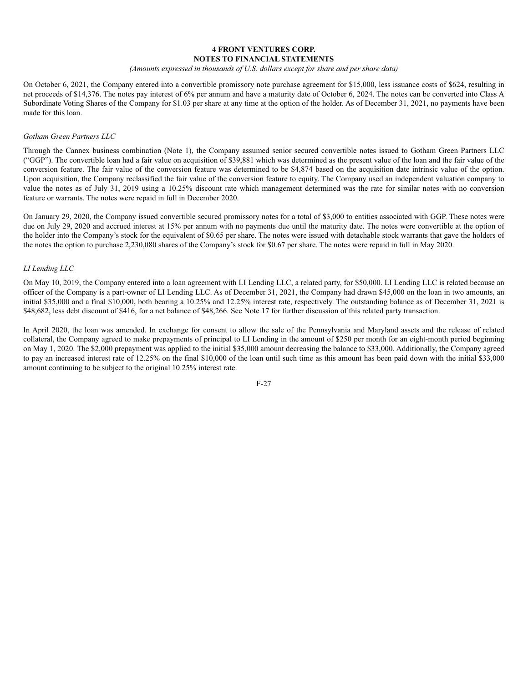*(Amounts expressed in thousands of U.S. dollars except for share and per share data)*

On October 6, 2021, the Company entered into a convertible promissory note purchase agreement for \$15,000, less issuance costs of \$624, resulting in net proceeds of \$14,376. The notes pay interest of 6% per annum and have a maturity date of October 6, 2024. The notes can be converted into Class A Subordinate Voting Shares of the Company for \$1.03 per share at any time at the option of the holder. As of December 31, 2021, no payments have been made for this loan.

#### *Gotham Green Partners LLC*

Through the Cannex business combination (Note 1), the Company assumed senior secured convertible notes issued to Gotham Green Partners LLC ("GGP"). The convertible loan had a fair value on acquisition of \$39,881 which was determined as the present value of the loan and the fair value of the conversion feature. The fair value of the conversion feature was determined to be \$4,874 based on the acquisition date intrinsic value of the option. Upon acquisition, the Company reclassified the fair value of the conversion feature to equity. The Company used an independent valuation company to value the notes as of July 31, 2019 using a 10.25% discount rate which management determined was the rate for similar notes with no conversion feature or warrants. The notes were repaid in full in December 2020.

On January 29, 2020, the Company issued convertible secured promissory notes for a total of \$3,000 to entities associated with GGP. These notes were due on July 29, 2020 and accrued interest at 15% per annum with no payments due until the maturity date. The notes were convertible at the option of the holder into the Company's stock for the equivalent of \$0.65 per share. The notes were issued with detachable stock warrants that gave the holders of the notes the option to purchase 2,230,080 shares of the Company's stock for \$0.67 per share. The notes were repaid in full in May 2020.

#### *LI Lending LLC*

On May 10, 2019, the Company entered into a loan agreement with LI Lending LLC, a related party, for \$50,000. LI Lending LLC is related because an officer of the Company is a part-owner of LI Lending LLC. As of December 31, 2021, the Company had drawn \$45,000 on the loan in two amounts, an initial \$35,000 and a final \$10,000, both bearing a 10.25% and 12.25% interest rate, respectively. The outstanding balance as of December 31, 2021 is \$48,682, less debt discount of \$416, for a net balance of \$48,266. See Note 17 for further discussion of this related party transaction.

In April 2020, the loan was amended. In exchange for consent to allow the sale of the Pennsylvania and Maryland assets and the release of related collateral, the Company agreed to make prepayments of principal to LI Lending in the amount of \$250 per month for an eight-month period beginning on May 1, 2020. The \$2,000 prepayment was applied to the initial \$35,000 amount decreasing the balance to \$33,000. Additionally, the Company agreed to pay an increased interest rate of 12.25% on the final \$10,000 of the loan until such time as this amount has been paid down with the initial \$33,000 amount continuing to be subject to the original 10.25% interest rate.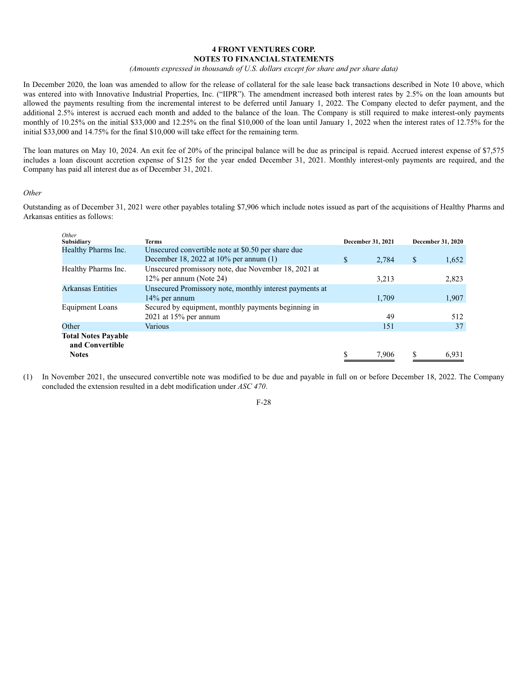*(Amounts expressed in thousands of U.S. dollars except for share and per share data)*

In December 2020, the loan was amended to allow for the release of collateral for the sale lease back transactions described in Note 10 above, which was entered into with Innovative Industrial Properties, Inc. ("IIPR"). The amendment increased both interest rates by 2.5% on the loan amounts but allowed the payments resulting from the incremental interest to be deferred until January 1, 2022. The Company elected to defer payment, and the additional 2.5% interest is accrued each month and added to the balance of the loan. The Company is still required to make interest-only payments monthly of 10.25% on the initial \$33,000 and 12.25% on the final \$10,000 of the loan until January 1, 2022 when the interest rates of 12.75% for the initial \$33,000 and 14.75% for the final \$10,000 will take effect for the remaining term.

The loan matures on May 10, 2024. An exit fee of 20% of the principal balance will be due as principal is repaid. Accrued interest expense of \$7,575 includes a loan discount accretion expense of \$125 for the year ended December 31, 2021. Monthly interest-only payments are required, and the Company has paid all interest due as of December 31, 2021.

#### *Other*

Outstanding as of December 31, 2021 were other payables totaling \$7,906 which include notes issued as part of the acquisitions of Healthy Pharms and Arkansas entities as follows:

| Other                                         |                                                         |   |                   |               |                   |
|-----------------------------------------------|---------------------------------------------------------|---|-------------------|---------------|-------------------|
| Subsidiary                                    | <b>Terms</b>                                            |   | December 31, 2021 |               | December 31, 2020 |
| Healthy Pharms Inc.                           | Unsecured convertible note at \$0.50 per share due      |   |                   |               |                   |
|                                               | December 18, 2022 at $10\%$ per annum $(1)$             | S | 2.784             | <sup>\$</sup> | 1,652             |
| Healthy Pharms Inc.                           | Unsecured promissory note, due November 18, 2021 at     |   |                   |               |                   |
|                                               | 12% per annum (Note 24)                                 |   | 3,213             |               | 2,823             |
| <b>Arkansas Entities</b>                      | Unsecured Promissory note, monthly interest payments at |   |                   |               |                   |
|                                               | $14\%$ per annum                                        |   | 1,709             |               | 1,907             |
| <b>Equipment Loans</b>                        | Secured by equipment, monthly payments beginning in     |   |                   |               |                   |
|                                               | 2021 at 15% per annum                                   |   | 49                |               | 512               |
| Other                                         | Various                                                 |   | 151               |               | 37                |
| <b>Total Notes Payable</b><br>and Convertible |                                                         |   |                   |               |                   |
| <b>Notes</b>                                  |                                                         |   | 7,906             |               | 6,931             |

(1) In November 2021, the unsecured convertible note was modified to be due and payable in full on or before December 18, 2022. The Company concluded the extension resulted in a debt modification under *ASC 470*.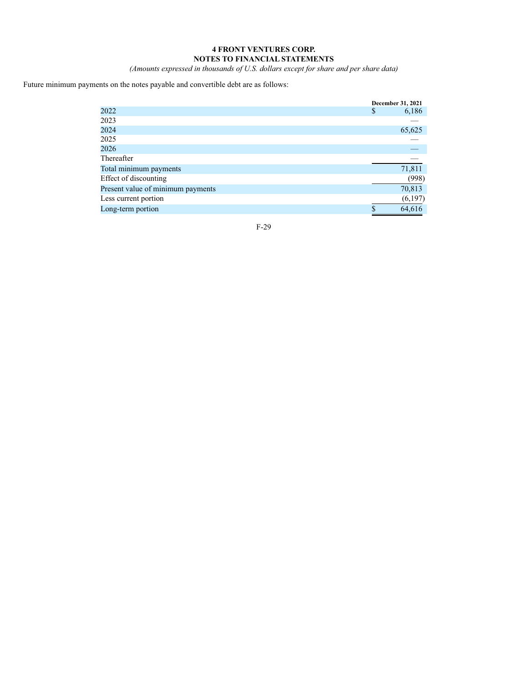*(Amounts expressed in thousands of U.S. dollars except for share and per share data)*

Future minimum payments on the notes payable and convertible debt are as follows:

| December 31, 2021 |         |
|-------------------|---------|
|                   | 6,186   |
|                   |         |
|                   | 65,625  |
|                   |         |
|                   |         |
|                   |         |
|                   | 71,811  |
|                   | (998)   |
|                   | 70,813  |
|                   | (6,197) |
|                   | 64,616  |
|                   | \$      |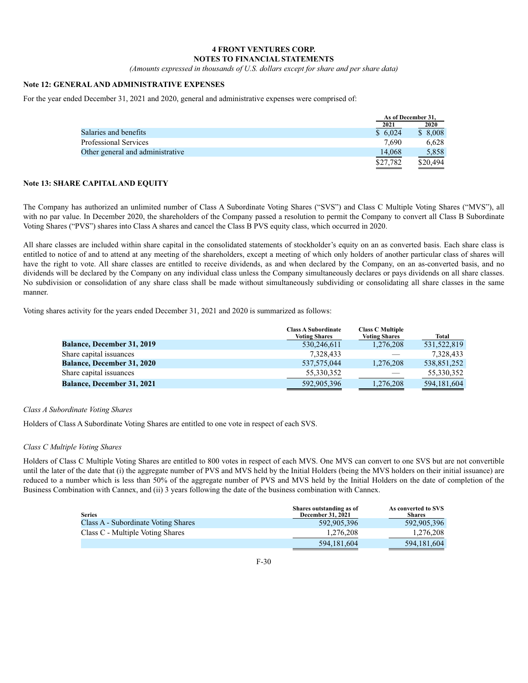*(Amounts expressed in thousands of U.S. dollars except for share and per share data)*

## **Note 12: GENERAL AND ADMINISTRATIVE EXPENSES**

For the year ended December 31, 2021 and 2020, general and administrative expenses were comprised of:

|                                  |          | As of December 31, |
|----------------------------------|----------|--------------------|
|                                  | 2021     | 2020               |
| Salaries and benefits            | \$6.024  | \$8.008            |
| Professional Services            | 7.690    | 6.628              |
| Other general and administrative | 14.068   | 5.858              |
|                                  | \$27,782 | \$20,494           |

## **Note 13: SHARE CAPITAL AND EQUITY**

The Company has authorized an unlimited number of Class A Subordinate Voting Shares ("SVS") and Class C Multiple Voting Shares ("MVS"), all with no par value. In December 2020, the shareholders of the Company passed a resolution to permit the Company to convert all Class B Subordinate Voting Shares ("PVS") shares into Class A shares and cancel the Class B PVS equity class, which occurred in 2020.

All share classes are included within share capital in the consolidated statements of stockholder's equity on an as converted basis. Each share class is entitled to notice of and to attend at any meeting of the shareholders, except a meeting of which only holders of another particular class of shares will have the right to vote. All share classes are entitled to receive dividends, as and when declared by the Company, on an as-converted basis, and no dividends will be declared by the Company on any individual class unless the Company simultaneously declares or pays dividends on all share classes. No subdivision or consolidation of any share class shall be made without simultaneously subdividing or consolidating all share classes in the same manner.

Voting shares activity for the years ended December 31, 2021 and 2020 is summarized as follows:

|                                   | <b>Class A Subordinate</b><br><b>Voting Shares</b> | <b>Class C Multiple</b><br><b>Voting Shares</b> | Total       |
|-----------------------------------|----------------------------------------------------|-------------------------------------------------|-------------|
| <b>Balance, December 31, 2019</b> | 530,246,611                                        | 1,276,208                                       | 531,522,819 |
| Share capital issuances           | 7,328,433                                          |                                                 | 7,328,433   |
| <b>Balance, December 31, 2020</b> | 537, 575, 044                                      | 1,276,208                                       | 538,851,252 |
| Share capital issuances           | 55,330,352                                         |                                                 | 55,330,352  |
| <b>Balance, December 31, 2021</b> | 592,905,396                                        | 1,276,208                                       | 594,181,604 |

#### *Class A Subordinate Voting Shares*

Holders of Class A Subordinate Voting Shares are entitled to one vote in respect of each SVS.

#### *Class C Multiple Voting Shares*

Holders of Class C Multiple Voting Shares are entitled to 800 votes in respect of each MVS. One MVS can convert to one SVS but are not convertible until the later of the date that (i) the aggregate number of PVS and MVS held by the Initial Holders (being the MVS holders on their initial issuance) are reduced to a number which is less than 50% of the aggregate number of PVS and MVS held by the Initial Holders on the date of completion of the Business Combination with Cannex, and (ii) 3 years following the date of the business combination with Cannex.

| <b>Series</b>                       | Shares outstanding as of<br><b>December 31, 2021</b> | As converted to SVS<br><b>Shares</b> |
|-------------------------------------|------------------------------------------------------|--------------------------------------|
| Class A - Subordinate Voting Shares | 592,905,396                                          | 592,905,396                          |
| Class C - Multiple Voting Shares    | 1.276.208                                            | 1.276.208                            |
|                                     | 594.181.604                                          | 594,181,604                          |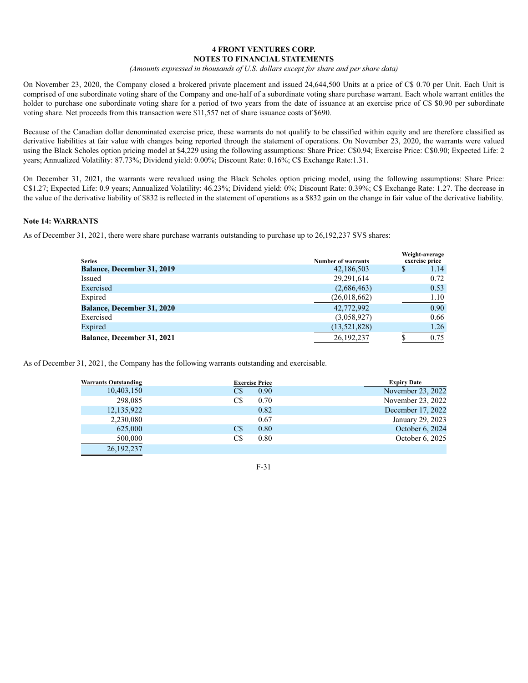*(Amounts expressed in thousands of U.S. dollars except for share and per share data)*

On November 23, 2020, the Company closed a brokered private placement and issued 24,644,500 Units at a price of C\$ 0.70 per Unit. Each Unit is comprised of one subordinate voting share of the Company and one-half of a subordinate voting share purchase warrant. Each whole warrant entitles the holder to purchase one subordinate voting share for a period of two years from the date of issuance at an exercise price of C\$ \$0.90 per subordinate voting share. Net proceeds from this transaction were \$11,557 net of share issuance costs of \$690.

Because of the Canadian dollar denominated exercise price, these warrants do not qualify to be classified within equity and are therefore classified as derivative liabilities at fair value with changes being reported through the statement of operations. On November 23, 2020, the warrants were valued using the Black Scholes option pricing model at \$4,229 using the following assumptions: Share Price: C\$0.94; Exercise Price: C\$0.90; Expected Life: 2 years; Annualized Volatility: 87.73%; Dividend yield: 0.00%; Discount Rate: 0.16%; C\$ Exchange Rate:1.31.

On December 31, 2021, the warrants were revalued using the Black Scholes option pricing model, using the following assumptions: Share Price: C\$1.27; Expected Life: 0.9 years; Annualized Volatility: 46.23%; Dividend yield: 0%; Discount Rate: 0.39%; C\$ Exchange Rate: 1.27. The decrease in the value of the derivative liability of \$832 is reflected in the statement of operations as a \$832 gain on the change in fair value of the derivative liability.

## **Note 14: WARRANTS**

As of December 31, 2021, there were share purchase warrants outstanding to purchase up to 26,192,237 SVS shares:

| <b>Series</b>                     | <b>Number of warrants</b> | Weight-average<br>exercise price |
|-----------------------------------|---------------------------|----------------------------------|
| <b>Balance, December 31, 2019</b> | 42,186,503                | \$<br>1.14                       |
| Issued                            | 29,291,614                | 0.72                             |
| Exercised                         | (2,686,463)               | 0.53                             |
| Expired                           | (26,018,662)              | 1.10                             |
| <b>Balance, December 31, 2020</b> | 42,772,992                | 0.90                             |
| Exercised                         | (3,058,927)               | 0.66                             |
| Expired                           | (13, 521, 828)            | 1.26                             |
| Balance, December 31, 2021        | 26, 192, 237              | 0.75                             |

As of December 31, 2021, the Company has the following warrants outstanding and exercisable.

| <b>Warrants Outstanding</b> | <b>Exercise Price</b> | <b>Expiry Date</b> |
|-----------------------------|-----------------------|--------------------|
| 10,403,150                  | 0.90<br>C\$           | November 23, 2022  |
| 298,085                     | C\$<br>0.70           | November 23, 2022  |
| 12, 135, 922                | 0.82                  | December 17, 2022  |
| 2,230,080                   | 0.67                  | January 29, 2023   |
| 625,000                     | 0.80<br>C\$           | October 6, 2024    |
| 500,000                     | C\$<br>0.80           | October 6, 2025    |
| 26,192,237                  |                       |                    |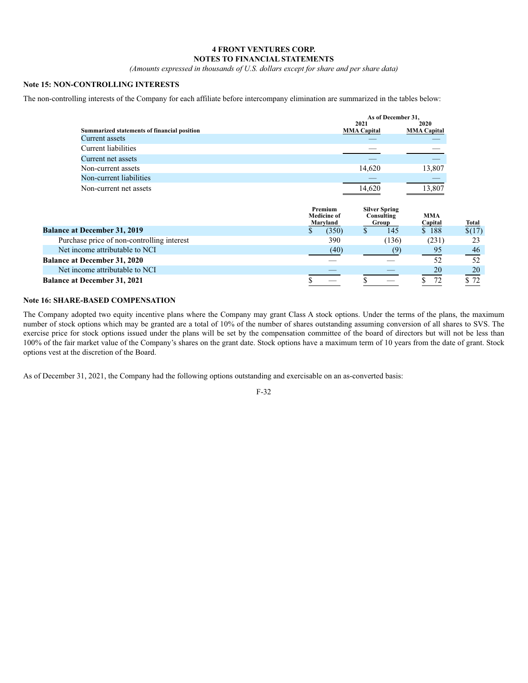*(Amounts expressed in thousands of U.S. dollars except for share and per share data)*

## **Note 15: NON-CONTROLLING INTERESTS**

The non-controlling interests of the Company for each affiliate before intercompany elimination are summarized in the tables below:

|                                             | As of December 31,         |                            |  |
|---------------------------------------------|----------------------------|----------------------------|--|
| Summarized statements of financial position | 2021<br><b>MMA Capital</b> | 2020<br><b>MMA Capital</b> |  |
| Current assets                              |                            |                            |  |
| Current liabilities                         |                            |                            |  |
| Current net assets                          |                            |                            |  |
| Non-current assets                          | 14,620                     | 13,807                     |  |
| Non-current liabilities                     |                            |                            |  |
| Non-current net assets                      | 14,620                     | 13.807                     |  |

|                                            | Premium<br><b>Medicine of</b><br>Maryland | <b>Silver Spring</b><br>Consulting<br>Group | <b>MMA</b><br>Capital | Total  |
|--------------------------------------------|-------------------------------------------|---------------------------------------------|-----------------------|--------|
| <b>Balance at December 31, 2019</b>        | (350)<br>۰D                               | 145                                         | \$188                 | \$(17) |
| Purchase price of non-controlling interest | 390                                       | (136)                                       | (231)                 | 23     |
| Net income attributable to NCI             | (40)                                      | (9)                                         | 95                    | 46     |
| <b>Balance at December 31, 2020</b>        |                                           |                                             | 52                    |        |
| Net income attributable to NCI             |                                           |                                             | 20                    | 20     |
| <b>Balance at December 31, 2021</b>        |                                           |                                             |                       |        |

## **Note 16: SHARE-BASED COMPENSATION**

The Company adopted two equity incentive plans where the Company may grant Class A stock options. Under the terms of the plans, the maximum number of stock options which may be granted are a total of 10% of the number of shares outstanding assuming conversion of all shares to SVS. The exercise price for stock options issued under the plans will be set by the compensation committee of the board of directors but will not be less than 100% of the fair market value of the Company's shares on the grant date. Stock options have a maximum term of 10 years from the date of grant. Stock options vest at the discretion of the Board.

As of December 31, 2021, the Company had the following options outstanding and exercisable on an as-converted basis: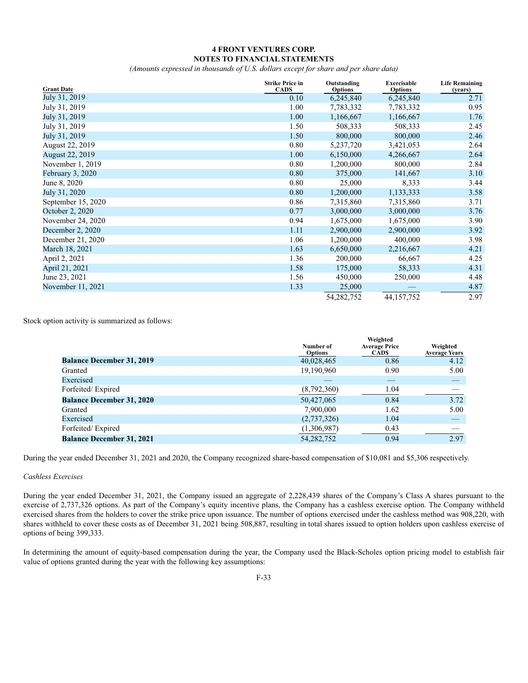*(Amounts expressed in thousands of U.S. dollars except for share and per share data)*

| <b>Grant Date</b>      | <b>Strike Price in</b><br><b>CADS</b> | Outstanding<br><b>Options</b> | <b>Exercisable</b><br><b>Options</b> | <b>Life Remaining</b><br>(years) |
|------------------------|---------------------------------------|-------------------------------|--------------------------------------|----------------------------------|
| July 31, 2019          | 0.10                                  | 6,245,840                     | 6,245,840                            | 2.71                             |
| July 31, 2019          | 1.00                                  | 7,783,332                     | 7,783,332                            | 0.95                             |
| July 31, 2019          | 1.00                                  | 1,166,667                     | 1,166,667                            | 1.76                             |
| July 31, 2019          | 1.50                                  | 508,333                       | 508,333                              | 2.45                             |
| July 31, 2019          | 1.50                                  | 800,000                       | 800,000                              | 2.46                             |
| <b>August 22, 2019</b> | 0.80                                  | 5,237,720                     | 3,421,053                            | 2.64                             |
| August 22, 2019        | 1.00                                  | 6,150,000                     | 4,266,667                            | 2.64                             |
| November 1, 2019       | 0.80                                  | 1,200,000                     | 800,000                              | 2.84                             |
| February 3, 2020       | 0.80                                  | 375,000                       | 141,667                              | 3.10                             |
| June 8, 2020           | 0.80                                  | 25,000                        | 8,333                                | 3.44                             |
| July 31, 2020          | 0.80                                  | 1,200,000                     | 1,133,333                            | 3.58                             |
| September 15, 2020     | 0.86                                  | 7,315,860                     | 7,315,860                            | 3.71                             |
| October 2, 2020        | 0.77                                  | 3,000,000                     | 3,000,000                            | 3.76                             |
| November 24, 2020      | 0.94                                  | 1,675,000                     | 1,675,000                            | 3.90                             |
| December 2, 2020       | 1.11                                  | 2,900,000                     | 2,900,000                            | 3.92                             |
| December 21, 2020      | 1.06                                  | 1,200,000                     | 400,000                              | 3.98                             |
| March 18, 2021         | 1.63                                  | 6,650,000                     | 2,216,667                            | 4.21                             |
| April 2, 2021          | 1.36                                  | 200,000                       | 66,667                               | 4.25                             |
| April 21, 2021         | 1.58                                  | 175,000                       | 58,333                               | 4.31                             |
| June 23, 2021          | 1.56                                  | 450,000                       | 250,000                              | 4.48                             |
| November 11, 2021      | 1.33                                  | 25,000                        |                                      | 4.87                             |
|                        |                                       | 54, 282, 752                  | 44,157,752                           | 2.97                             |

Stock option activity is summarized as follows:

|                                  | Number of<br><b>Options</b> | Weighted<br><b>Average Price</b><br><b>CADS</b> | Weighted<br><b>Average Years</b> |
|----------------------------------|-----------------------------|-------------------------------------------------|----------------------------------|
| <b>Balance December 31, 2019</b> | 40,028,465                  | 0.86                                            | 4.12                             |
| Granted                          | 19,190,960                  | 0.90                                            | 5.00                             |
| Exercised                        |                             |                                                 |                                  |
| Forfeited/Expired                | (8,792,360)                 | 1.04                                            |                                  |
| <b>Balance December 31, 2020</b> | 50,427,065                  | 0.84                                            | 3.72                             |
| Granted                          | 7,900,000                   | 1.62                                            | 5.00                             |
| Exercised                        | (2,737,326)                 | 1.04                                            |                                  |
| Forfeited/Expired                | (1,306,987)                 | 0.43                                            |                                  |
| <b>Balance December 31, 2021</b> | 54, 282, 752                | 0.94                                            | 2.97                             |

During the year ended December 31, 2021 and 2020, the Company recognized share-based compensation of \$10,081 and \$5,306 respectively.

# *Cashless Exercises*

During the year ended December 31, 2021, the Company issued an aggregate of 2,228,439 shares of the Company's Class A shares pursuant to the exercise of 2,737,326 options. As part of the Company's equity incentive plans, the Company has a cashless exercise option. The Company withheld exercised shares from the holders to cover the strike price upon issuance. The number of options exercised under the cashless method was 908,220, with shares withheld to cover these costs as of December 31, 2021 being 508,887, resulting in total shares issued to option holders upon cashless exercise of options of being 399,333.

In determining the amount of equity-based compensation during the year, the Company used the Black-Scholes option pricing model to establish fair value of options granted during the year with the following key assumptions: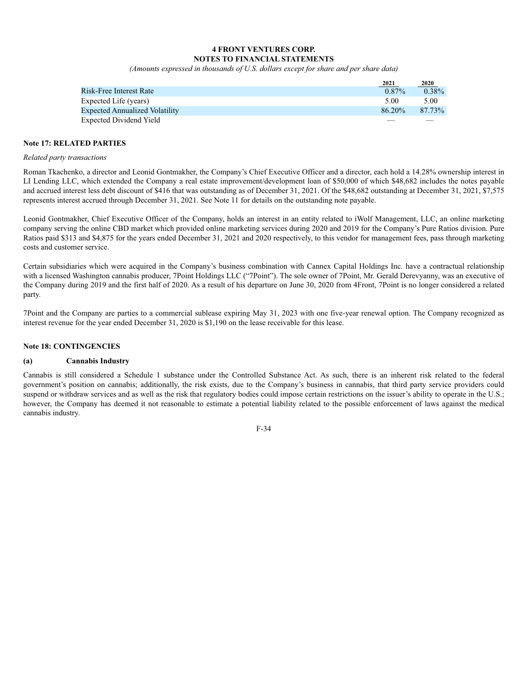*(Amounts expressed in thousands of U.S. dollars except for share and per share data)*

|                                       | 2021      | 2020     |
|---------------------------------------|-----------|----------|
| Risk-Free Interest Rate               | $0.87\%$  | $0.38\%$ |
| Expected Life (years)                 | 5.00      | 5.00     |
| <b>Expected Annualized Volatility</b> | $86.20\%$ | 87.73%   |
| Expected Dividend Yield               |           |          |

#### **Note 17: RELATED PARTIES**

#### *Related party transactions*

Roman Tkachenko, a director and Leonid Gontmakher, the Company's Chief Executive Officer and a director, each hold a 14.28% ownership interest in LI Lending LLC, which extended the Company a real estate improvement/development loan of \$50,000 of which \$48,682 includes the notes payable and accrued interest less debt discount of \$416 that was outstanding as of December 31, 2021. Of the \$48,682 outstanding at December 31, 2021, \$7,575 represents interest accrued through December 31, 2021. See Note 11 for details on the outstanding note payable.

Leonid Gontmakher, Chief Executive Officer of the Company, holds an interest in an entity related to iWolf Management, LLC, an online marketing company serving the online CBD market which provided online marketing services during 2020 and 2019 for the Company's Pure Ratios division. Pure Ratios paid \$313 and \$4,875 for the years ended December 31, 2021 and 2020 respectively, to this vendor for management fees, pass through marketing costs and customer service.

Certain subsidiaries which were acquired in the Company's business combination with Cannex Capital Holdings Inc. have a contractual relationship with a licensed Washington cannabis producer, 7Point Holdings LLC ("7Point"). The sole owner of 7Point, Mr. Gerald Derevyanny, was an executive of the Company during 2019 and the first half of 2020. As a result of his departure on June 30, 2020 from 4Front, 7Point is no longer considered a related party.

7Point and the Company are parties to a commercial sublease expiring May 31, 2023 with one five-year renewal option. The Company recognized as interest revenue for the year ended December 31, 2020 is \$1,190 on the lease receivable for this lease.

## **Note 18: CONTINGENCIES**

#### **(a) Cannabis Industry**

Cannabis is still considered a Schedule 1 substance under the Controlled Substance Act. As such, there is an inherent risk related to the federal government's position on cannabis; additionally, the risk exists, due to the Company's business in cannabis, that third party service providers could suspend or withdraw services and as well as the risk that regulatory bodies could impose certain restrictions on the issuer's ability to operate in the U.S.; however, the Company has deemed it not reasonable to estimate a potential liability related to the possible enforcement of laws against the medical cannabis industry.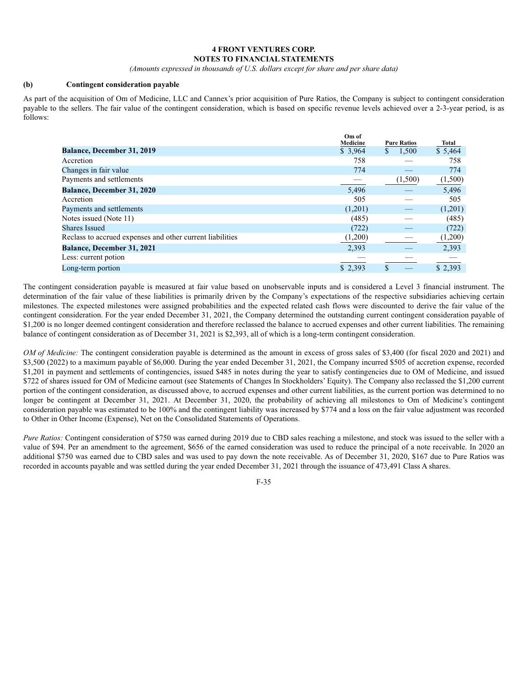*(Amounts expressed in thousands of U.S. dollars except for share and per share data)*

## **(b) Contingent consideration payable**

As part of the acquisition of Om of Medicine, LLC and Cannex's prior acquisition of Pure Ratios, the Company is subject to contingent consideration payable to the sellers. The fair value of the contingent consideration, which is based on specific revenue levels achieved over a 2-3-year period, is as follows:

|                                                           | Om of<br>Medicine |                    |         |  |
|-----------------------------------------------------------|-------------------|--------------------|---------|--|
|                                                           |                   | <b>Pure Ratios</b> | Total   |  |
| <b>Balance, December 31, 2019</b>                         | \$3,964           | \$<br>1,500        | \$5,464 |  |
| Accretion                                                 | 758               |                    | 758     |  |
| Changes in fair value                                     | 774               |                    | 774     |  |
| Payments and settlements                                  |                   | (1,500)            | (1,500) |  |
| Balance, December 31, 2020                                | 5,496             |                    | 5,496   |  |
| Accretion                                                 | 505               |                    | 505     |  |
| Payments and settlements                                  | (1,201)           |                    | (1,201) |  |
| Notes issued (Note 11)                                    | (485)             |                    | (485)   |  |
| <b>Shares Issued</b>                                      | (722)             |                    | (722)   |  |
| Reclass to accrued expenses and other current liabilities | (1,200)           |                    | (1,200) |  |
| Balance, December 31, 2021                                | 2,393             |                    | 2,393   |  |
| Less: current potion                                      |                   |                    |         |  |
| Long-term portion                                         | \$2.393           |                    | \$2,393 |  |

The contingent consideration payable is measured at fair value based on unobservable inputs and is considered a Level 3 financial instrument. The determination of the fair value of these liabilities is primarily driven by the Company's expectations of the respective subsidiaries achieving certain milestones. The expected milestones were assigned probabilities and the expected related cash flows were discounted to derive the fair value of the contingent consideration. For the year ended December 31, 2021, the Company determined the outstanding current contingent consideration payable of \$1,200 is no longer deemed contingent consideration and therefore reclassed the balance to accrued expenses and other current liabilities. The remaining balance of contingent consideration as of December 31, 2021 is \$2,393, all of which is a long-term contingent consideration.

*OM of Medicine:* The contingent consideration payable is determined as the amount in excess of gross sales of \$3,400 (for fiscal 2020 and 2021) and \$3,500 (2022) to a maximum payable of \$6,000. During the year ended December 31, 2021, the Company incurred \$505 of accretion expense, recorded \$1,201 in payment and settlements of contingencies, issued \$485 in notes during the year to satisfy contingencies due to OM of Medicine, and issued \$722 of shares issued for OM of Medicine earnout (see Statements of Changes In Stockholders' Equity). The Company also reclassed the \$1,200 current portion of the contingent consideration, as discussed above, to accrued expenses and other current liabilities, as the current portion was determined to no longer be contingent at December 31, 2021. At December 31, 2020, the probability of achieving all milestones to Om of Medicine's contingent consideration payable was estimated to be 100% and the contingent liability was increased by \$774 and a loss on the fair value adjustment was recorded to Other in Other Income (Expense), Net on the Consolidated Statements of Operations.

*Pure Ratios:* Contingent consideration of \$750 was earned during 2019 due to CBD sales reaching a milestone, and stock was issued to the seller with a value of \$94. Per an amendment to the agreement, \$656 of the earned consideration was used to reduce the principal of a note receivable. In 2020 an additional \$750 was earned due to CBD sales and was used to pay down the note receivable. As of December 31, 2020, \$167 due to Pure Ratios was recorded in accounts payable and was settled during the year ended December 31, 2021 through the issuance of 473,491 Class A shares.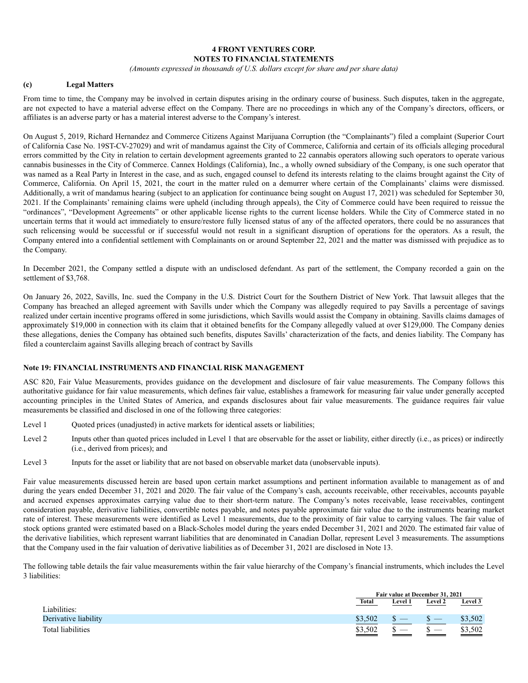*(Amounts expressed in thousands of U.S. dollars except for share and per share data)*

## **(c) Legal Matters**

From time to time, the Company may be involved in certain disputes arising in the ordinary course of business. Such disputes, taken in the aggregate, are not expected to have a material adverse effect on the Company. There are no proceedings in which any of the Company's directors, officers, or affiliates is an adverse party or has a material interest adverse to the Company's interest.

On August 5, 2019, Richard Hernandez and Commerce Citizens Against Marijuana Corruption (the "Complainants") filed a complaint (Superior Court of California Case No. 19ST-CV-27029) and writ of mandamus against the City of Commerce, California and certain of its officials alleging procedural errors committed by the City in relation to certain development agreements granted to 22 cannabis operators allowing such operators to operate various cannabis businesses in the City of Commerce. Cannex Holdings (California), Inc., a wholly owned subsidiary of the Company, is one such operator that was named as a Real Party in Interest in the case, and as such, engaged counsel to defend its interests relating to the claims brought against the City of Commerce, California. On April 15, 2021, the court in the matter ruled on a demurrer where certain of the Complainants' claims were dismissed. Additionally, a writ of mandamus hearing (subject to an application for continuance being sought on August 17, 2021) was scheduled for September 30, 2021. If the Complainants' remaining claims were upheld (including through appeals), the City of Commerce could have been required to reissue the "ordinances", "Development Agreements" or other applicable license rights to the current license holders. While the City of Commerce stated in no uncertain terms that it would act immediately to ensure/restore fully licensed status of any of the affected operators, there could be no assurances that such relicensing would be successful or if successful would not result in a significant disruption of operations for the operators. As a result, the Company entered into a confidential settlement with Complainants on or around September 22, 2021 and the matter was dismissed with prejudice as to the Company.

In December 2021, the Company settled a dispute with an undisclosed defendant. As part of the settlement, the Company recorded a gain on the settlement of \$3,768.

On January 26, 2022, Savills, Inc. sued the Company in the U.S. District Court for the Southern District of New York. That lawsuit alleges that the Company has breached an alleged agreement with Savills under which the Company was allegedly required to pay Savills a percentage of savings realized under certain incentive programs offered in some jurisdictions, which Savills would assist the Company in obtaining. Savills claims damages of approximately \$19,000 in connection with its claim that it obtained benefits for the Company allegedly valued at over \$129,000. The Company denies these allegations, denies the Company has obtained such benefits, disputes Savills' characterization of the facts, and denies liability. The Company has filed a counterclaim against Savills alleging breach of contract by Savills

## **Note 19: FINANCIAL INSTRUMENTS AND FINANCIAL RISK MANAGEMENT**

ASC 820, Fair Value Measurements, provides guidance on the development and disclosure of fair value measurements. The Company follows this authoritative guidance for fair value measurements, which defines fair value, establishes a framework for measuring fair value under generally accepted accounting principles in the United States of America, and expands disclosures about fair value measurements. The guidance requires fair value measurements be classified and disclosed in one of the following three categories:

- Level 1 Quoted prices (unadjusted) in active markets for identical assets or liabilities;
- Level 2 Inputs other than quoted prices included in Level 1 that are observable for the asset or liability, either directly (i.e., as prices) or indirectly (i.e., derived from prices); and
- Level 3 Inputs for the asset or liability that are not based on observable market data (unobservable inputs).

Fair value measurements discussed herein are based upon certain market assumptions and pertinent information available to management as of and during the years ended December 31, 2021 and 2020. The fair value of the Company's cash, accounts receivable, other receivables, accounts payable and accrued expenses approximates carrying value due to their short-term nature. The Company's notes receivable, lease receivables, contingent consideration payable, derivative liabilities, convertible notes payable, and notes payable approximate fair value due to the instruments bearing market rate of interest. These measurements were identified as Level 1 measurements, due to the proximity of fair value to carrying values. The fair value of stock options granted were estimated based on a Black-Scholes model during the years ended December 31, 2021 and 2020. The estimated fair value of the derivative liabilities, which represent warrant liabilities that are denominated in Canadian Dollar, represent Level 3 measurements. The assumptions that the Company used in the fair valuation of derivative liabilities as of December 31, 2021 are disclosed in Note 13.

The following table details the fair value measurements within the fair value hierarchy of the Company's financial instruments, which includes the Level 3 liabilities:

|                      | Fair value at December 31, 2021 |                                 |         |         |
|----------------------|---------------------------------|---------------------------------|---------|---------|
|                      | <b>Total</b>                    | Level 1                         | Level 2 | Level 3 |
| Liabilities:         |                                 |                                 |         |         |
| Derivative liability | \$3,502                         | $\mathbf{s}$ —                  |         | \$3,502 |
| Total liabilities    | \$3,502                         | $\hspace{0.1mm}-\hspace{0.1mm}$ |         | \$3,502 |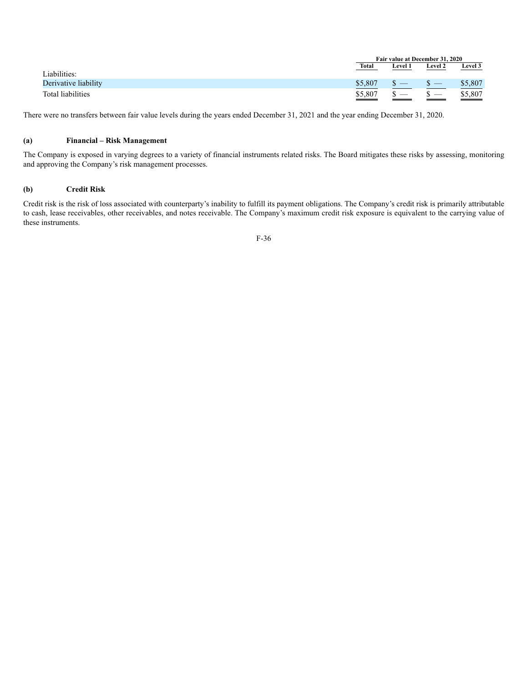|                      |                                     | Fair value at December 31, 2020 |                          |                    |
|----------------------|-------------------------------------|---------------------------------|--------------------------|--------------------|
|                      | Total                               | Level 1                         | <b>Level 2</b>           | Level 3            |
| Liabilities:         |                                     |                                 |                          |                    |
| Derivative liability | \$5,807                             |                                 |                          | \$5,807            |
| Total liabilities    | \$5,807<br>$\overline{\phantom{a}}$ |                                 | $\overline{\phantom{a}}$ | $\frac{$5,807}{2}$ |

There were no transfers between fair value levels during the years ended December 31, 2021 and the year ending December 31, 2020.

## **(a) Financial – Risk Management**

The Company is exposed in varying degrees to a variety of financial instruments related risks. The Board mitigates these risks by assessing, monitoring and approving the Company's risk management processes.

## **(b) Credit Risk**

Credit risk is the risk of loss associated with counterparty's inability to fulfill its payment obligations. The Company's credit risk is primarily attributable to cash, lease receivables, other receivables, and notes receivable. The Company's maximum credit risk exposure is equivalent to the carrying value of these instruments.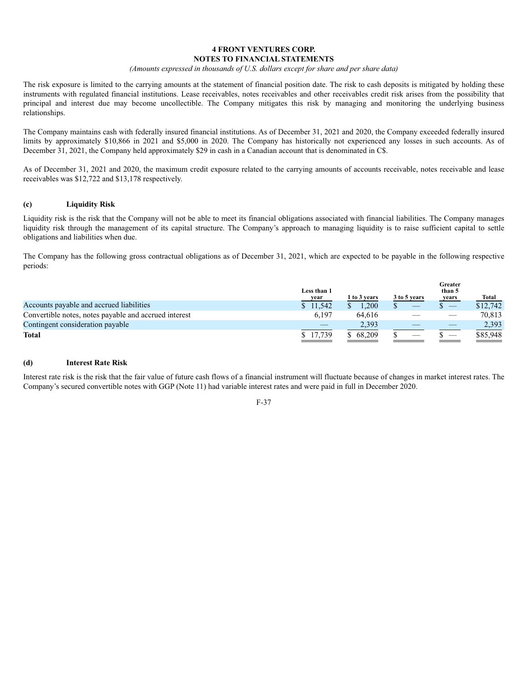*(Amounts expressed in thousands of U.S. dollars except for share and per share data)*

The risk exposure is limited to the carrying amounts at the statement of financial position date. The risk to cash deposits is mitigated by holding these instruments with regulated financial institutions. Lease receivables, notes receivables and other receivables credit risk arises from the possibility that principal and interest due may become uncollectible. The Company mitigates this risk by managing and monitoring the underlying business relationships.

The Company maintains cash with federally insured financial institutions. As of December 31, 2021 and 2020, the Company exceeded federally insured limits by approximately \$10,866 in 2021 and \$5,000 in 2020. The Company has historically not experienced any losses in such accounts. As of December 31, 2021, the Company held approximately \$29 in cash in a Canadian account that is denominated in C\$.

As of December 31, 2021 and 2020, the maximum credit exposure related to the carrying amounts of accounts receivable, notes receivable and lease receivables was \$12,722 and \$13,178 respectively.

## **(c) Liquidity Risk**

Liquidity risk is the risk that the Company will not be able to meet its financial obligations associated with financial liabilities. The Company manages liquidity risk through the management of its capital structure. The Company's approach to managing liquidity is to raise sufficient capital to settle obligations and liabilities when due.

The Company has the following gross contractual obligations as of December 31, 2021, which are expected to be payable in the following respective periods:

|                                                       | Less than 1 |              |              | Greater<br>than 5        |          |
|-------------------------------------------------------|-------------|--------------|--------------|--------------------------|----------|
|                                                       | year        | 1 to 3 years | 3 to 5 years | years                    | Total    |
| Accounts payable and accrued liabilities              | \$11.542    | .200         |              |                          | \$12,742 |
| Convertible notes, notes payable and accrued interest | 6.197       | 64.616       |              |                          | 70.813   |
| Contingent consideration payable                      |             | 2.393        |              |                          | 2.393    |
| <b>Total</b>                                          | \$17.739    | \$68,209     |              | $\overline{\phantom{a}}$ | \$85,948 |

#### **(d) Interest Rate Risk**

Interest rate risk is the risk that the fair value of future cash flows of a financial instrument will fluctuate because of changes in market interest rates. The Company's secured convertible notes with GGP (Note 11) had variable interest rates and were paid in full in December 2020.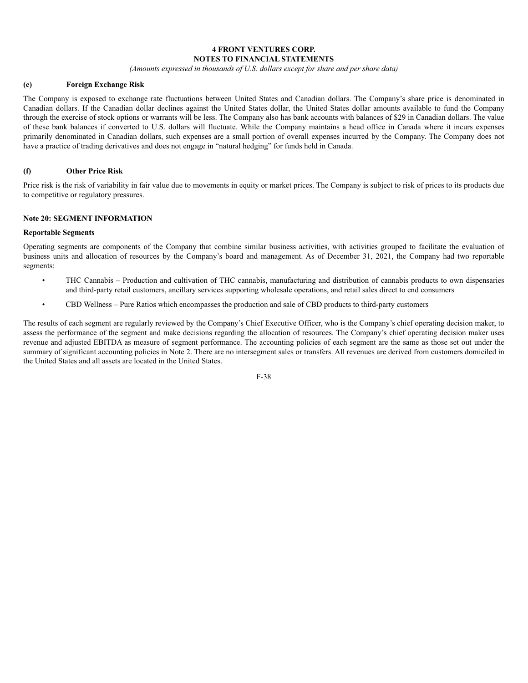*(Amounts expressed in thousands of U.S. dollars except for share and per share data)*

#### **(e) Foreign Exchange Risk**

The Company is exposed to exchange rate fluctuations between United States and Canadian dollars. The Company's share price is denominated in Canadian dollars. If the Canadian dollar declines against the United States dollar, the United States dollar amounts available to fund the Company through the exercise of stock options or warrants will be less. The Company also has bank accounts with balances of \$29 in Canadian dollars. The value of these bank balances if converted to U.S. dollars will fluctuate. While the Company maintains a head office in Canada where it incurs expenses primarily denominated in Canadian dollars, such expenses are a small portion of overall expenses incurred by the Company. The Company does not have a practice of trading derivatives and does not engage in "natural hedging" for funds held in Canada.

## **(f) Other Price Risk**

Price risk is the risk of variability in fair value due to movements in equity or market prices. The Company is subject to risk of prices to its products due to competitive or regulatory pressures.

#### **Note 20: SEGMENT INFORMATION**

#### **Reportable Segments**

Operating segments are components of the Company that combine similar business activities, with activities grouped to facilitate the evaluation of business units and allocation of resources by the Company's board and management. As of December 31, 2021, the Company had two reportable segments:

- THC Cannabis Production and cultivation of THC cannabis, manufacturing and distribution of cannabis products to own dispensaries and third-party retail customers, ancillary services supporting wholesale operations, and retail sales direct to end consumers
- CBD Wellness Pure Ratios which encompasses the production and sale of CBD products to third-party customers

The results of each segment are regularly reviewed by the Company's Chief Executive Officer, who is the Company's chief operating decision maker, to assess the performance of the segment and make decisions regarding the allocation of resources. The Company's chief operating decision maker uses revenue and adjusted EBITDA as measure of segment performance. The accounting policies of each segment are the same as those set out under the summary of significant accounting policies in Note 2. There are no intersegment sales or transfers. All revenues are derived from customers domiciled in the United States and all assets are located in the United States.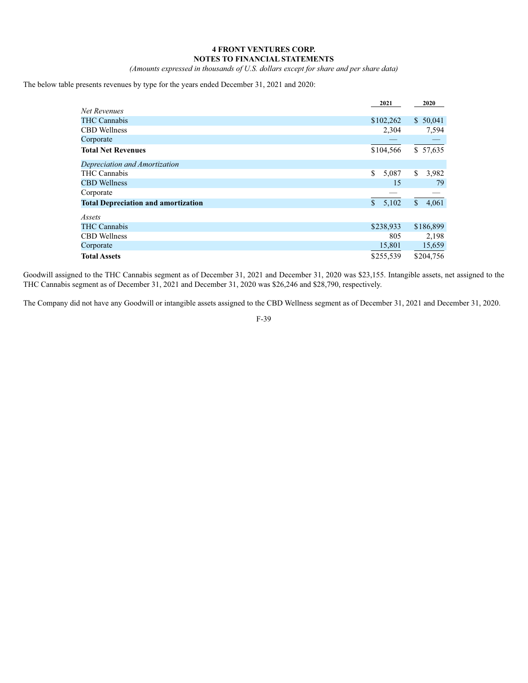*(Amounts expressed in thousands of U.S. dollars except for share and per share data)*

The below table presents revenues by type for the years ended December 31, 2021 and 2020:

|                                            | 2021                  | 2020                  |
|--------------------------------------------|-----------------------|-----------------------|
| Net Revenues                               |                       |                       |
| <b>THC Cannabis</b>                        | \$102,262             | \$50,041              |
| <b>CBD</b> Wellness                        | 2,304                 | 7,594                 |
| Corporate                                  |                       |                       |
| <b>Total Net Revenues</b>                  | \$104,566             | \$57,635              |
| Depreciation and Amortization              |                       |                       |
| THC Cannabis                               | \$<br>5,087           | 3,982<br>\$           |
| <b>CBD</b> Wellness                        | 15                    | 79                    |
| Corporate                                  |                       |                       |
| <b>Total Depreciation and amortization</b> | $\mathbb{S}$<br>5,102 | 4,061<br>$\mathbb{S}$ |
| Assets                                     |                       |                       |
| <b>THC Cannabis</b>                        | \$238,933             | \$186,899             |
| <b>CBD</b> Wellness                        | 805                   | 2,198                 |
| Corporate                                  | 15,801                | 15,659                |
| <b>Total Assets</b>                        | \$255,539             | \$204,756             |

Goodwill assigned to the THC Cannabis segment as of December 31, 2021 and December 31, 2020 was \$23,155. Intangible assets, net assigned to the THC Cannabis segment as of December 31, 2021 and December 31, 2020 was \$26,246 and \$28,790, respectively.

The Company did not have any Goodwill or intangible assets assigned to the CBD Wellness segment as of December 31, 2021 and December 31, 2020.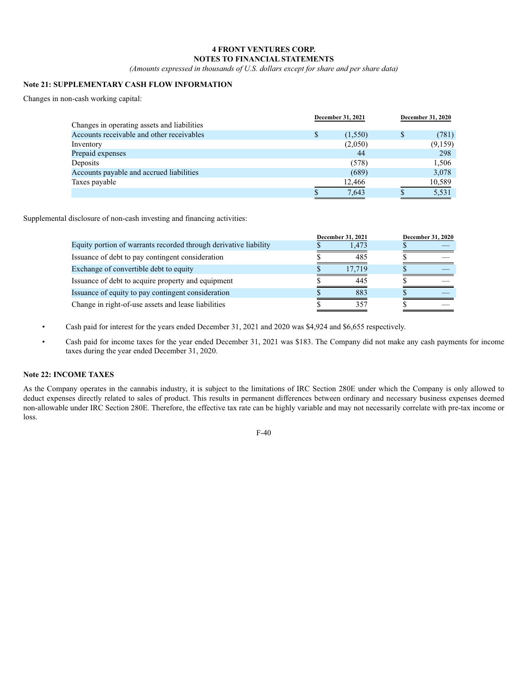*(Amounts expressed in thousands of U.S. dollars except for share and per share data)*

# **Note 21: SUPPLEMENTARY CASH FLOW INFORMATION**

Changes in non-cash working capital:

|                                             | December 31, 2021 |         | <b>December 31, 2020</b> |         |
|---------------------------------------------|-------------------|---------|--------------------------|---------|
| Changes in operating assets and liabilities |                   |         |                          |         |
| Accounts receivable and other receivables   | S                 | (1,550) | S                        | (781)   |
| Inventory                                   |                   | (2,050) |                          | (9,159) |
| Prepaid expenses                            |                   | 44      |                          | 298     |
| Deposits                                    |                   | (578)   |                          | 1,506   |
| Accounts payable and accrued liabilities    |                   | (689)   |                          | 3,078   |
| Taxes payable                               |                   | 12.466  |                          | 10,589  |
|                                             |                   | 7.643   |                          | 5,531   |

Supplemental disclosure of non-cash investing and financing activities:

|                                                                  | December 31, 2021 | <b>December 31, 2020</b> |
|------------------------------------------------------------------|-------------------|--------------------------|
| Equity portion of warrants recorded through derivative liability | 1.473             |                          |
| Issuance of debt to pay contingent consideration                 | 485               |                          |
| Exchange of convertible debt to equity                           | 17.719            |                          |
| Issuance of debt to acquire property and equipment               | 445               |                          |
| Issuance of equity to pay contingent consideration               | 883               |                          |
| Change in right-of-use assets and lease liabilities              | 357               |                          |

• Cash paid for interest for the years ended December 31, 2021 and 2020 was \$4,924 and \$6,655 respectively.

• Cash paid for income taxes for the year ended December 31, 2021 was \$183. The Company did not make any cash payments for income taxes during the year ended December 31, 2020.

## **Note 22: INCOME TAXES**

As the Company operates in the cannabis industry, it is subject to the limitations of IRC Section 280E under which the Company is only allowed to deduct expenses directly related to sales of product. This results in permanent differences between ordinary and necessary business expenses deemed non-allowable under IRC Section 280E. Therefore, the effective tax rate can be highly variable and may not necessarily correlate with pre-tax income or loss.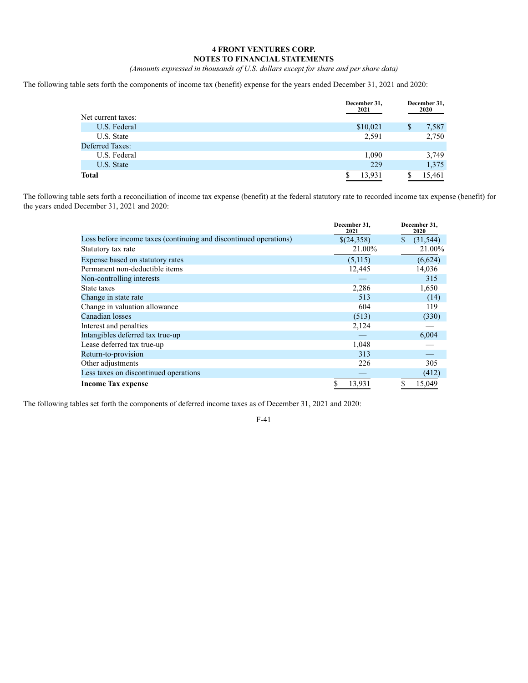# **4 FRONT VENTURES CORP.**

**NOTES TO FINANCIAL STATEMENTS** *(Amounts expressed in thousands of U.S. dollars except for share and per share data)*

The following table sets forth the components of income tax (benefit) expense for the years ended December 31, 2021 and 2020:

| Net current taxes: | December 31,<br>2021 | December 31,<br>2020 |
|--------------------|----------------------|----------------------|
| U.S. Federal       | \$10,021             | \$<br>7,587          |
| U.S. State         | 2,591                | 2,750                |
| Deferred Taxes:    |                      |                      |
| U.S. Federal       | 1,090                | 3,749                |
| U.S. State         | 229                  | 1,375                |
| <b>Total</b>       | 13.931               | 15,461               |

The following table sets forth a reconciliation of income tax expense (benefit) at the federal statutory rate to recorded income tax expense (benefit) for the years ended December 31, 2021 and 2020:

|                                                                   | December 31,<br>2021 | December 31,<br>2020      |
|-------------------------------------------------------------------|----------------------|---------------------------|
| Loss before income taxes (continuing and discontinued operations) | \$(24,358)           | $\mathbb{S}$<br>(31, 544) |
| Statutory tax rate                                                | 21.00%               | 21.00%                    |
| Expense based on statutory rates                                  | (5,115)              | (6,624)                   |
| Permanent non-deductible items                                    | 12,445               | 14,036                    |
| Non-controlling interests                                         |                      | 315                       |
| State taxes                                                       | 2,286                | 1,650                     |
| Change in state rate                                              | 513                  | (14)                      |
| Change in valuation allowance                                     | 604                  | 119                       |
| <b>Canadian</b> losses                                            | (513)                | (330)                     |
| Interest and penalties                                            | 2,124                |                           |
| Intangibles deferred tax true-up                                  |                      | 6,004                     |
| Lease deferred tax true-up                                        | 1,048                |                           |
| Return-to-provision                                               | 313                  |                           |
| Other adjustments                                                 | 226                  | 305                       |
| Less taxes on discontinued operations                             |                      | (412)                     |
| <b>Income Tax expense</b>                                         | \$<br>13,931         | \$<br>15.049              |

The following tables set forth the components of deferred income taxes as of December 31, 2021 and 2020: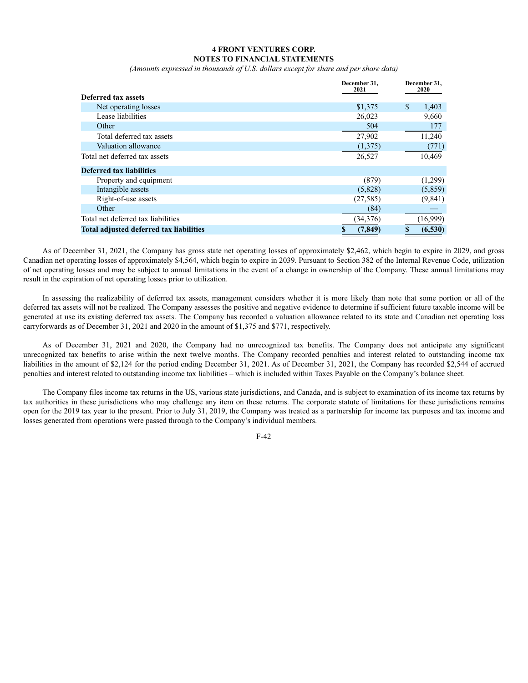*(Amounts expressed in thousands of U.S. dollars except for share and per share data)*

|                                         | December 31.<br>2021 | December 31,<br>2020 |  |
|-----------------------------------------|----------------------|----------------------|--|
| Deferred tax assets                     |                      |                      |  |
| Net operating losses                    | \$1,375              | \$<br>1,403          |  |
| Lease liabilities                       | 26,023               | 9,660                |  |
| Other                                   | 504                  | 177                  |  |
| Total deferred tax assets               | 27,902               | 11,240               |  |
| Valuation allowance                     | (1,375)              | (771)                |  |
| Total net deferred tax assets           | 26,527               | 10,469               |  |
| <b>Deferred tax liabilities</b>         |                      |                      |  |
| Property and equipment                  | (879)                | (1,299)              |  |
| Intangible assets                       | (5,828)              | (5,859)              |  |
| Right-of-use assets                     | (27, 585)            | (9,841)              |  |
| Other                                   | (84)                 |                      |  |
| Total net deferred tax liabilities      | (34,376)             | (16,999)             |  |
| Total adjusted deferred tax liabilities | \$<br>(7, 849)       | (6,530)              |  |

As of December 31, 2021, the Company has gross state net operating losses of approximately \$2,462, which begin to expire in 2029, and gross Canadian net operating losses of approximately \$4,564, which begin to expire in 2039. Pursuant to Section 382 of the Internal Revenue Code, utilization of net operating losses and may be subject to annual limitations in the event of a change in ownership of the Company. These annual limitations may result in the expiration of net operating losses prior to utilization.

In assessing the realizability of deferred tax assets, management considers whether it is more likely than note that some portion or all of the deferred tax assets will not be realized. The Company assesses the positive and negative evidence to determine if sufficient future taxable income will be generated at use its existing deferred tax assets. The Company has recorded a valuation allowance related to its state and Canadian net operating loss carryforwards as of December 31, 2021 and 2020 in the amount of \$1,375 and \$771, respectively.

As of December 31, 2021 and 2020, the Company had no unrecognized tax benefits. The Company does not anticipate any significant unrecognized tax benefits to arise within the next twelve months. The Company recorded penalties and interest related to outstanding income tax liabilities in the amount of \$2,124 for the period ending December 31, 2021. As of December 31, 2021, the Company has recorded \$2,544 of accrued penalties and interest related to outstanding income tax liabilities – which is included within Taxes Payable on the Company's balance sheet.

The Company files income tax returns in the US, various state jurisdictions, and Canada, and is subject to examination of its income tax returns by tax authorities in these jurisdictions who may challenge any item on these returns. The corporate statute of limitations for these jurisdictions remains open for the 2019 tax year to the present. Prior to July 31, 2019, the Company was treated as a partnership for income tax purposes and tax income and losses generated from operations were passed through to the Company's individual members.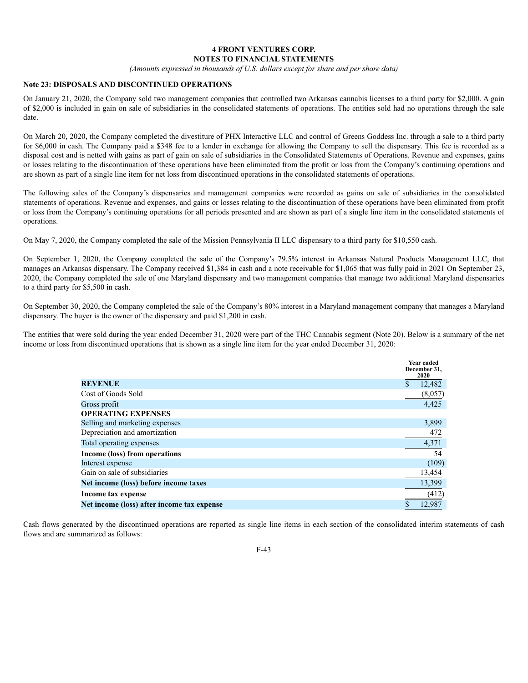*(Amounts expressed in thousands of U.S. dollars except for share and per share data)*

### **Note 23: DISPOSALS AND DISCONTINUED OPERATIONS**

On January 21, 2020, the Company sold two management companies that controlled two Arkansas cannabis licenses to a third party for \$2,000. A gain of \$2,000 is included in gain on sale of subsidiaries in the consolidated statements of operations. The entities sold had no operations through the sale date.

On March 20, 2020, the Company completed the divestiture of PHX Interactive LLC and control of Greens Goddess Inc. through a sale to a third party for \$6,000 in cash. The Company paid a \$348 fee to a lender in exchange for allowing the Company to sell the dispensary. This fee is recorded as a disposal cost and is netted with gains as part of gain on sale of subsidiaries in the Consolidated Statements of Operations. Revenue and expenses, gains or losses relating to the discontinuation of these operations have been eliminated from the profit or loss from the Company's continuing operations and are shown as part of a single line item for net loss from discontinued operations in the consolidated statements of operations.

The following sales of the Company's dispensaries and management companies were recorded as gains on sale of subsidiaries in the consolidated statements of operations. Revenue and expenses, and gains or losses relating to the discontinuation of these operations have been eliminated from profit or loss from the Company's continuing operations for all periods presented and are shown as part of a single line item in the consolidated statements of operations.

On May 7, 2020, the Company completed the sale of the Mission Pennsylvania II LLC dispensary to a third party for \$10,550 cash.

On September 1, 2020, the Company completed the sale of the Company's 79.5% interest in Arkansas Natural Products Management LLC, that manages an Arkansas dispensary. The Company received \$1,384 in cash and a note receivable for \$1,065 that was fully paid in 2021 On September 23, 2020, the Company completed the sale of one Maryland dispensary and two management companies that manage two additional Maryland dispensaries to a third party for \$5,500 in cash.

On September 30, 2020, the Company completed the sale of the Company's 80% interest in a Maryland management company that manages a Maryland dispensary. The buyer is the owner of the dispensary and paid \$1,200 in cash.

The entities that were sold during the year ended December 31, 2020 were part of the THC Cannabis segment (Note 20). Below is a summary of the net income or loss from discontinued operations that is shown as a single line item for the year ended December 31, 2020:

|                                            | Year ended<br>December 31,<br>2020 |
|--------------------------------------------|------------------------------------|
| <b>REVENUE</b>                             | \$<br>12,482                       |
| Cost of Goods Sold                         | (8,057)                            |
| Gross profit                               | 4,425                              |
| <b>OPERATING EXPENSES</b>                  |                                    |
| Selling and marketing expenses             | 3,899                              |
| Depreciation and amortization              | 472                                |
| Total operating expenses                   | 4,371                              |
| Income (loss) from operations              | 54                                 |
| Interest expense                           | (109)                              |
| Gain on sale of subsidiaries               | 13,454                             |
| Net income (loss) before income taxes      | 13,399                             |
| Income tax expense                         | (412)                              |
| Net income (loss) after income tax expense | 12.987                             |

Cash flows generated by the discontinued operations are reported as single line items in each section of the consolidated interim statements of cash flows and are summarized as follows: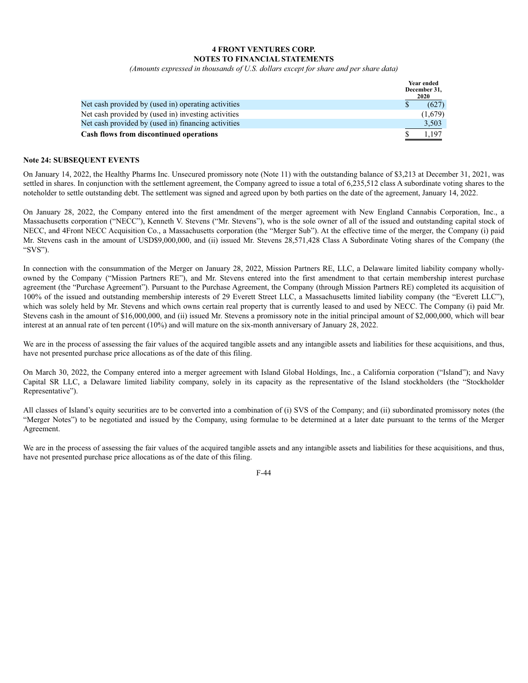*(Amounts expressed in thousands of U.S. dollars except for share and per share data)*

|                                                     | Year ended<br>December 31,<br>2020 |
|-----------------------------------------------------|------------------------------------|
| Net cash provided by (used in) operating activities | (627)                              |
| Net cash provided by (used in) investing activities | (1,679)                            |
| Net cash provided by (used in) financing activities | 3,503                              |
| <b>Cash flows from discontinued operations</b>      | 1.197                              |

#### **Note 24: SUBSEQUENT EVENTS**

On January 14, 2022, the Healthy Pharms Inc. Unsecured promissory note (Note 11) with the outstanding balance of \$3,213 at December 31, 2021, was settled in shares. In conjunction with the settlement agreement, the Company agreed to issue a total of 6,235,512 class A subordinate voting shares to the noteholder to settle outstanding debt. The settlement was signed and agreed upon by both parties on the date of the agreement, January 14, 2022.

On January 28, 2022, the Company entered into the first amendment of the merger agreement with New England Cannabis Corporation, Inc., a Massachusetts corporation ("NECC"), Kenneth V. Stevens ("Mr. Stevens"), who is the sole owner of all of the issued and outstanding capital stock of NECC, and 4Front NECC Acquisition Co., a Massachusetts corporation (the "Merger Sub"). At the effective time of the merger, the Company (i) paid Mr. Stevens cash in the amount of USD\$9,000,000, and (ii) issued Mr. Stevens 28,571,428 Class A Subordinate Voting shares of the Company (the "SVS").

In connection with the consummation of the Merger on January 28, 2022, Mission Partners RE, LLC, a Delaware limited liability company whollyowned by the Company ("Mission Partners RE"), and Mr. Stevens entered into the first amendment to that certain membership interest purchase agreement (the "Purchase Agreement"). Pursuant to the Purchase Agreement, the Company (through Mission Partners RE) completed its acquisition of 100% of the issued and outstanding membership interests of 29 Everett Street LLC, a Massachusetts limited liability company (the "Everett LLC"), which was solely held by Mr. Stevens and which owns certain real property that is currently leased to and used by NECC. The Company (i) paid Mr. Stevens cash in the amount of \$16,000,000, and (ii) issued Mr. Stevens a promissory note in the initial principal amount of \$2,000,000, which will bear interest at an annual rate of ten percent (10%) and will mature on the six-month anniversary of January 28, 2022.

We are in the process of assessing the fair values of the acquired tangible assets and any intangible assets and liabilities for these acquisitions, and thus, have not presented purchase price allocations as of the date of this filing.

On March 30, 2022, the Company entered into a merger agreement with Island Global Holdings, Inc., a California corporation ("Island"); and Navy Capital SR LLC, a Delaware limited liability company, solely in its capacity as the representative of the Island stockholders (the "Stockholder Representative").

All classes of Island's equity securities are to be converted into a combination of (i) SVS of the Company; and (ii) subordinated promissory notes (the "Merger Notes") to be negotiated and issued by the Company, using formulae to be determined at a later date pursuant to the terms of the Merger Agreement.

We are in the process of assessing the fair values of the acquired tangible assets and any intangible assets and liabilities for these acquisitions, and thus, have not presented purchase price allocations as of the date of this filing.

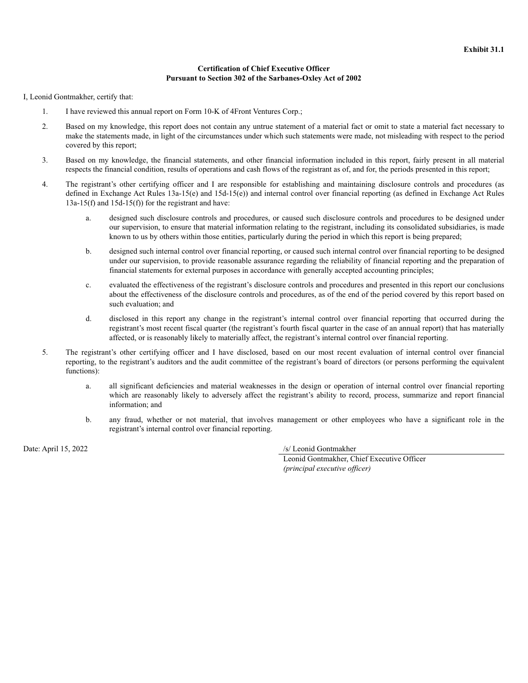# **Certification of Chief Executive Officer Pursuant to Section 302 of the Sarbanes-Oxley Act of 2002**

I, Leonid Gontmakher, certify that:

- 1. I have reviewed this annual report on Form 10-K of 4Front Ventures Corp.;
- 2. Based on my knowledge, this report does not contain any untrue statement of a material fact or omit to state a material fact necessary to make the statements made, in light of the circumstances under which such statements were made, not misleading with respect to the period covered by this report;
- 3. Based on my knowledge, the financial statements, and other financial information included in this report, fairly present in all material respects the financial condition, results of operations and cash flows of the registrant as of, and for, the periods presented in this report;
- 4. The registrant's other certifying officer and I are responsible for establishing and maintaining disclosure controls and procedures (as defined in Exchange Act Rules 13a-15(e) and 15d-15(e)) and internal control over financial reporting (as defined in Exchange Act Rules 13a-15(f) and 15d-15(f)) for the registrant and have:
	- a. designed such disclosure controls and procedures, or caused such disclosure controls and procedures to be designed under our supervision, to ensure that material information relating to the registrant, including its consolidated subsidiaries, is made known to us by others within those entities, particularly during the period in which this report is being prepared;
	- b. designed such internal control over financial reporting, or caused such internal control over financial reporting to be designed under our supervision, to provide reasonable assurance regarding the reliability of financial reporting and the preparation of financial statements for external purposes in accordance with generally accepted accounting principles;
	- c. evaluated the effectiveness of the registrant's disclosure controls and procedures and presented in this report our conclusions about the effectiveness of the disclosure controls and procedures, as of the end of the period covered by this report based on such evaluation; and
	- d. disclosed in this report any change in the registrant's internal control over financial reporting that occurred during the registrant's most recent fiscal quarter (the registrant's fourth fiscal quarter in the case of an annual report) that has materially affected, or is reasonably likely to materially affect, the registrant's internal control over financial reporting.
- 5. The registrant's other certifying officer and I have disclosed, based on our most recent evaluation of internal control over financial reporting, to the registrant's auditors and the audit committee of the registrant's board of directors (or persons performing the equivalent functions):
	- a. all significant deficiencies and material weaknesses in the design or operation of internal control over financial reporting which are reasonably likely to adversely affect the registrant's ability to record, process, summarize and report financial information; and
	- b. any fraud, whether or not material, that involves management or other employees who have a significant role in the registrant's internal control over financial reporting.

Date: April 15, 2022 /s/ Leonid Gontmakher

Leonid Gontmakher, Chief Executive Officer *(principal executive officer)*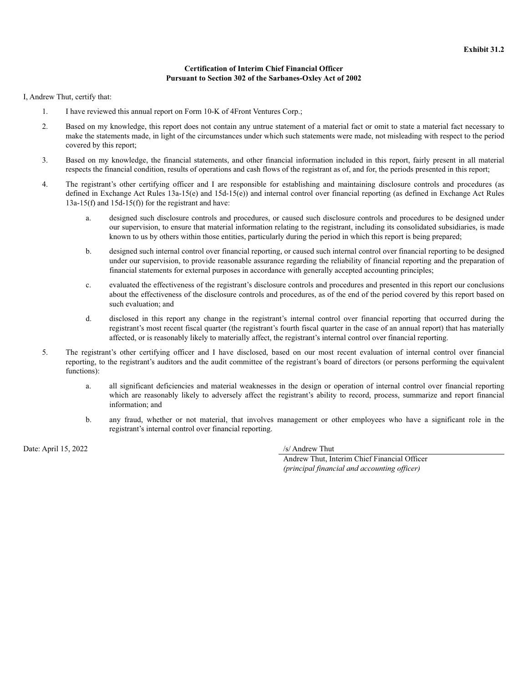## **Certification of Interim Chief Financial Officer Pursuant to Section 302 of the Sarbanes-Oxley Act of 2002**

I, Andrew Thut, certify that:

- 1. I have reviewed this annual report on Form 10-K of 4Front Ventures Corp.;
- 2. Based on my knowledge, this report does not contain any untrue statement of a material fact or omit to state a material fact necessary to make the statements made, in light of the circumstances under which such statements were made, not misleading with respect to the period covered by this report;
- 3. Based on my knowledge, the financial statements, and other financial information included in this report, fairly present in all material respects the financial condition, results of operations and cash flows of the registrant as of, and for, the periods presented in this report;
- 4. The registrant's other certifying officer and I are responsible for establishing and maintaining disclosure controls and procedures (as defined in Exchange Act Rules 13a-15(e) and 15d-15(e)) and internal control over financial reporting (as defined in Exchange Act Rules 13a-15(f) and 15d-15(f)) for the registrant and have:
	- a. designed such disclosure controls and procedures, or caused such disclosure controls and procedures to be designed under our supervision, to ensure that material information relating to the registrant, including its consolidated subsidiaries, is made known to us by others within those entities, particularly during the period in which this report is being prepared;
	- b. designed such internal control over financial reporting, or caused such internal control over financial reporting to be designed under our supervision, to provide reasonable assurance regarding the reliability of financial reporting and the preparation of financial statements for external purposes in accordance with generally accepted accounting principles;
	- c. evaluated the effectiveness of the registrant's disclosure controls and procedures and presented in this report our conclusions about the effectiveness of the disclosure controls and procedures, as of the end of the period covered by this report based on such evaluation; and
	- d. disclosed in this report any change in the registrant's internal control over financial reporting that occurred during the registrant's most recent fiscal quarter (the registrant's fourth fiscal quarter in the case of an annual report) that has materially affected, or is reasonably likely to materially affect, the registrant's internal control over financial reporting.
- 5. The registrant's other certifying officer and I have disclosed, based on our most recent evaluation of internal control over financial reporting, to the registrant's auditors and the audit committee of the registrant's board of directors (or persons performing the equivalent functions):
	- a. all significant deficiencies and material weaknesses in the design or operation of internal control over financial reporting which are reasonably likely to adversely affect the registrant's ability to record, process, summarize and report financial information; and
	- b. any fraud, whether or not material, that involves management or other employees who have a significant role in the registrant's internal control over financial reporting.

Date: April 15, 2022 /s/ Andrew Thut

Andrew Thut, Interim Chief Financial Officer *(principal financial and accounting officer)*